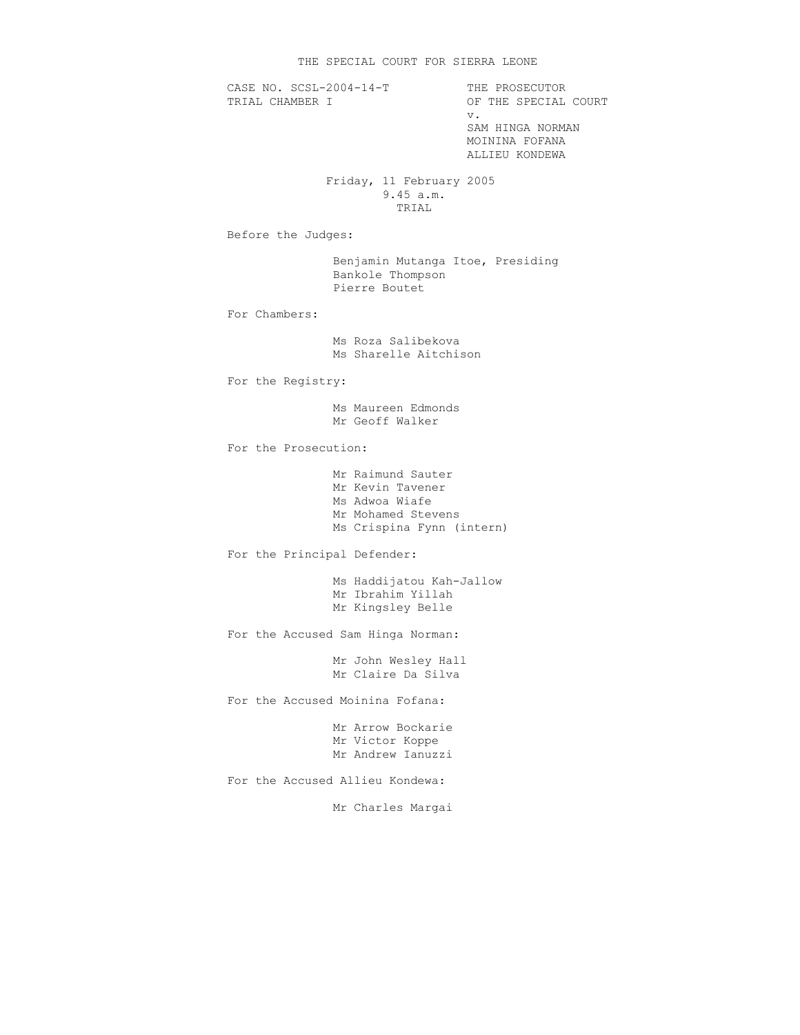CASE NO. SCSL-2004-14-T THE PROSECUTOR<br>TRIAL CHAMBER I OF THE SPECIAL OF THE SPECIAL COURT v. SAM HINGA NORMAN MOININA FOFANA ALLIEU KONDEWA Friday, 11 February 2005 9.45 a.m. TRIAL Before the Judges: Benjamin Mutanga Itoe, Presiding Bankole Thompson Pierre Boutet For Chambers: Ms Roza Salibekova Ms Sharelle Aitchison For the Registry: Ms Maureen Edmonds Mr Geoff Walker For the Prosecution: Mr Raimund Sauter Mr Kevin Tavener Ms Adwoa Wiafe Mr Mohamed Stevens Ms Crispina Fynn (intern) For the Principal Defender: Ms Haddijatou Kah-Jallow Mr Ibrahim Yillah Mr Kingsley Belle For the Accused Sam Hinga Norman: Mr John Wesley Hall Mr Claire Da Silva For the Accused Moinina Fofana: Mr Arrow Bockarie Mr Victor Koppe Mr Andrew Ianuzzi For the Accused Allieu Kondewa: Mr Charles Margai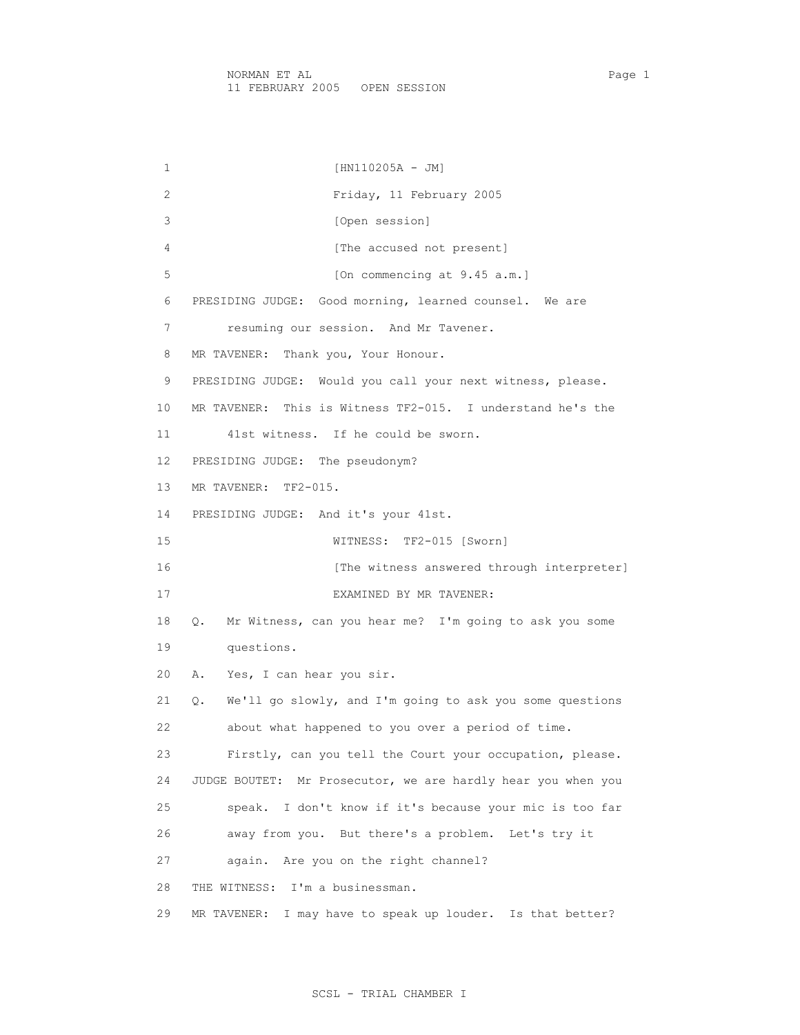1 [HN110205A - JM] 2 Friday, 11 February 2005 3 [Open session] 4 [The accused not present] 5 [On commencing at 9.45 a.m.] 6 PRESIDING JUDGE: Good morning, learned counsel. We are 7 resuming our session. And Mr Tavener. 8 MR TAVENER: Thank you, Your Honour. 9 PRESIDING JUDGE: Would you call your next witness, please. 10 MR TAVENER: This is Witness TF2-015. I understand he's the 11 41st witness. If he could be sworn. 12 PRESIDING JUDGE: The pseudonym? 13 MR TAVENER: TF2-015. 14 PRESIDING JUDGE: And it's your 41st. 15 WITNESS: TF2-015 [Sworn] 16 [The witness answered through interpreter] 17 EXAMINED BY MR TAVENER: 18 Q. Mr Witness, can you hear me? I'm going to ask you some 19 questions. 20 A. Yes, I can hear you sir. 21 Q. We'll go slowly, and I'm going to ask you some questions 22 about what happened to you over a period of time. 23 Firstly, can you tell the Court your occupation, please. 24 JUDGE BOUTET: Mr Prosecutor, we are hardly hear you when you 25 speak. I don't know if it's because your mic is too far 26 away from you. But there's a problem. Let's try it 27 again. Are you on the right channel? 28 THE WITNESS: I'm a businessman. 29 MR TAVENER: I may have to speak up louder. Is that better?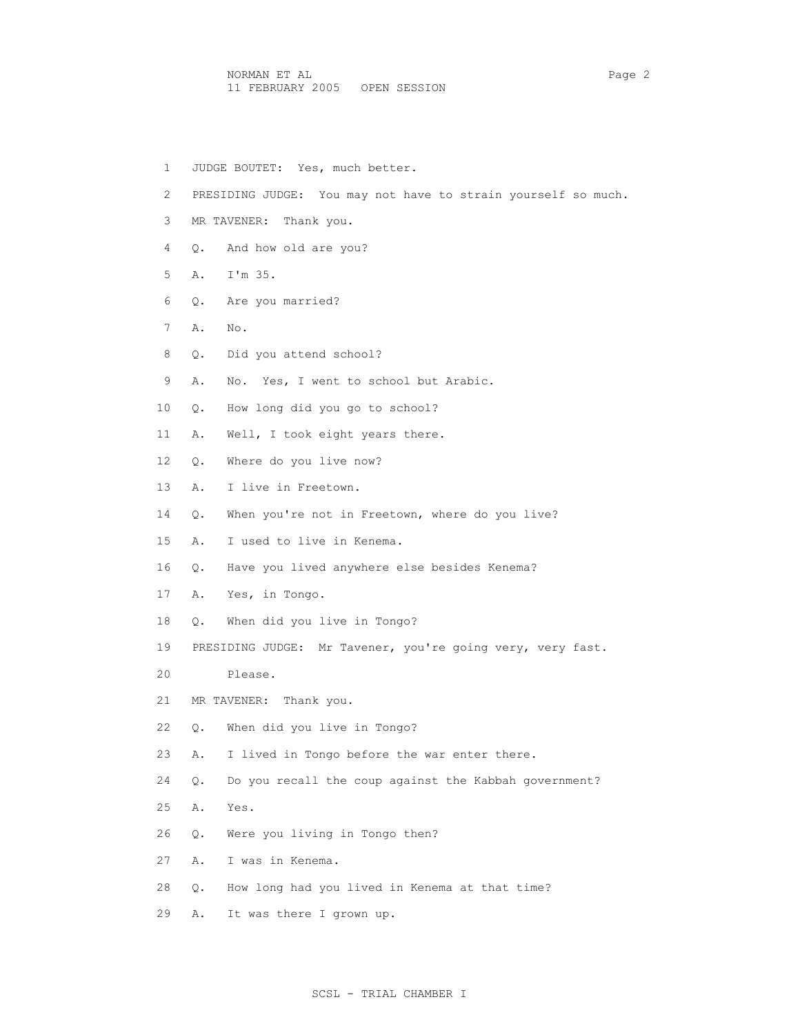NORMAN ET AL Page 2 11 FEBRUARY 2005 OPEN SESSION

 1 JUDGE BOUTET: Yes, much better. 2 PRESIDING JUDGE: You may not have to strain yourself so much. 3 MR TAVENER: Thank you. 4 Q. And how old are you? 5 A. I'm 35. 6 Q. Are you married? 7 A. No. 8 Q. Did you attend school? 9 A. No. Yes, I went to school but Arabic. 10 Q. How long did you go to school? 11 A. Well, I took eight years there. 12 Q. Where do you live now? 13 A. I live in Freetown. 14 Q. When you're not in Freetown, where do you live? 15 A. I used to live in Kenema. 16 Q. Have you lived anywhere else besides Kenema? 17 A. Yes, in Tongo. 18 Q. When did you live in Tongo? 19 PRESIDING JUDGE: Mr Tavener, you're going very, very fast. 20 Please. 21 MR TAVENER: Thank you. 22 Q. When did you live in Tongo? 23 A. I lived in Tongo before the war enter there. 24 Q. Do you recall the coup against the Kabbah government? 25 A. Yes. 26 Q. Were you living in Tongo then? 27 A. I was in Kenema. 28 Q. How long had you lived in Kenema at that time? 29 A. It was there I grown up.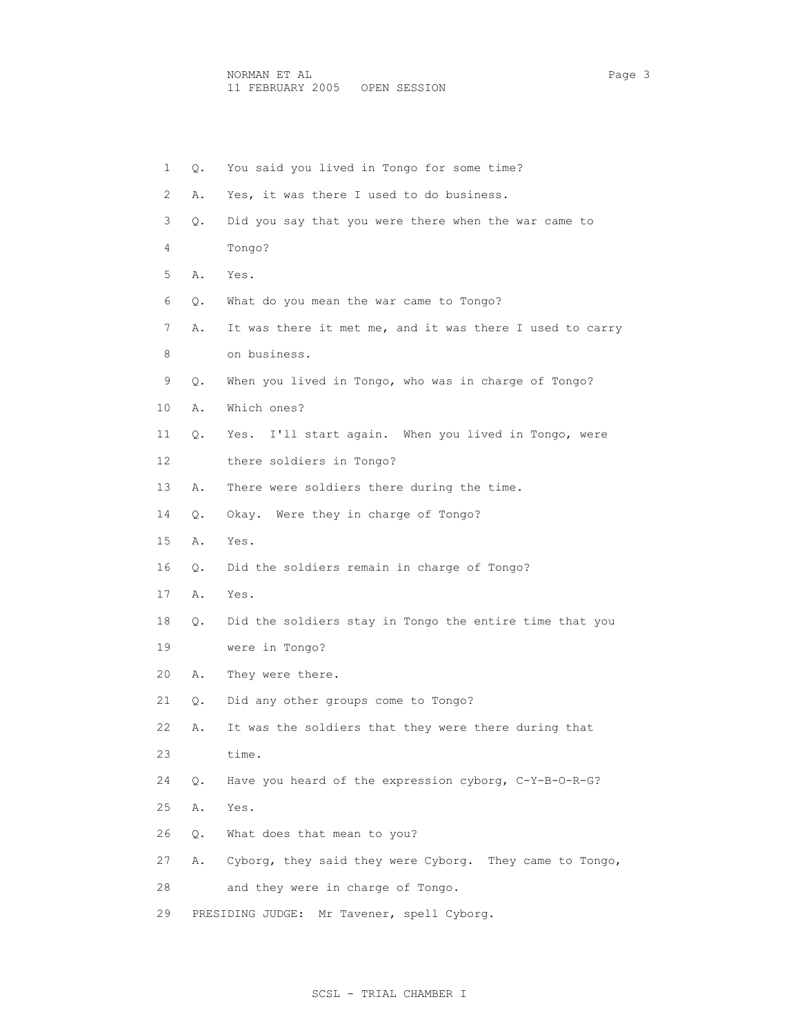| $\mathbf{1}$ | Q. | You said you lived in Tongo for some time?               |
|--------------|----|----------------------------------------------------------|
| 2            | Α. | Yes, it was there I used to do business.                 |
| 3            | Q. | Did you say that you were there when the war came to     |
| 4            |    | Tongo?                                                   |
| 5            | Α. | Yes.                                                     |
| 6            | Q. | What do you mean the war came to Tongo?                  |
| 7            | Α. | It was there it met me, and it was there I used to carry |
| 8            |    | on business.                                             |
| 9            | Q. | When you lived in Tongo, who was in charge of Tongo?     |
| 10           | Α. | Which ones?                                              |
| 11           | Q. | I'll start again. When you lived in Tongo, were<br>Yes.  |
| 12           |    | there soldiers in Tongo?                                 |
| 13           | Α. | There were soldiers there during the time.               |
| 14           | Q. | Okay. Were they in charge of Tongo?                      |
| 15           | Α. | Yes.                                                     |
| 16           | Q. | Did the soldiers remain in charge of Tongo?              |
| 17           | Α. | Yes.                                                     |
| 18           | Q. | Did the soldiers stay in Tongo the entire time that you  |
| 19           |    | were in Tongo?                                           |
| 20           | Α. | They were there.                                         |
| 21           | Q. | Did any other groups come to Tongo?                      |
| 22           | Α. | It was the soldiers that they were there during that     |
| 23           |    | time.                                                    |
| 24           | Q. | Have you heard of the expression cyborg, C-Y-B-O-R-G?    |
| 25           | Α. | Yes.                                                     |
| 26           | Q. | What does that mean to you?                              |
| 27           | Α. | Cyborg, they said they were Cyborg. They came to Tongo,  |
| 28           |    | and they were in charge of Tongo.                        |
| 29           |    | Mr Tavener, spell Cyborg.<br>PRESIDING JUDGE:            |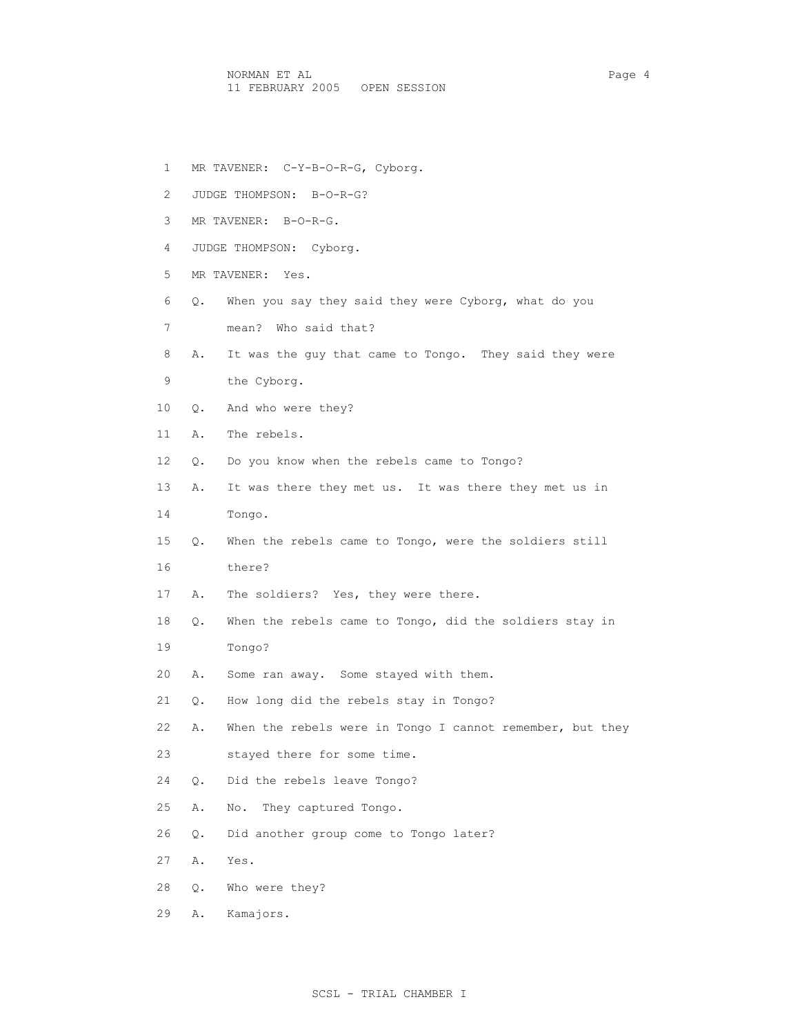NORMAN ET AL Page 4 11 FEBRUARY 2005 OPEN SESSION

- 1 MR TAVENER: C-Y-B-O-R-G, Cyborg.
- 2 JUDGE THOMPSON: B-O-R-G?
- 3 MR TAVENER: B-O-R-G.
- 4 JUDGE THOMPSON: Cyborg.
- 5 MR TAVENER: Yes.
- 6 Q. When you say they said they were Cyborg, what do you
- 7 mean? Who said that?
- 8 A. It was the guy that came to Tongo. They said they were
- 9 the Cyborg.
- 10 Q. And who were they?
- 11 A. The rebels.
- 12 Q. Do you know when the rebels came to Tongo?
- 13 A. It was there they met us. It was there they met us in
- 14 Tongo.
- 15 Q. When the rebels came to Tongo, were the soldiers still
- 16 there?
- 17 A. The soldiers? Yes, they were there.
- 18 Q. When the rebels came to Tongo, did the soldiers stay in
- 19 Tongo?
- 20 A. Some ran away. Some stayed with them.
- 21 Q. How long did the rebels stay in Tongo?
- 22 A. When the rebels were in Tongo I cannot remember, but they
- 23 stayed there for some time.
- 24 Q. Did the rebels leave Tongo?
- 25 A. No. They captured Tongo.
- 26 Q. Did another group come to Tongo later?
- 27 A. Yes.
- 28 Q. Who were they?
- 29 A. Kamajors.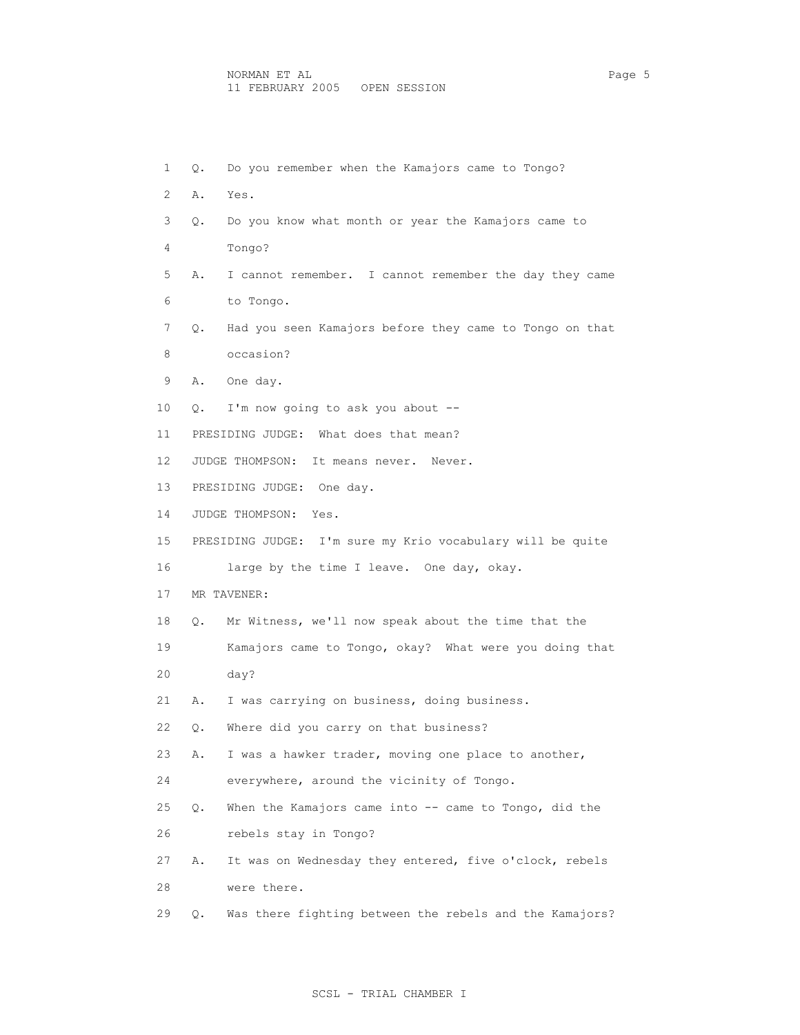| 1  | Q.        | Do you remember when the Kamajors came to Tongo?           |
|----|-----------|------------------------------------------------------------|
| 2  | Α.        | Yes.                                                       |
| 3  | Q.        | Do you know what month or year the Kamajors came to        |
| 4  |           | Tongo?                                                     |
| 5  | Α.        | I cannot remember. I cannot remember the day they came     |
| 6  |           | to Tongo.                                                  |
| 7  | Q.        | Had you seen Kamajors before they came to Tongo on that    |
| 8  |           | occasion?                                                  |
| 9  | Α.        | One day.                                                   |
| 10 | Q.        | I'm now going to ask you about --                          |
| 11 |           | PRESIDING JUDGE: What does that mean?                      |
| 12 |           | JUDGE THOMPSON: It means never. Never.                     |
| 13 |           | PRESIDING JUDGE: One day.                                  |
| 14 |           | JUDGE THOMPSON: Yes.                                       |
| 15 |           | PRESIDING JUDGE: I'm sure my Krio vocabulary will be quite |
| 16 |           | large by the time I leave. One day, okay.                  |
| 17 |           | MR TAVENER:                                                |
| 18 | $\circ$ . | Mr Witness, we'll now speak about the time that the        |
| 19 |           | Kamajors came to Tongo, okay? What were you doing that     |
| 20 |           | day?                                                       |
| 21 | Α.        | I was carrying on business, doing business.                |
| 22 | Q.        | Where did you carry on that business?                      |
| 23 | Α.        | I was a hawker trader, moving one place to another,        |
| 24 |           | everywhere, around the vicinity of Tongo.                  |
| 25 | Q.        | When the Kamajors came into -- came to Tongo, did the      |
| 26 |           | rebels stay in Tongo?                                      |
| 27 | Α.        | It was on Wednesday they entered, five o'clock, rebels     |
| 28 |           | were there.                                                |
| 29 | Q.        | Was there fighting between the rebels and the Kamajors?    |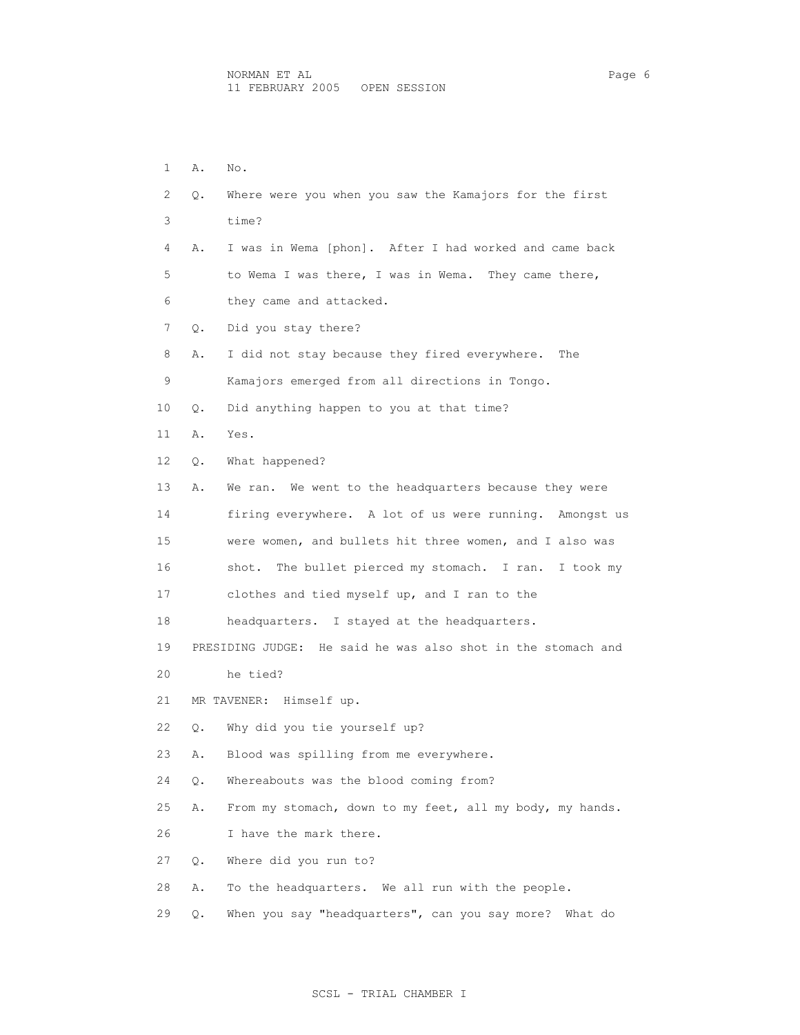1 A. No. 2 Q. Where were you when you saw the Kamajors for the first 3 time? 4 A. I was in Wema [phon]. After I had worked and came back 5 to Wema I was there, I was in Wema. They came there, 6 they came and attacked. 7 Q. Did you stay there? 8 A. I did not stay because they fired everywhere. The 9 Kamajors emerged from all directions in Tongo. 10 Q. Did anything happen to you at that time? 11 A. Yes. 12 Q. What happened? 13 A. We ran. We went to the headquarters because they were 14 firing everywhere. A lot of us were running. Amongst us 15 were women, and bullets hit three women, and I also was 16 shot. The bullet pierced my stomach. I ran. I took my 17 clothes and tied myself up, and I ran to the 18 headquarters. I stayed at the headquarters. 19 PRESIDING JUDGE: He said he was also shot in the stomach and 20 he tied? 21 MR TAVENER: Himself up. 22 Q. Why did you tie yourself up? 23 A. Blood was spilling from me everywhere. 24 Q. Whereabouts was the blood coming from? 25 A. From my stomach, down to my feet, all my body, my hands. 26 I have the mark there. 27 Q. Where did you run to? 28 A. To the headquarters. We all run with the people. 29 Q. When you say "headquarters", can you say more? What do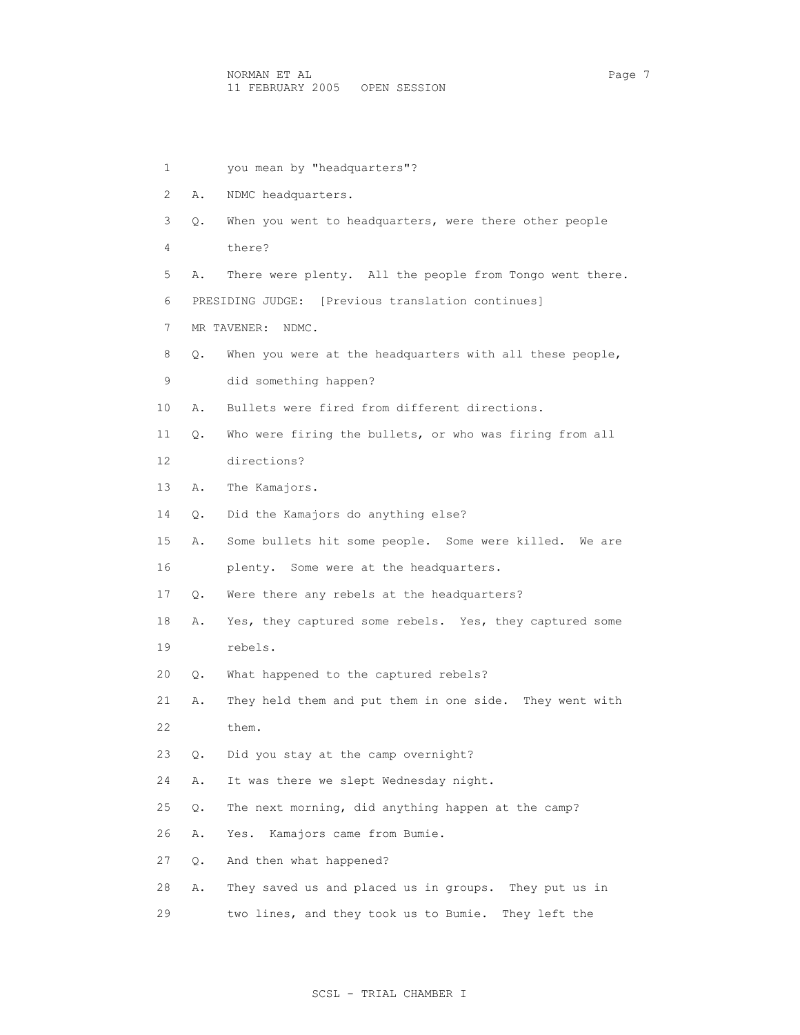| 1  |    | you mean by "headquarters"?                              |
|----|----|----------------------------------------------------------|
| 2  | Α. | NDMC headquarters.                                       |
| 3  | Q. | When you went to headquarters, were there other people   |
| 4  |    | there?                                                   |
| 5  | Α. | There were plenty. All the people from Tongo went there. |
| 6  |    | PRESIDING JUDGE: [Previous translation continues]        |
| 7  |    | MR TAVENER: NDMC.                                        |
| 8  | Q. | When you were at the headquarters with all these people, |
| 9  |    | did something happen?                                    |
| 10 | Α. | Bullets were fired from different directions.            |
| 11 | О. | Who were firing the bullets, or who was firing from all  |
| 12 |    | directions?                                              |
| 13 | Α. | The Kamajors.                                            |
| 14 | О. | Did the Kamajors do anything else?                       |
| 15 | Α. | Some bullets hit some people. Some were killed. We are   |
| 16 |    | plenty. Some were at the headquarters.                   |
| 17 | Q. | Were there any rebels at the headquarters?               |
| 18 | Α. | Yes, they captured some rebels. Yes, they captured some  |
| 19 |    | rebels.                                                  |
| 20 | Q. | What happened to the captured rebels?                    |
| 21 | Α. | They held them and put them in one side. They went with  |
| 22 |    | them.                                                    |
| 23 | Q. | Did you stay at the camp overnight?                      |
| 24 | Α. | It was there we slept Wednesday night.                   |
| 25 | Q. | The next morning, did anything happen at the camp?       |
| 26 | Α. | Kamajors came from Bumie.<br>Yes.                        |
| 27 | Q. | And then what happened?                                  |
| 28 | Α. | They saved us and placed us in groups. They put us in    |
| 29 |    | two lines, and they took us to Bumie. They left the      |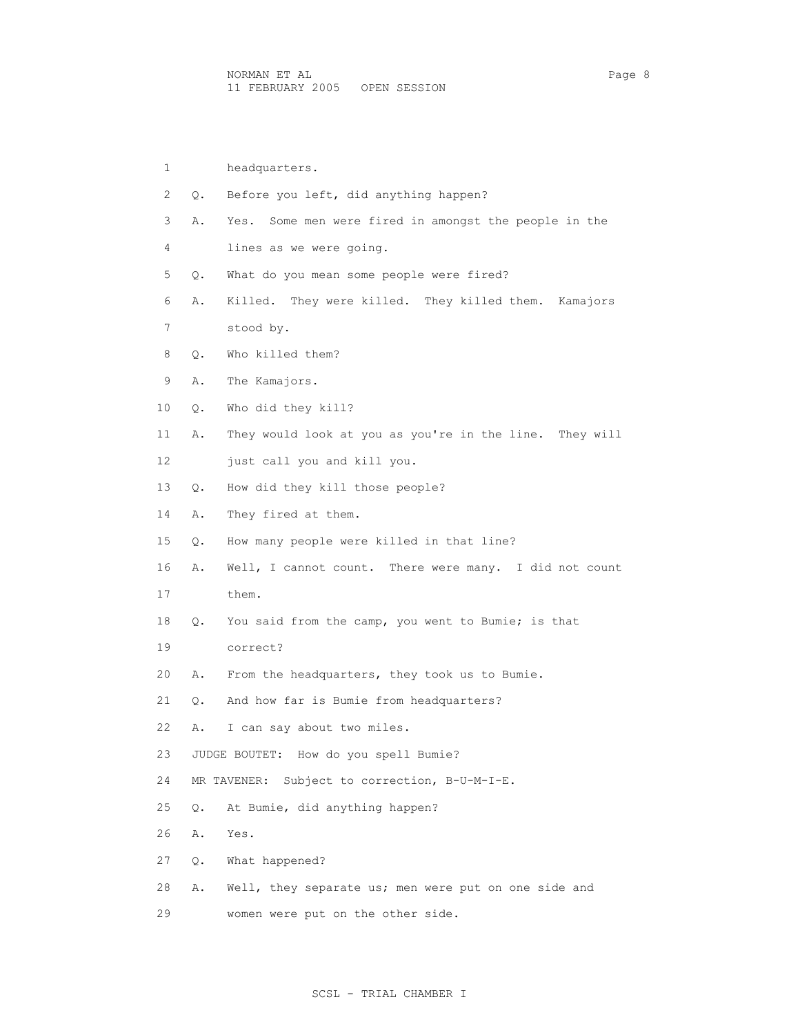| 1              |    | headquarters.                                            |
|----------------|----|----------------------------------------------------------|
| $\overline{2}$ | Q. | Before you left, did anything happen?                    |
| 3              | Α. | Some men were fired in amongst the people in the<br>Yes. |
| 4              |    | lines as we were going.                                  |
| 5              | Q. | What do you mean some people were fired?                 |
| 6              | Α. | Killed. They were killed. They killed them. Kamajors     |
| 7              |    | stood by.                                                |
| 8              | Q. | Who killed them?                                         |
| 9              | Α. | The Kamajors.                                            |
| 10             | Q. | Who did they kill?                                       |
| 11             | Α. | They would look at you as you're in the line. They will  |
| 12             |    | just call you and kill you.                              |
| 13             | Q. | How did they kill those people?                          |
| 14             | Α. | They fired at them.                                      |
| 15             | О. | How many people were killed in that line?                |
| 16             | Α. | Well, I cannot count. There were many. I did not count   |
| 17             |    | them.                                                    |
| 18             | О. | You said from the camp, you went to Bumie; is that       |
| 19             |    | correct?                                                 |
| 20             | Α. | From the headquarters, they took us to Bumie.            |
| 21             | Q. | And how far is Bumie from headquarters?                  |

- 22 A. I can say about two miles.
- 23 JUDGE BOUTET: How do you spell Bumie?
- 24 MR TAVENER: Subject to correction, B-U-M-I-E.
- 25 Q. At Bumie, did anything happen?
- 26 A. Yes.
- 27 Q. What happened?
- 28 A. Well, they separate us; men were put on one side and
- 29 women were put on the other side.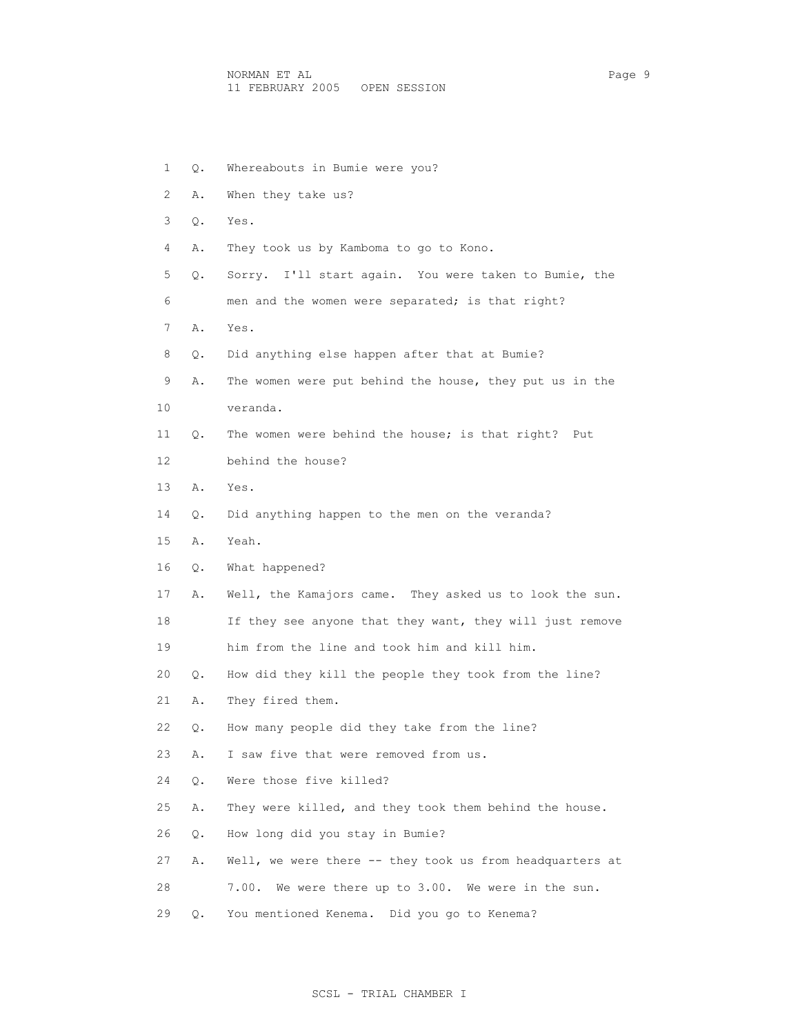| 1  | Q. | Whereabouts in Bumie were you?                           |
|----|----|----------------------------------------------------------|
| 2  | Α. | When they take us?                                       |
| 3  | Q. | Yes.                                                     |
| 4  | Α. | They took us by Kamboma to go to Kono.                   |
| 5  | Q. | Sorry. I'll start again. You were taken to Bumie, the    |
| 6  |    | men and the women were separated; is that right?         |
| 7  | Α. | Yes.                                                     |
| 8  | Q. | Did anything else happen after that at Bumie?            |
| 9  | Α. | The women were put behind the house, they put us in the  |
| 10 |    | veranda.                                                 |
| 11 | Q. | The women were behind the house; is that right?<br>Put   |
| 12 |    | behind the house?                                        |
| 13 | Α. | Yes.                                                     |
| 14 | Q. | Did anything happen to the men on the veranda?           |
| 15 | Α. | Yeah.                                                    |
| 16 | Q. | What happened?                                           |
| 17 | Α. | Well, the Kamajors came. They asked us to look the sun.  |
| 18 |    | If they see anyone that they want, they will just remove |
| 19 |    | him from the line and took him and kill him.             |
| 20 | Q. | How did they kill the people they took from the line?    |
| 21 | Α. | They fired them.                                         |
| 22 | Q. | How many people did they take from the line?             |
| 23 | Α. | I saw five that were removed from us.                    |
| 24 | Q. | Were those five killed?                                  |
| 25 | Α. | They were killed, and they took them behind the house.   |
| 26 | Q. | How long did you stay in Bumie?                          |
| 27 | Α. | Well, we were there -- they took us from headquarters at |
| 28 |    | We were there up to 3.00. We were in the sun.<br>7.00.   |
| 29 | Q. | You mentioned Kenema. Did you go to Kenema?              |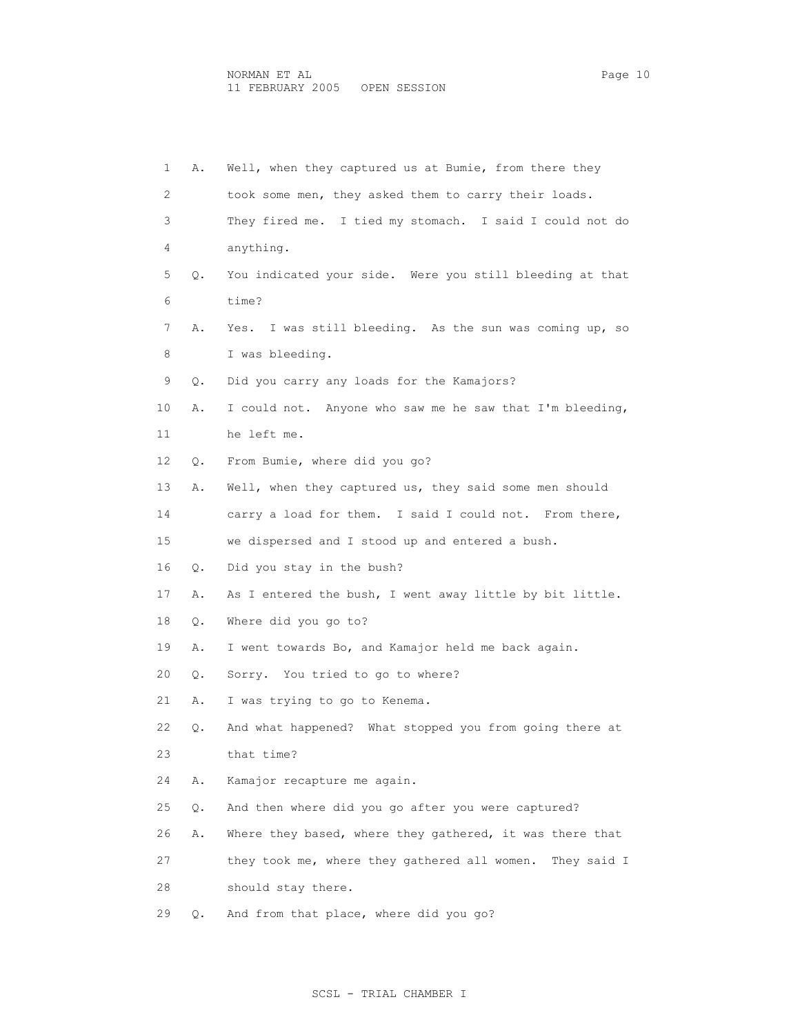| 1  | Α. | Well, when they captured us at Bumie, from there they       |
|----|----|-------------------------------------------------------------|
| 2  |    | took some men, they asked them to carry their loads.        |
| 3  |    | They fired me. I tied my stomach. I said I could not do     |
| 4  |    | anything.                                                   |
| 5  | Q. | You indicated your side. Were you still bleeding at that    |
| 6  |    | time?                                                       |
| 7  | Α. | Yes. I was still bleeding. As the sun was coming up, so     |
| 8  |    | I was bleeding.                                             |
| 9  | Q. | Did you carry any loads for the Kamajors?                   |
| 10 | Α. | I could not. Anyone who saw me he saw that I'm bleeding,    |
| 11 |    | he left me.                                                 |
| 12 | Q. | From Bumie, where did you go?                               |
| 13 | Α. | Well, when they captured us, they said some men should      |
| 14 |    | carry a load for them. I said I could not. From there,      |
| 15 |    | we dispersed and I stood up and entered a bush.             |
| 16 | Q. | Did you stay in the bush?                                   |
| 17 | Α. | As I entered the bush, I went away little by bit little.    |
| 18 | Q. | Where did you go to?                                        |
| 19 | Α. | I went towards Bo, and Kamajor held me back again.          |
| 20 | Q. | Sorry. You tried to go to where?                            |
| 21 | Α. | I was trying to go to Kenema.                               |
| 22 | Q. | And what happened? What stopped you from going there at     |
| 23 |    | that time?                                                  |
| 24 | Α. | Kamajor recapture me again.                                 |
| 25 | Q. | And then where did you go after you were captured?          |
| 26 | Α. | Where they based, where they gathered, it was there that    |
| 27 |    | they took me, where they gathered all women.<br>They said I |
| 28 |    | should stay there.                                          |
| 29 | Q. | And from that place, where did you go?                      |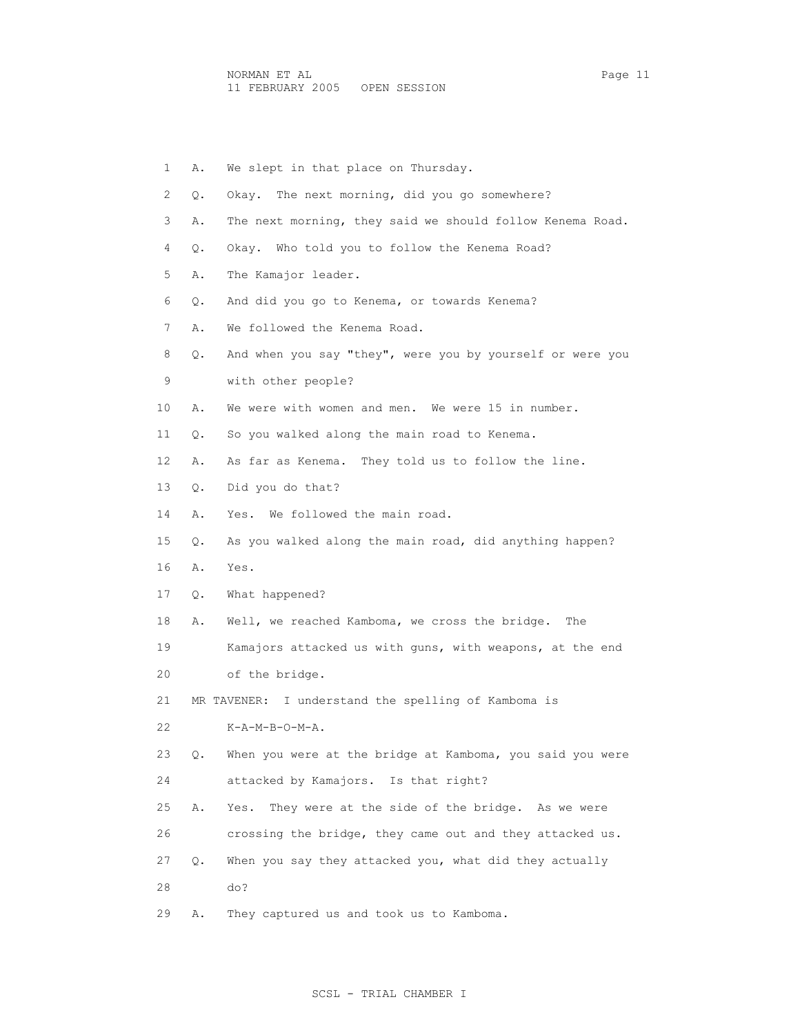|    | 1<br>Α. | We slept in that place on Thursday.                       |
|----|---------|-----------------------------------------------------------|
|    | 2<br>О. | Okay. The next morning, did you go somewhere?             |
|    | 3<br>Α. | The next morning, they said we should follow Kenema Road. |
|    | 4<br>Q. | Okay. Who told you to follow the Kenema Road?             |
|    | 5<br>Α. | The Kamajor leader.                                       |
|    | 6<br>Q. | And did you go to Kenema, or towards Kenema?              |
|    | 7<br>Α. | We followed the Kenema Road.                              |
|    | 8<br>Q. | And when you say "they", were you by yourself or were you |
|    | 9       | with other people?                                        |
| 10 | Α.      | We were with women and men. We were 15 in number.         |
| 11 | Q.      | So you walked along the main road to Kenema.              |
| 12 | Α.      | As far as Kenema. They told us to follow the line.        |
| 13 | Q.      | Did you do that?                                          |
| 14 | Α.      | Yes. We followed the main road.                           |
| 15 | Q.      | As you walked along the main road, did anything happen?   |
| 16 | Α.      | Yes.                                                      |
| 17 | Q.      | What happened?                                            |
| 18 | Α.      | Well, we reached Kamboma, we cross the bridge.<br>The     |
| 19 |         | Kamajors attacked us with guns, with weapons, at the end  |
| 20 |         | of the bridge.                                            |
| 21 |         | MR TAVENER: I understand the spelling of Kamboma is       |
| 22 |         | $K-A-M-B-O-M-A$ .                                         |
| 23 | Q.      | When you were at the bridge at Kamboma, you said you were |
| 24 |         | attacked by Kamajors. Is that right?                      |
| 25 | Α.      | They were at the side of the bridge. As we were<br>Yes.   |
| 26 |         | crossing the bridge, they came out and they attacked us.  |
| 27 | О.      | When you say they attacked you, what did they actually    |
| 28 |         | do?                                                       |
| 29 | Α.      | They captured us and took us to Kamboma.                  |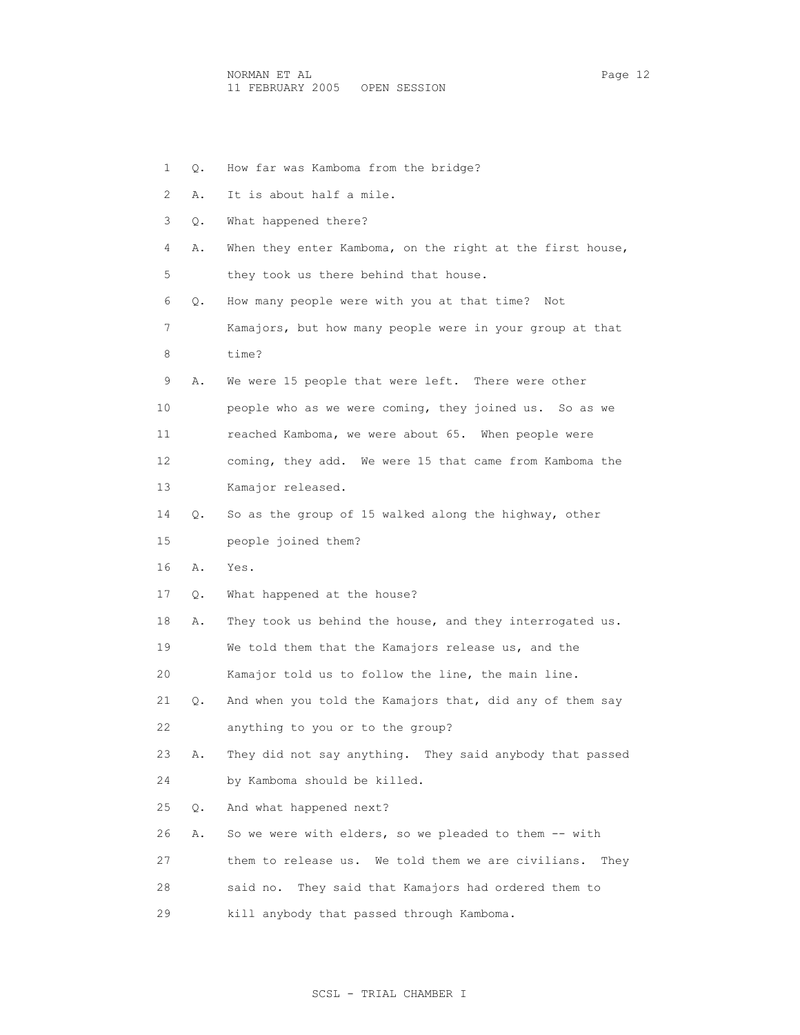1 Q. How far was Kamboma from the bridge? 2 A. It is about half a mile. 3 Q. What happened there? 4 A. When they enter Kamboma, on the right at the first house, 5 they took us there behind that house. 6 Q. How many people were with you at that time? Not 7 Kamajors, but how many people were in your group at that 9 A. We were 15 people that were left. There were other 10 people who as we were coming, they joined us. So as we 11 reached Kamboma, we were about 65. When people were 12 coming, they add. We were 15 that came from Kamboma the

14 Q. So as the group of 15 walked along the highway, other

15 people joined them?

13 Kamajor released.

16 A. Yes.

8 time?

17 Q. What happened at the house?

18 A. They took us behind the house, and they interrogated us.

19 We told them that the Kamajors release us, and the

20 Kamajor told us to follow the line, the main line.

 21 Q. And when you told the Kamajors that, did any of them say 22 anything to you or to the group?

 23 A. They did not say anything. They said anybody that passed 24 by Kamboma should be killed.

25 Q. And what happened next?

26 A. So we were with elders, so we pleaded to them -- with

27 them to release us. We told them we are civilians. They

28 said no. They said that Kamajors had ordered them to

29 kill anybody that passed through Kamboma.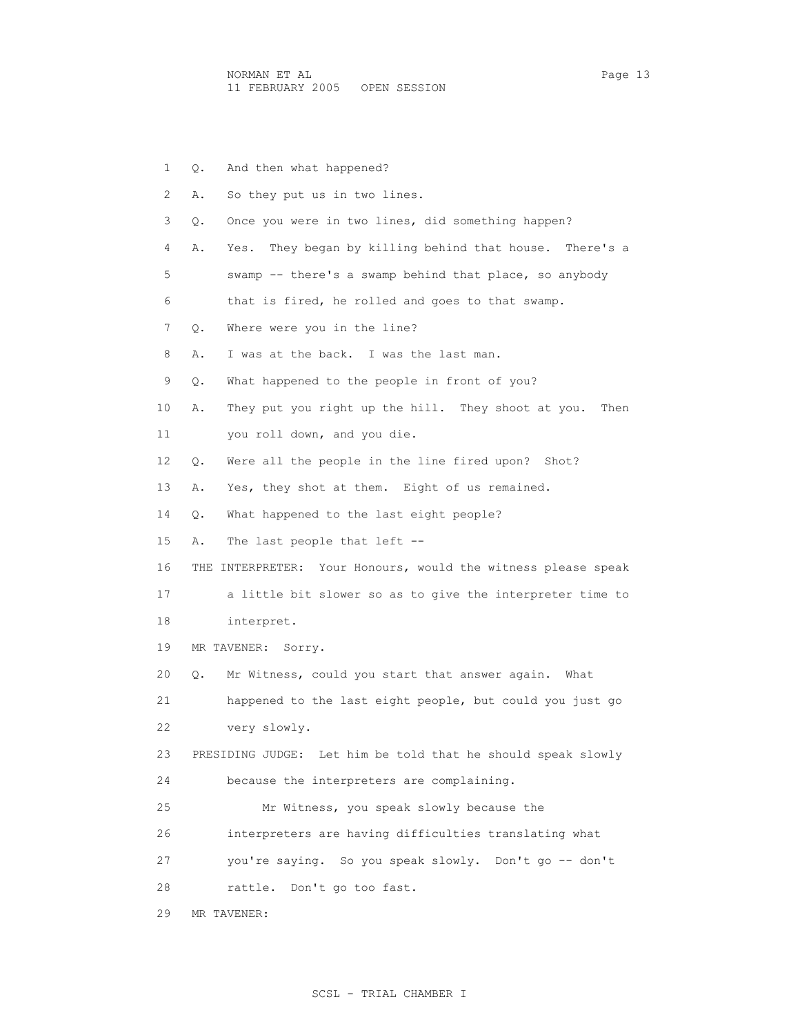| 1  | And then what happened?<br>Q.                                    |
|----|------------------------------------------------------------------|
| 2  | So they put us in two lines.<br>Α.                               |
| 3  | Once you were in two lines, did something happen?<br>Q.          |
| 4  | They began by killing behind that house. There's a<br>Α.<br>Yes. |
| 5  | swamp -- there's a swamp behind that place, so anybody           |
| 6  | that is fired, he rolled and goes to that swamp.                 |
| 7  | Where were you in the line?<br>Q.                                |
| 8  | I was at the back. I was the last man.<br>Α.                     |
| 9  | What happened to the people in front of you?<br>Q.               |
| 10 | They put you right up the hill. They shoot at you.<br>Then<br>Α. |
| 11 | you roll down, and you die.                                      |
| 12 | Were all the people in the line fired upon? Shot?<br>Q.          |
| 13 | Yes, they shot at them. Eight of us remained.<br>Α.              |
| 14 | What happened to the last eight people?<br>Q.                    |
| 15 | The last people that left --<br>Α.                               |
| 16 | THE INTERPRETER: Your Honours, would the witness please speak    |
| 17 | a little bit slower so as to give the interpreter time to        |
| 18 | interpret.                                                       |
| 19 | MR TAVENER: Sorry.                                               |
| 20 | Mr Witness, could you start that answer again.<br>What<br>Q.     |
| 21 | happened to the last eight people, but could you just go         |
| 22 | very slowly.                                                     |
| 23 | PRESIDING JUDGE: Let him be told that he should speak slowly     |
| 24 | because the interpreters are complaining.                        |
| 25 | Mr Witness, you speak slowly because the                         |
| 26 | interpreters are having difficulties translating what            |
| 27 | you're saying. So you speak slowly. Don't go -- don't            |
| 28 | rattle. Don't go too fast.                                       |
| 29 | MR TAVENER:                                                      |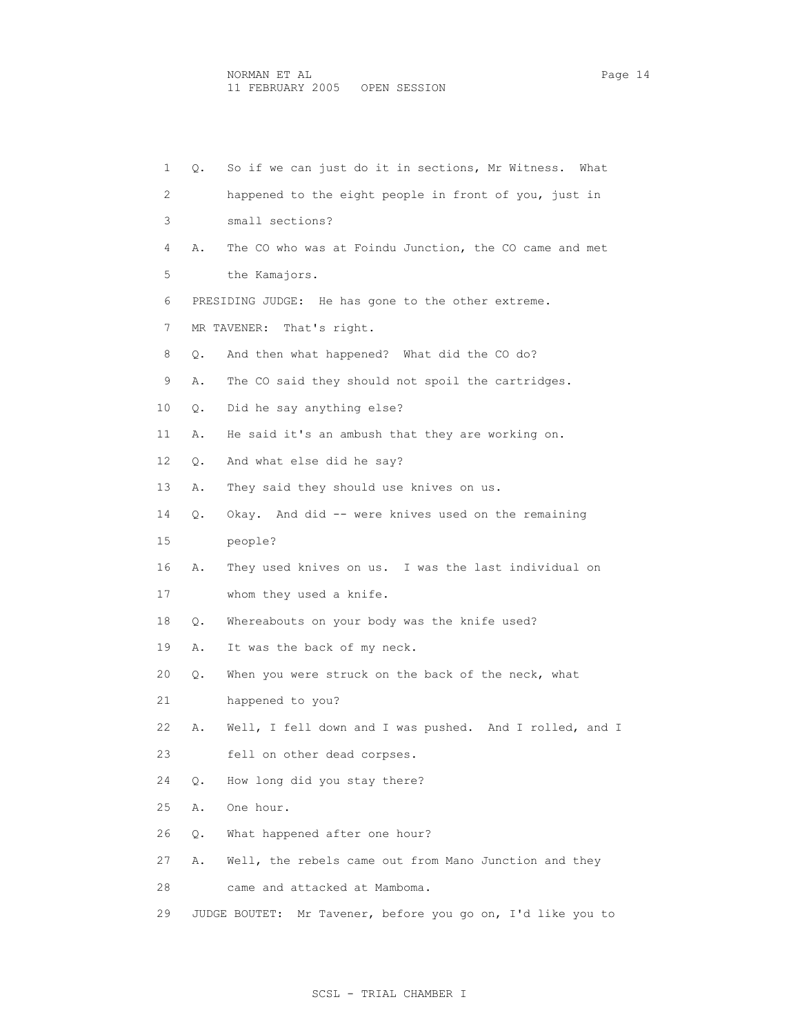| $\mathbf{1}$ | Q. | So if we can just do it in sections, Mr Witness. What          |
|--------------|----|----------------------------------------------------------------|
| 2            |    | happened to the eight people in front of you, just in          |
| 3            |    | small sections?                                                |
| 4            | Α. | The CO who was at Foindu Junction, the CO came and met         |
| 5            |    | the Kamajors.                                                  |
| 6            |    | PRESIDING JUDGE: He has gone to the other extreme.             |
| 7            |    | MR TAVENER: That's right.                                      |
| 8            | Q. | And then what happened? What did the CO do?                    |
| 9            | Α. | The CO said they should not spoil the cartridges.              |
| 10           | Q. | Did he say anything else?                                      |
| 11           | Α. | He said it's an ambush that they are working on.               |
| 12           | Q. | And what else did he say?                                      |
| 13           | Α. | They said they should use knives on us.                        |
| 14           | Q. | Okay. And did -- were knives used on the remaining             |
| 15           |    | people?                                                        |
| 16           | Α. | They used knives on us. I was the last individual on           |
| 17           |    | whom they used a knife.                                        |
| 18           | Q. | Whereabouts on your body was the knife used?                   |
| 19           | Α. | It was the back of my neck.                                    |
| 20           | Q. | When you were struck on the back of the neck, what             |
| 21           |    | happened to you?                                               |
| 22           | Α. | Well, I fell down and I was pushed. And I rolled, and I        |
| 23           |    | fell on other dead corpses.                                    |
| 24           | О. | How long did you stay there?                                   |
| 25           | Α. | One hour.                                                      |
| 26           | Q. | What happened after one hour?                                  |
| 27           | Α. | Well, the rebels came out from Mano Junction and they          |
| 28           |    | came and attacked at Mamboma.                                  |
| 29           |    | Mr Tavener, before you go on, I'd like you to<br>JUDGE BOUTET: |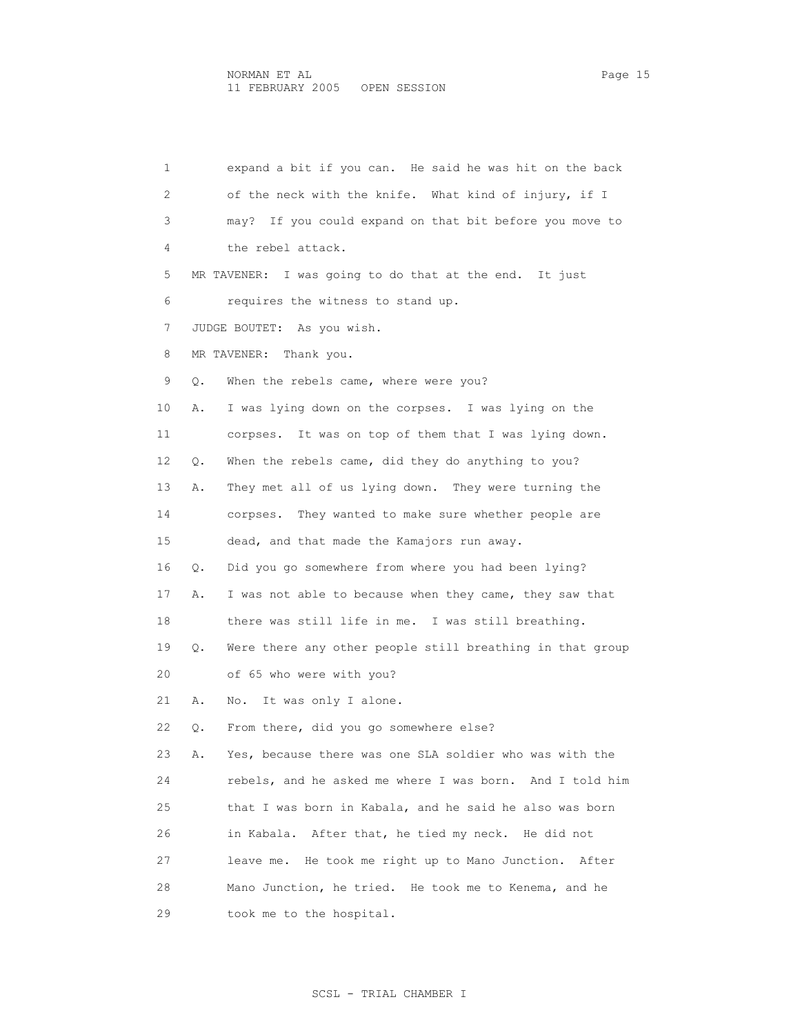1 expand a bit if you can. He said he was hit on the back 2 of the neck with the knife. What kind of injury, if I 3 may? If you could expand on that bit before you move to 4 the rebel attack. 5 MR TAVENER: I was going to do that at the end. It just 6 requires the witness to stand up. 7 JUDGE BOUTET: As you wish. 8 MR TAVENER: Thank you. 9 Q. When the rebels came, where were you? 10 A. I was lying down on the corpses. I was lying on the 11 corpses. It was on top of them that I was lying down. 12 Q. When the rebels came, did they do anything to you? 13 A. They met all of us lying down. They were turning the 14 corpses. They wanted to make sure whether people are 15 dead, and that made the Kamajors run away. 16 Q. Did you go somewhere from where you had been lying? 17 A. I was not able to because when they came, they saw that 18 there was still life in me. I was still breathing. 19 Q. Were there any other people still breathing in that group 20 of 65 who were with you? 21 A. No. It was only I alone. 22 Q. From there, did you go somewhere else? 23 A. Yes, because there was one SLA soldier who was with the 24 rebels, and he asked me where I was born. And I told him 25 that I was born in Kabala, and he said he also was born 26 in Kabala. After that, he tied my neck. He did not 27 leave me. He took me right up to Mano Junction. After 28 Mano Junction, he tried. He took me to Kenema, and he 29 took me to the hospital.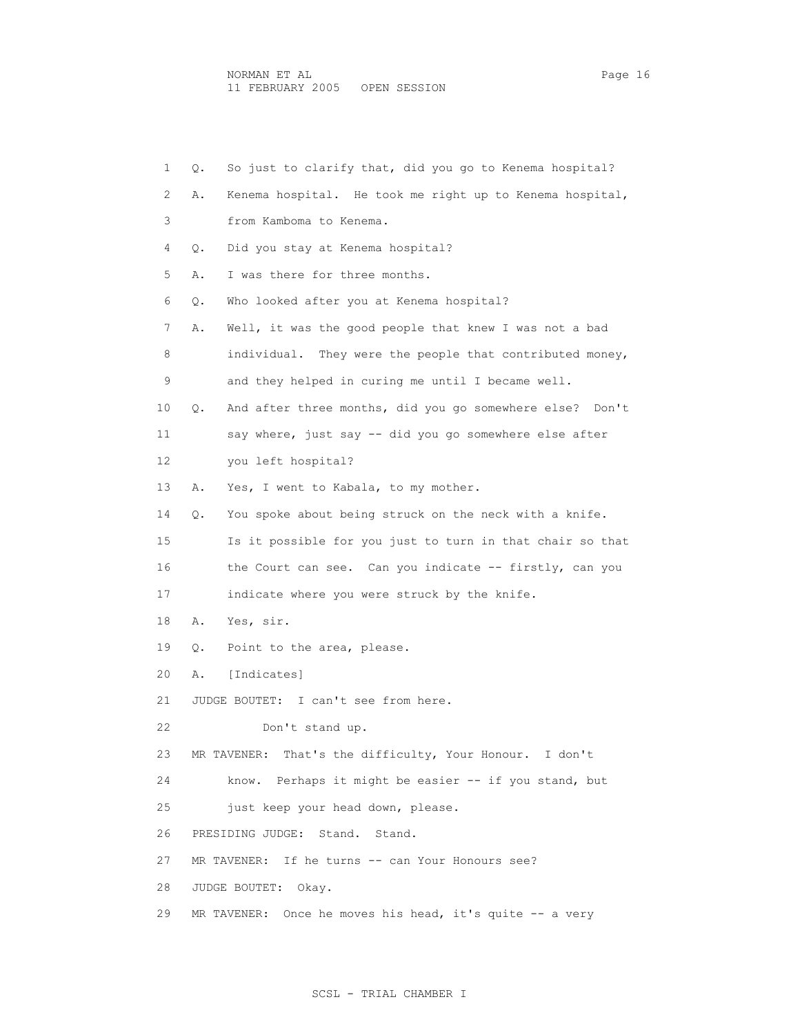| 1  | Q. | So just to clarify that, did you go to Kenema hospital?     |
|----|----|-------------------------------------------------------------|
| 2  | Α. | Kenema hospital. He took me right up to Kenema hospital,    |
| 3  |    | from Kamboma to Kenema.                                     |
| 4  | Q. | Did you stay at Kenema hospital?                            |
| 5  | Α. | I was there for three months.                               |
| 6  | Q. | Who looked after you at Kenema hospital?                    |
| 7  | Α. | Well, it was the good people that knew I was not a bad      |
| 8  |    | individual. They were the people that contributed money,    |
| 9  |    | and they helped in curing me until I became well.           |
| 10 | Q. | And after three months, did you go somewhere else? Don't    |
| 11 |    | say where, just say -- did you go somewhere else after      |
| 12 |    | you left hospital?                                          |
| 13 | Α. | Yes, I went to Kabala, to my mother.                        |
| 14 | Q. | You spoke about being struck on the neck with a knife.      |
| 15 |    | Is it possible for you just to turn in that chair so that   |
| 16 |    | the Court can see. Can you indicate -- firstly, can you     |
| 17 |    | indicate where you were struck by the knife.                |
| 18 | Α. | Yes, sir.                                                   |
| 19 | Q. | Point to the area, please.                                  |
| 20 | Α. | [Indicates]                                                 |
| 21 |    | JUDGE BOUTET: I can't see from here.                        |
| 22 |    | Don't stand up.                                             |
| 23 |    | MR TAVENER: That's the difficulty, Your Honour. I don't     |
| 24 |    | Perhaps it might be easier -- if you stand, but<br>know.    |
| 25 |    | just keep your head down, please.                           |
| 26 |    | PRESIDING JUDGE:<br>Stand.<br>Stand.                        |
| 27 |    | MR TAVENER: If he turns -- can Your Honours see?            |
| 28 |    | JUDGE BOUTET:<br>Okay.                                      |
| 29 |    | Once he moves his head, it's quite -- a very<br>MR TAVENER: |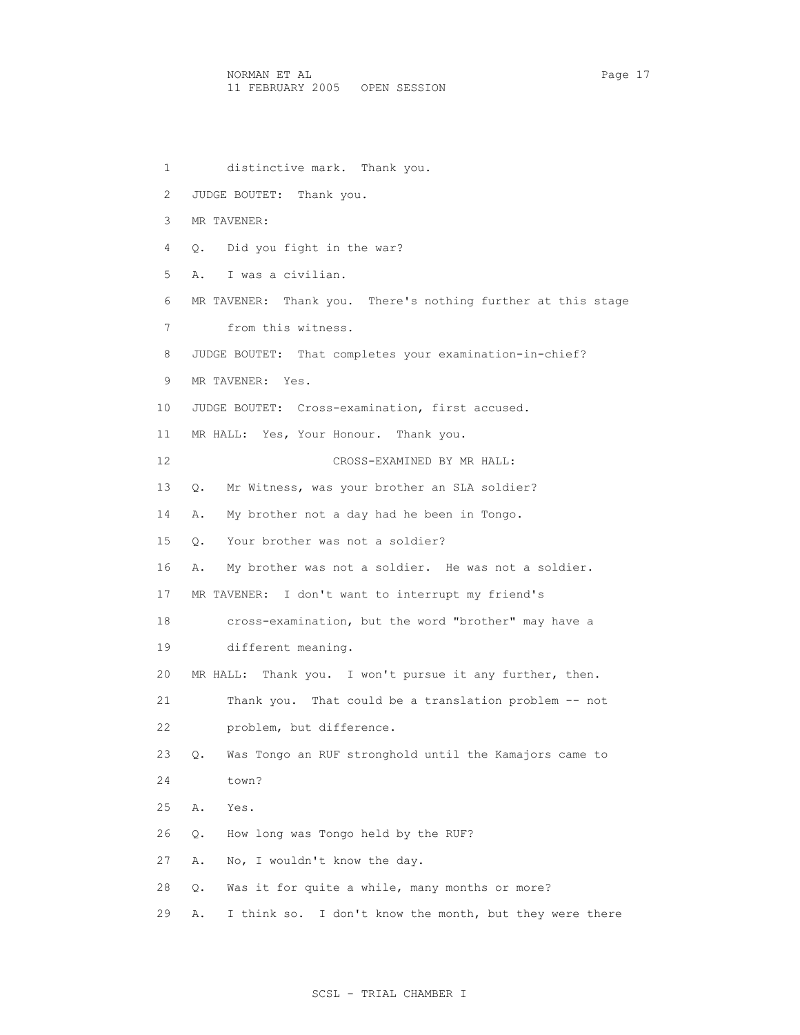1 distinctive mark. Thank you. 2 JUDGE BOUTET: Thank you. 3 MR TAVENER: 4 Q. Did you fight in the war? 5 A. I was a civilian. 6 MR TAVENER: Thank you. There's nothing further at this stage 7 from this witness. 8 JUDGE BOUTET: That completes your examination-in-chief? 9 MR TAVENER: Yes. 10 JUDGE BOUTET: Cross-examination, first accused. 11 MR HALL: Yes, Your Honour. Thank you. 12 CROSS-EXAMINED BY MR HALL: 13 Q. Mr Witness, was your brother an SLA soldier? 14 A. My brother not a day had he been in Tongo. 15 Q. Your brother was not a soldier? 16 A. My brother was not a soldier. He was not a soldier. 17 MR TAVENER: I don't want to interrupt my friend's 18 cross-examination, but the word "brother" may have a 19 different meaning. 20 MR HALL: Thank you. I won't pursue it any further, then. 21 Thank you. That could be a translation problem -- not 22 problem, but difference. 23 Q. Was Tongo an RUF stronghold until the Kamajors came to 24 town? 25 A. Yes. 26 Q. How long was Tongo held by the RUF? 27 A. No, I wouldn't know the day. 28 Q. Was it for quite a while, many months or more?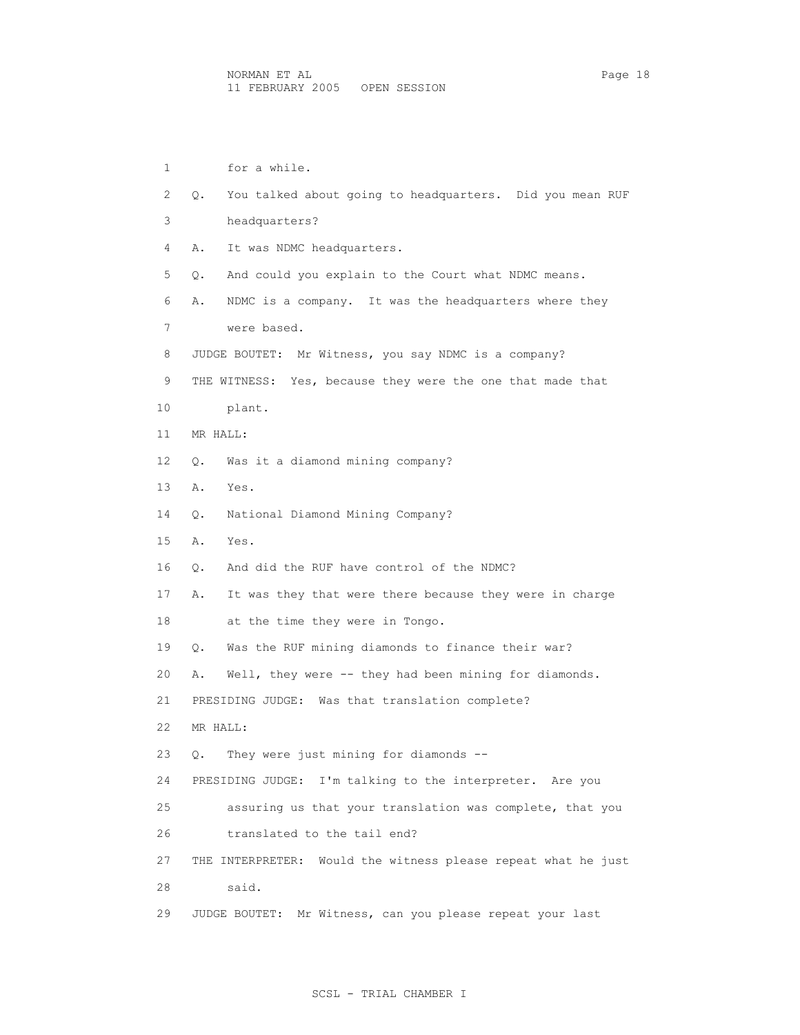1 for a while. 2 Q. You talked about going to headquarters. Did you mean RUF 3 headquarters? 4 A. It was NDMC headquarters. 5 Q. And could you explain to the Court what NDMC means. 6 A. NDMC is a company. It was the headquarters where they 7 were based. 8 JUDGE BOUTET: Mr Witness, you say NDMC is a company? 9 THE WITNESS: Yes, because they were the one that made that 10 plant. 11 MR HALL: 12 Q. Was it a diamond mining company? 13 A. Yes. 14 Q. National Diamond Mining Company? 15 A. Yes. 16 Q. And did the RUF have control of the NDMC? 17 A. It was they that were there because they were in charge 18 at the time they were in Tongo. 19 Q. Was the RUF mining diamonds to finance their war? 20 A. Well, they were -- they had been mining for diamonds. 21 PRESIDING JUDGE: Was that translation complete? 22 MR HALL: 23 Q. They were just mining for diamonds -- 24 PRESIDING JUDGE: I'm talking to the interpreter. Are you 25 assuring us that your translation was complete, that you 26 translated to the tail end? 27 THE INTERPRETER: Would the witness please repeat what he just 28 said. 29 JUDGE BOUTET: Mr Witness, can you please repeat your last

# SCSL - TRIAL CHAMBER I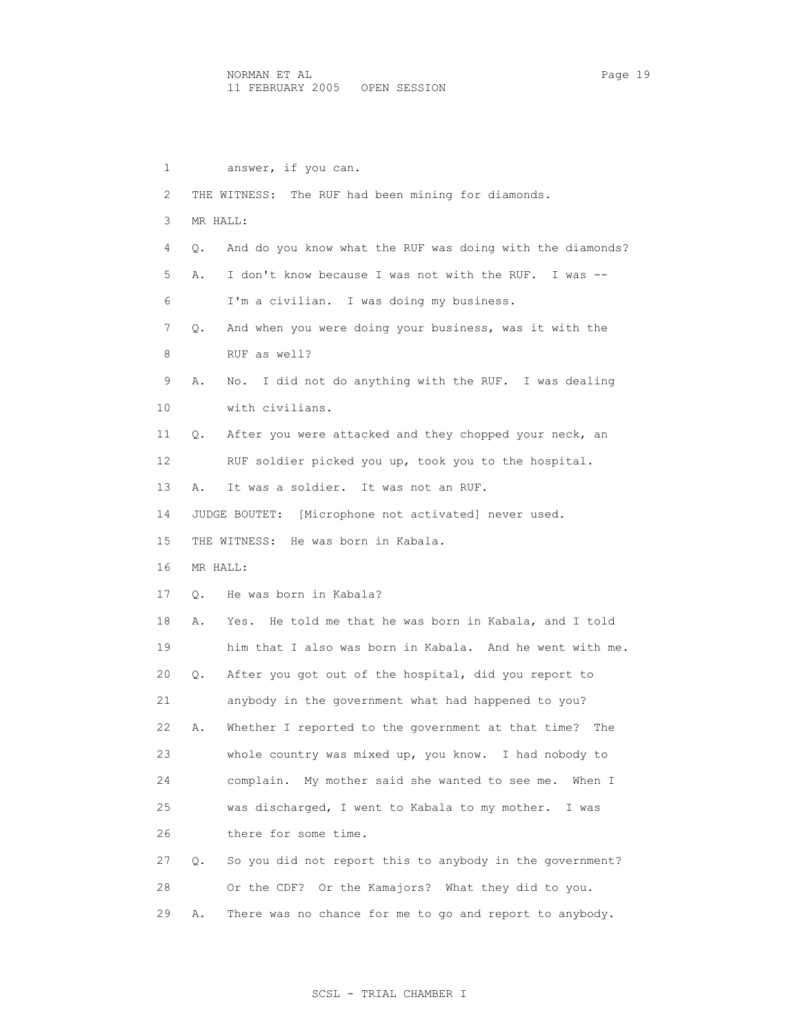1 answer, if you can. 2 THE WITNESS: The RUF had been mining for diamonds. 3 MR HALL: 4 Q. And do you know what the RUF was doing with the diamonds? 5 A. I don't know because I was not with the RUF. I was -- 6 I'm a civilian. I was doing my business. 7 Q. And when you were doing your business, was it with the 8 RUF as well? 9 A. No. I did not do anything with the RUF. I was dealing 10 with civilians. 11 Q. After you were attacked and they chopped your neck, an 12 RUF soldier picked you up, took you to the hospital. 13 A. It was a soldier. It was not an RUF. 14 JUDGE BOUTET: [Microphone not activated] never used. 15 THE WITNESS: He was born in Kabala. 16 MR HALL: 17 Q. He was born in Kabala? 18 A. Yes. He told me that he was born in Kabala, and I told 19 him that I also was born in Kabala. And he went with me. 20 Q. After you got out of the hospital, did you report to 21 anybody in the government what had happened to you? 22 A. Whether I reported to the government at that time? The 23 whole country was mixed up, you know. I had nobody to 24 complain. My mother said she wanted to see me. When I 25 was discharged, I went to Kabala to my mother. I was 26 there for some time. 27 Q. So you did not report this to anybody in the government? 28 Or the CDF? Or the Kamajors? What they did to you. 29 A. There was no chance for me to go and report to anybody.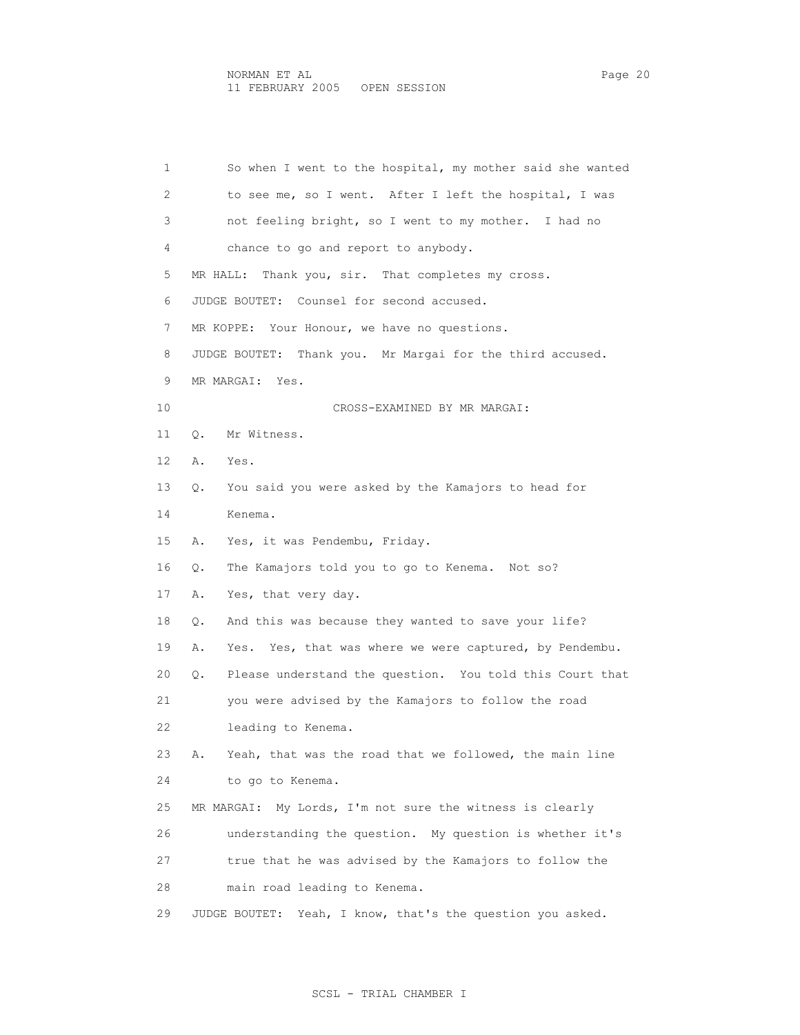1 So when I went to the hospital, my mother said she wanted 2 to see me, so I went. After I left the hospital, I was 3 not feeling bright, so I went to my mother. I had no 4 chance to go and report to anybody. 5 MR HALL: Thank you, sir. That completes my cross. 6 JUDGE BOUTET: Counsel for second accused. 7 MR KOPPE: Your Honour, we have no questions. 8 JUDGE BOUTET: Thank you. Mr Margai for the third accused. 9 MR MARGAI: Yes. 10 CROSS-EXAMINED BY MR MARGAI: 11 Q. Mr Witness. 12 A. Yes. 13 Q. You said you were asked by the Kamajors to head for 14 Kenema. 15 A. Yes, it was Pendembu, Friday. 16 Q. The Kamajors told you to go to Kenema. Not so? 17 A. Yes, that very day. 18 Q. And this was because they wanted to save your life? 19 A. Yes. Yes, that was where we were captured, by Pendembu. 20 Q. Please understand the question. You told this Court that 21 you were advised by the Kamajors to follow the road 22 leading to Kenema. 23 A. Yeah, that was the road that we followed, the main line 24 to go to Kenema. 25 MR MARGAI: My Lords, I'm not sure the witness is clearly 26 understanding the question. My question is whether it's 27 true that he was advised by the Kamajors to follow the 28 main road leading to Kenema. 29 JUDGE BOUTET: Yeah, I know, that's the question you asked.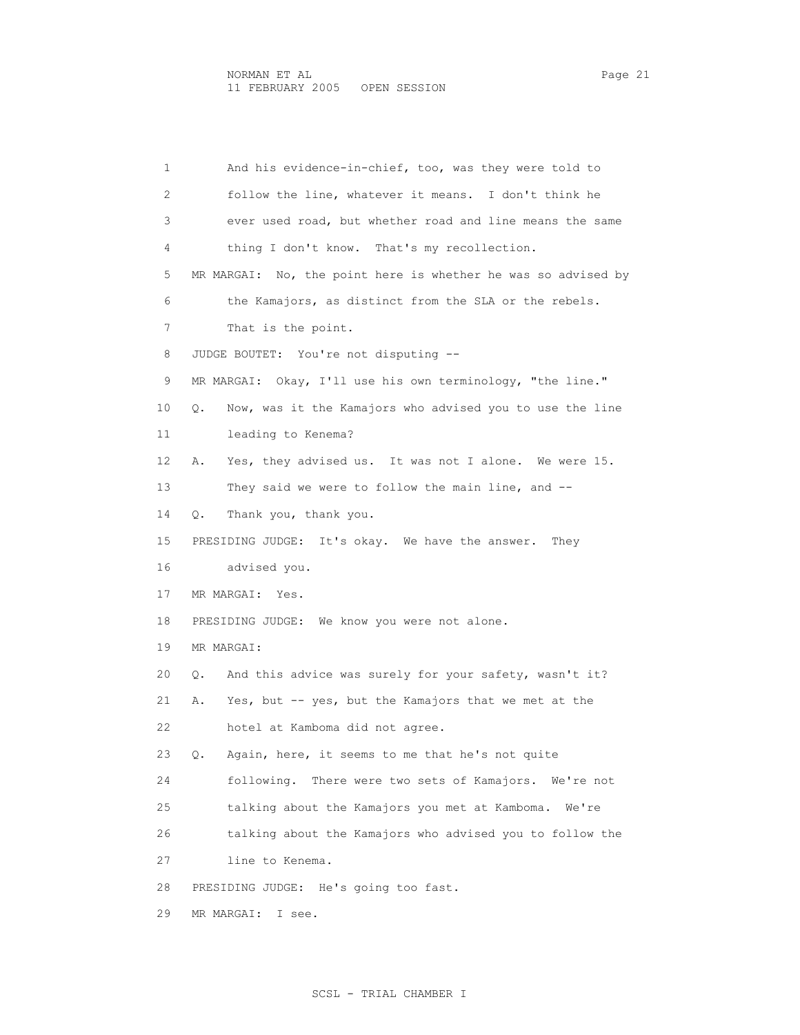1 And his evidence-in-chief, too, was they were told to 2 follow the line, whatever it means. I don't think he 3 ever used road, but whether road and line means the same 4 thing I don't know. That's my recollection. 5 MR MARGAI: No, the point here is whether he was so advised by 6 the Kamajors, as distinct from the SLA or the rebels. 7 That is the point. 8 JUDGE BOUTET: You're not disputing -- 9 MR MARGAI: Okay, I'll use his own terminology, "the line." 10 Q. Now, was it the Kamajors who advised you to use the line 11 leading to Kenema? 12 A. Yes, they advised us. It was not I alone. We were 15. 13 They said we were to follow the main line, and -- 14 Q. Thank you, thank you. 15 PRESIDING JUDGE: It's okay. We have the answer. They 16 advised you. 17 MR MARGAI: Yes. 18 PRESIDING JUDGE: We know you were not alone. 19 MR MARGAI: 20 Q. And this advice was surely for your safety, wasn't it? 21 A. Yes, but -- yes, but the Kamajors that we met at the 22 hotel at Kamboma did not agree. 23 Q. Again, here, it seems to me that he's not quite 24 following. There were two sets of Kamajors. We're not 25 talking about the Kamajors you met at Kamboma. We're 26 talking about the Kamajors who advised you to follow the 27 line to Kenema. 28 PRESIDING JUDGE: He's going too fast. 29 MR MARGAI: I see.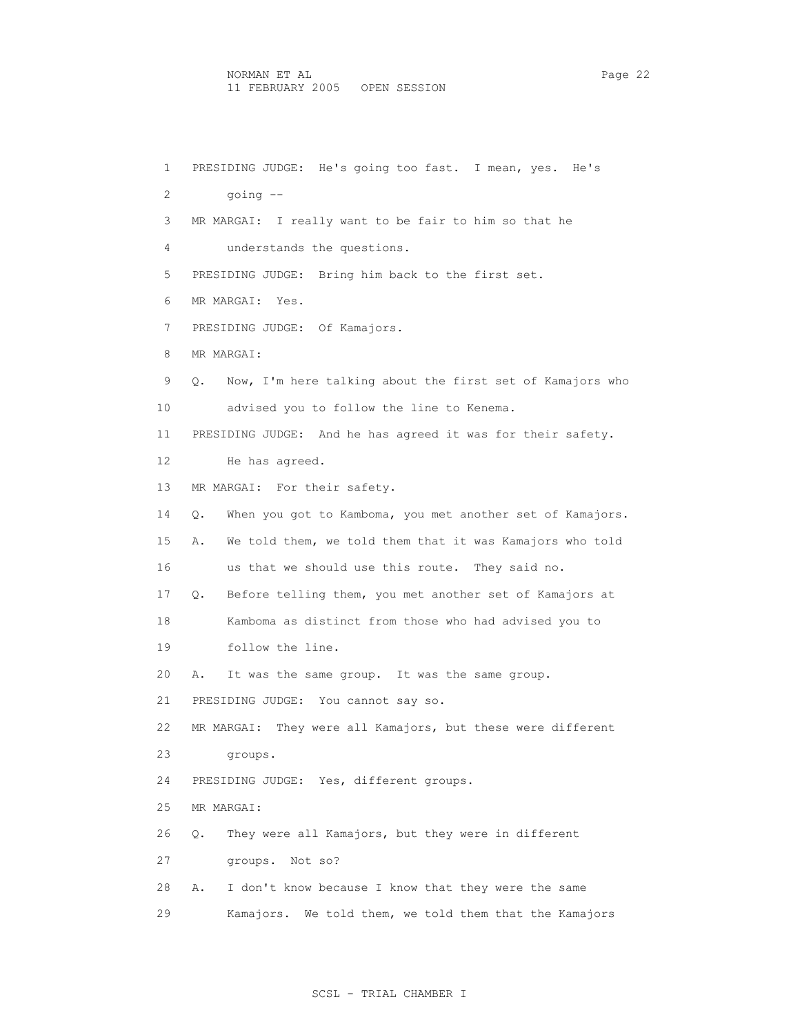NORMAN ET AL Page 22 11 FEBRUARY 2005 OPEN SESSION

 1 PRESIDING JUDGE: He's going too fast. I mean, yes. He's 2 going -- 3 MR MARGAI: I really want to be fair to him so that he 4 understands the questions. 5 PRESIDING JUDGE: Bring him back to the first set. 6 MR MARGAI: Yes. 7 PRESIDING JUDGE: Of Kamajors. 8 MR MARGAI: 9 Q. Now, I'm here talking about the first set of Kamajors who 10 advised you to follow the line to Kenema. 11 PRESIDING JUDGE: And he has agreed it was for their safety. 12 He has agreed. 13 MR MARGAI: For their safety. 14 Q. When you got to Kamboma, you met another set of Kamajors. 15 A. We told them, we told them that it was Kamajors who told 16 us that we should use this route. They said no. 17 Q. Before telling them, you met another set of Kamajors at 18 Kamboma as distinct from those who had advised you to 19 follow the line. 20 A. It was the same group. It was the same group. 21 PRESIDING JUDGE: You cannot say so. 22 MR MARGAI: They were all Kamajors, but these were different 23 groups. 24 PRESIDING JUDGE: Yes, different groups. 25 MR MARGAI: 26 Q. They were all Kamajors, but they were in different 27 groups. Not so? 28 A. I don't know because I know that they were the same 29 Kamajors. We told them, we told them that the Kamajors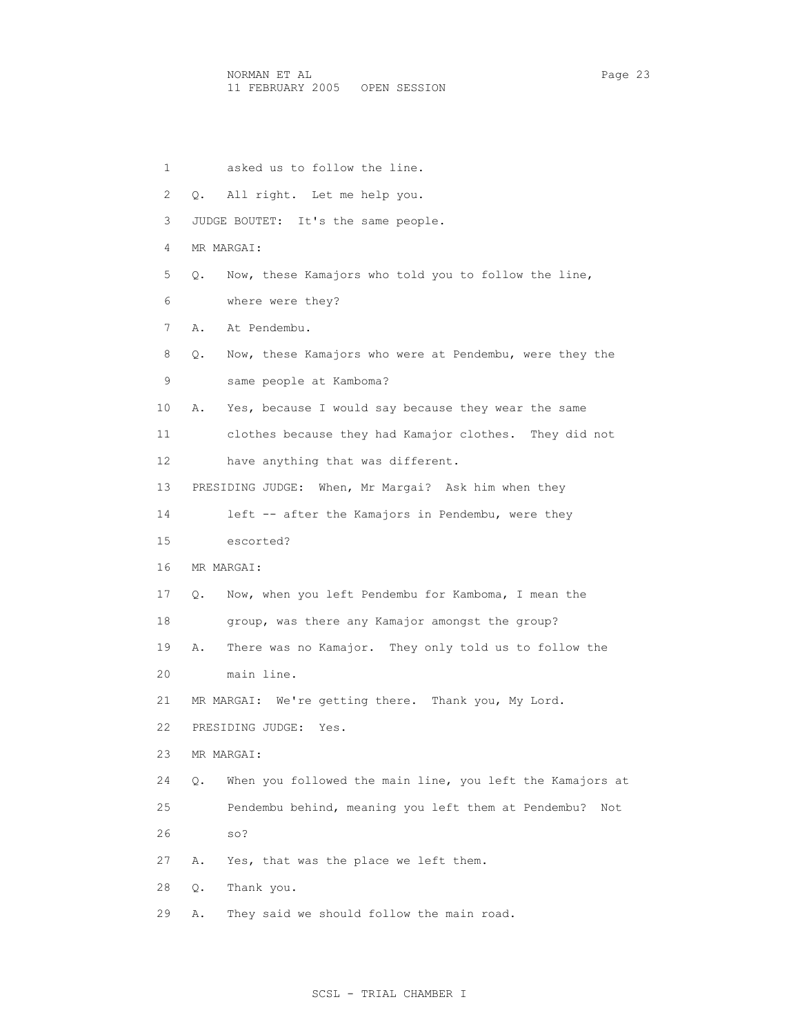1 asked us to follow the line. 2 Q. All right. Let me help you. 3 JUDGE BOUTET: It's the same people. 4 MR MARGAI: 5 Q. Now, these Kamajors who told you to follow the line, 6 where were they? 7 A. At Pendembu. 8 Q. Now, these Kamajors who were at Pendembu, were they the 9 same people at Kamboma? 10 A. Yes, because I would say because they wear the same 11 clothes because they had Kamajor clothes. They did not 12 have anything that was different. 13 PRESIDING JUDGE: When, Mr Margai? Ask him when they 14 left -- after the Kamajors in Pendembu, were they 15 escorted? 16 MR MARGAI: 17 Q. Now, when you left Pendembu for Kamboma, I mean the 18 group, was there any Kamajor amongst the group? 19 A. There was no Kamajor. They only told us to follow the 20 main line. 21 MR MARGAI: We're getting there. Thank you, My Lord. 22 PRESIDING JUDGE: Yes. 23 MR MARGAI: 24 Q. When you followed the main line, you left the Kamajors at 25 Pendembu behind, meaning you left them at Pendembu? Not 26 so? 27 A. Yes, that was the place we left them. 28 Q. Thank you. 29 A. They said we should follow the main road.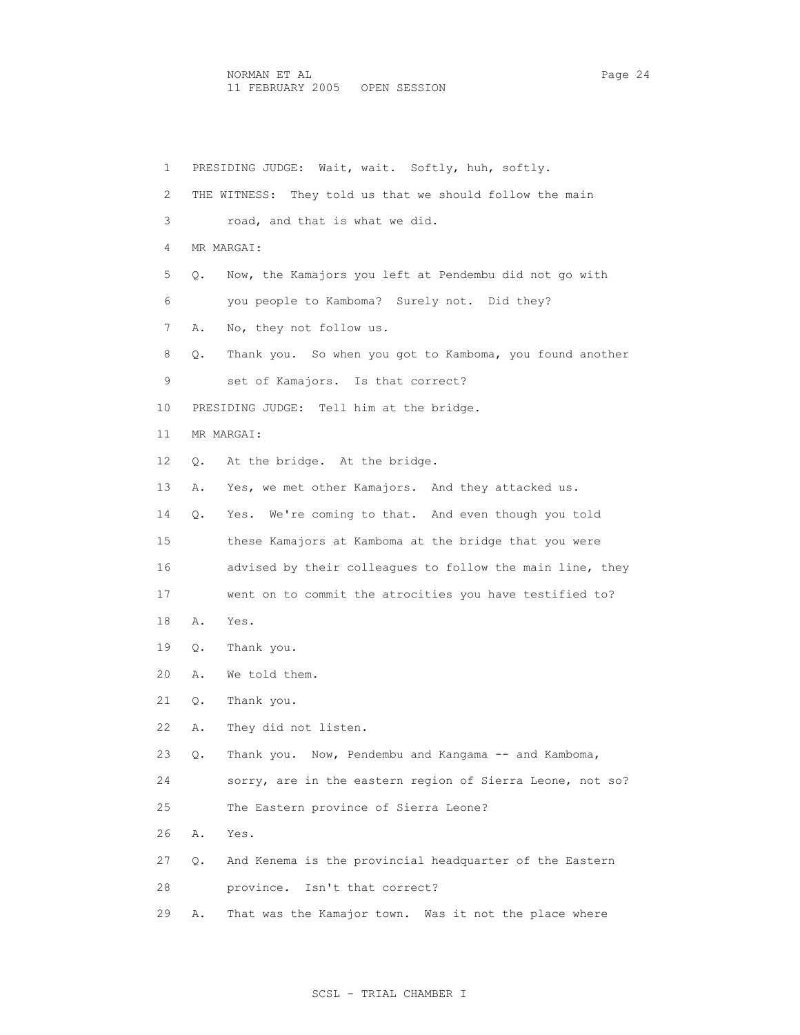1 PRESIDING JUDGE: Wait, wait. Softly, huh, softly. 2 THE WITNESS: They told us that we should follow the main 3 road, and that is what we did. 4 MR MARGAI: 5 Q. Now, the Kamajors you left at Pendembu did not go with 6 you people to Kamboma? Surely not. Did they? 7 A. No, they not follow us. 8 Q. Thank you. So when you got to Kamboma, you found another 9 set of Kamajors. Is that correct? 10 PRESIDING JUDGE: Tell him at the bridge. 11 MR MARGAI: 12 Q. At the bridge. At the bridge. 13 A. Yes, we met other Kamajors. And they attacked us. 14 Q. Yes. We're coming to that. And even though you told 15 these Kamajors at Kamboma at the bridge that you were 16 advised by their colleagues to follow the main line, they 17 went on to commit the atrocities you have testified to? 18 A. Yes. 19 Q. Thank you. 20 A. We told them. 21 Q. Thank you. 22 A. They did not listen. 23 Q. Thank you. Now, Pendembu and Kangama -- and Kamboma, 24 sorry, are in the eastern region of Sierra Leone, not so? 25 The Eastern province of Sierra Leone? 26 A. Yes. 27 Q. And Kenema is the provincial headquarter of the Eastern 28 province. Isn't that correct? 29 A. That was the Kamajor town. Was it not the place where

## SCSL - TRIAL CHAMBER I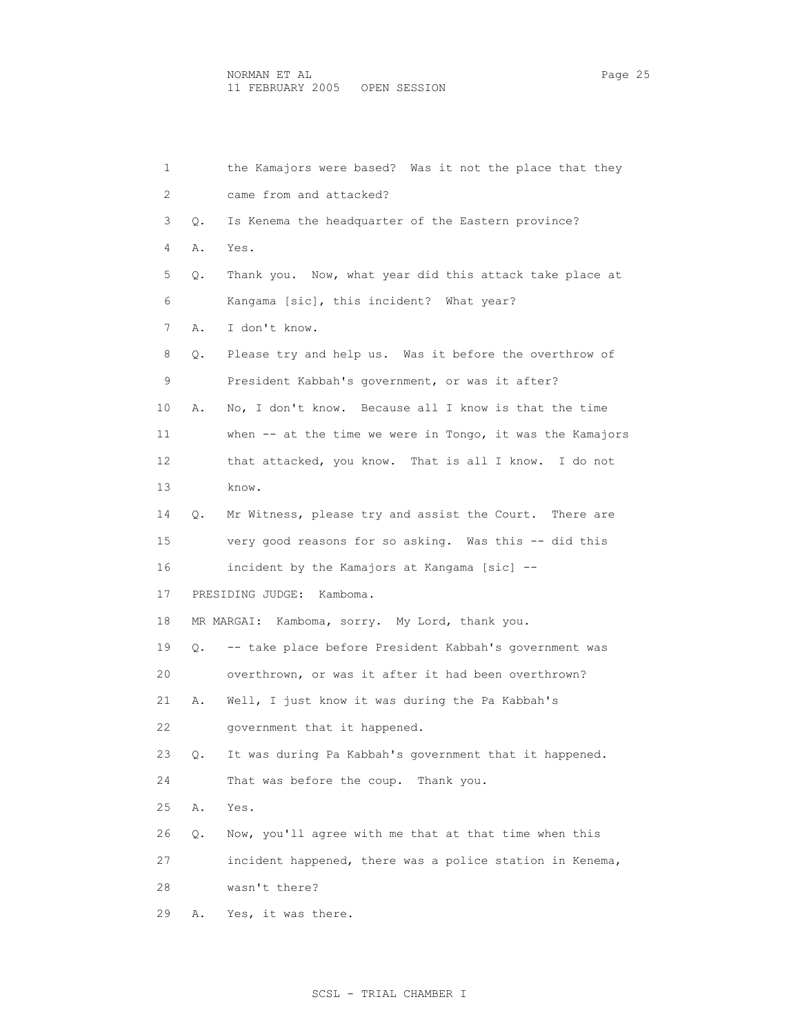| 1  |    | the Kamajors were based? Was it not the place that they     |
|----|----|-------------------------------------------------------------|
| 2  |    | came from and attacked?                                     |
| 3  | Q. | Is Kenema the headquarter of the Eastern province?          |
| 4  | Α. | Yes.                                                        |
| 5  | Q. | Thank you. Now, what year did this attack take place at     |
| 6  |    | Kangama [sic], this incident? What year?                    |
| 7  | Α. | I don't know.                                               |
| 8  | Q. | Please try and help us. Was it before the overthrow of      |
| 9  |    | President Kabbah's government, or was it after?             |
| 10 | Α. | No, I don't know. Because all I know is that the time       |
| 11 |    | when $--$ at the time we were in Tongo, it was the Kamajors |
| 12 |    | that attacked, you know. That is all I know. I do not       |
| 13 |    | know.                                                       |
| 14 | Q. | Mr Witness, please try and assist the Court. There are      |
| 15 |    | very good reasons for so asking. Was this -- did this       |
| 16 |    | incident by the Kamajors at Kangama [sic] --                |
| 17 |    | PRESIDING JUDGE:<br>Kamboma.                                |
| 18 |    | MR MARGAI: Kamboma, sorry. My Lord, thank you.              |
| 19 | Q. | -- take place before President Kabbah's government was      |
| 20 |    | overthrown, or was it after it had been overthrown?         |
| 21 | Α. | Well, I just know it was during the Pa Kabbah's             |
| 22 |    | government that it happened.                                |
| 23 | Q. | It was during Pa Kabbah's government that it happened.      |
| 24 |    | That was before the coup. Thank you.                        |
| 25 | Α. | Yes.                                                        |
| 26 | Q. | Now, you'll agree with me that at that time when this       |
| 27 |    | incident happened, there was a police station in Kenema,    |
| 28 |    | wasn't there?                                               |
| 29 | Α. | Yes, it was there.                                          |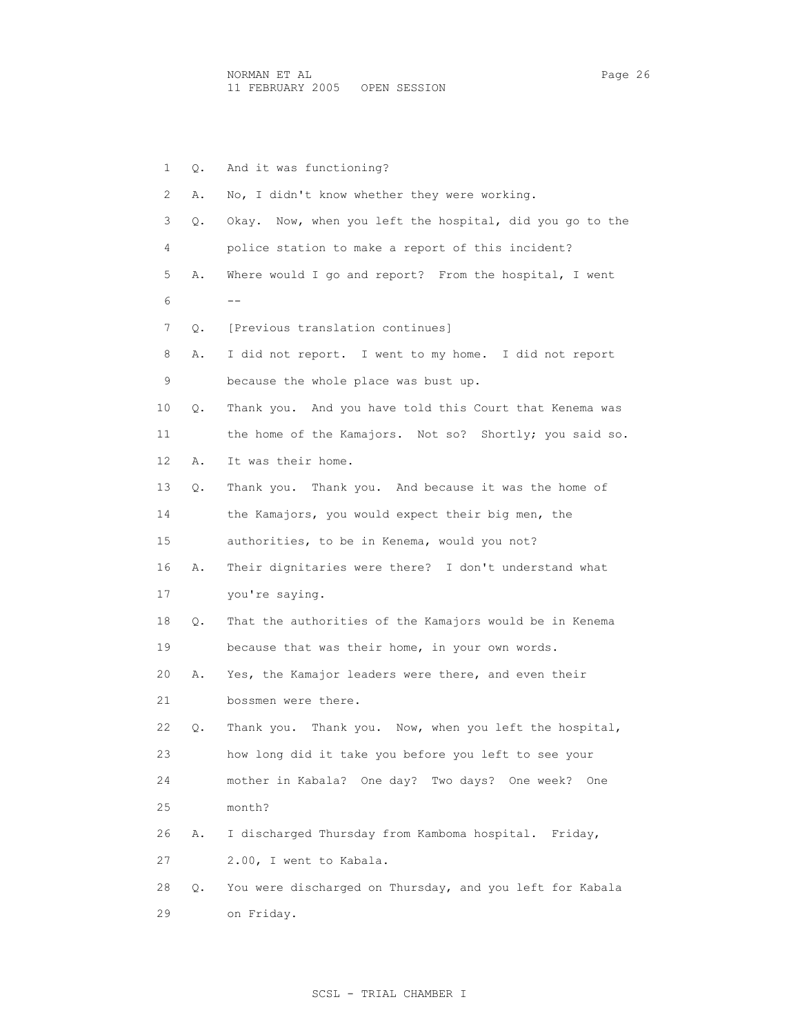1 Q. And it was functioning? 2 A. No, I didn't know whether they were working. 3 Q. Okay. Now, when you left the hospital, did you go to the 4 police station to make a report of this incident? 5 A. Where would I go and report? From the hospital, I went  $6 - -$  7 Q. [Previous translation continues] 8 A. I did not report. I went to my home. I did not report 9 because the whole place was bust up. 10 Q. Thank you. And you have told this Court that Kenema was 11 the home of the Kamajors. Not so? Shortly; you said so. 12 A. It was their home. 13 Q. Thank you. Thank you. And because it was the home of 14 the Kamajors, you would expect their big men, the 15 authorities, to be in Kenema, would you not? 16 A. Their dignitaries were there? I don't understand what 17 you're saying. 18 Q. That the authorities of the Kamajors would be in Kenema 19 because that was their home, in your own words. 20 A. Yes, the Kamajor leaders were there, and even their 21 bossmen were there. 22 Q. Thank you. Thank you. Now, when you left the hospital, 23 how long did it take you before you left to see your 24 mother in Kabala? One day? Two days? One week? One 25 month? 26 A. I discharged Thursday from Kamboma hospital. Friday, 27 2.00, I went to Kabala. 28 Q. You were discharged on Thursday, and you left for Kabala 29 on Friday.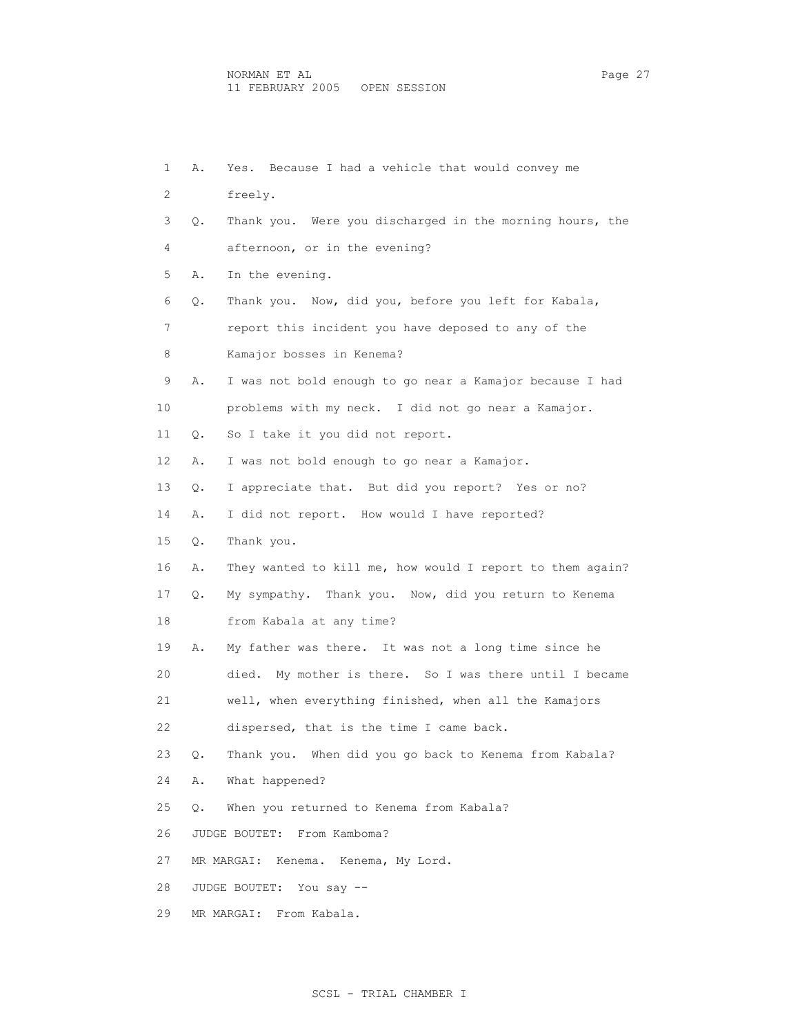1 A. Yes. Because I had a vehicle that would convey me 2 freely. 3 Q. Thank you. Were you discharged in the morning hours, the 4 afternoon, or in the evening? 5 A. In the evening. 6 Q. Thank you. Now, did you, before you left for Kabala, 7 report this incident you have deposed to any of the 8 Kamajor bosses in Kenema? 9 A. I was not bold enough to go near a Kamajor because I had 10 problems with my neck. I did not go near a Kamajor. 11 Q. So I take it you did not report. 12 A. I was not bold enough to go near a Kamajor. 13 Q. I appreciate that. But did you report? Yes or no? 14 A. I did not report. How would I have reported? 15 Q. Thank you. 16 A. They wanted to kill me, how would I report to them again? 17 Q. My sympathy. Thank you. Now, did you return to Kenema 18 from Kabala at any time? 19 A. My father was there. It was not a long time since he 20 died. My mother is there. So I was there until I became 21 well, when everything finished, when all the Kamajors 22 dispersed, that is the time I came back. 23 Q. Thank you. When did you go back to Kenema from Kabala? 24 A. What happened? 25 Q. When you returned to Kenema from Kabala? 26 JUDGE BOUTET: From Kamboma? 27 MR MARGAI: Kenema. Kenema, My Lord. 28 JUDGE BOUTET: You say -- 29 MR MARGAI: From Kabala.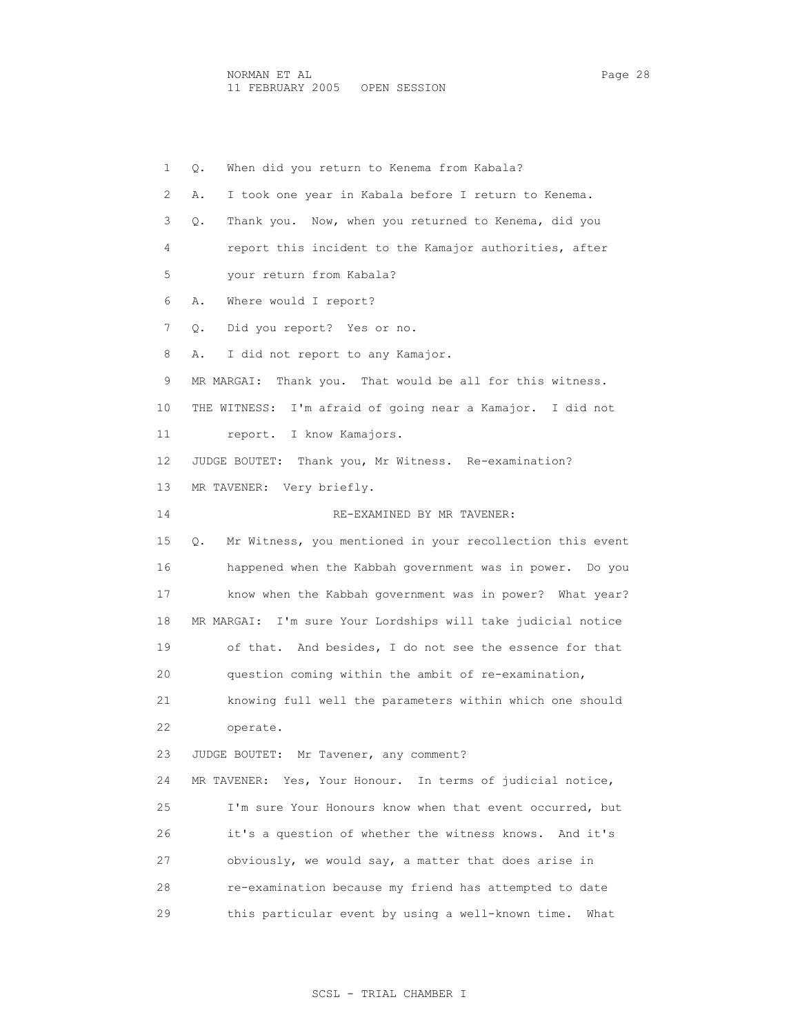1 Q. When did you return to Kenema from Kabala? 2 A. I took one year in Kabala before I return to Kenema. 3 Q. Thank you. Now, when you returned to Kenema, did you 4 report this incident to the Kamajor authorities, after 5 your return from Kabala? 6 A. Where would I report? 7 Q. Did you report? Yes or no. 8 A. I did not report to any Kamajor. 9 MR MARGAI: Thank you. That would be all for this witness. 10 THE WITNESS: I'm afraid of going near a Kamajor. I did not 11 report. I know Kamajors. 12 JUDGE BOUTET: Thank you, Mr Witness. Re-examination? 13 MR TAVENER: Very briefly. 14 RE-EXAMINED BY MR TAVENER: 15 Q. Mr Witness, you mentioned in your recollection this event 16 happened when the Kabbah government was in power. Do you 17 know when the Kabbah government was in power? What year? 18 MR MARGAI: I'm sure Your Lordships will take judicial notice 19 of that. And besides, I do not see the essence for that 20 question coming within the ambit of re-examination, 21 knowing full well the parameters within which one should 22 operate. 23 JUDGE BOUTET: Mr Tavener, any comment? 24 MR TAVENER: Yes, Your Honour. In terms of judicial notice, 25 I'm sure Your Honours know when that event occurred, but 26 it's a question of whether the witness knows. And it's 27 obviously, we would say, a matter that does arise in 28 re-examination because my friend has attempted to date 29 this particular event by using a well-known time. What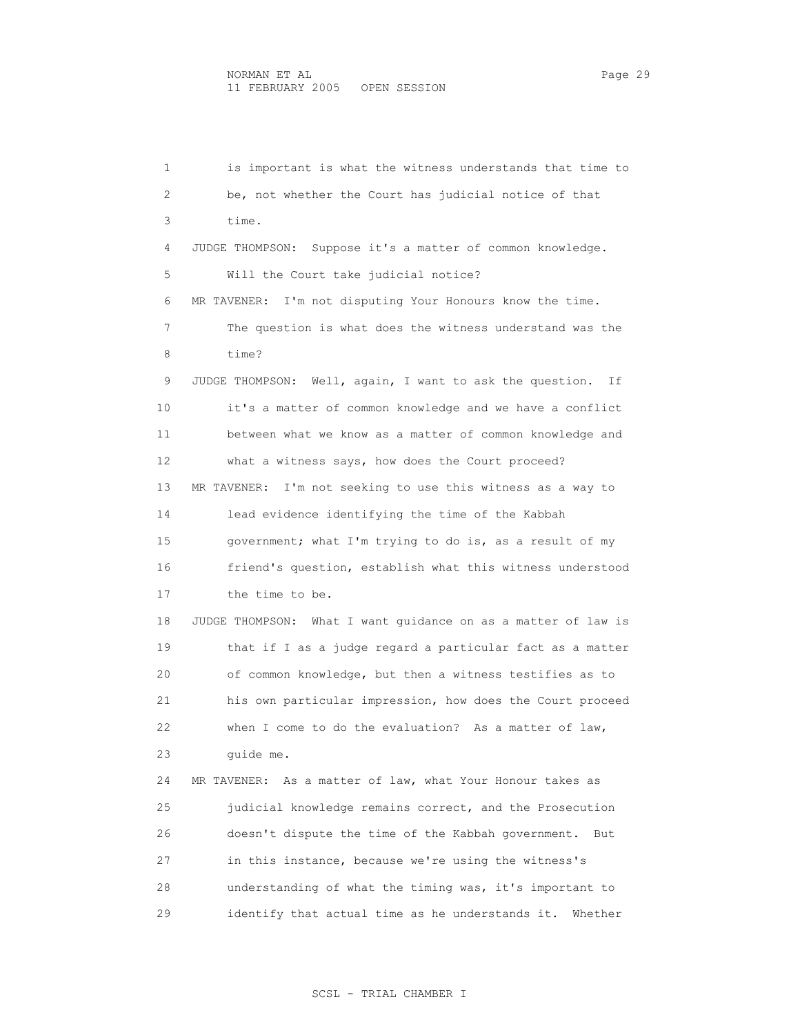1 is important is what the witness understands that time to 2 be, not whether the Court has judicial notice of that 3 time. 4 JUDGE THOMPSON: Suppose it's a matter of common knowledge. 5 Will the Court take judicial notice? 6 MR TAVENER: I'm not disputing Your Honours know the time. 7 The question is what does the witness understand was the 8 time? 9 JUDGE THOMPSON: Well, again, I want to ask the question. If 10 it's a matter of common knowledge and we have a conflict 11 between what we know as a matter of common knowledge and 12 what a witness says, how does the Court proceed? 13 MR TAVENER: I'm not seeking to use this witness as a way to 14 lead evidence identifying the time of the Kabbah 15 government; what I'm trying to do is, as a result of my 16 friend's question, establish what this witness understood 17 the time to be. 18 JUDGE THOMPSON: What I want guidance on as a matter of law is 19 that if I as a judge regard a particular fact as a matter 20 of common knowledge, but then a witness testifies as to 21 his own particular impression, how does the Court proceed 22 when I come to do the evaluation? As a matter of law, 23 guide me. 24 MR TAVENER: As a matter of law, what Your Honour takes as 25 judicial knowledge remains correct, and the Prosecution 26 doesn't dispute the time of the Kabbah government. But 27 in this instance, because we're using the witness's 28 understanding of what the timing was, it's important to 29 identify that actual time as he understands it. Whether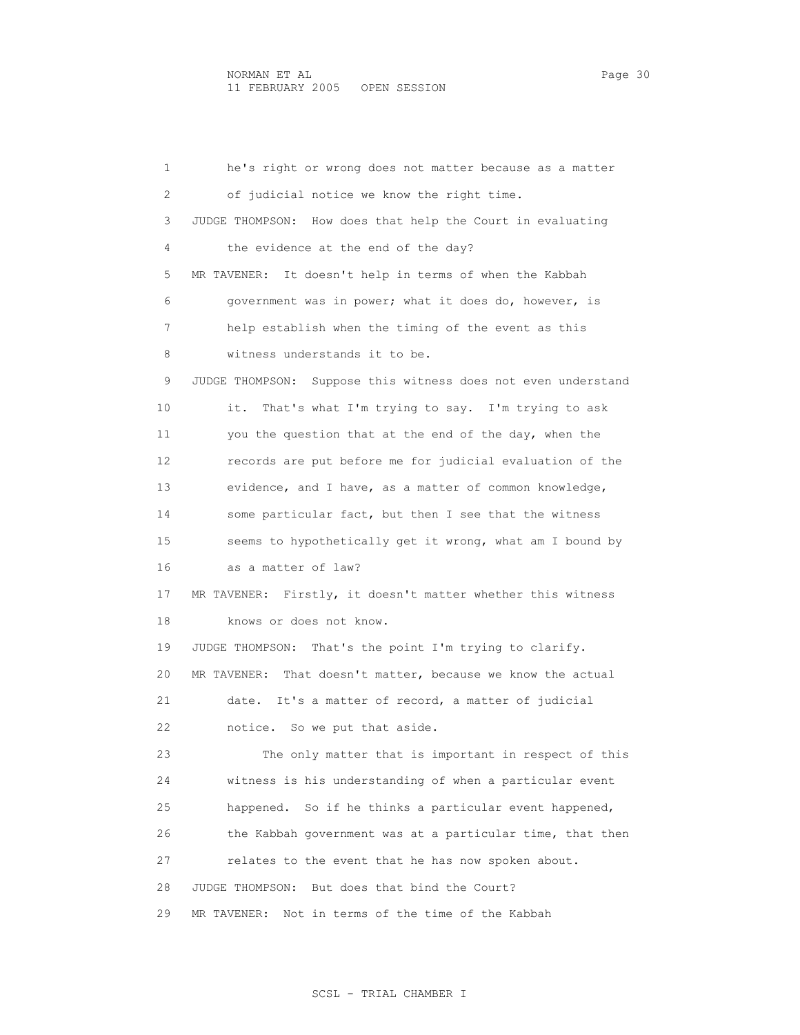1 he's right or wrong does not matter because as a matter 2 of judicial notice we know the right time. 3 JUDGE THOMPSON: How does that help the Court in evaluating 4 the evidence at the end of the day? 5 MR TAVENER: It doesn't help in terms of when the Kabbah 6 government was in power; what it does do, however, is 7 help establish when the timing of the event as this 8 witness understands it to be. 9 JUDGE THOMPSON: Suppose this witness does not even understand 10 it. That's what I'm trying to say. I'm trying to ask 11 you the question that at the end of the day, when the 12 records are put before me for judicial evaluation of the 13 evidence, and I have, as a matter of common knowledge, 14 some particular fact, but then I see that the witness 15 seems to hypothetically get it wrong, what am I bound by 16 as a matter of law? 17 MR TAVENER: Firstly, it doesn't matter whether this witness 18 knows or does not know. 19 JUDGE THOMPSON: That's the point I'm trying to clarify. 20 MR TAVENER: That doesn't matter, because we know the actual 21 date. It's a matter of record, a matter of judicial 22 notice. So we put that aside. 23 The only matter that is important in respect of this 24 witness is his understanding of when a particular event 25 happened. So if he thinks a particular event happened, 26 the Kabbah government was at a particular time, that then 27 relates to the event that he has now spoken about. 28 JUDGE THOMPSON: But does that bind the Court? 29 MR TAVENER: Not in terms of the time of the Kabbah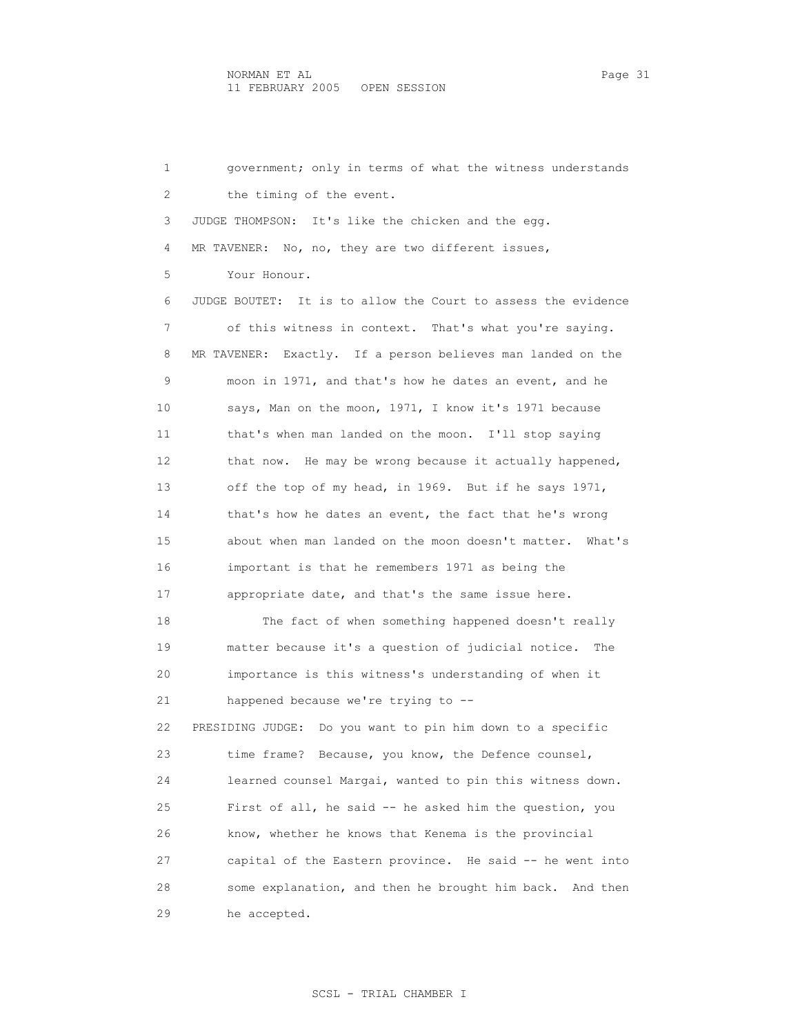1 government; only in terms of what the witness understands 2 the timing of the event. 3 JUDGE THOMPSON: It's like the chicken and the egg. 4 MR TAVENER: No, no, they are two different issues, 5 Your Honour. 6 JUDGE BOUTET: It is to allow the Court to assess the evidence 7 of this witness in context. That's what you're saying. 8 MR TAVENER: Exactly. If a person believes man landed on the 9 moon in 1971, and that's how he dates an event, and he 10 says, Man on the moon, 1971, I know it's 1971 because 11 that's when man landed on the moon. I'll stop saying 12 that now. He may be wrong because it actually happened, 13 off the top of my head, in 1969. But if he says 1971, 14 that's how he dates an event, the fact that he's wrong 15 about when man landed on the moon doesn't matter. What's 16 important is that he remembers 1971 as being the 17 appropriate date, and that's the same issue here. 18 The fact of when something happened doesn't really 19 matter because it's a question of judicial notice. The 20 importance is this witness's understanding of when it 21 happened because we're trying to -- 22 PRESIDING JUDGE: Do you want to pin him down to a specific 23 time frame? Because, you know, the Defence counsel, 24 learned counsel Margai, wanted to pin this witness down. 25 First of all, he said -- he asked him the question, you 26 know, whether he knows that Kenema is the provincial 27 capital of the Eastern province. He said -- he went into 28 some explanation, and then he brought him back. And then 29 he accepted.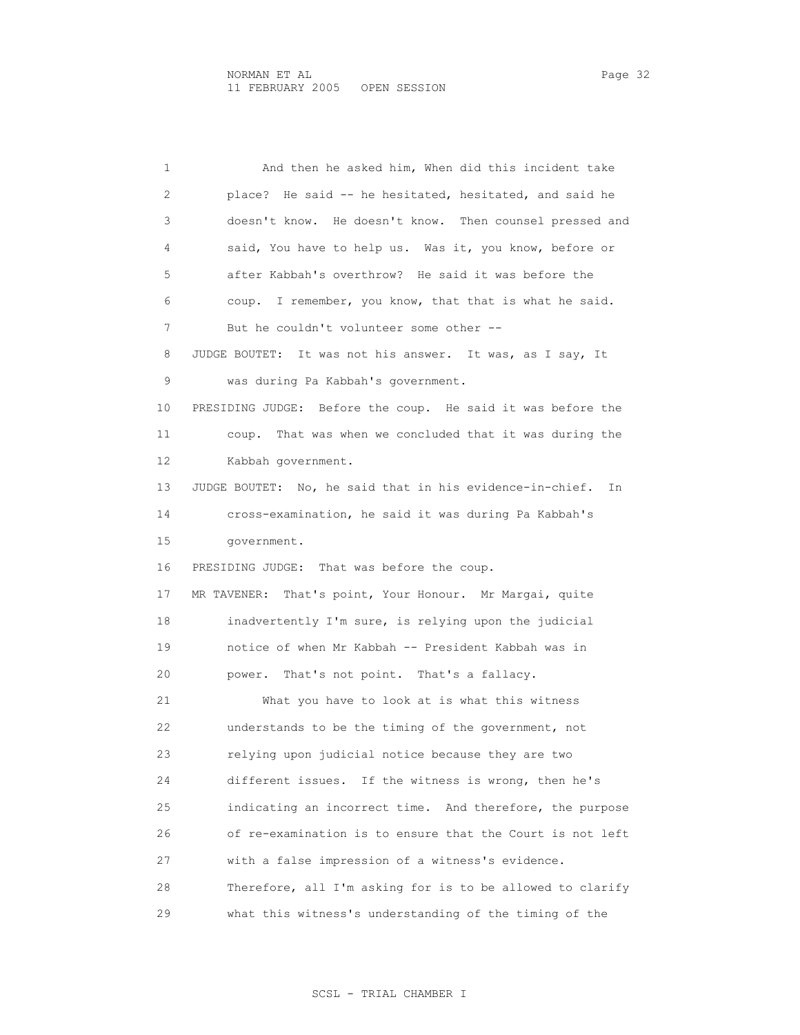1 And then he asked him, When did this incident take 2 place? He said -- he hesitated, hesitated, and said he 3 doesn't know. He doesn't know. Then counsel pressed and 4 said, You have to help us. Was it, you know, before or 5 after Kabbah's overthrow? He said it was before the 6 coup. I remember, you know, that that is what he said. 7 But he couldn't volunteer some other -- 8 JUDGE BOUTET: It was not his answer. It was, as I say, It 9 was during Pa Kabbah's government. 10 PRESIDING JUDGE: Before the coup. He said it was before the 11 coup. That was when we concluded that it was during the 12 Kabbah government. 13 JUDGE BOUTET: No, he said that in his evidence-in-chief. In 14 cross-examination, he said it was during Pa Kabbah's 15 government. 16 PRESIDING JUDGE: That was before the coup. 17 MR TAVENER: That's point, Your Honour. Mr Margai, quite 18 inadvertently I'm sure, is relying upon the judicial 19 notice of when Mr Kabbah -- President Kabbah was in 20 power. That's not point. That's a fallacy. 21 What you have to look at is what this witness 22 understands to be the timing of the government, not 23 relying upon judicial notice because they are two 24 different issues. If the witness is wrong, then he's 25 indicating an incorrect time. And therefore, the purpose 26 of re-examination is to ensure that the Court is not left 27 with a false impression of a witness's evidence. 28 Therefore, all I'm asking for is to be allowed to clarify 29 what this witness's understanding of the timing of the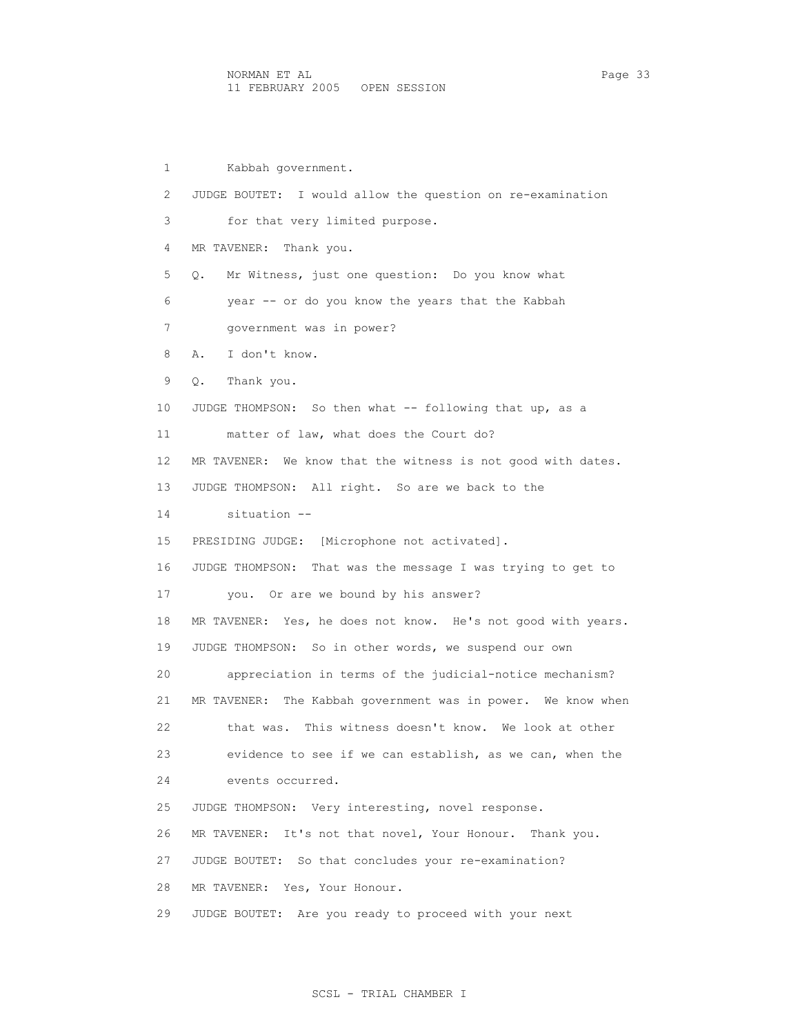1 Kabbah government. 2 JUDGE BOUTET: I would allow the question on re-examination 3 for that very limited purpose. 4 MR TAVENER: Thank you. 5 Q. Mr Witness, just one question: Do you know what 6 year -- or do you know the years that the Kabbah 7 government was in power? 8 A. I don't know. 9 Q. Thank you. 10 JUDGE THOMPSON: So then what -- following that up, as a 11 matter of law, what does the Court do? 12 MR TAVENER: We know that the witness is not good with dates. 13 JUDGE THOMPSON: All right. So are we back to the 14 situation -- 15 PRESIDING JUDGE: [Microphone not activated]. 16 JUDGE THOMPSON: That was the message I was trying to get to 17 you. Or are we bound by his answer? 18 MR TAVENER: Yes, he does not know. He's not good with years. 19 JUDGE THOMPSON: So in other words, we suspend our own 20 appreciation in terms of the judicial-notice mechanism? 21 MR TAVENER: The Kabbah government was in power. We know when 22 that was. This witness doesn't know. We look at other 23 evidence to see if we can establish, as we can, when the 24 events occurred. 25 JUDGE THOMPSON: Very interesting, novel response. 26 MR TAVENER: It's not that novel, Your Honour. Thank you. 27 JUDGE BOUTET: So that concludes your re-examination? 28 MR TAVENER: Yes, Your Honour. 29 JUDGE BOUTET: Are you ready to proceed with your next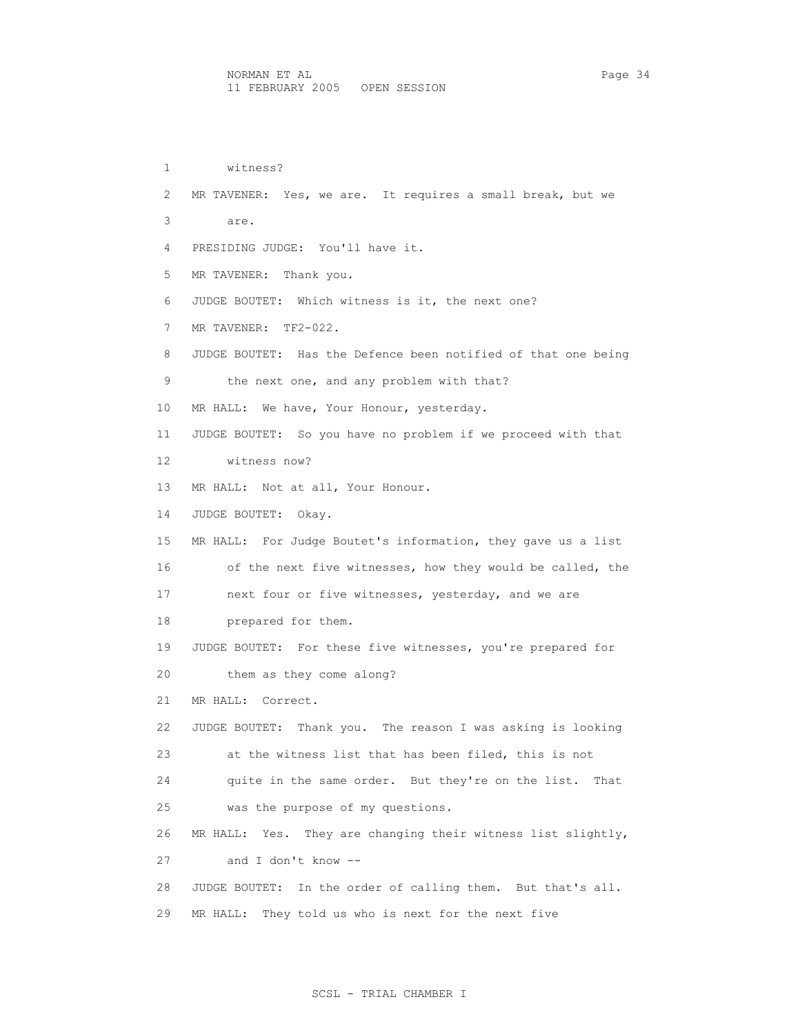1 witness? 2 MR TAVENER: Yes, we are. It requires a small break, but we 3 are. 4 PRESIDING JUDGE: You'll have it. 5 MR TAVENER: Thank you. 6 JUDGE BOUTET: Which witness is it, the next one? 7 MR TAVENER: TF2-022. 8 JUDGE BOUTET: Has the Defence been notified of that one being 9 the next one, and any problem with that? 10 MR HALL: We have, Your Honour, yesterday. 11 JUDGE BOUTET: So you have no problem if we proceed with that 12 witness now? 13 MR HALL: Not at all, Your Honour. 14 JUDGE BOUTET: Okay. 15 MR HALL: For Judge Boutet's information, they gave us a list 16 of the next five witnesses, how they would be called, the 17 next four or five witnesses, yesterday, and we are 18 prepared for them. 19 JUDGE BOUTET: For these five witnesses, you're prepared for 20 them as they come along? 21 MR HALL: Correct. 22 JUDGE BOUTET: Thank you. The reason I was asking is looking 23 at the witness list that has been filed, this is not 24 quite in the same order. But they're on the list. That 25 was the purpose of my questions. 26 MR HALL: Yes. They are changing their witness list slightly, 27 and I don't know -- 28 JUDGE BOUTET: In the order of calling them. But that's all. 29 MR HALL: They told us who is next for the next five

## SCSL - TRIAL CHAMBER I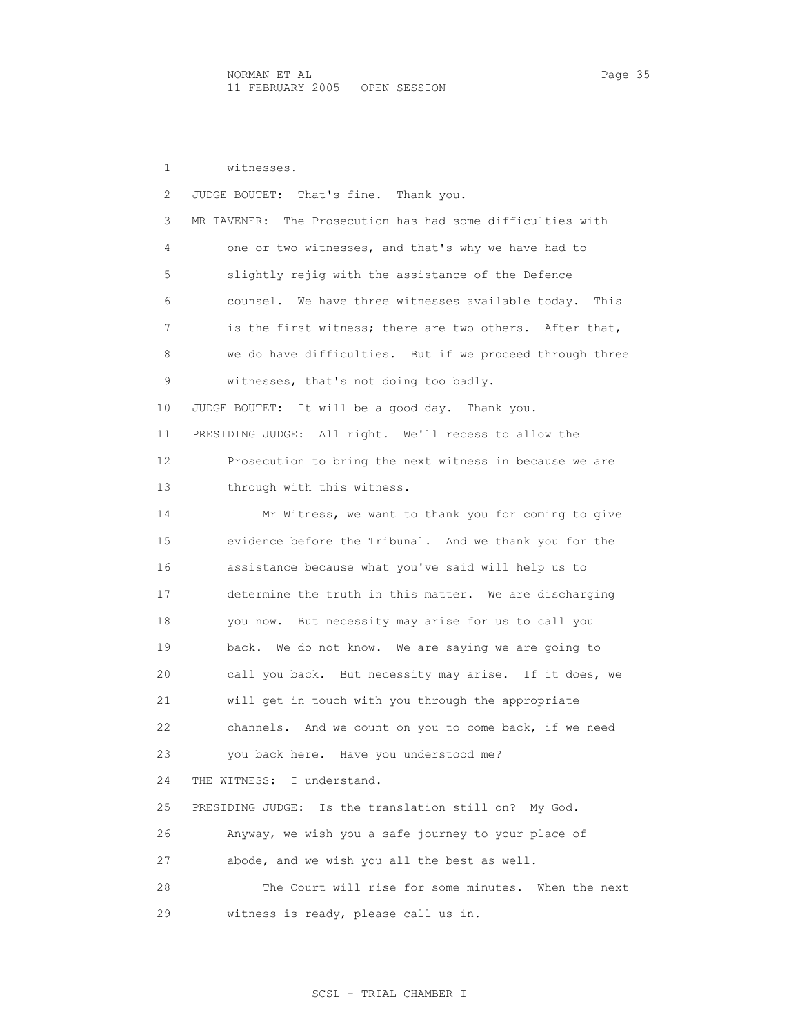1 witnesses. 2 JUDGE BOUTET: That's fine. Thank you. 3 MR TAVENER: The Prosecution has had some difficulties with 4 one or two witnesses, and that's why we have had to 5 slightly rejig with the assistance of the Defence 6 counsel. We have three witnesses available today. This 7 is the first witness; there are two others. After that, 8 we do have difficulties. But if we proceed through three 9 witnesses, that's not doing too badly. 10 JUDGE BOUTET: It will be a good day. Thank you. 11 PRESIDING JUDGE: All right. We'll recess to allow the 12 Prosecution to bring the next witness in because we are 13 through with this witness. 14 Mr Witness, we want to thank you for coming to give 15 evidence before the Tribunal. And we thank you for the 16 assistance because what you've said will help us to 17 determine the truth in this matter. We are discharging 18 you now. But necessity may arise for us to call you 19 back. We do not know. We are saying we are going to 20 call you back. But necessity may arise. If it does, we 21 will get in touch with you through the appropriate 22 channels. And we count on you to come back, if we need 23 you back here. Have you understood me? 24 THE WITNESS: I understand. 25 PRESIDING JUDGE: Is the translation still on? My God. 26 Anyway, we wish you a safe journey to your place of 27 abode, and we wish you all the best as well. 28 The Court will rise for some minutes. When the next 29 witness is ready, please call us in.

### SCSL - TRIAL CHAMBER I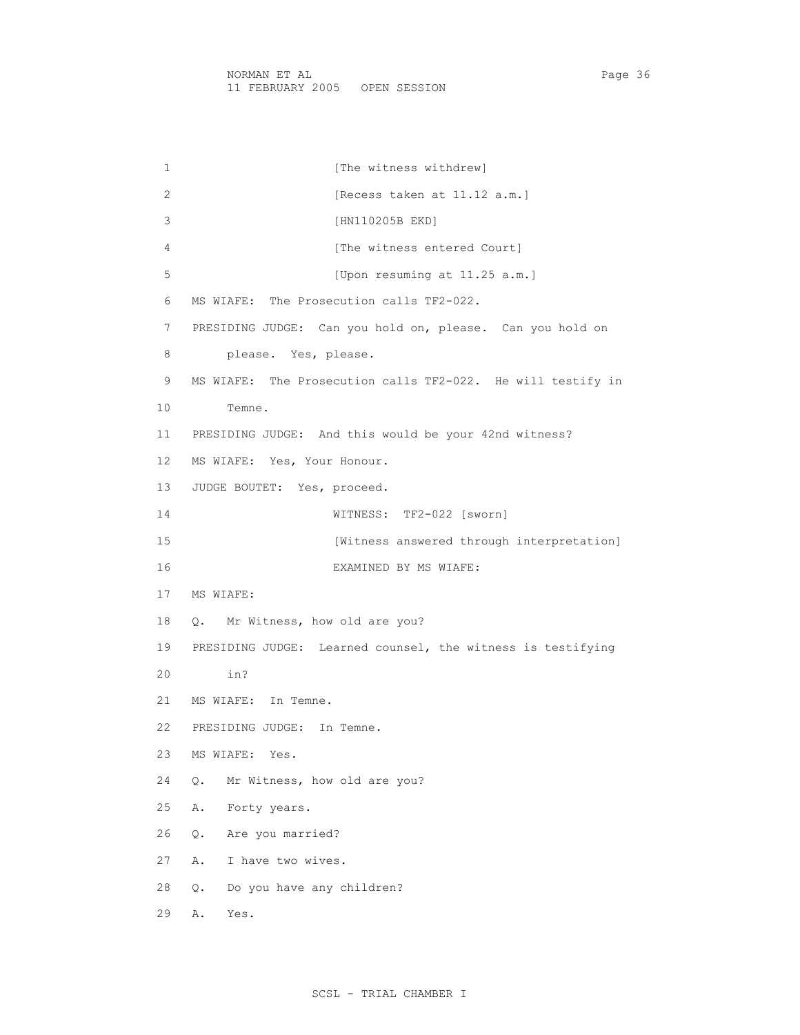1 [The witness withdrew] 2 [Recess taken at 11.12 a.m.] 3 [HN110205B EKD] 4 [The witness entered Court] 5 [Upon resuming at 11.25 a.m.] 6 MS WIAFE: The Prosecution calls TF2-022. 7 PRESIDING JUDGE: Can you hold on, please. Can you hold on 8 please. Yes, please. 9 MS WIAFE: The Prosecution calls TF2-022. He will testify in 10 Temne. 11 PRESIDING JUDGE: And this would be your 42nd witness? 12 MS WIAFE: Yes, Your Honour. 13 JUDGE BOUTET: Yes, proceed. 14 WITNESS: TF2-022 [sworn] 15 [Witness answered through interpretation] 16 EXAMINED BY MS WIAFE: 17 MS WIAFE: 18 Q. Mr Witness, how old are you? 19 PRESIDING JUDGE: Learned counsel, the witness is testifying 20 in? 21 MS WIAFE: In Temne. 22 PRESIDING JUDGE: In Temne. 23 MS WIAFE: Yes. 24 Q. Mr Witness, how old are you? 25 A. Forty years. 26 Q. Are you married? 27 A. I have two wives. 28 Q. Do you have any children?

29 A. Yes.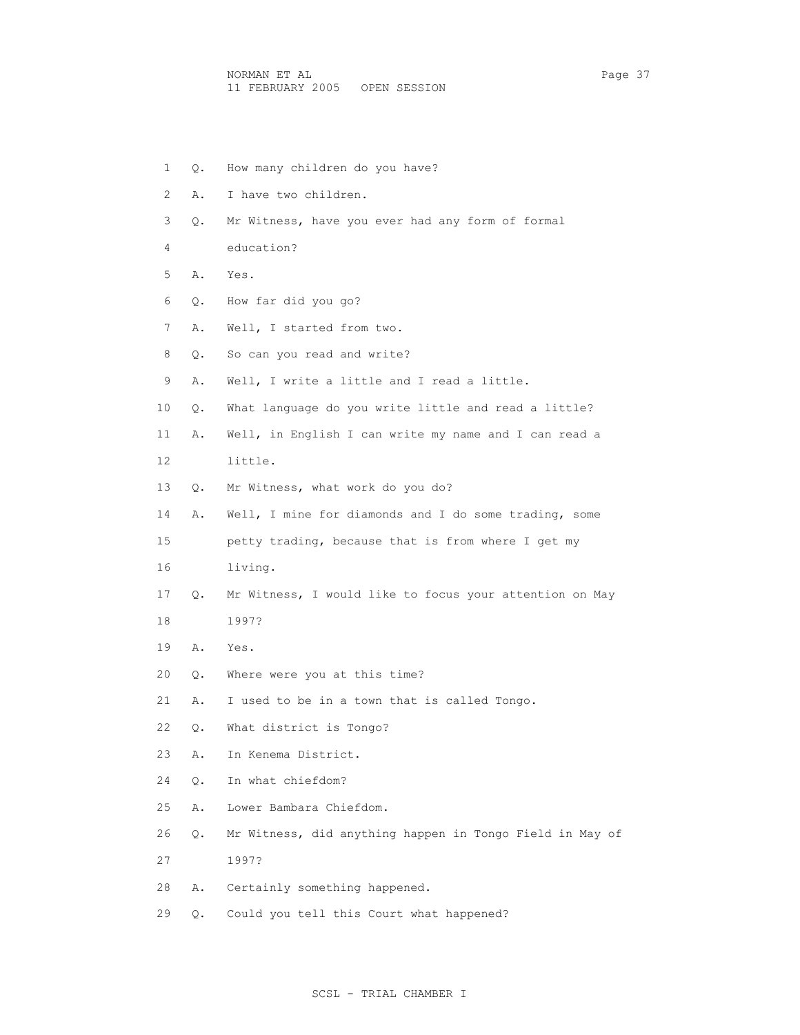1 Q. How many children do you have? 2 A. I have two children. 3 Q. Mr Witness, have you ever had any form of formal 4 education? 5 A. Yes. 6 Q. How far did you go? 7 A. Well, I started from two. 8 Q. So can you read and write? 9 A. Well, I write a little and I read a little. 10 Q. What language do you write little and read a little? 11 A. Well, in English I can write my name and I can read a 12 little. 13 Q. Mr Witness, what work do you do? 14 A. Well, I mine for diamonds and I do some trading, some 15 petty trading, because that is from where I get my 16 living. 17 Q. Mr Witness, I would like to focus your attention on May 18 1997? 19 A. Yes. 20 Q. Where were you at this time? 21 A. I used to be in a town that is called Tongo. 22 Q. What district is Tongo? 23 A. In Kenema District. 24 Q. In what chiefdom? 25 A. Lower Bambara Chiefdom. 26 Q. Mr Witness, did anything happen in Tongo Field in May of 27 1997? 28 A. Certainly something happened. 29 Q. Could you tell this Court what happened?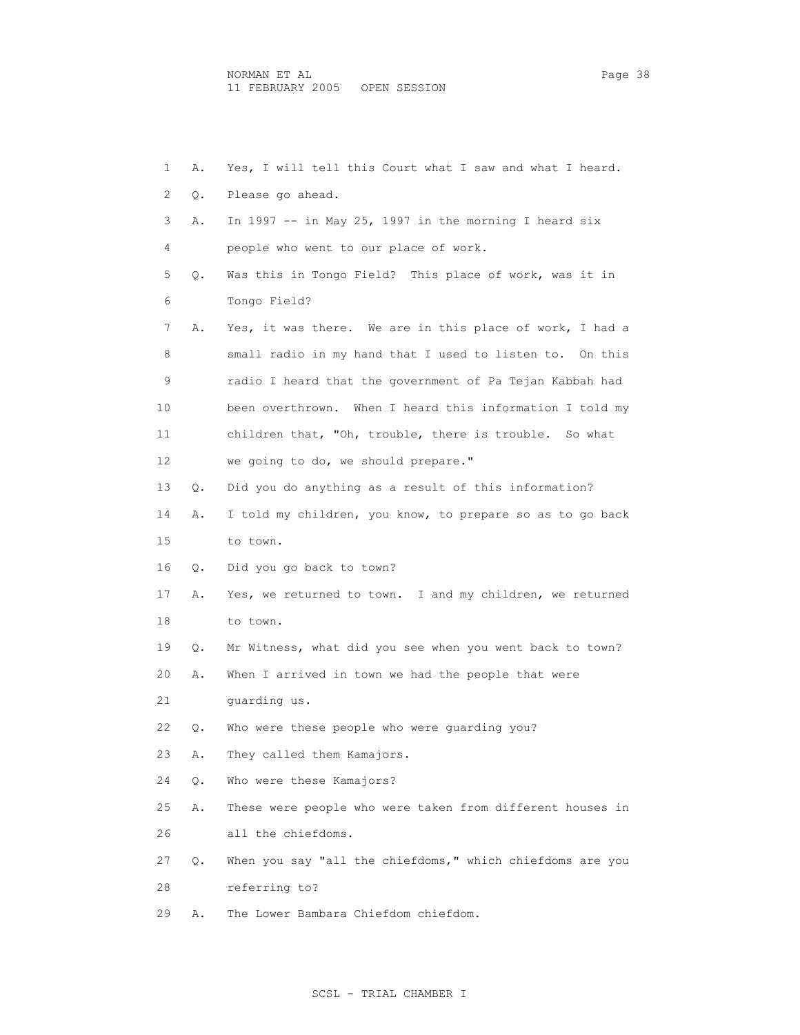| 1  | Α. | Yes, I will tell this Court what I saw and what I heard.  |
|----|----|-----------------------------------------------------------|
| 2  | Q. | Please go ahead.                                          |
| 3  | Α. | In 1997 -- in May 25, 1997 in the morning I heard six     |
| 4  |    | people who went to our place of work.                     |
| 5  | О. | Was this in Tongo Field? This place of work, was it in    |
| 6  |    | Tongo Field?                                              |
| 7  | Α. | Yes, it was there. We are in this place of work, I had a  |
| 8  |    | small radio in my hand that I used to listen to. On this  |
| 9  |    | radio I heard that the government of Pa Tejan Kabbah had  |
| 10 |    | been overthrown. When I heard this information I told my  |
| 11 |    | children that, "Oh, trouble, there is trouble. So what    |
| 12 |    | we going to do, we should prepare."                       |
| 13 | Q. | Did you do anything as a result of this information?      |
| 14 | Α. | I told my children, you know, to prepare so as to go back |
| 15 |    | to town.                                                  |
| 16 | Q. | Did you go back to town?                                  |
| 17 | Α. | Yes, we returned to town. I and my children, we returned  |
| 18 |    | to town.                                                  |
| 19 | Q. | Mr Witness, what did you see when you went back to town?  |
| 20 | Α. | When I arrived in town we had the people that were        |
| 21 |    | quarding us.                                              |
| 22 | Q. | Who were these people who were quarding you?              |
| 23 | Α. | They called them Kamajors.                                |
| 24 | Q. | Who were these Kamajors?                                  |
| 25 | Α. | These were people who were taken from different houses in |
| 26 |    | all the chiefdoms.                                        |
| 27 | Q. | When you say "all the chiefdoms," which chiefdoms are you |
| 28 |    | referring to?                                             |
| 29 | Α. | The Lower Bambara Chiefdom chiefdom.                      |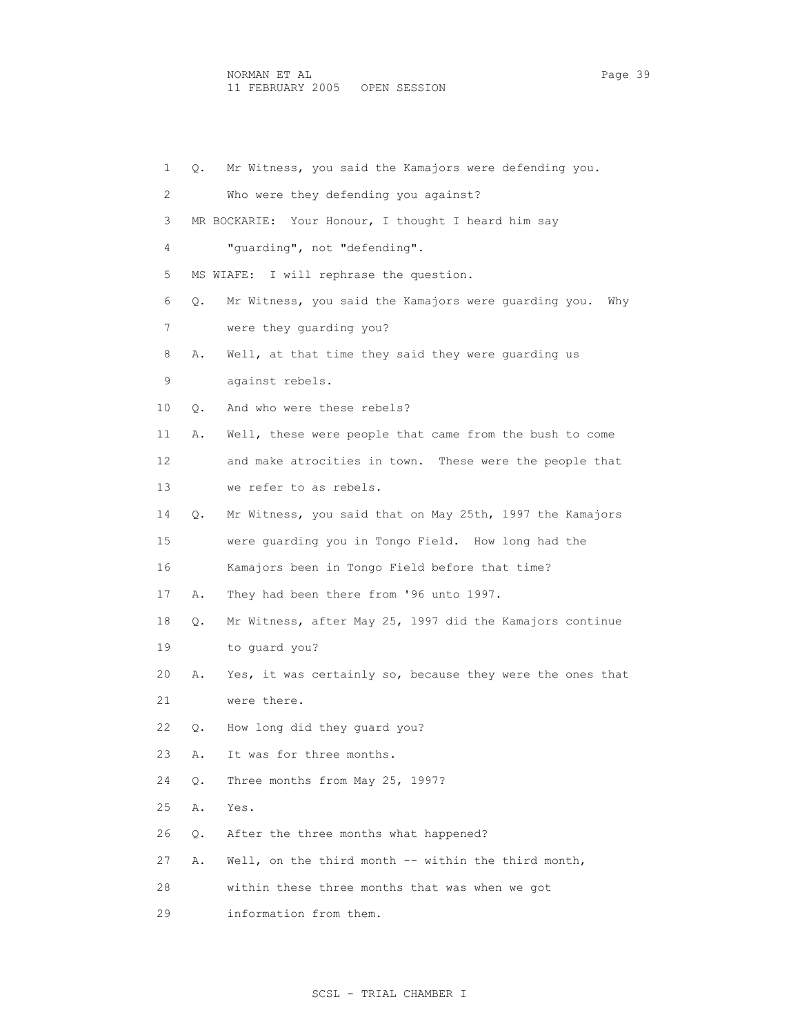1 Q. Mr Witness, you said the Kamajors were defending you. 2 Who were they defending you against? 3 MR BOCKARIE: Your Honour, I thought I heard him say 4 "guarding", not "defending". 5 MS WIAFE: I will rephrase the question. 6 Q. Mr Witness, you said the Kamajors were guarding you. Why 7 were they guarding you? 8 A. Well, at that time they said they were guarding us 9 against rebels. 10 Q. And who were these rebels? 11 A. Well, these were people that came from the bush to come 12 and make atrocities in town. These were the people that 13 we refer to as rebels. 14 Q. Mr Witness, you said that on May 25th, 1997 the Kamajors 15 were guarding you in Tongo Field. How long had the 16 Kamajors been in Tongo Field before that time? 17 A. They had been there from '96 unto 1997. 18 Q. Mr Witness, after May 25, 1997 did the Kamajors continue 19 to guard you? 20 A. Yes, it was certainly so, because they were the ones that 21 were there. 22 Q. How long did they guard you? 23 A. It was for three months. 24 Q. Three months from May 25, 1997? 25 A. Yes. 26 Q. After the three months what happened? 27 A. Well, on the third month -- within the third month, 28 within these three months that was when we got

29 information from them.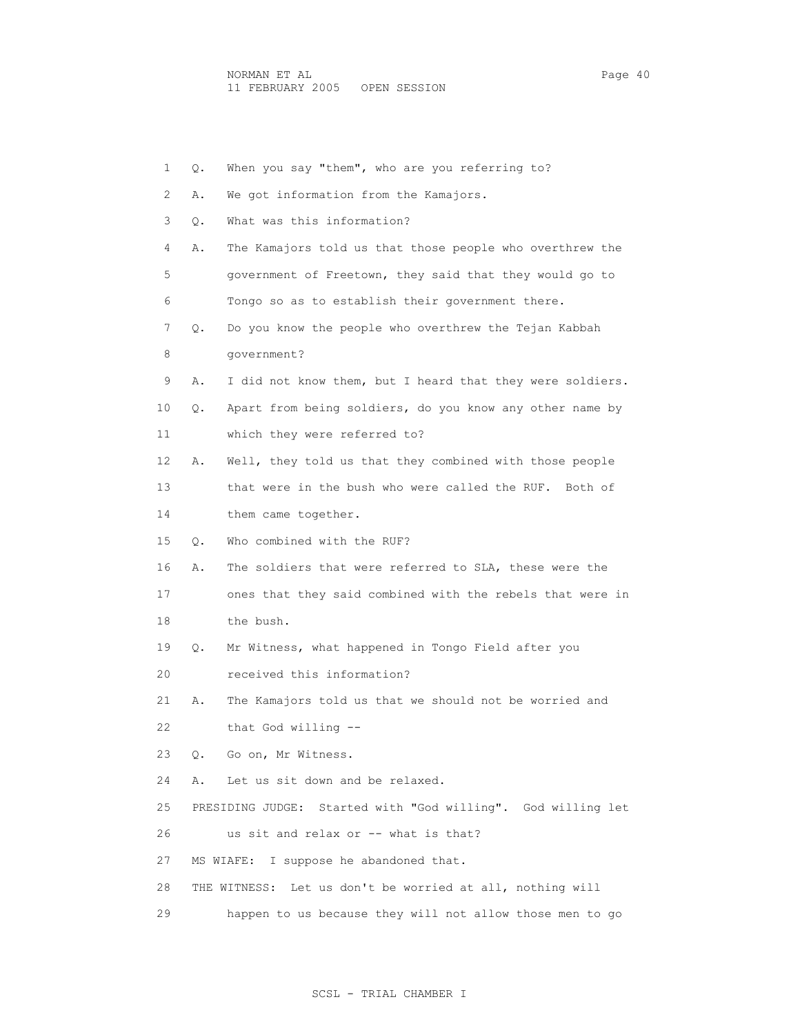| 1  | Q. | When you say "them", who are you referring to?               |
|----|----|--------------------------------------------------------------|
| 2  | Α. | We got information from the Kamajors.                        |
| 3  | Q. | What was this information?                                   |
| 4  | Α. | The Kamajors told us that those people who overthrew the     |
| 5  |    | government of Freetown, they said that they would go to      |
| 6  |    | Tongo so as to establish their government there.             |
| 7  | Q. | Do you know the people who overthrew the Tejan Kabbah        |
| 8  |    | qovernment?                                                  |
| 9  | Α. | I did not know them, but I heard that they were soldiers.    |
| 10 | Q. | Apart from being soldiers, do you know any other name by     |
| 11 |    | which they were referred to?                                 |
| 12 | Α. | Well, they told us that they combined with those people      |
| 13 |    | that were in the bush who were called the RUF. Both of       |
| 14 |    | them came together.                                          |
| 15 | Q. | Who combined with the RUF?                                   |
| 16 | Α. | The soldiers that were referred to SLA, these were the       |
| 17 |    | ones that they said combined with the rebels that were in    |
| 18 |    | the bush.                                                    |
| 19 | Q. | Mr Witness, what happened in Tongo Field after you           |
| 20 |    | received this information?                                   |
| 21 | Α. | The Kamajors told us that we should not be worried and       |
| 22 |    | that God willing --                                          |
| 23 | Q. | Go on, Mr Witness.                                           |
| 24 | Α. | Let us sit down and be relaxed.                              |
| 25 |    | PRESIDING JUDGE: Started with "God willing". God willing let |
| 26 |    | us sit and relax or -- what is that?                         |
| 27 |    | MS WIAFE:<br>I suppose he abandoned that.                    |
| 28 |    | THE WITNESS: Let us don't be worried at all, nothing will    |
| 29 |    | happen to us because they will not allow those men to go     |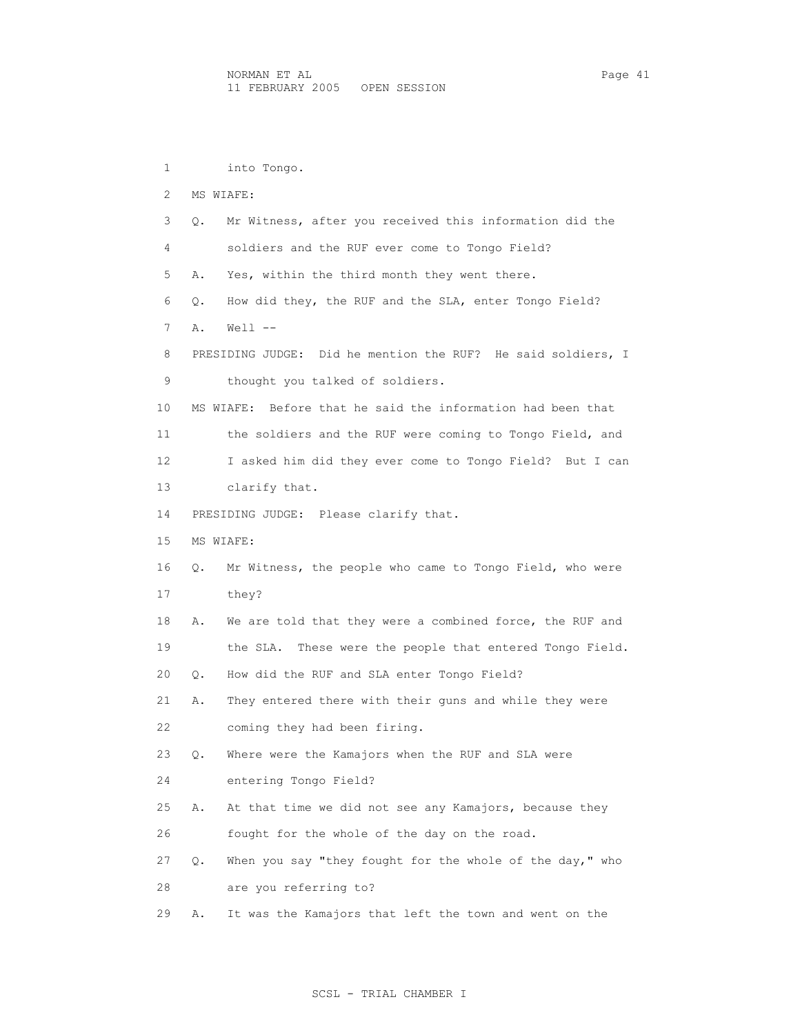1 into Tongo. 2 MS WIAFE: 3 Q. Mr Witness, after you received this information did the 4 soldiers and the RUF ever come to Tongo Field? 5 A. Yes, within the third month they went there. 6 Q. How did they, the RUF and the SLA, enter Tongo Field? 7 A. Well -- 8 PRESIDING JUDGE: Did he mention the RUF? He said soldiers, I 9 thought you talked of soldiers. 10 MS WIAFE: Before that he said the information had been that 11 the soldiers and the RUF were coming to Tongo Field, and 12 I asked him did they ever come to Tongo Field? But I can 13 clarify that. 14 PRESIDING JUDGE: Please clarify that. 15 MS WIAFE: 16 Q. Mr Witness, the people who came to Tongo Field, who were 17 they? 18 A. We are told that they were a combined force, the RUF and 19 the SLA. These were the people that entered Tongo Field. 20 Q. How did the RUF and SLA enter Tongo Field? 21 A. They entered there with their guns and while they were 22 coming they had been firing. 23 Q. Where were the Kamajors when the RUF and SLA were 24 entering Tongo Field? 25 A. At that time we did not see any Kamajors, because they 26 fought for the whole of the day on the road. 27 Q. When you say "they fought for the whole of the day," who 28 are you referring to?

29 A. It was the Kamajors that left the town and went on the

### SCSL - TRIAL CHAMBER I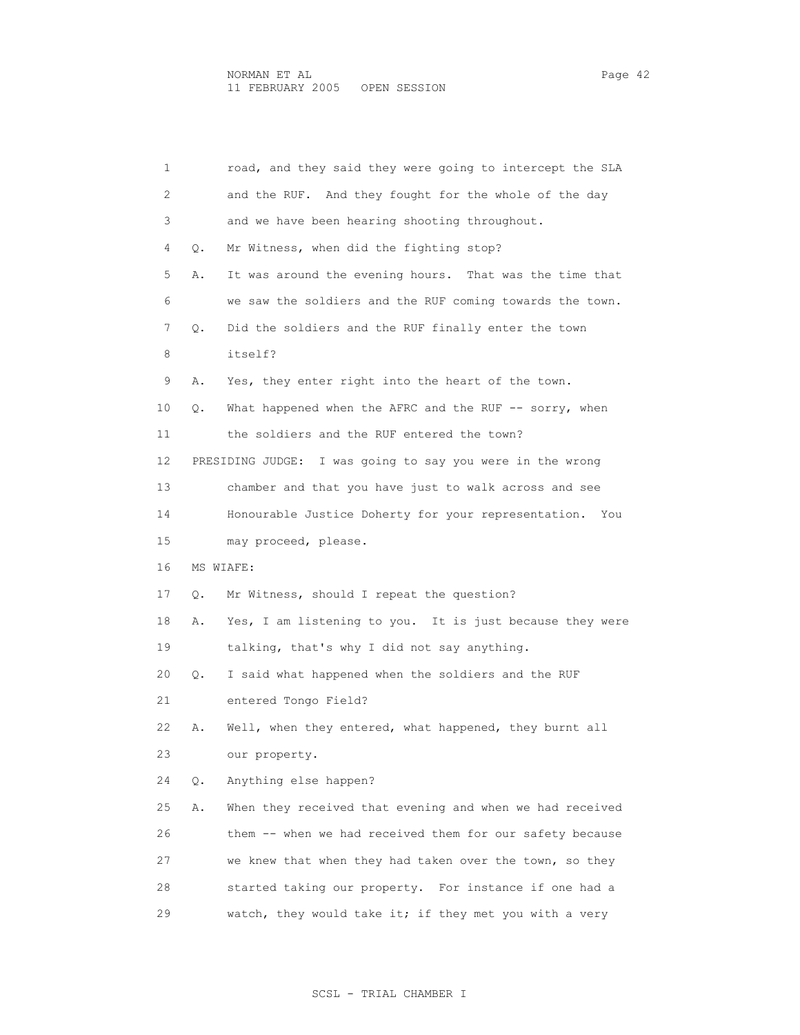| 1  |    | road, and they said they were going to intercept the SLA     |
|----|----|--------------------------------------------------------------|
| 2  |    | and the RUF. And they fought for the whole of the day        |
| 3  |    | and we have been hearing shooting throughout.                |
| 4  | Q. | Mr Witness, when did the fighting stop?                      |
| 5  | Α. | It was around the evening hours. That was the time that      |
| 6  |    | we saw the soldiers and the RUF coming towards the town.     |
| 7  | Q. | Did the soldiers and the RUF finally enter the town          |
| 8  |    | itself?                                                      |
| 9  | Α. | Yes, they enter right into the heart of the town.            |
| 10 | Q. | What happened when the AFRC and the RUF -- sorry, when       |
| 11 |    | the soldiers and the RUF entered the town?                   |
| 12 |    | PRESIDING JUDGE:<br>I was going to say you were in the wrong |
| 13 |    | chamber and that you have just to walk across and see        |
| 14 |    | Honourable Justice Doherty for your representation.<br>You   |
| 15 |    | may proceed, please.                                         |
| 16 |    | MS WIAFE:                                                    |
| 17 | Q. | Mr Witness, should I repeat the question?                    |
| 18 | Α. | Yes, I am listening to you. It is just because they were     |
| 19 |    | talking, that's why I did not say anything.                  |
| 20 | Q. | I said what happened when the soldiers and the RUF           |
| 21 |    | entered Tongo Field?                                         |
| 22 | Α. | Well, when they entered, what happened, they burnt all       |
| 23 |    | our property.                                                |
| 24 | Q. | Anything else happen?                                        |
| 25 | Α. | When they received that evening and when we had received     |
| 26 |    | them -- when we had received them for our safety because     |
| 27 |    | we knew that when they had taken over the town, so they      |
| 28 |    | started taking our property. For instance if one had a       |
| 29 |    | watch, they would take it; if they met you with a very       |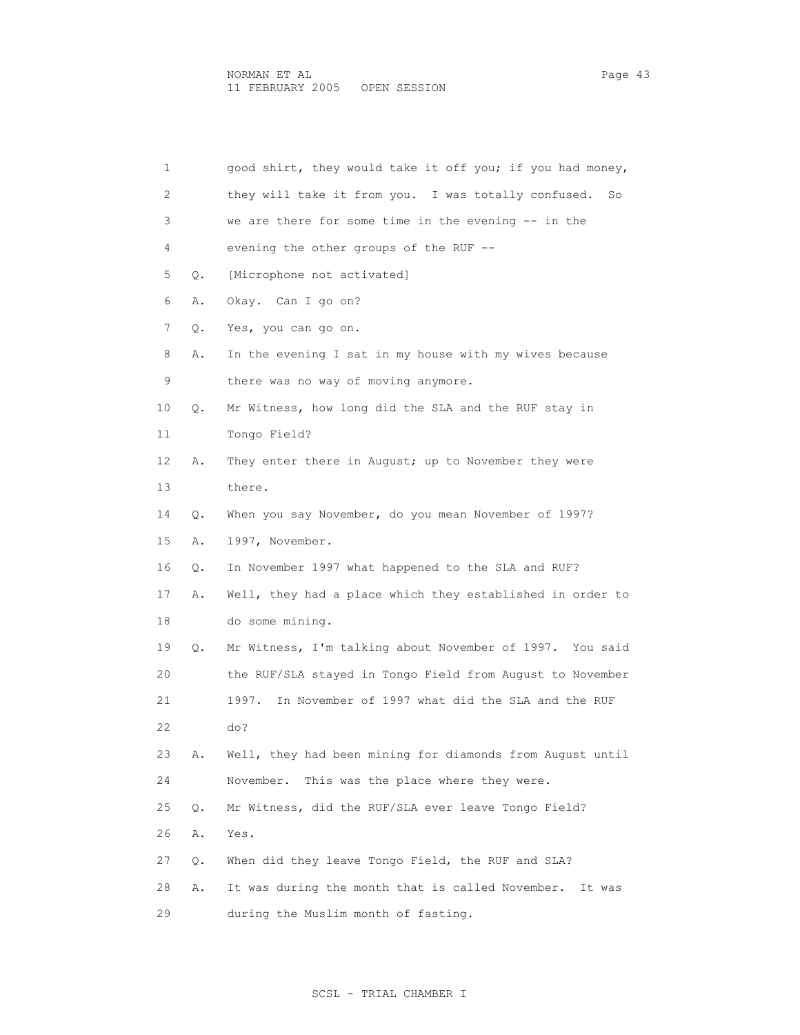| 1  |    | good shirt, they would take it off you; if you had money,  |
|----|----|------------------------------------------------------------|
| 2  |    | they will take it from you. I was totally confused.<br>So  |
| 3  |    | we are there for some time in the evening -- in the        |
| 4  |    | evening the other groups of the RUF --                     |
| 5  | Q. | [Microphone not activated]                                 |
| 6  | Α. | Okay. Can I go on?                                         |
| 7  | Q. | Yes, you can go on.                                        |
| 8  | Α. | In the evening I sat in my house with my wives because     |
| 9  |    | there was no way of moving anymore.                        |
| 10 | Q. | Mr Witness, how long did the SLA and the RUF stay in       |
| 11 |    | Tongo Field?                                               |
| 12 | Α. | They enter there in August; up to November they were       |
| 13 |    | there.                                                     |
| 14 | Q. | When you say November, do you mean November of 1997?       |
| 15 | Α. | 1997, November.                                            |
| 16 | Q. | In November 1997 what happened to the SLA and RUF?         |
| 17 | Α. | Well, they had a place which they established in order to  |
| 18 |    | do some mining.                                            |
| 19 | Q. | Mr Witness, I'm talking about November of 1997. You said   |
| 20 |    | the RUF/SLA stayed in Tongo Field from August to November  |
| 21 |    | In November of 1997 what did the SLA and the RUF<br>1997.  |
| 22 |    | do?                                                        |
| 23 | Α. | Well, they had been mining for diamonds from August until  |
| 24 |    | November.<br>This was the place where they were.           |
| 25 | Q. | Mr Witness, did the RUF/SLA ever leave Tongo Field?        |
| 26 | Α. | Yes.                                                       |
| 27 | Q. | When did they leave Tongo Field, the RUF and SLA?          |
| 28 | Α. | It was during the month that is called November.<br>It was |
| 29 |    | during the Muslim month of fasting.                        |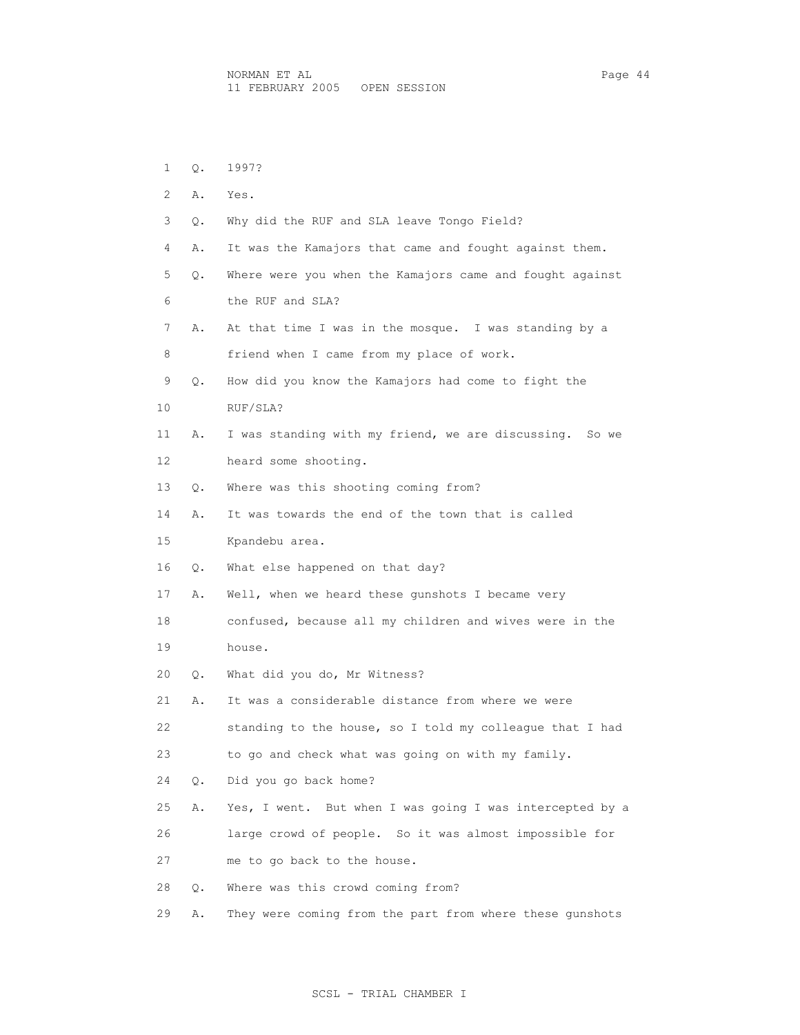| 1  | Q. | 1997?                                                      |
|----|----|------------------------------------------------------------|
| 2  | Α. | Yes.                                                       |
| 3  | Q. | Why did the RUF and SLA leave Tongo Field?                 |
| 4  | Α. | It was the Kamajors that came and fought against them.     |
| 5  | Q. | Where were you when the Kamajors came and fought against   |
| 6  |    | the RUF and SLA?                                           |
| 7  | Α. | At that time I was in the mosque. I was standing by a      |
| 8  |    | friend when I came from my place of work.                  |
| 9  | Q. | How did you know the Kamajors had come to fight the        |
| 10 |    | RUF/SLA?                                                   |
| 11 | Α. | I was standing with my friend, we are discussing.<br>So we |
| 12 |    | heard some shooting.                                       |
| 13 | О. | Where was this shooting coming from?                       |
| 14 | Α. | It was towards the end of the town that is called          |
| 15 |    | Kpandebu area.                                             |
| 16 | Q. | What else happened on that day?                            |
| 17 | Α. | Well, when we heard these gunshots I became very           |
| 18 |    | confused, because all my children and wives were in the    |
| 19 |    | house.                                                     |
| 20 | Q. | What did you do, Mr Witness?                               |
| 21 | Α. | It was a considerable distance from where we were          |
| 22 |    | standing to the house, so I told my colleague that I had   |
| 23 |    | to go and check what was going on with my family.          |
| 24 | Q. | Did you go back home?                                      |
| 25 | Α. | Yes, I went. But when I was going I was intercepted by a   |
| 26 |    | large crowd of people. So it was almost impossible for     |
| 27 |    | me to go back to the house.                                |
| 28 | О. | Where was this crowd coming from?                          |
| 29 | Α. | They were coming from the part from where these qunshots   |

# SCSL - TRIAL CHAMBER I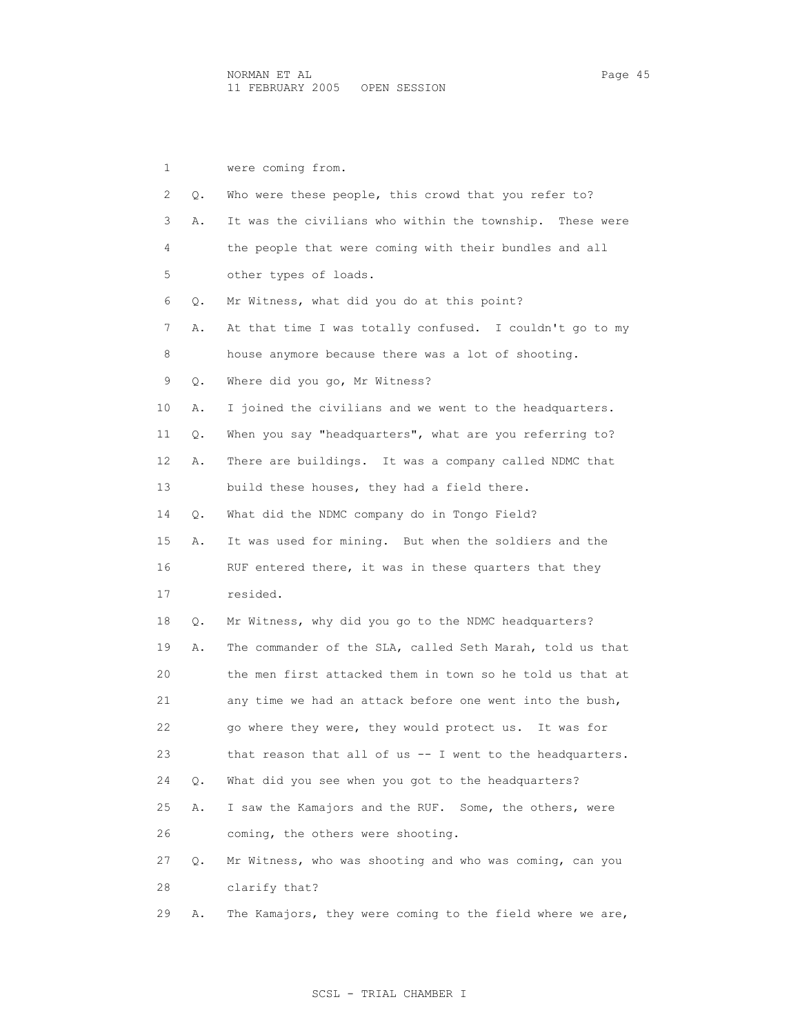1 were coming from. 2 Q. Who were these people, this crowd that you refer to? 3 A. It was the civilians who within the township. These were 4 the people that were coming with their bundles and all 5 other types of loads. 6 Q. Mr Witness, what did you do at this point? 7 A. At that time I was totally confused. I couldn't go to my 8 house anymore because there was a lot of shooting. 9 Q. Where did you go, Mr Witness? 10 A. I joined the civilians and we went to the headquarters. 11 Q. When you say "headquarters", what are you referring to? 12 A. There are buildings. It was a company called NDMC that 13 build these houses, they had a field there. 14 Q. What did the NDMC company do in Tongo Field? 15 A. It was used for mining. But when the soldiers and the 16 RUF entered there, it was in these quarters that they 17 resided. 18 Q. Mr Witness, why did you go to the NDMC headquarters? 19 A. The commander of the SLA, called Seth Marah, told us that 20 the men first attacked them in town so he told us that at 21 any time we had an attack before one went into the bush, 22 go where they were, they would protect us. It was for 23 that reason that all of us -- I went to the headquarters. 24 Q. What did you see when you got to the headquarters? 25 A. I saw the Kamajors and the RUF. Some, the others, were 26 coming, the others were shooting. 27 Q. Mr Witness, who was shooting and who was coming, can you 28 clarify that? 29 A. The Kamajors, they were coming to the field where we are,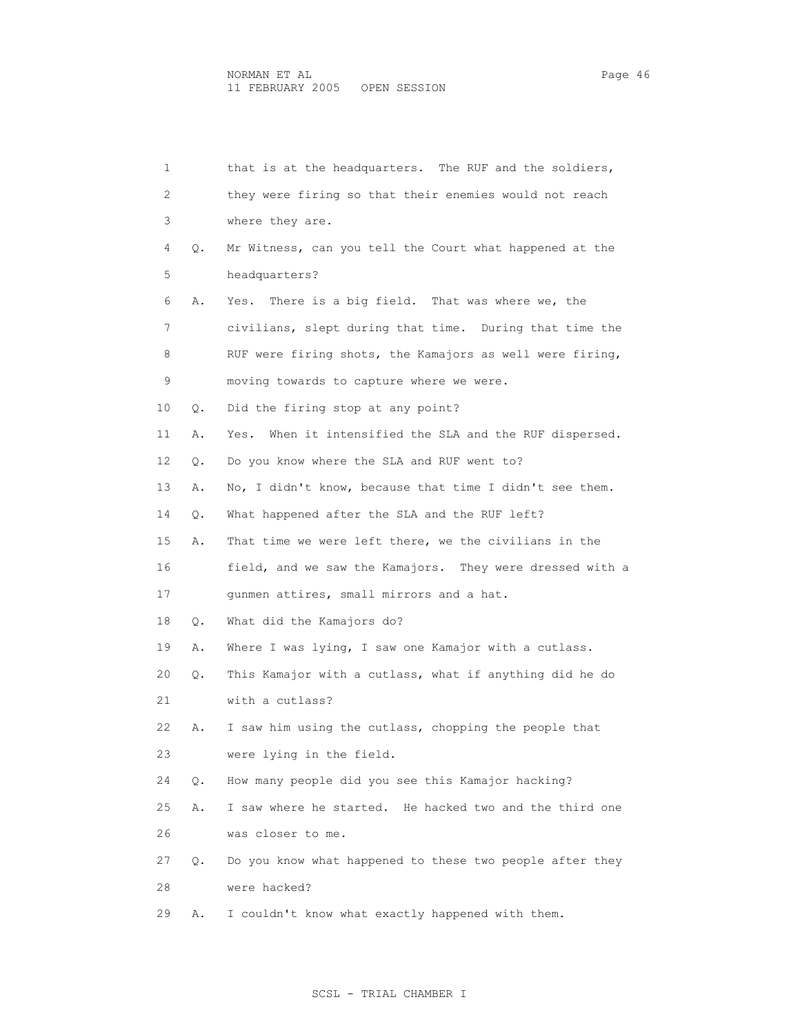| 1  |    | that is at the headquarters. The RUF and the soldiers,     |
|----|----|------------------------------------------------------------|
| 2  |    | they were firing so that their enemies would not reach     |
| 3  |    | where they are.                                            |
| 4  | Q. | Mr Witness, can you tell the Court what happened at the    |
| 5  |    | headquarters?                                              |
| 6  | Α. | There is a big field. That was where we, the<br>Yes.       |
| 7  |    | civilians, slept during that time. During that time the    |
| 8  |    | RUF were firing shots, the Kamajors as well were firing,   |
| 9  |    | moving towards to capture where we were.                   |
| 10 | Q. | Did the firing stop at any point?                          |
| 11 | Α. | When it intensified the SLA and the RUF dispersed.<br>Yes. |
| 12 | Q. | Do you know where the SLA and RUF went to?                 |
| 13 | Α. | No, I didn't know, because that time I didn't see them.    |
| 14 | Q. | What happened after the SLA and the RUF left?              |
| 15 | Α. | That time we were left there, we the civilians in the      |
| 16 |    | field, and we saw the Kamajors. They were dressed with a   |
| 17 |    | gunmen attires, small mirrors and a hat.                   |
| 18 | О. | What did the Kamajors do?                                  |
| 19 | Α. | Where I was lying, I saw one Kamajor with a cutlass.       |
| 20 | Q. | This Kamajor with a cutlass, what if anything did he do    |
| 21 |    | with a cutlass?                                            |
| 22 | Α. | I saw him using the cutlass, chopping the people that      |
| 23 |    | were lying in the field.                                   |
| 24 | Q. | How many people did you see this Kamajor hacking?          |
| 25 | Α. | I saw where he started. He hacked two and the third one    |
| 26 |    | was closer to me.                                          |
| 27 | Q. | Do you know what happened to these two people after they   |
| 28 |    | were hacked?                                               |
| 29 | Α. | I couldn't know what exactly happened with them.           |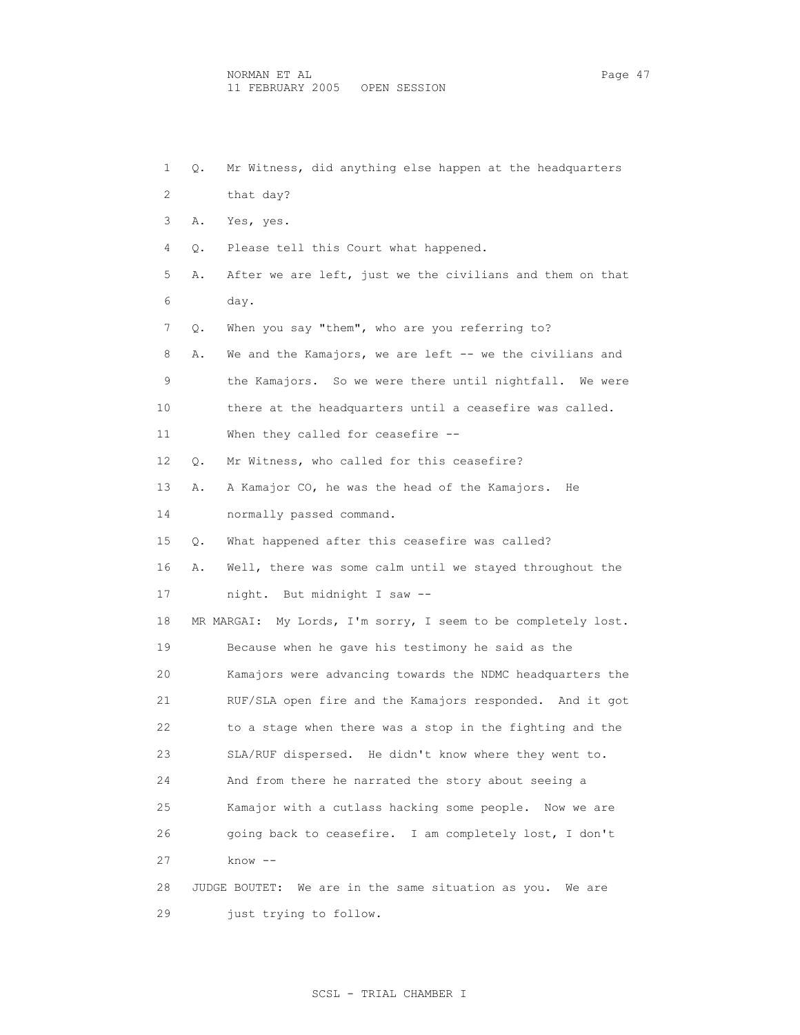| 1  | Q. | Mr Witness, did anything else happen at the headquarters      |
|----|----|---------------------------------------------------------------|
| 2  |    | that day?                                                     |
| 3  | Α. | Yes, yes.                                                     |
| 4  | Q. | Please tell this Court what happened.                         |
| 5  | Α. | After we are left, just we the civilians and them on that     |
| 6  |    | day.                                                          |
| 7  | Q. | When you say "them", who are you referring to?                |
| 8  | Α. | We and the Kamajors, we are left -- we the civilians and      |
| 9  |    | the Kamajors. So we were there until nightfall. We were       |
| 10 |    | there at the headquarters until a ceasefire was called.       |
| 11 |    | When they called for ceasefire --                             |
| 12 | Q. | Mr Witness, who called for this ceasefire?                    |
| 13 | Α. | A Kamajor CO, he was the head of the Kamajors. He             |
| 14 |    | normally passed command.                                      |
| 15 | Q. | What happened after this ceasefire was called?                |
| 16 | Α. | Well, there was some calm until we stayed throughout the      |
| 17 |    | night. But midnight I saw --                                  |
| 18 |    | MR MARGAI: My Lords, I'm sorry, I seem to be completely lost. |
| 19 |    | Because when he gave his testimony he said as the             |
| 20 |    | Kamajors were advancing towards the NDMC headquarters the     |
| 21 |    | RUF/SLA open fire and the Kamajors responded. And it got      |
| 22 |    | to a stage when there was a stop in the fighting and the      |
| 23 |    | SLA/RUF dispersed. He didn't know where they went to.         |
| 24 |    | And from there he narrated the story about seeing a           |
| 25 |    | Kamajor with a cutlass hacking some people.<br>Now we are     |
| 26 |    | going back to ceasefire. I am completely lost, I don't        |
| 27 |    | $know --$                                                     |
| 28 |    | We are in the same situation as you. We are<br>JUDGE BOUTET:  |
| 29 |    | just trying to follow.                                        |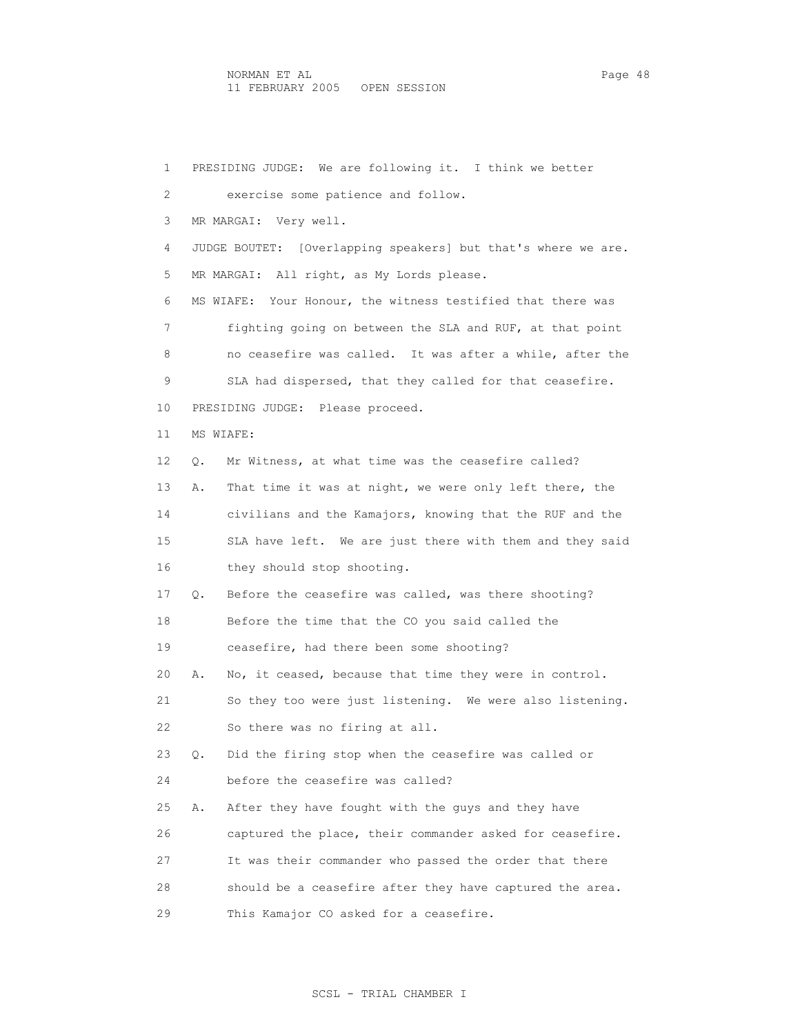1 PRESIDING JUDGE: We are following it. I think we better 2 exercise some patience and follow. 3 MR MARGAI: Very well. 4 JUDGE BOUTET: [Overlapping speakers] but that's where we are. 5 MR MARGAI: All right, as My Lords please. 6 MS WIAFE: Your Honour, the witness testified that there was 7 fighting going on between the SLA and RUF, at that point 8 no ceasefire was called. It was after a while, after the 9 SLA had dispersed, that they called for that ceasefire. 10 PRESIDING JUDGE: Please proceed. 11 MS WIAFE: 12 Q. Mr Witness, at what time was the ceasefire called? 13 A. That time it was at night, we were only left there, the 14 civilians and the Kamajors, knowing that the RUF and the 15 SLA have left. We are just there with them and they said 16 they should stop shooting. 17 Q. Before the ceasefire was called, was there shooting? 18 Before the time that the CO you said called the 19 ceasefire, had there been some shooting? 20 A. No, it ceased, because that time they were in control. 21 So they too were just listening. We were also listening. 22 So there was no firing at all. 23 Q. Did the firing stop when the ceasefire was called or 24 before the ceasefire was called? 25 A. After they have fought with the guys and they have 26 captured the place, their commander asked for ceasefire. 27 It was their commander who passed the order that there 28 should be a ceasefire after they have captured the area. 29 This Kamajor CO asked for a ceasefire.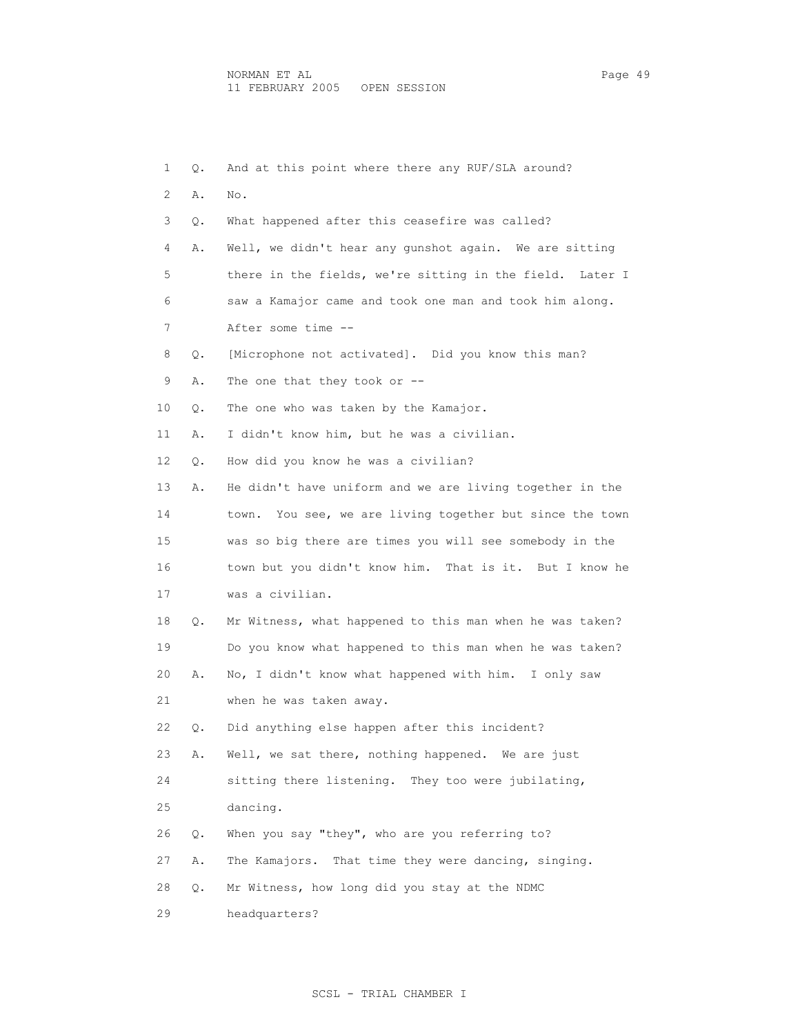1 Q. And at this point where there any RUF/SLA around? 2 A. No. 3 Q. What happened after this ceasefire was called? 4 A. Well, we didn't hear any gunshot again. We are sitting 5 there in the fields, we're sitting in the field. Later I 6 saw a Kamajor came and took one man and took him along. 7 After some time -- 8 Q. [Microphone not activated]. Did you know this man? 9 A. The one that they took or -- 10 Q. The one who was taken by the Kamajor. 11 A. I didn't know him, but he was a civilian. 12 Q. How did you know he was a civilian? 13 A. He didn't have uniform and we are living together in the 14 town. You see, we are living together but since the town 15 was so big there are times you will see somebody in the 16 town but you didn't know him. That is it. But I know he 17 was a civilian. 18 Q. Mr Witness, what happened to this man when he was taken? 19 Do you know what happened to this man when he was taken? 20 A. No, I didn't know what happened with him. I only saw 21 when he was taken away. 22 Q. Did anything else happen after this incident? 23 A. Well, we sat there, nothing happened. We are just 24 sitting there listening. They too were jubilating, 25 dancing. 26 Q. When you say "they", who are you referring to? 27 A. The Kamajors. That time they were dancing, singing. 28 Q. Mr Witness, how long did you stay at the NDMC 29 headquarters?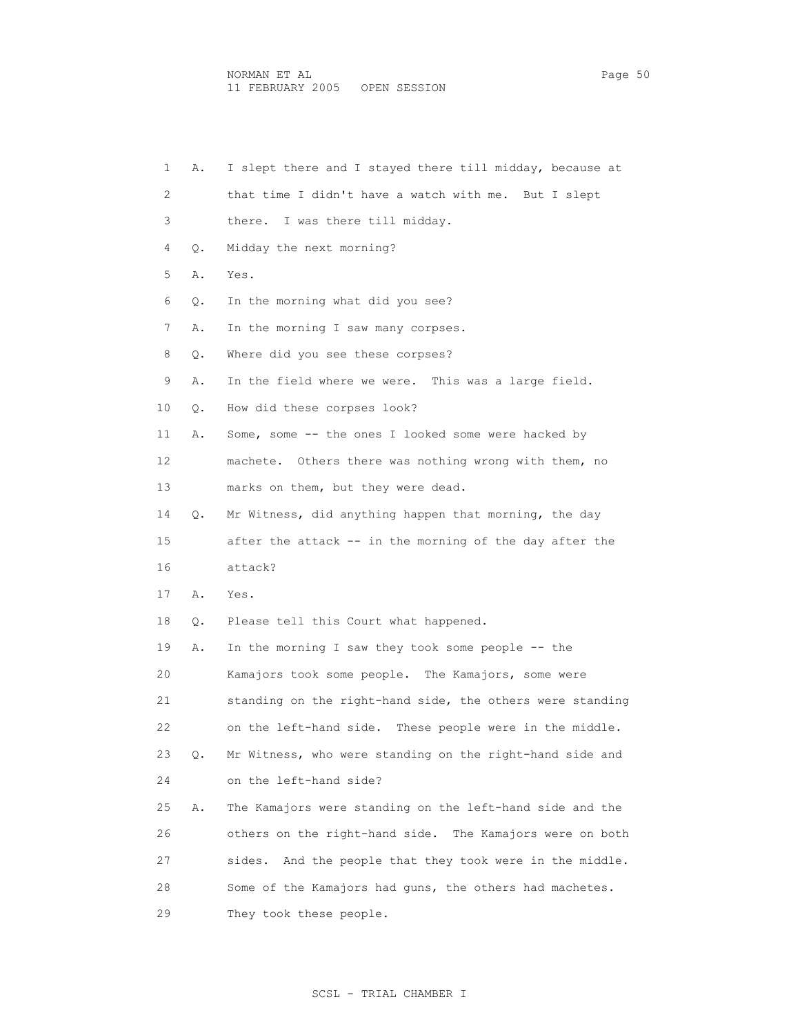| 1  | Α. | I slept there and I stayed there till midday, because at    |
|----|----|-------------------------------------------------------------|
| 2  |    | that time I didn't have a watch with me. But I slept        |
| 3  |    | there. I was there till midday.                             |
| 4  | Q. | Midday the next morning?                                    |
| 5  | Α. | Yes.                                                        |
| 6  | Q. | In the morning what did you see?                            |
| 7  | Α. | In the morning I saw many corpses.                          |
| 8  | О. | Where did you see these corpses?                            |
| 9  | Α. | In the field where we were. This was a large field.         |
| 10 | Q. | How did these corpses look?                                 |
| 11 | Α. | Some, some -- the ones I looked some were hacked by         |
| 12 |    | machete. Others there was nothing wrong with them, no       |
| 13 |    | marks on them, but they were dead.                          |
| 14 | Q. | Mr Witness, did anything happen that morning, the day       |
| 15 |    | after the attack -- in the morning of the day after the     |
| 16 |    | attack?                                                     |
| 17 | Α. | Yes.                                                        |
| 18 | Q. | Please tell this Court what happened.                       |
| 19 | Α. | In the morning I saw they took some people -- the           |
| 20 |    | Kamajors took some people. The Kamajors, some were          |
| 21 |    | standing on the right-hand side, the others were standing   |
| 22 |    | on the left-hand side. These people were in the middle.     |
| 23 | Q. | Mr Witness, who were standing on the right-hand side and    |
| 24 |    | on the left-hand side?                                      |
| 25 | Α. | The Kamajors were standing on the left-hand side and the    |
| 26 |    | others on the right-hand side.<br>The Kamajors were on both |
| 27 |    | And the people that they took were in the middle.<br>sides. |
| 28 |    | Some of the Kamajors had quns, the others had machetes.     |
| 29 |    | They took these people.                                     |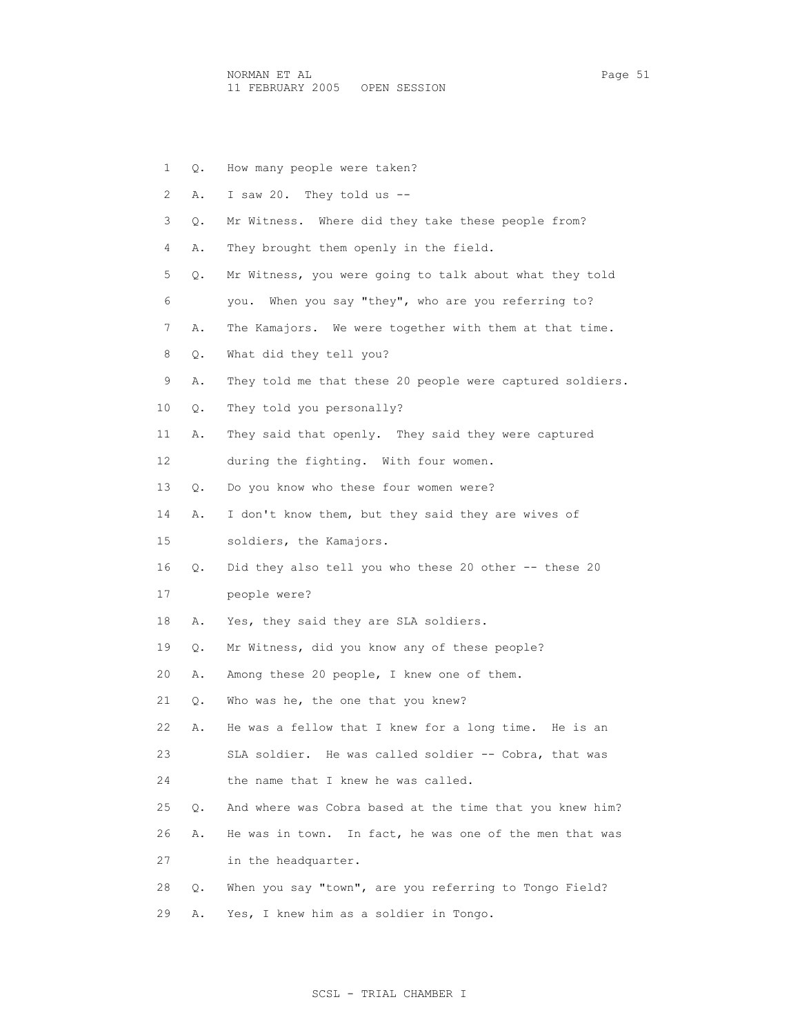NORMAN ET AL Page 51 11 FEBRUARY 2005 OPEN SESSION

 1 Q. How many people were taken? 2 A. I saw 20. They told us -- 3 Q. Mr Witness. Where did they take these people from? 4 A. They brought them openly in the field. 5 Q. Mr Witness, you were going to talk about what they told 6 you. When you say "they", who are you referring to? 7 A. The Kamajors. We were together with them at that time. 8 Q. What did they tell you? 9 A. They told me that these 20 people were captured soldiers. 10 Q. They told you personally? 11 A. They said that openly. They said they were captured 12 during the fighting. With four women. 13 Q. Do you know who these four women were? 14 A. I don't know them, but they said they are wives of 15 soldiers, the Kamajors. 16 Q. Did they also tell you who these 20 other -- these 20 17 people were? 18 A. Yes, they said they are SLA soldiers. 19 Q. Mr Witness, did you know any of these people? 20 A. Among these 20 people, I knew one of them. 21 Q. Who was he, the one that you knew? 22 A. He was a fellow that I knew for a long time. He is an 23 SLA soldier. He was called soldier -- Cobra, that was 24 the name that I knew he was called. 25 Q. And where was Cobra based at the time that you knew him? 26 A. He was in town. In fact, he was one of the men that was 27 in the headquarter. 28 Q. When you say "town", are you referring to Tongo Field? 29 A. Yes, I knew him as a soldier in Tongo.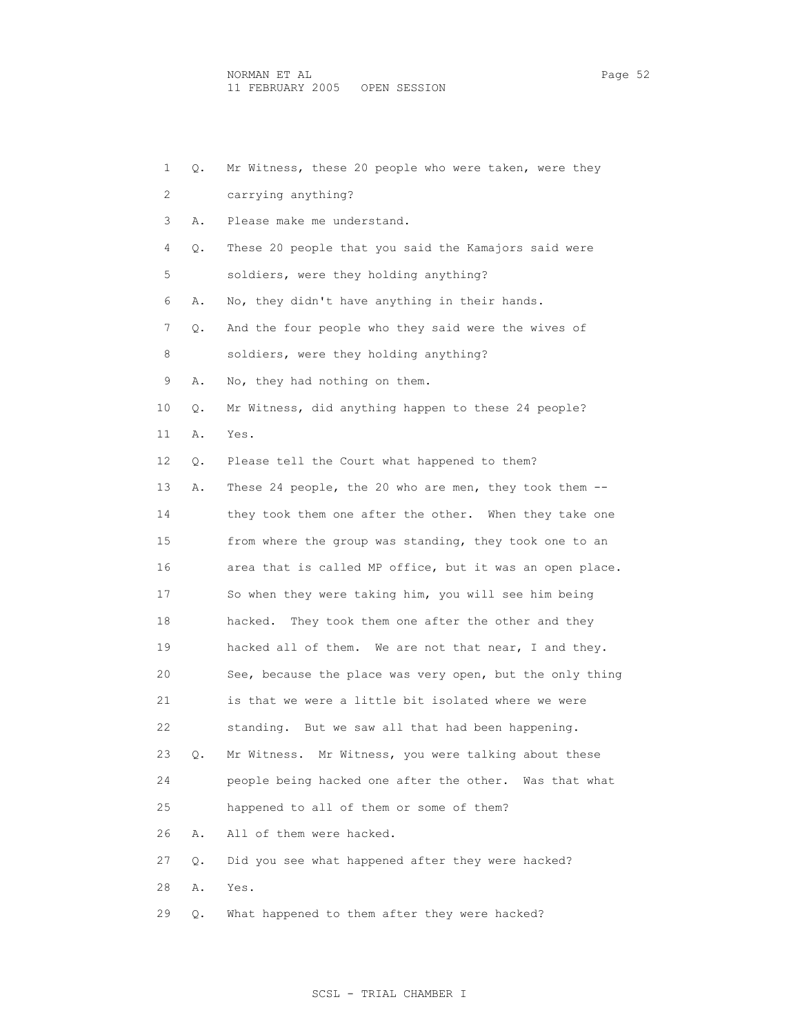1 Q. Mr Witness, these 20 people who were taken, were they 2 carrying anything? 3 A. Please make me understand. 4 Q. These 20 people that you said the Kamajors said were 5 soldiers, were they holding anything? 6 A. No, they didn't have anything in their hands. 7 Q. And the four people who they said were the wives of 8 soldiers, were they holding anything? 9 A. No, they had nothing on them. 10 Q. Mr Witness, did anything happen to these 24 people? 11 A. Yes. 12 Q. Please tell the Court what happened to them? 13 A. These 24 people, the 20 who are men, they took them -- 14 they took them one after the other. When they take one 15 from where the group was standing, they took one to an 16 area that is called MP office, but it was an open place. 17 So when they were taking him, you will see him being 18 hacked. They took them one after the other and they 19 hacked all of them. We are not that near, I and they. 20 See, because the place was very open, but the only thing 21 is that we were a little bit isolated where we were 22 standing. But we saw all that had been happening. 23 Q. Mr Witness. Mr Witness, you were talking about these 24 people being hacked one after the other. Was that what 25 happened to all of them or some of them? 26 A. All of them were hacked. 27 Q. Did you see what happened after they were hacked? 28 A. Yes. 29 Q. What happened to them after they were hacked?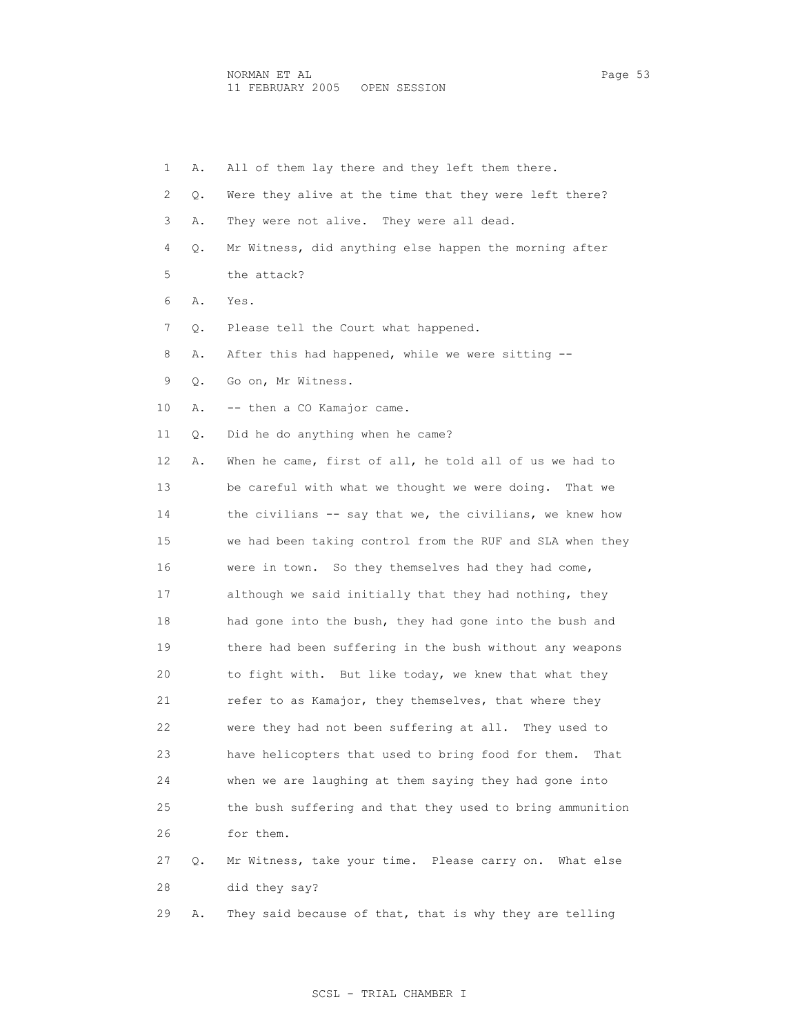| 1  | Α. | All of them lay there and they left them there.            |
|----|----|------------------------------------------------------------|
| 2  | Q. | Were they alive at the time that they were left there?     |
| 3  | Α. | They were not alive. They were all dead.                   |
| 4  | Q. | Mr Witness, did anything else happen the morning after     |
| 5  |    | the attack?                                                |
| 6  | Α. | Yes.                                                       |
| 7  | Q. | Please tell the Court what happened.                       |
| 8  | Α. | After this had happened, while we were sitting --          |
| 9  | Q. | Go on, Mr Witness.                                         |
| 10 | Α. | -- then a CO Kamajor came.                                 |
| 11 | Q. | Did he do anything when he came?                           |
| 12 | Α. | When he came, first of all, he told all of us we had to    |
| 13 |    | be careful with what we thought we were doing.<br>That we  |
| 14 |    | the civilians -- say that we, the civilians, we knew how   |
| 15 |    | we had been taking control from the RUF and SLA when they  |
| 16 |    | were in town. So they themselves had they had come,        |
| 17 |    | although we said initially that they had nothing, they     |
| 18 |    | had gone into the bush, they had gone into the bush and    |
| 19 |    | there had been suffering in the bush without any weapons   |
| 20 |    | to fight with. But like today, we knew that what they      |
| 21 |    | refer to as Kamajor, they themselves, that where they      |
| 22 |    | were they had not been suffering at all.<br>They used to   |
| 23 |    | have helicopters that used to bring food for them.<br>That |
| 24 |    | when we are laughing at them saying they had gone into     |
| 25 |    | the bush suffering and that they used to bring ammunition  |
| 26 |    | for them.                                                  |
| 27 | Q. | Mr Witness, take your time. Please carry on. What else     |
| 28 |    | did they say?                                              |
| 29 | Α. | They said because of that, that is why they are telling    |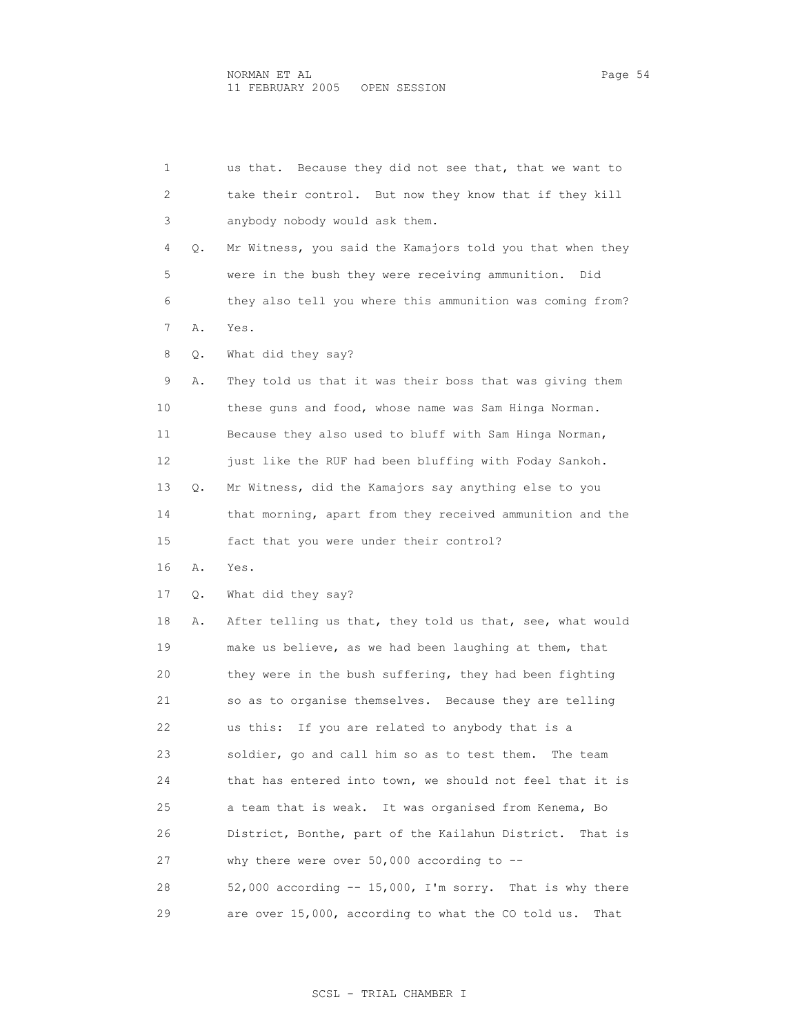| 1  |    | Because they did not see that, that we want to<br>us that.  |
|----|----|-------------------------------------------------------------|
| 2  |    | take their control. But now they know that if they kill     |
| 3  |    | anybody nobody would ask them.                              |
| 4  | Q. | Mr Witness, you said the Kamajors told you that when they   |
| 5  |    | were in the bush they were receiving ammunition.<br>Did     |
| 6  |    | they also tell you where this ammunition was coming from?   |
| 7  | Α. | Yes.                                                        |
| 8  | Q. | What did they say?                                          |
| 9  | Α. | They told us that it was their boss that was giving them    |
| 10 |    | these guns and food, whose name was Sam Hinga Norman.       |
| 11 |    | Because they also used to bluff with Sam Hinga Norman,      |
| 12 |    | just like the RUF had been bluffing with Foday Sankoh.      |
| 13 | Q. | Mr Witness, did the Kamajors say anything else to you       |
| 14 |    | that morning, apart from they received ammunition and the   |
| 15 |    | fact that you were under their control?                     |
| 16 | Α. | Yes.                                                        |
| 17 | Q. | What did they say?                                          |
| 18 | Α. | After telling us that, they told us that, see, what would   |
| 19 |    | make us believe, as we had been laughing at them, that      |
| 20 |    | they were in the bush suffering, they had been fighting     |
| 21 |    | so as to organise themselves. Because they are telling      |
| 22 |    | If you are related to anybody that is a<br>us this:         |
| 23 |    | soldier, go and call him so as to test them.<br>The team    |
| 24 |    | that has entered into town, we should not feel that it is   |
| 25 |    | a team that is weak.<br>It was organised from Kenema, Bo    |
| 26 |    | District, Bonthe, part of the Kailahun District.<br>That is |
| 27 |    | why there were over $50,000$ according to $-$               |
| 28 |    | 52,000 according $-$ 15,000, I'm sorry. That is why there   |
| 29 |    | are over 15,000, according to what the CO told us.<br>That  |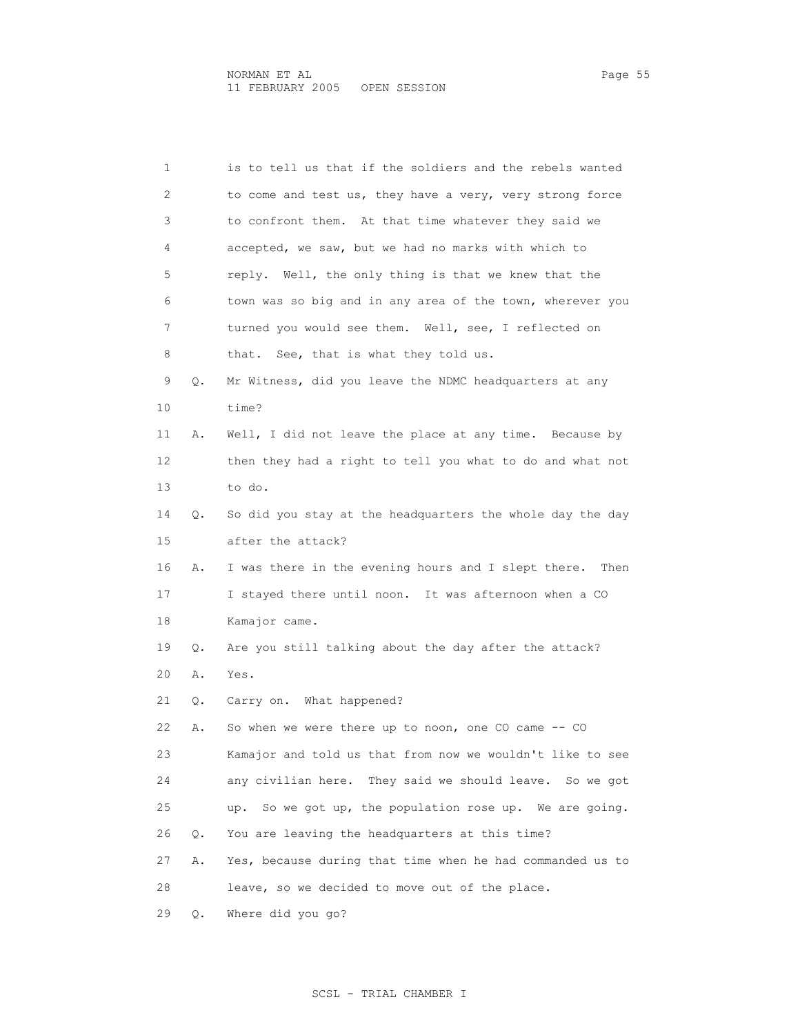1 is to tell us that if the soldiers and the rebels wanted

| 2  |    | to come and test us, they have a very, very strong force    |
|----|----|-------------------------------------------------------------|
| 3  |    | to confront them. At that time whatever they said we        |
| 4  |    | accepted, we saw, but we had no marks with which to         |
| 5  |    | reply. Well, the only thing is that we knew that the        |
| 6  |    | town was so big and in any area of the town, wherever you   |
| 7  |    | turned you would see them. Well, see, I reflected on        |
| 8  |    | that. See, that is what they told us.                       |
| 9  | Q. | Mr Witness, did you leave the NDMC headquarters at any      |
| 10 |    | time?                                                       |
| 11 | Α. | Well, I did not leave the place at any time. Because by     |
| 12 |    | then they had a right to tell you what to do and what not   |
| 13 |    | to do.                                                      |
| 14 | Q. | So did you stay at the headquarters the whole day the day   |
| 15 |    | after the attack?                                           |
| 16 | Α. | I was there in the evening hours and I slept there.<br>Then |
| 17 |    | I stayed there until noon. It was afternoon when a CO       |
| 18 |    | Kamajor came.                                               |
| 19 | Q. | Are you still talking about the day after the attack?       |
| 20 | Α. | Yes.                                                        |
| 21 | Q. | Carry on. What happened?                                    |
| 22 | Α. | So when we were there up to noon, one CO came -- CO         |
| 23 |    | Kamajor and told us that from now we wouldn't like to see   |
| 24 |    | any civilian here. They said we should leave. So we got     |
| 25 |    | So we got up, the population rose up. We are going.<br>up.  |
| 26 | Q. | You are leaving the headquarters at this time?              |
| 27 | Α. | Yes, because during that time when he had commanded us to   |
| 28 |    | leave, so we decided to move out of the place.              |
| 29 | Q. | Where did you go?                                           |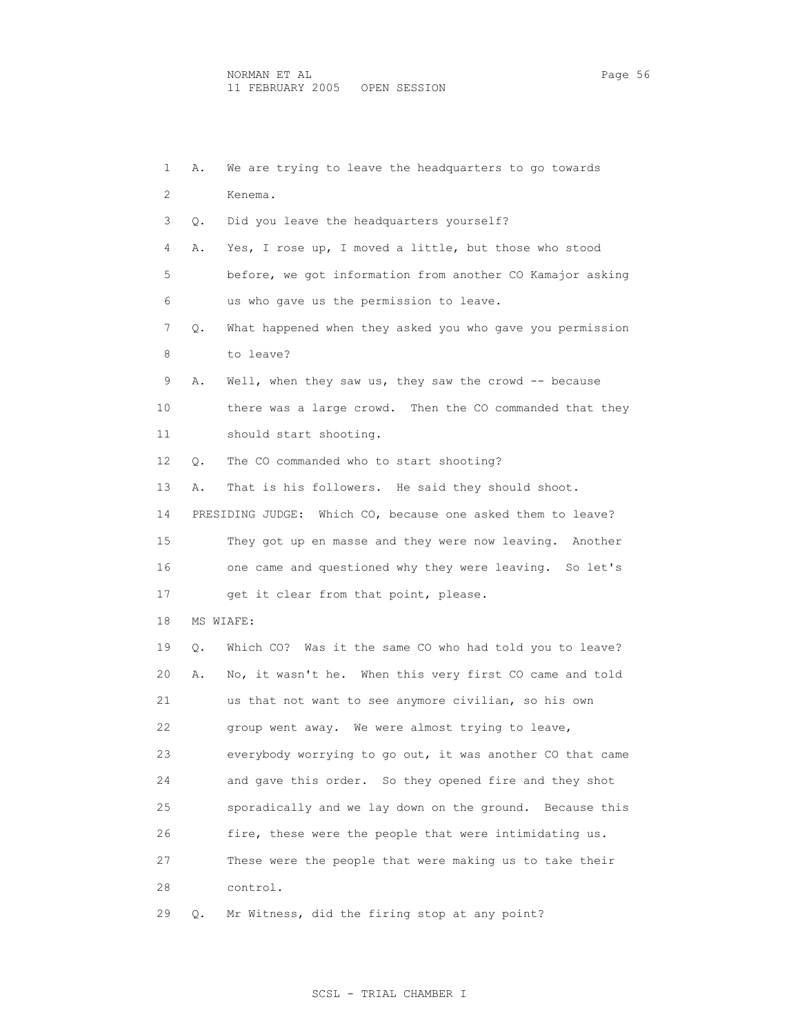| 1  | Α. | We are trying to leave the headquarters to go towards       |
|----|----|-------------------------------------------------------------|
| 2  |    | Kenema.                                                     |
| 3  | Q. | Did you leave the headquarters yourself?                    |
| 4  | Α. | Yes, I rose up, I moved a little, but those who stood       |
| 5  |    | before, we got information from another CO Kamajor asking   |
| 6  |    | us who gave us the permission to leave.                     |
| 7  | Q. | What happened when they asked you who gave you permission   |
| 8  |    | to leave?                                                   |
| 9  | Α. | Well, when they saw us, they saw the crowd $-$ because      |
| 10 |    | there was a large crowd. Then the CO commanded that they    |
| 11 |    | should start shooting.                                      |
| 12 | Q. | The CO commanded who to start shooting?                     |
| 13 | Α. | That is his followers. He said they should shoot.           |
| 14 |    | PRESIDING JUDGE: Which CO, because one asked them to leave? |
| 15 |    | They got up en masse and they were now leaving. Another     |
| 16 |    | one came and questioned why they were leaving. So let's     |
| 17 |    | get it clear from that point, please.                       |
| 18 |    | MS WIAFE:                                                   |
| 19 | Q. | Which CO? Was it the same CO who had told you to leave?     |
| 20 | Α. | No, it wasn't he. When this very first CO came and told     |
| 21 |    | us that not want to see anymore civilian, so his own        |
| 22 |    | group went away. We were almost trying to leave,            |
| 23 |    | everybody worrying to go out, it was another CO that came   |
| 24 |    | and gave this order. So they opened fire and they shot      |
| 25 |    | sporadically and we lay down on the ground. Because this    |
| 26 |    | fire, these were the people that were intimidating us.      |
| 27 |    | These were the people that were making us to take their     |
| 28 |    | control.                                                    |
| 29 | Q. | Mr Witness, did the firing stop at any point?               |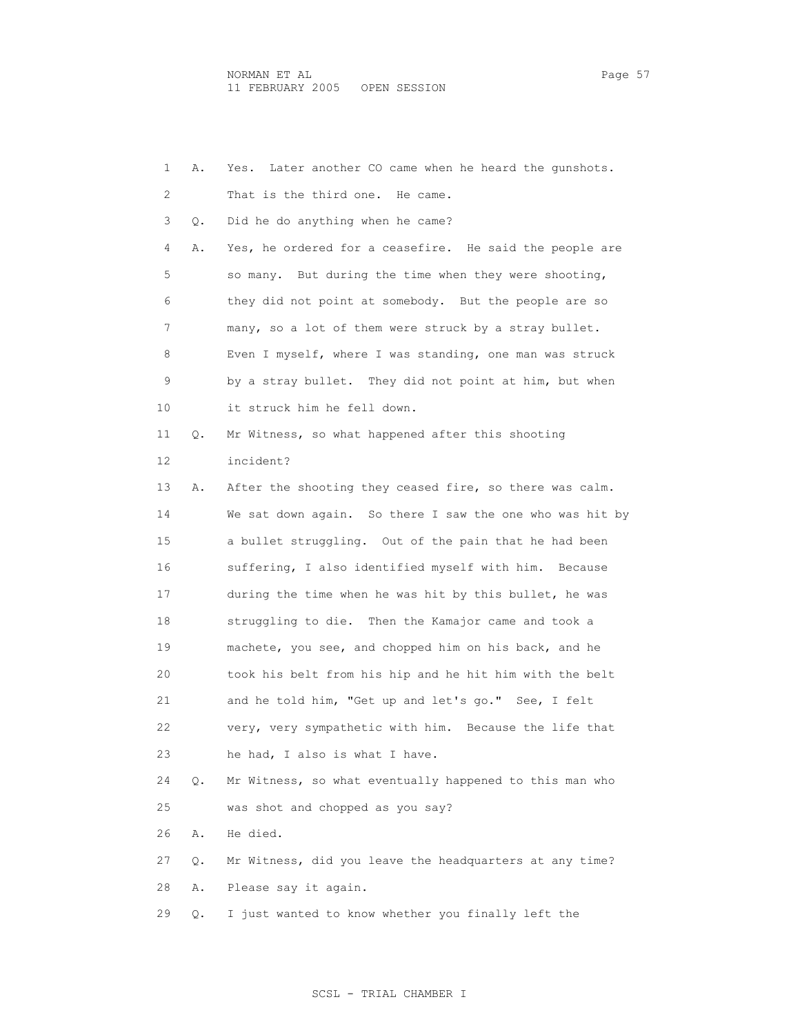1 A. Yes. Later another CO came when he heard the gunshots. 2 That is the third one. He came. 3 Q. Did he do anything when he came? 4 A. Yes, he ordered for a ceasefire. He said the people are 5 so many. But during the time when they were shooting, 6 they did not point at somebody. But the people are so 7 many, so a lot of them were struck by a stray bullet. 8 Even I myself, where I was standing, one man was struck 9 by a stray bullet. They did not point at him, but when 10 it struck him he fell down. 11 Q. Mr Witness, so what happened after this shooting 12 incident? 13 A. After the shooting they ceased fire, so there was calm. 14 We sat down again. So there I saw the one who was hit by 15 a bullet struggling. Out of the pain that he had been 16 suffering, I also identified myself with him. Because 17 during the time when he was hit by this bullet, he was 18 struggling to die. Then the Kamajor came and took a 19 machete, you see, and chopped him on his back, and he 20 took his belt from his hip and he hit him with the belt 21 and he told him, "Get up and let's go." See, I felt 22 very, very sympathetic with him. Because the life that 23 he had, I also is what I have. 24 Q. Mr Witness, so what eventually happened to this man who 25 was shot and chopped as you say? 26 A. He died. 27 Q. Mr Witness, did you leave the headquarters at any time? 28 A. Please say it again. 29 Q. I just wanted to know whether you finally left the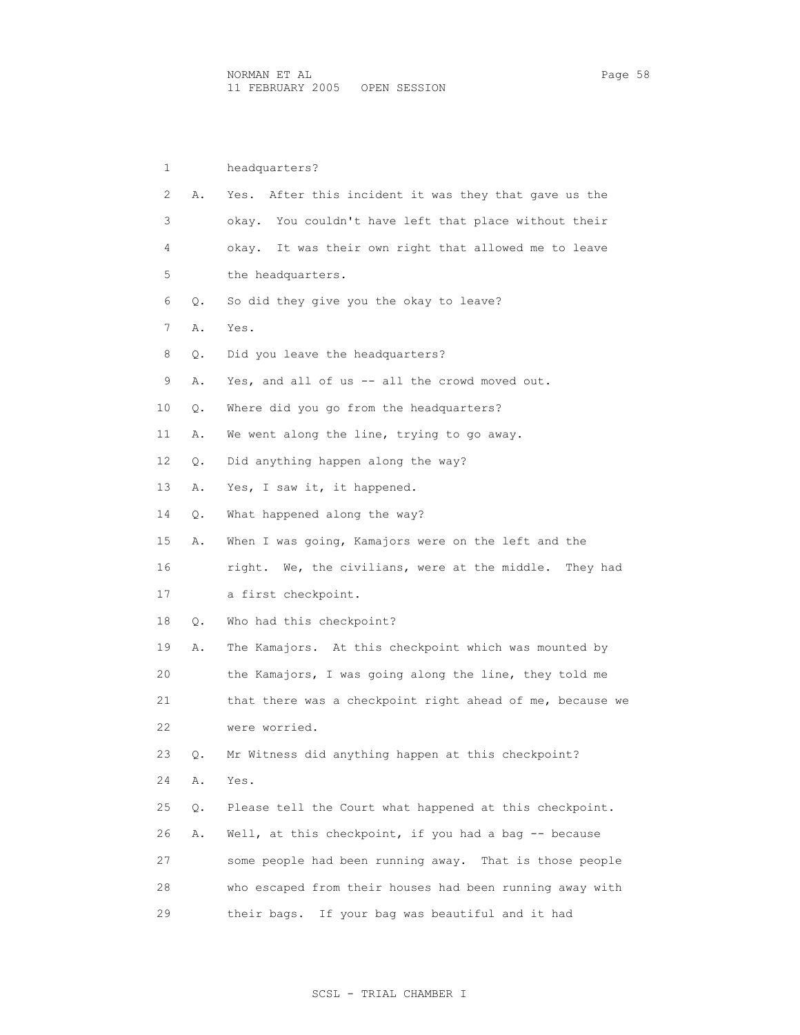| 1  |    | headquarters?                                             |
|----|----|-----------------------------------------------------------|
| 2  | Α. | After this incident it was they that gave us the<br>Yes.  |
| 3  |    | okay. You couldn't have left that place without their     |
| 4  |    | okay. It was their own right that allowed me to leave     |
| 5  |    | the headquarters.                                         |
| 6  | Q. | So did they give you the okay to leave?                   |
| 7  | Α. | Yes.                                                      |
| 8  | Q. | Did you leave the headquarters?                           |
| 9  | Α. | Yes, and all of us -- all the crowd moved out.            |
| 10 | Q. | Where did you go from the headquarters?                   |
| 11 | Α. | We went along the line, trying to go away.                |
| 12 | Q. | Did anything happen along the way?                        |
| 13 | Α. | Yes, I saw it, it happened.                               |
| 14 | Q. | What happened along the way?                              |
| 15 | Α. | When I was going, Kamajors were on the left and the       |
| 16 |    | right. We, the civilians, were at the middle.<br>They had |
| 17 |    | a first checkpoint.                                       |
| 18 | Q. | Who had this checkpoint?                                  |
| 19 | Α. | The Kamajors. At this checkpoint which was mounted by     |
| 20 |    | the Kamajors, I was going along the line, they told me    |
| 21 |    | that there was a checkpoint right ahead of me, because we |
| 22 |    | were worried.                                             |
| 23 | Q. | Mr Witness did anything happen at this checkpoint?        |
| 24 | Α. | Yes.                                                      |
| 25 | Q. | Please tell the Court what happened at this checkpoint.   |
| 26 | Α. | Well, at this checkpoint, if you had a bag -- because     |
| 27 |    | some people had been running away. That is those people   |
| 28 |    | who escaped from their houses had been running away with  |
| 29 |    | their bags. If your bag was beautiful and it had          |

# SCSL - TRIAL CHAMBER I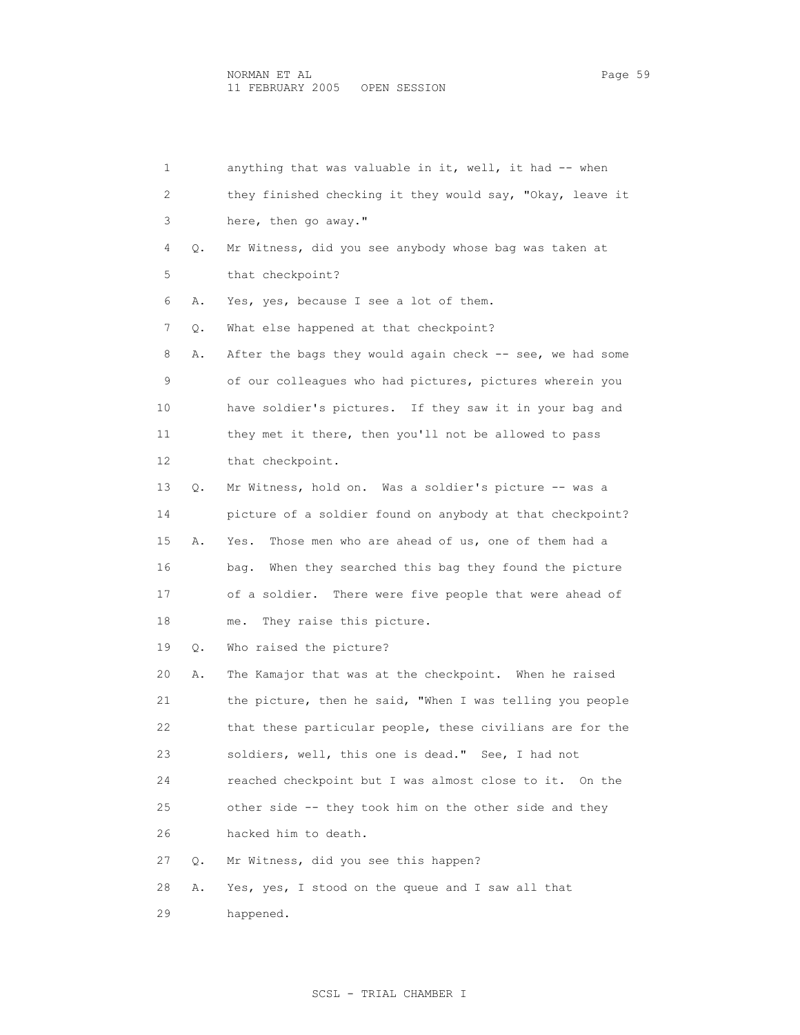1 anything that was valuable in it, well, it had -- when 2 they finished checking it they would say, "Okay, leave it 3 here, then go away." 4 Q. Mr Witness, did you see anybody whose bag was taken at 5 that checkpoint? 6 A. Yes, yes, because I see a lot of them. 7 Q. What else happened at that checkpoint? 8 A. After the bags they would again check -- see, we had some 9 of our colleagues who had pictures, pictures wherein you 10 have soldier's pictures. If they saw it in your bag and 11 they met it there, then you'll not be allowed to pass 12 that checkpoint. 13 Q. Mr Witness, hold on. Was a soldier's picture -- was a 14 picture of a soldier found on anybody at that checkpoint? 15 A. Yes. Those men who are ahead of us, one of them had a 16 bag. When they searched this bag they found the picture 17 of a soldier. There were five people that were ahead of 18 me. They raise this picture. 19 Q. Who raised the picture? 20 A. The Kamajor that was at the checkpoint. When he raised 21 the picture, then he said, "When I was telling you people 22 that these particular people, these civilians are for the 23 soldiers, well, this one is dead." See, I had not 24 reached checkpoint but I was almost close to it. On the 25 other side -- they took him on the other side and they 26 hacked him to death. 27 Q. Mr Witness, did you see this happen? 28 A. Yes, yes, I stood on the queue and I saw all that 29 happened.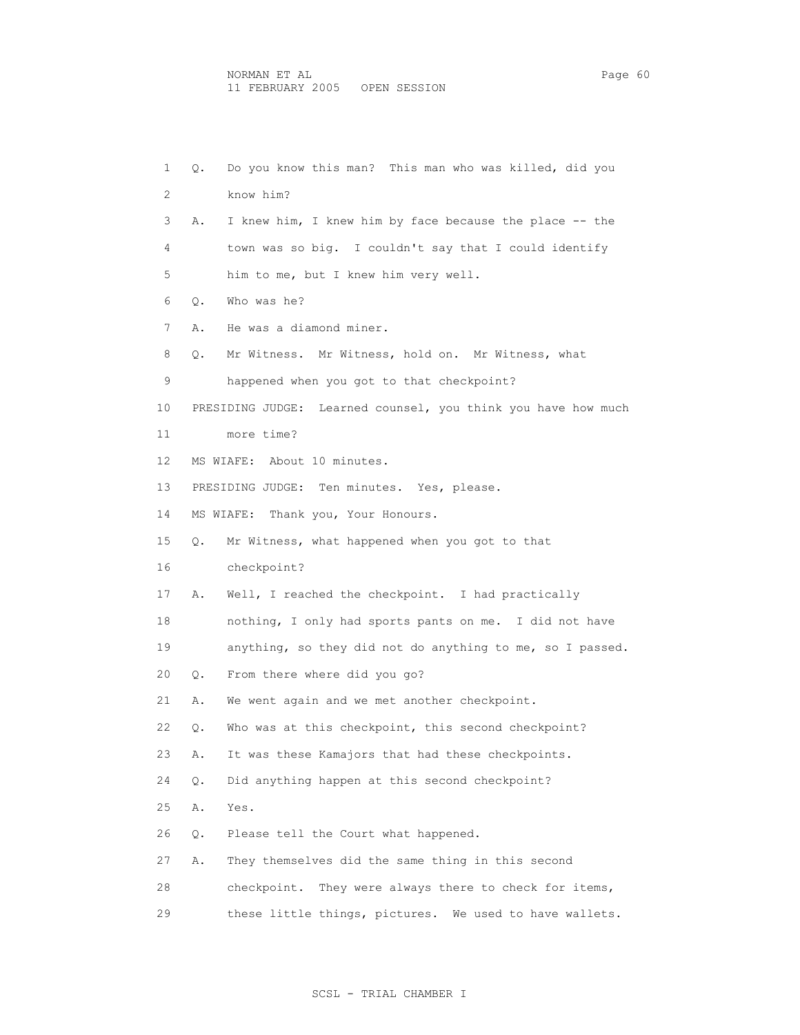| 1  | Q. | Do you know this man? This man who was killed, did you        |
|----|----|---------------------------------------------------------------|
| 2  |    | know him?                                                     |
| 3  | Α. | I knew him, I knew him by face because the place -- the       |
| 4  |    | town was so big. I couldn't say that I could identify         |
| 5  |    | him to me, but I knew him very well.                          |
| 6  | Q. | Who was he?                                                   |
| 7  | Α. | He was a diamond miner.                                       |
| 8  | Q. | Mr Witness. Mr Witness, hold on. Mr Witness, what             |
| 9  |    | happened when you got to that checkpoint?                     |
| 10 |    | PRESIDING JUDGE: Learned counsel, you think you have how much |
| 11 |    | more time?                                                    |
| 12 |    | MS WIAFE: About 10 minutes.                                   |
| 13 |    | PRESIDING JUDGE: Ten minutes. Yes, please.                    |
| 14 |    | MS WIAFE: Thank you, Your Honours.                            |
| 15 | О. | Mr Witness, what happened when you got to that                |
| 16 |    | checkpoint?                                                   |
| 17 | Α. | Well, I reached the checkpoint. I had practically             |
| 18 |    | nothing, I only had sports pants on me. I did not have        |
| 19 |    | anything, so they did not do anything to me, so I passed.     |
| 20 | Q. | From there where did you go?                                  |
| 21 | Α. | We went again and we met another checkpoint.                  |
| 22 | Q. | Who was at this checkpoint, this second checkpoint?           |
| 23 | Α. | It was these Kamajors that had these checkpoints.             |
| 24 | Q. | Did anything happen at this second checkpoint?                |
| 25 | Α. | Yes.                                                          |
| 26 | Q. | Please tell the Court what happened.                          |
| 27 | Α. | They themselves did the same thing in this second             |
| 28 |    | checkpoint. They were always there to check for items,        |
| 29 |    | these little things, pictures. We used to have wallets.       |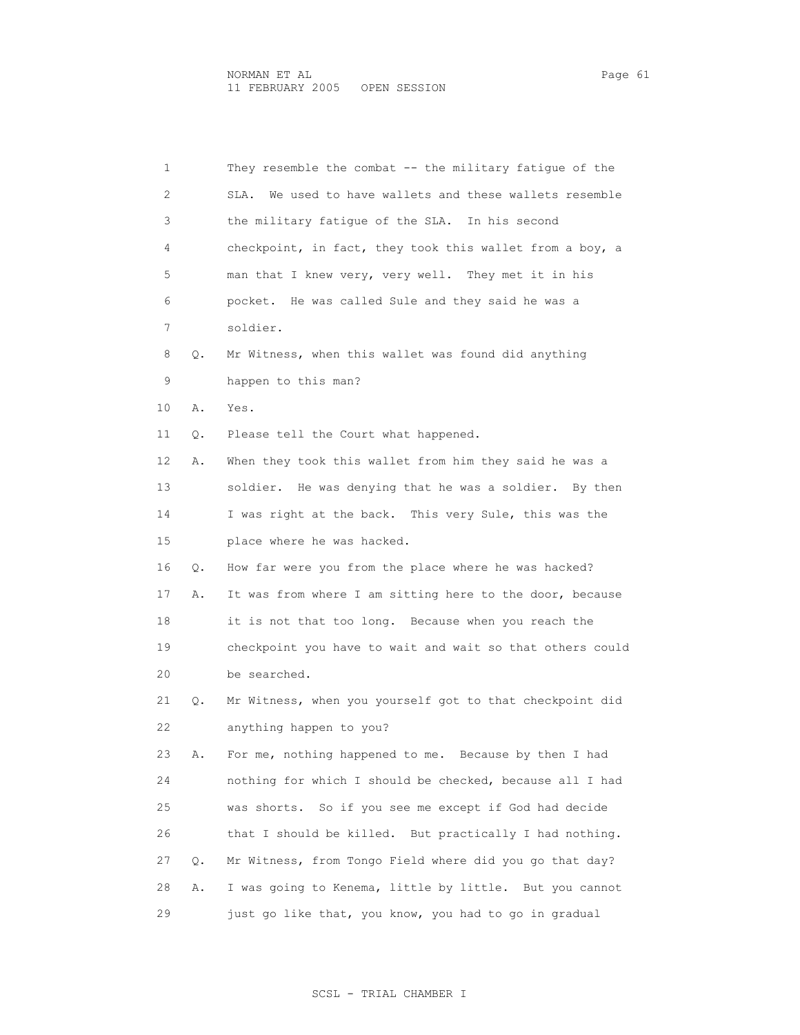| 1  |    | They resemble the combat -- the military fatique of the    |
|----|----|------------------------------------------------------------|
| 2  |    | We used to have wallets and these wallets resemble<br>SLA. |
| 3  |    | the military fatique of the SLA. In his second             |
| 4  |    | checkpoint, in fact, they took this wallet from a boy, a   |
| 5  |    | man that I knew very, very well. They met it in his        |
| 6  |    | pocket. He was called Sule and they said he was a          |
| 7  |    | soldier.                                                   |
| 8  | О. | Mr Witness, when this wallet was found did anything        |
| 9  |    | happen to this man?                                        |
| 10 | Α. | Yes.                                                       |
| 11 | Q. | Please tell the Court what happened.                       |
| 12 | Α. | When they took this wallet from him they said he was a     |
| 13 |    | soldier. He was denying that he was a soldier. By then     |
| 14 |    | I was right at the back. This very Sule, this was the      |
| 15 |    | place where he was hacked.                                 |
| 16 | Q. | How far were you from the place where he was hacked?       |
| 17 | Α. | It was from where I am sitting here to the door, because   |
| 18 |    | it is not that too long. Because when you reach the        |
| 19 |    | checkpoint you have to wait and wait so that others could  |
| 20 |    | be searched.                                               |
| 21 | Q. | Mr Witness, when you yourself got to that checkpoint did   |
| 22 |    | anything happen to you?                                    |
| 23 | Α. | For me, nothing happened to me. Because by then I had      |
| 24 |    | nothing for which I should be checked, because all I had   |
| 25 |    | was shorts. So if you see me except if God had decide      |
| 26 |    | that I should be killed. But practically I had nothing.    |
| 27 | Q. | Mr Witness, from Tongo Field where did you go that day?    |
| 28 | Α. | I was going to Kenema, little by little. But you cannot    |
| 29 |    | just go like that, you know, you had to go in gradual      |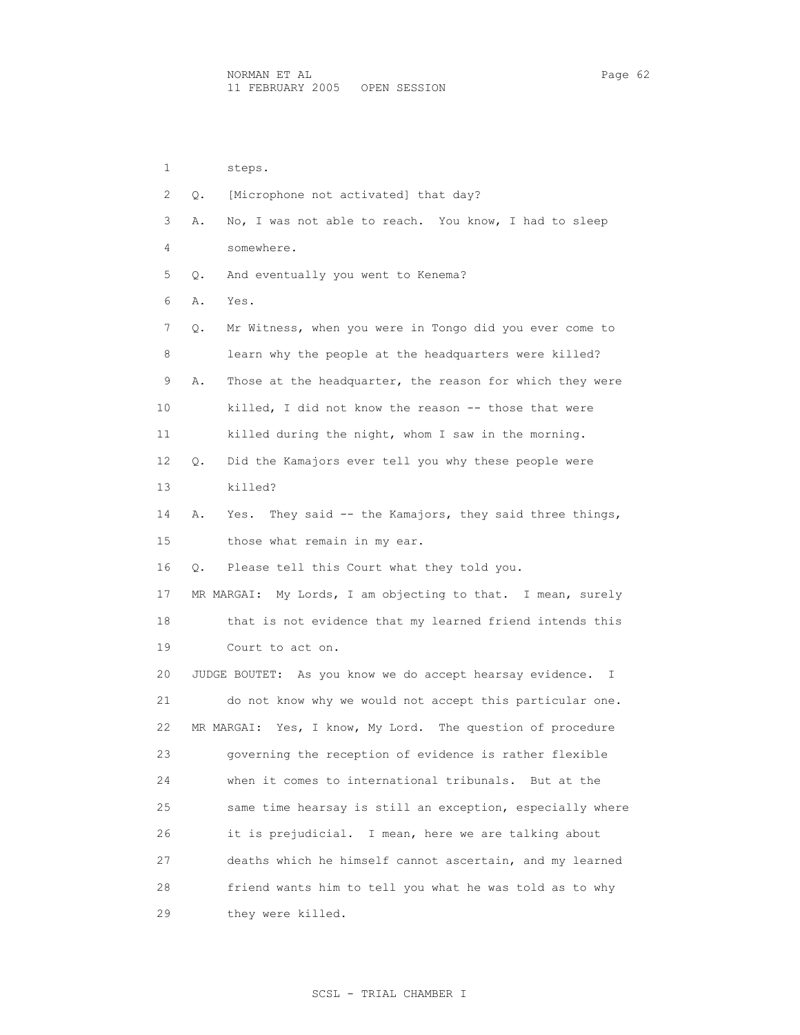1 steps. 2 Q. [Microphone not activated] that day? 3 A. No, I was not able to reach. You know, I had to sleep 4 somewhere. 5 Q. And eventually you went to Kenema? 6 A. Yes. 7 Q. Mr Witness, when you were in Tongo did you ever come to 8 learn why the people at the headquarters were killed? 9 A. Those at the headquarter, the reason for which they were 10 killed, I did not know the reason -- those that were 11 killed during the night, whom I saw in the morning. 12 Q. Did the Kamajors ever tell you why these people were 13 killed? 14 A. Yes. They said -- the Kamajors, they said three things, 15 those what remain in my ear. 16 Q. Please tell this Court what they told you. 17 MR MARGAI: My Lords, I am objecting to that. I mean, surely 18 that is not evidence that my learned friend intends this 19 Court to act on. 20 JUDGE BOUTET: As you know we do accept hearsay evidence. I 21 do not know why we would not accept this particular one. 22 MR MARGAI: Yes, I know, My Lord. The question of procedure 23 governing the reception of evidence is rather flexible 24 when it comes to international tribunals. But at the 25 same time hearsay is still an exception, especially where 26 it is prejudicial. I mean, here we are talking about 27 deaths which he himself cannot ascertain, and my learned 28 friend wants him to tell you what he was told as to why 29 they were killed.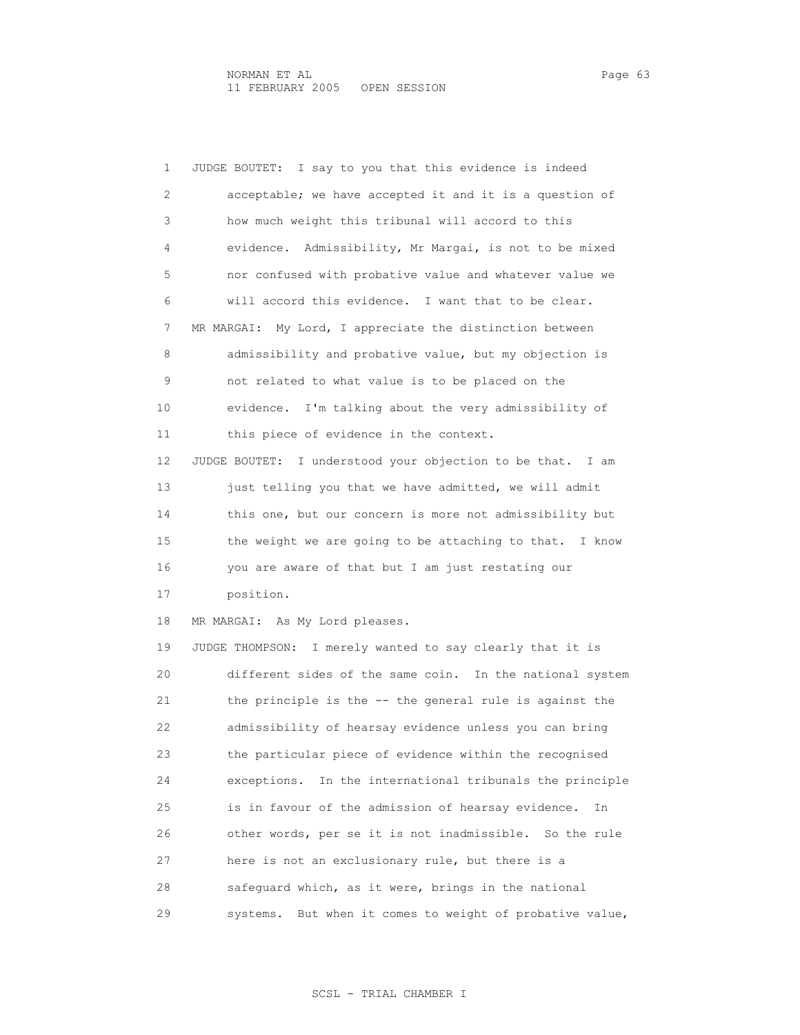| 1  | JUDGE BOUTET: I say to you that this evidence is indeed     |
|----|-------------------------------------------------------------|
| 2  | acceptable; we have accepted it and it is a question of     |
| 3  | how much weight this tribunal will accord to this           |
| 4  | evidence. Admissibility, Mr Margai, is not to be mixed      |
| 5  | nor confused with probative value and whatever value we     |
| 6  | will accord this evidence. I want that to be clear.         |
| 7  | MR MARGAI: My Lord, I appreciate the distinction between    |
| 8  | admissibility and probative value, but my objection is      |
| 9  | not related to what value is to be placed on the            |
| 10 | evidence. I'm talking about the very admissibility of       |
| 11 | this piece of evidence in the context.                      |
| 12 | JUDGE BOUTET: I understood your objection to be that. I am  |
| 13 | just telling you that we have admitted, we will admit       |
| 14 | this one, but our concern is more not admissibility but     |
| 15 | the weight we are going to be attaching to that. I know     |
| 16 | you are aware of that but I am just restating our           |
| 17 | position.                                                   |
| 18 | MR MARGAI: As My Lord pleases.                              |
| 19 | JUDGE THOMPSON: I merely wanted to say clearly that it is   |
| 20 | different sides of the same coin. In the national system    |
| 21 | the principle is the -- the general rule is against the     |
| 22 | admissibility of hearsay evidence unless you can bring      |
| 23 | the particular piece of evidence within the recognised      |
| 24 | In the international tribunals the principle<br>exceptions. |
| 25 | is in favour of the admission of hearsay evidence.<br>In    |
| 26 | other words, per se it is not inadmissible. So the rule     |
| 27 | here is not an exclusionary rule, but there is a            |
| 28 | safequard which, as it were, brings in the national         |
| 29 | But when it comes to weight of probative value,<br>systems. |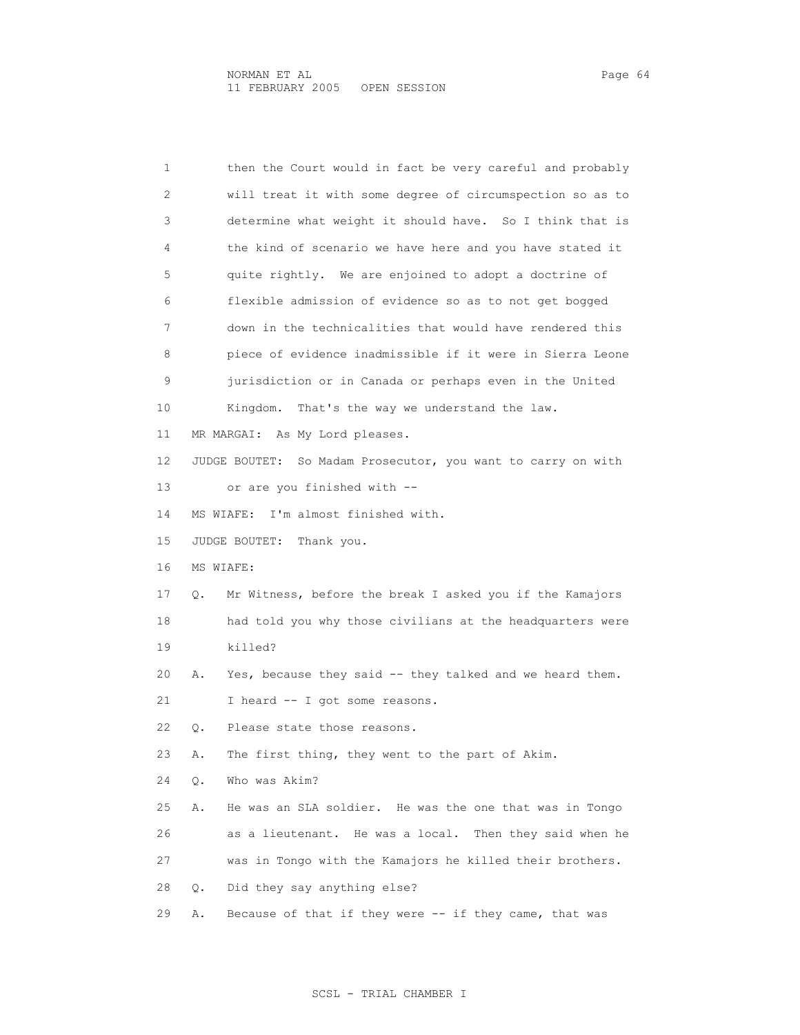1 then the Court would in fact be very careful and probably 2 will treat it with some degree of circumspection so as to 3 determine what weight it should have. So I think that is 4 the kind of scenario we have here and you have stated it 5 quite rightly. We are enjoined to adopt a doctrine of 6 flexible admission of evidence so as to not get bogged 7 down in the technicalities that would have rendered this 8 piece of evidence inadmissible if it were in Sierra Leone 9 jurisdiction or in Canada or perhaps even in the United 10 Kingdom. That's the way we understand the law. 11 MR MARGAI: As My Lord pleases. 12 JUDGE BOUTET: So Madam Prosecutor, you want to carry on with 13 or are you finished with -- 14 MS WIAFE: I'm almost finished with. 15 JUDGE BOUTET: Thank you. 16 MS WIAFE: 17 Q. Mr Witness, before the break I asked you if the Kamajors 18 had told you why those civilians at the headquarters were 19 killed? 20 A. Yes, because they said -- they talked and we heard them. 21 I heard -- I got some reasons. 22 Q. Please state those reasons. 23 A. The first thing, they went to the part of Akim. 24 Q. Who was Akim? 25 A. He was an SLA soldier. He was the one that was in Tongo 26 as a lieutenant. He was a local. Then they said when he 27 was in Tongo with the Kamajors he killed their brothers. 28 Q. Did they say anything else? 29 A. Because of that if they were -- if they came, that was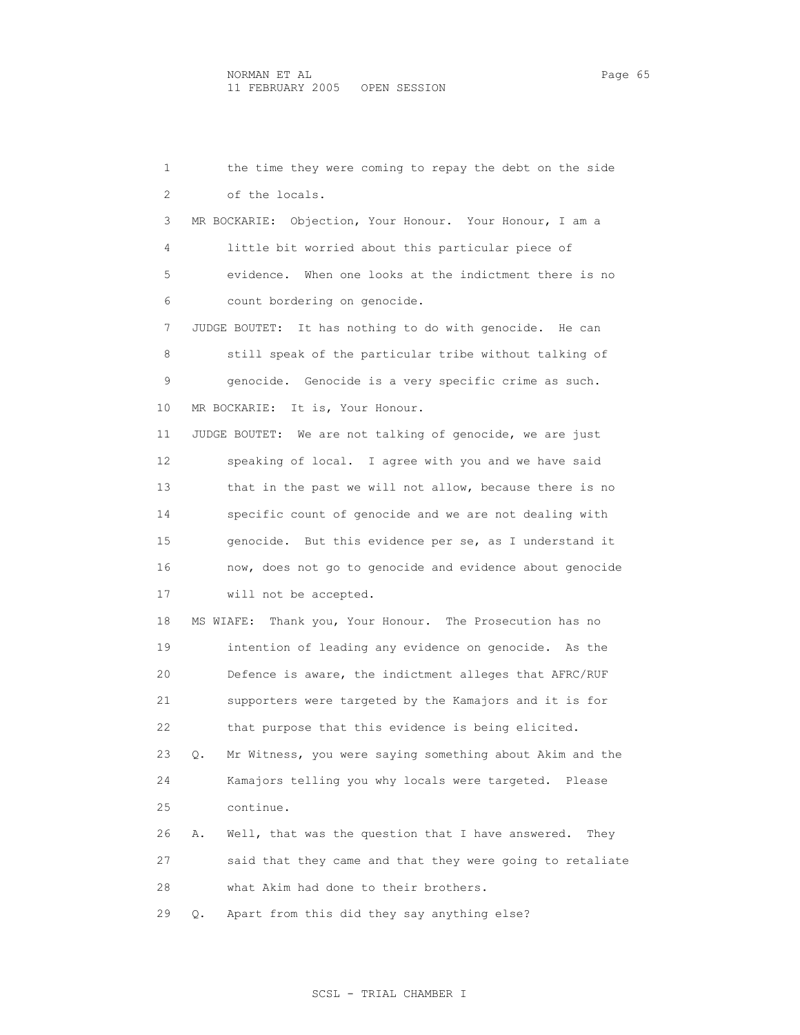1 the time they were coming to repay the debt on the side 2 of the locals. 3 MR BOCKARIE: Objection, Your Honour. Your Honour, I am a 4 little bit worried about this particular piece of 5 evidence. When one looks at the indictment there is no 6 count bordering on genocide. 7 JUDGE BOUTET: It has nothing to do with genocide. He can 8 still speak of the particular tribe without talking of 9 genocide. Genocide is a very specific crime as such. 10 MR BOCKARIE: It is, Your Honour. 11 JUDGE BOUTET: We are not talking of genocide, we are just 12 speaking of local. I agree with you and we have said 13 that in the past we will not allow, because there is no 14 specific count of genocide and we are not dealing with 15 genocide. But this evidence per se, as I understand it 16 now, does not go to genocide and evidence about genocide 17 will not be accepted. 18 MS WIAFE: Thank you, Your Honour. The Prosecution has no 19 intention of leading any evidence on genocide. As the 20 Defence is aware, the indictment alleges that AFRC/RUF 21 supporters were targeted by the Kamajors and it is for 22 that purpose that this evidence is being elicited. 23 Q. Mr Witness, you were saying something about Akim and the 24 Kamajors telling you why locals were targeted. Please 25 continue. 26 A. Well, that was the question that I have answered. They 27 said that they came and that they were going to retaliate 28 what Akim had done to their brothers. 29 Q. Apart from this did they say anything else?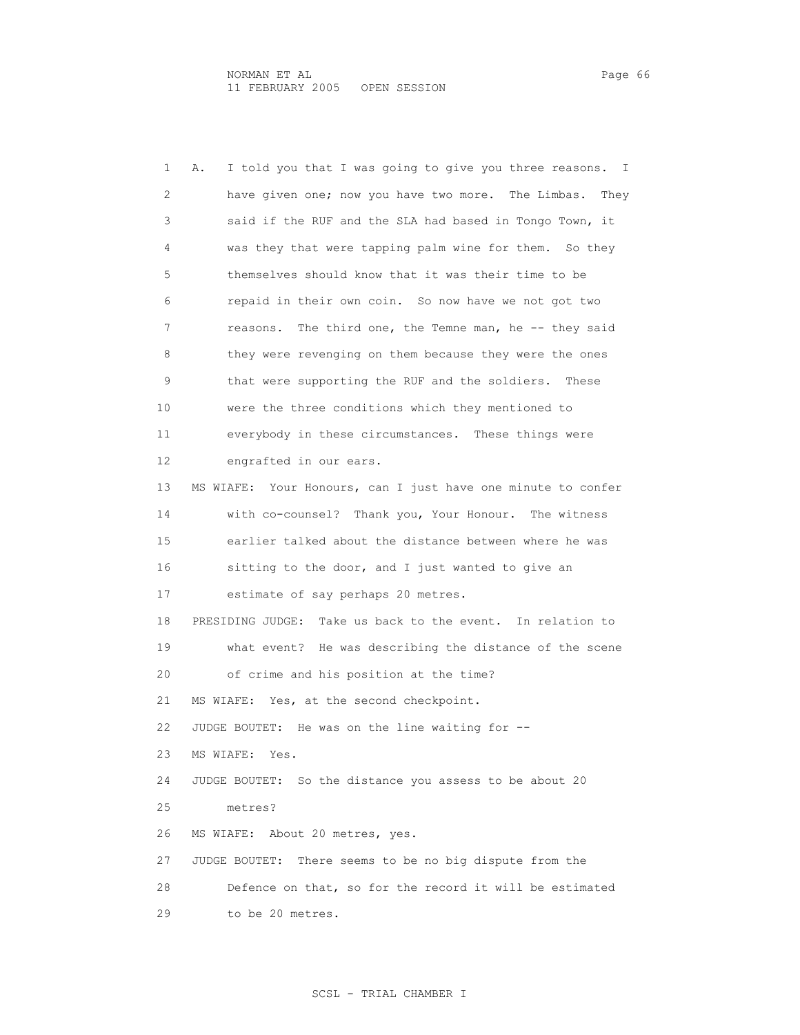1 A. I told you that I was going to give you three reasons. I 2 have given one; now you have two more. The Limbas. They 3 said if the RUF and the SLA had based in Tongo Town, it 4 was they that were tapping palm wine for them. So they 5 themselves should know that it was their time to be 6 repaid in their own coin. So now have we not got two 7 reasons. The third one, the Temne man, he -- they said 8 they were revenging on them because they were the ones 9 that were supporting the RUF and the soldiers. These 10 were the three conditions which they mentioned to 11 everybody in these circumstances. These things were 12 engrafted in our ears. 13 MS WIAFE: Your Honours, can I just have one minute to confer 14 with co-counsel? Thank you, Your Honour. The witness 15 earlier talked about the distance between where he was 16 sitting to the door, and I just wanted to give an 17 estimate of say perhaps 20 metres. 18 PRESIDING JUDGE: Take us back to the event. In relation to 19 what event? He was describing the distance of the scene 20 of crime and his position at the time? 21 MS WIAFE: Yes, at the second checkpoint. 22 JUDGE BOUTET: He was on the line waiting for -- 23 MS WIAFE: Yes. 24 JUDGE BOUTET: So the distance you assess to be about 20 25 metres? 26 MS WIAFE: About 20 metres, yes. 27 JUDGE BOUTET: There seems to be no big dispute from the 28 Defence on that, so for the record it will be estimated 29 to be 20 metres.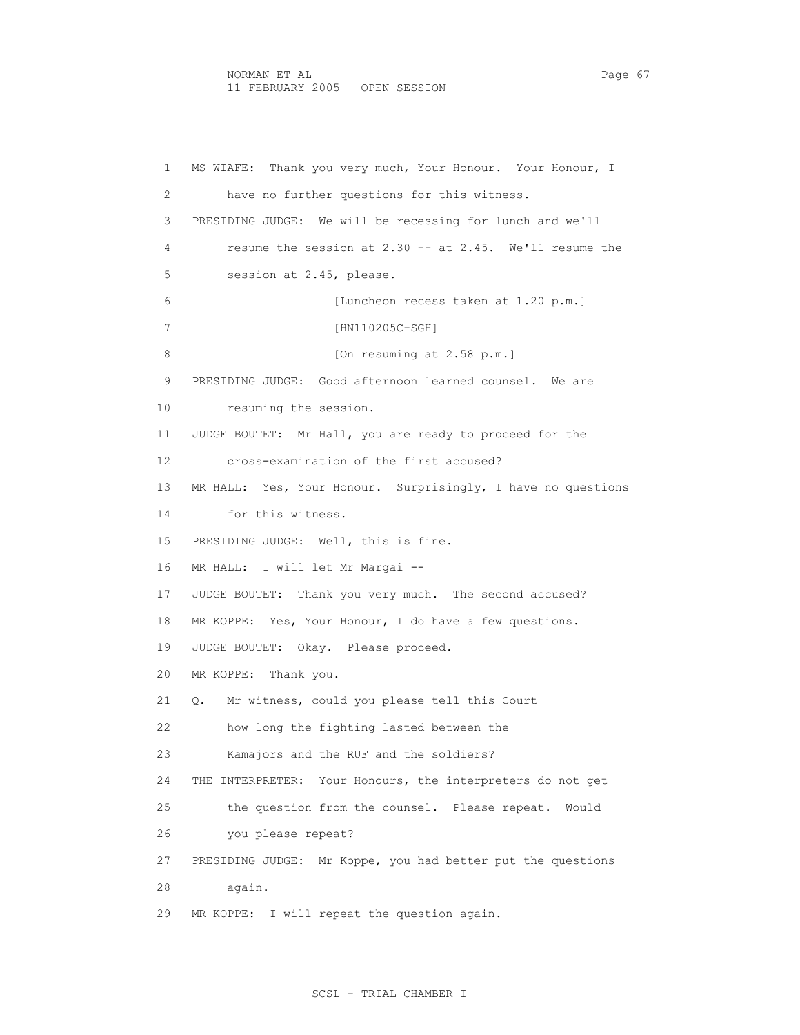### NORMAN ET AL Page 67 11 FEBRUARY 2005 OPEN SESSION

 1 MS WIAFE: Thank you very much, Your Honour. Your Honour, I 2 have no further questions for this witness. 3 PRESIDING JUDGE: We will be recessing for lunch and we'll 4 resume the session at 2.30 -- at 2.45. We'll resume the 5 session at 2.45, please. 6 [Luncheon recess taken at 1.20 p.m.] 7 [HN110205C-SGH] 8 [On resuming at 2.58 p.m.] 9 PRESIDING JUDGE: Good afternoon learned counsel. We are 10 resuming the session. 11 JUDGE BOUTET: Mr Hall, you are ready to proceed for the 12 cross-examination of the first accused? 13 MR HALL: Yes, Your Honour. Surprisingly, I have no questions 14 for this witness. 15 PRESIDING JUDGE: Well, this is fine. 16 MR HALL: I will let Mr Margai -- 17 JUDGE BOUTET: Thank you very much. The second accused? 18 MR KOPPE: Yes, Your Honour, I do have a few questions. 19 JUDGE BOUTET: Okay. Please proceed. 20 MR KOPPE: Thank you. 21 Q. Mr witness, could you please tell this Court 22 how long the fighting lasted between the 23 Kamajors and the RUF and the soldiers? 24 THE INTERPRETER: Your Honours, the interpreters do not get 25 the question from the counsel. Please repeat. Would 26 you please repeat? 27 PRESIDING JUDGE: Mr Koppe, you had better put the questions 28 again. 29 MR KOPPE: I will repeat the question again.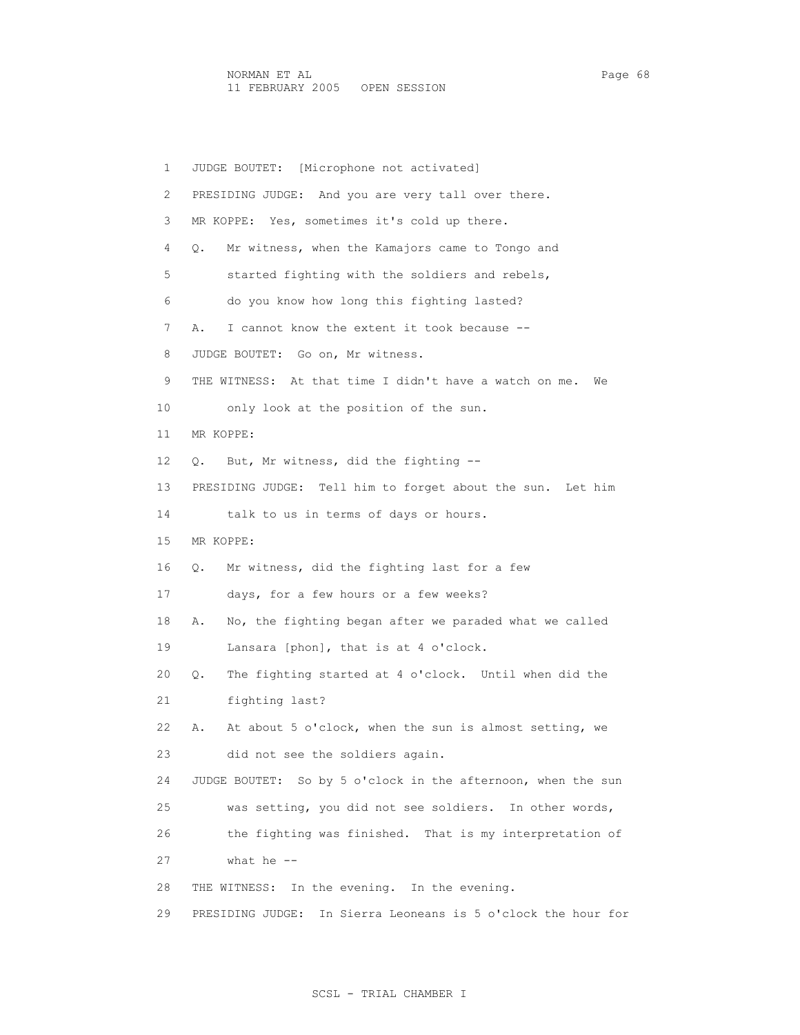1 JUDGE BOUTET: [Microphone not activated] 2 PRESIDING JUDGE: And you are very tall over there. 3 MR KOPPE: Yes, sometimes it's cold up there. 4 Q. Mr witness, when the Kamajors came to Tongo and 5 started fighting with the soldiers and rebels, 6 do you know how long this fighting lasted? 7 A. I cannot know the extent it took because -- 8 JUDGE BOUTET: Go on, Mr witness. 9 THE WITNESS: At that time I didn't have a watch on me. We 10 only look at the position of the sun. 11 MR KOPPE: 12 Q. But, Mr witness, did the fighting -- 13 PRESIDING JUDGE: Tell him to forget about the sun. Let him 14 talk to us in terms of days or hours. 15 MR KOPPE: 16 Q. Mr witness, did the fighting last for a few 17 days, for a few hours or a few weeks? 18 A. No, the fighting began after we paraded what we called 19 Lansara [phon], that is at 4 o'clock. 20 Q. The fighting started at 4 o'clock. Until when did the 21 fighting last? 22 A. At about 5 o'clock, when the sun is almost setting, we 23 did not see the soldiers again. 24 JUDGE BOUTET: So by 5 o'clock in the afternoon, when the sun 25 was setting, you did not see soldiers. In other words, 26 the fighting was finished. That is my interpretation of 27 what he -- 28 THE WITNESS: In the evening. In the evening. 29 PRESIDING JUDGE: In Sierra Leoneans is 5 o'clock the hour for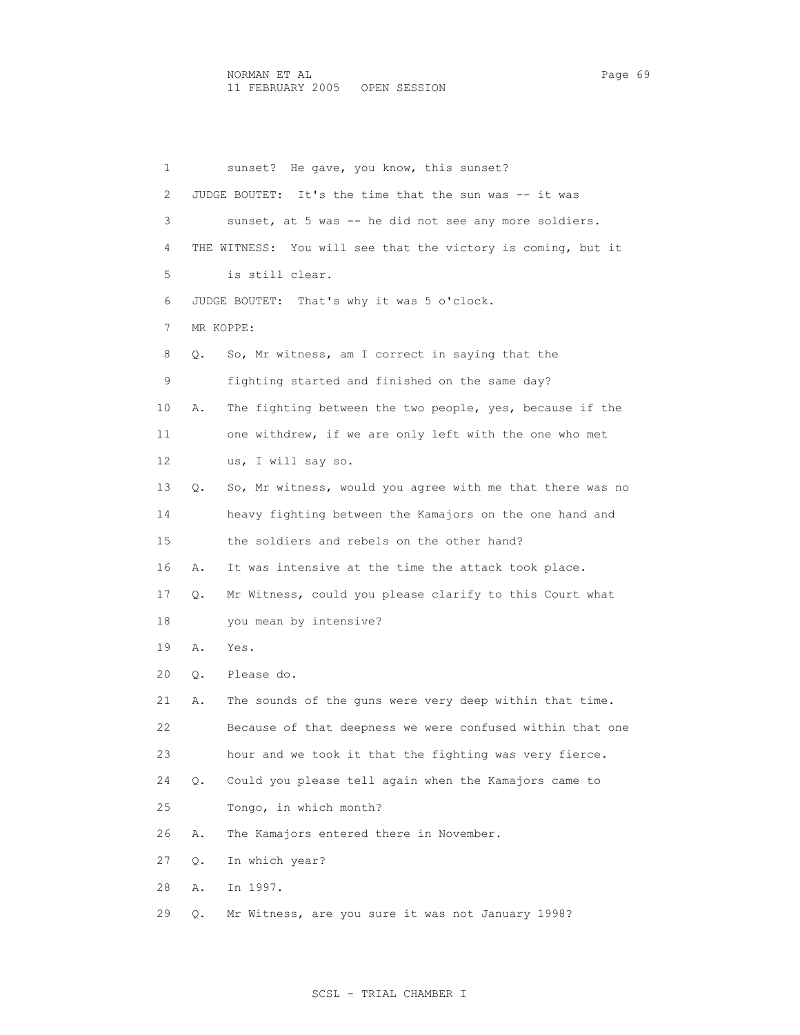1 sunset? He gave, you know, this sunset? 2 JUDGE BOUTET: It's the time that the sun was -- it was 3 sunset, at 5 was -- he did not see any more soldiers. 4 THE WITNESS: You will see that the victory is coming, but it 5 is still clear. 6 JUDGE BOUTET: That's why it was 5 o'clock. 7 MR KOPPE: 8 Q. So, Mr witness, am I correct in saying that the 9 fighting started and finished on the same day? 10 A. The fighting between the two people, yes, because if the 11 one withdrew, if we are only left with the one who met 12 us, I will say so. 13 Q. So, Mr witness, would you agree with me that there was no 14 heavy fighting between the Kamajors on the one hand and 15 the soldiers and rebels on the other hand? 16 A. It was intensive at the time the attack took place. 17 Q. Mr Witness, could you please clarify to this Court what 18 you mean by intensive? 19 A. Yes. 20 Q. Please do. 21 A. The sounds of the guns were very deep within that time. 22 Because of that deepness we were confused within that one 23 hour and we took it that the fighting was very fierce. 24 Q. Could you please tell again when the Kamajors came to 25 Tongo, in which month? 26 A. The Kamajors entered there in November. 27 Q. In which year? 28 A. In 1997. 29 Q. Mr Witness, are you sure it was not January 1998?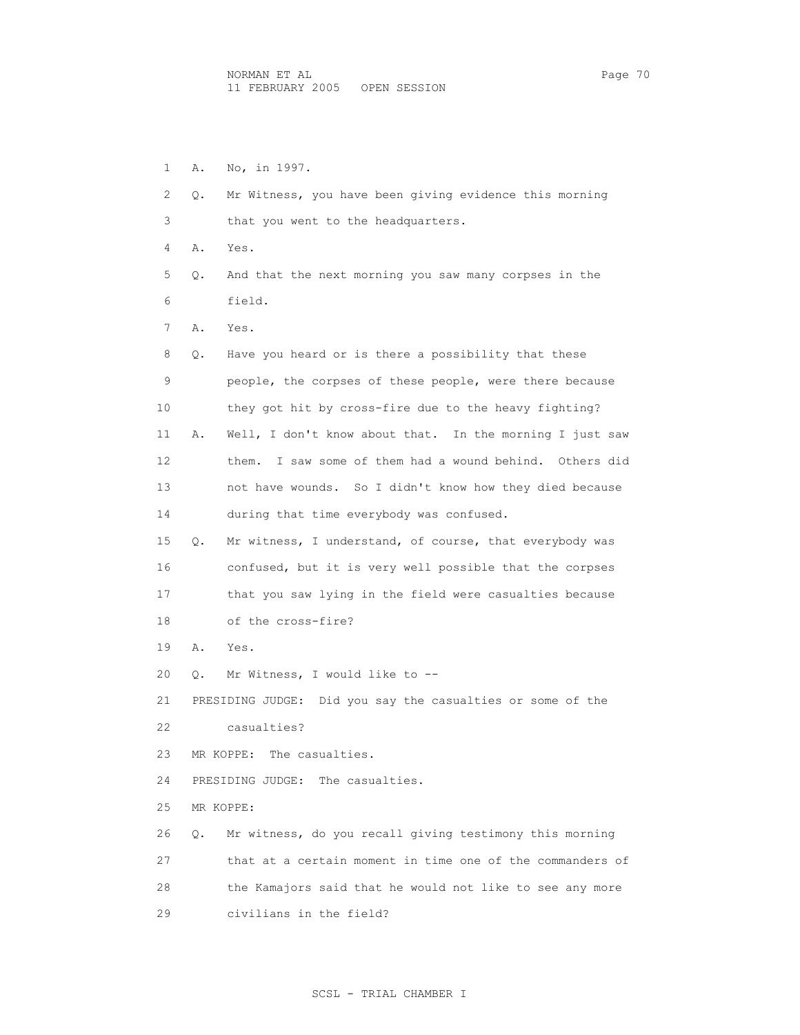1 A. No, in 1997. 2 Q. Mr Witness, you have been giving evidence this morning 3 that you went to the headquarters. 4 A. Yes. 5 Q. And that the next morning you saw many corpses in the 6 field. 7 A. Yes. 8 Q. Have you heard or is there a possibility that these 9 people, the corpses of these people, were there because 10 they got hit by cross-fire due to the heavy fighting? 11 A. Well, I don't know about that. In the morning I just saw 12 them. I saw some of them had a wound behind. Others did 13 not have wounds. So I didn't know how they died because 14 during that time everybody was confused. 15 Q. Mr witness, I understand, of course, that everybody was 16 confused, but it is very well possible that the corpses 17 that you saw lying in the field were casualties because 18 of the cross-fire? 19 A. Yes. 20 Q. Mr Witness, I would like to -- 21 PRESIDING JUDGE: Did you say the casualties or some of the 22 casualties? 23 MR KOPPE: The casualties. 24 PRESIDING JUDGE: The casualties. 25 MR KOPPE: 26 Q. Mr witness, do you recall giving testimony this morning 27 that at a certain moment in time one of the commanders of 28 the Kamajors said that he would not like to see any more 29 civilians in the field?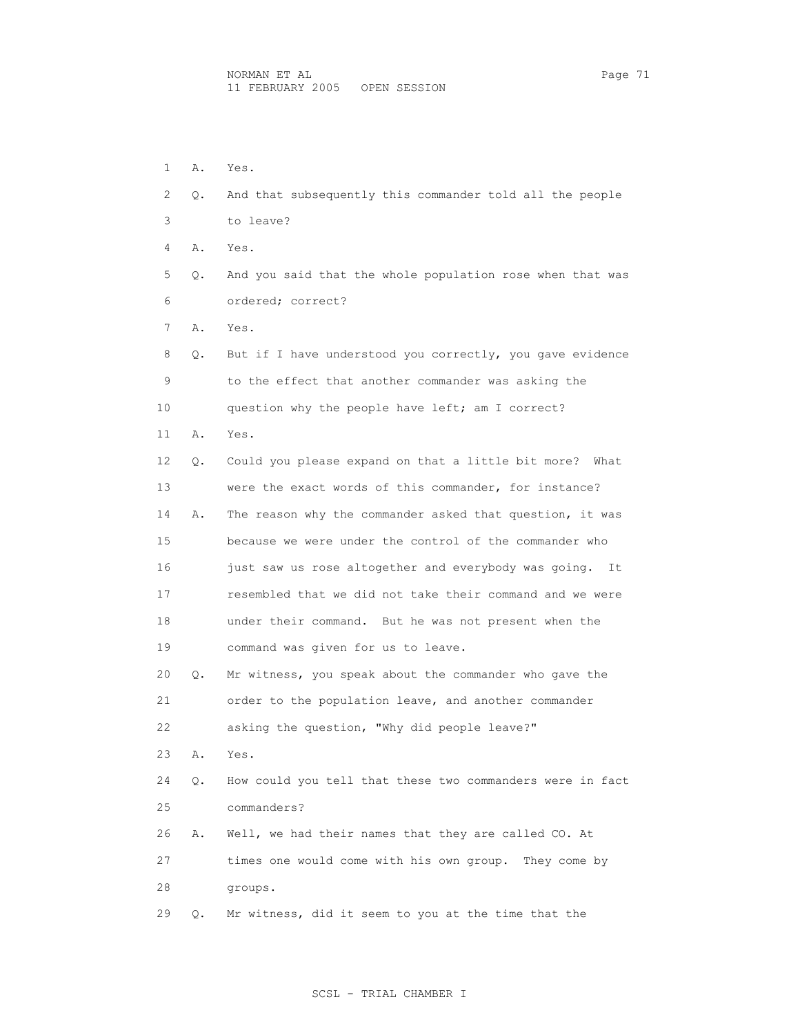1 A. Yes. 2 Q. And that subsequently this commander told all the people 3 to leave? 4 A. Yes. 5 Q. And you said that the whole population rose when that was 6 ordered; correct? 7 A. Yes. 8 Q. But if I have understood you correctly, you gave evidence 9 to the effect that another commander was asking the 10 question why the people have left; am I correct? 11 A. Yes. 12 Q. Could you please expand on that a little bit more? What 13 were the exact words of this commander, for instance? 14 A. The reason why the commander asked that question, it was 15 because we were under the control of the commander who 16 just saw us rose altogether and everybody was going. It 17 resembled that we did not take their command and we were 18 under their command. But he was not present when the 19 command was given for us to leave. 20 Q. Mr witness, you speak about the commander who gave the 21 order to the population leave, and another commander 22 asking the question, "Why did people leave?" 23 A. Yes. 24 Q. How could you tell that these two commanders were in fact 25 commanders? 26 A. Well, we had their names that they are called CO. At 27 times one would come with his own group. They come by 28 groups. 29 Q. Mr witness, did it seem to you at the time that the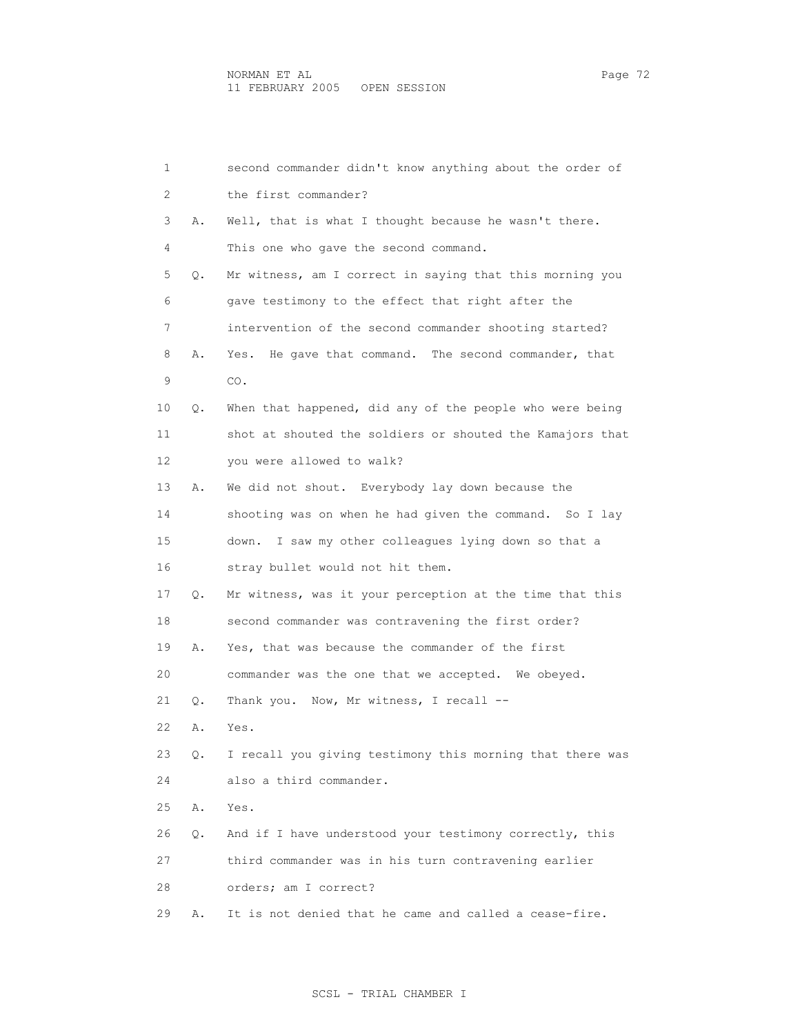| 1  |    | second commander didn't know anything about the order of  |
|----|----|-----------------------------------------------------------|
| 2  |    | the first commander?                                      |
| 3  | Α. | Well, that is what I thought because he wasn't there.     |
| 4  |    | This one who gave the second command.                     |
| 5  | Q. | Mr witness, am I correct in saying that this morning you  |
| 6  |    | gave testimony to the effect that right after the         |
| 7  |    | intervention of the second commander shooting started?    |
| 8  | Α. | He gave that command. The second commander, that<br>Yes.  |
| 9  |    | CO.                                                       |
| 10 | Q. | When that happened, did any of the people who were being  |
| 11 |    | shot at shouted the soldiers or shouted the Kamajors that |
| 12 |    | you were allowed to walk?                                 |
| 13 | Α. | We did not shout. Everybody lay down because the          |
| 14 |    | shooting was on when he had given the command. So I lay   |
| 15 |    | I saw my other colleagues lying down so that a<br>down.   |
| 16 |    | stray bullet would not hit them.                          |
| 17 | Q. | Mr witness, was it your perception at the time that this  |
| 18 |    | second commander was contravening the first order?        |
| 19 | Α. | Yes, that was because the commander of the first          |
| 20 |    | commander was the one that we accepted. We obeyed.        |
| 21 | Q. | Thank you. Now, Mr witness, I recall --                   |
| 22 | Α. | Yes.                                                      |
| 23 | Q. | I recall you giving testimony this morning that there was |
| 24 |    | also a third commander.                                   |
| 25 | Α. | Yes.                                                      |
| 26 | Q. | And if I have understood your testimony correctly, this   |
| 27 |    | third commander was in his turn contravening earlier      |
| 28 |    | orders; am I correct?                                     |
| 29 | Α. | It is not denied that he came and called a cease-fire.    |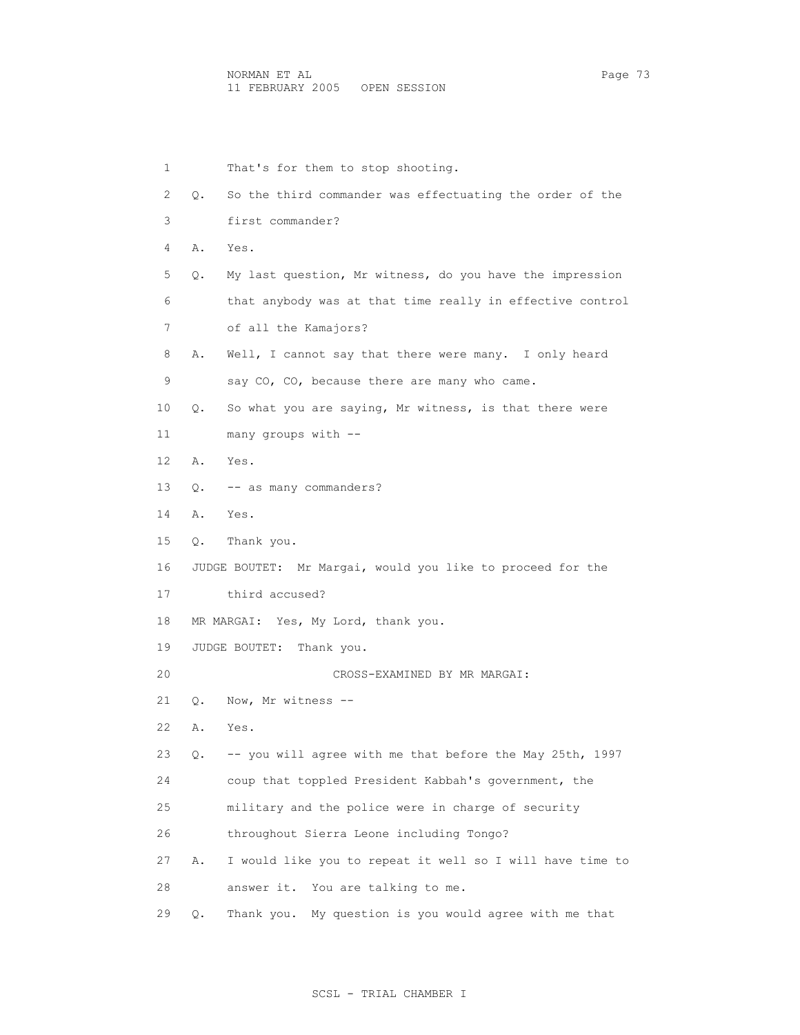1 That's for them to stop shooting. 2 Q. So the third commander was effectuating the order of the 3 first commander? 4 A. Yes. 5 Q. My last question, Mr witness, do you have the impression 6 that anybody was at that time really in effective control 7 of all the Kamajors? 8 A. Well, I cannot say that there were many. I only heard 9 say CO, CO, because there are many who came. 10 Q. So what you are saying, Mr witness, is that there were 11 many groups with -- 12 A. Yes. 13 Q. -- as many commanders? 14 A. Yes. 15 Q. Thank you. 16 JUDGE BOUTET: Mr Margai, would you like to proceed for the 17 third accused? 18 MR MARGAI: Yes, My Lord, thank you. 19 JUDGE BOUTET: Thank you. 20 CROSS-EXAMINED BY MR MARGAI: 21 Q. Now, Mr witness -- 22 A. Yes. 23 Q. -- you will agree with me that before the May 25th, 1997 24 coup that toppled President Kabbah's government, the 25 military and the police were in charge of security 26 throughout Sierra Leone including Tongo? 27 A. I would like you to repeat it well so I will have time to 28 answer it. You are talking to me. 29 Q. Thank you. My question is you would agree with me that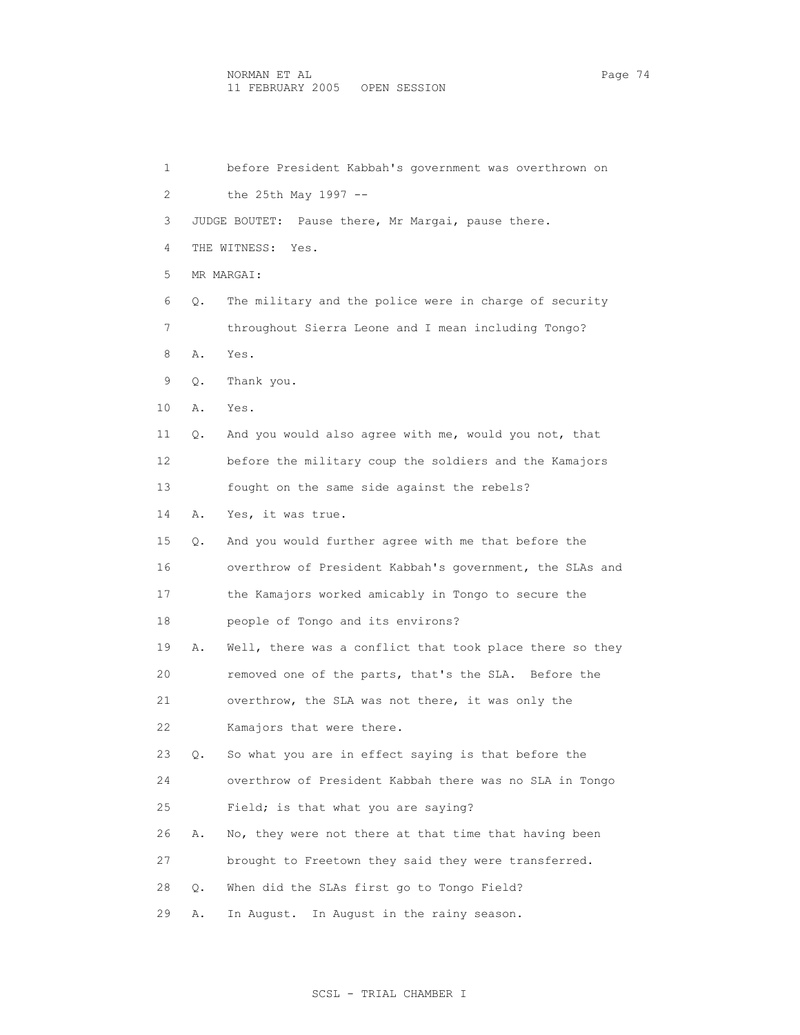1 before President Kabbah's government was overthrown on 2 the 25th May 1997 -- 3 JUDGE BOUTET: Pause there, Mr Margai, pause there. 4 THE WITNESS: Yes. 5 MR MARGAI: 6 Q. The military and the police were in charge of security 7 throughout Sierra Leone and I mean including Tongo? 8 A. Yes. 9 Q. Thank you. 10 A. Yes. 11 Q. And you would also agree with me, would you not, that 12 before the military coup the soldiers and the Kamajors 13 fought on the same side against the rebels? 14 A. Yes, it was true. 15 Q. And you would further agree with me that before the 16 overthrow of President Kabbah's government, the SLAs and 17 the Kamajors worked amicably in Tongo to secure the 18 people of Tongo and its environs? 19 A. Well, there was a conflict that took place there so they 20 removed one of the parts, that's the SLA. Before the 21 overthrow, the SLA was not there, it was only the 22 Kamajors that were there. 23 Q. So what you are in effect saying is that before the 24 overthrow of President Kabbah there was no SLA in Tongo 25 Field; is that what you are saying? 26 A. No, they were not there at that time that having been 27 brought to Freetown they said they were transferred. 28 Q. When did the SLAs first go to Tongo Field? 29 A. In August. In August in the rainy season.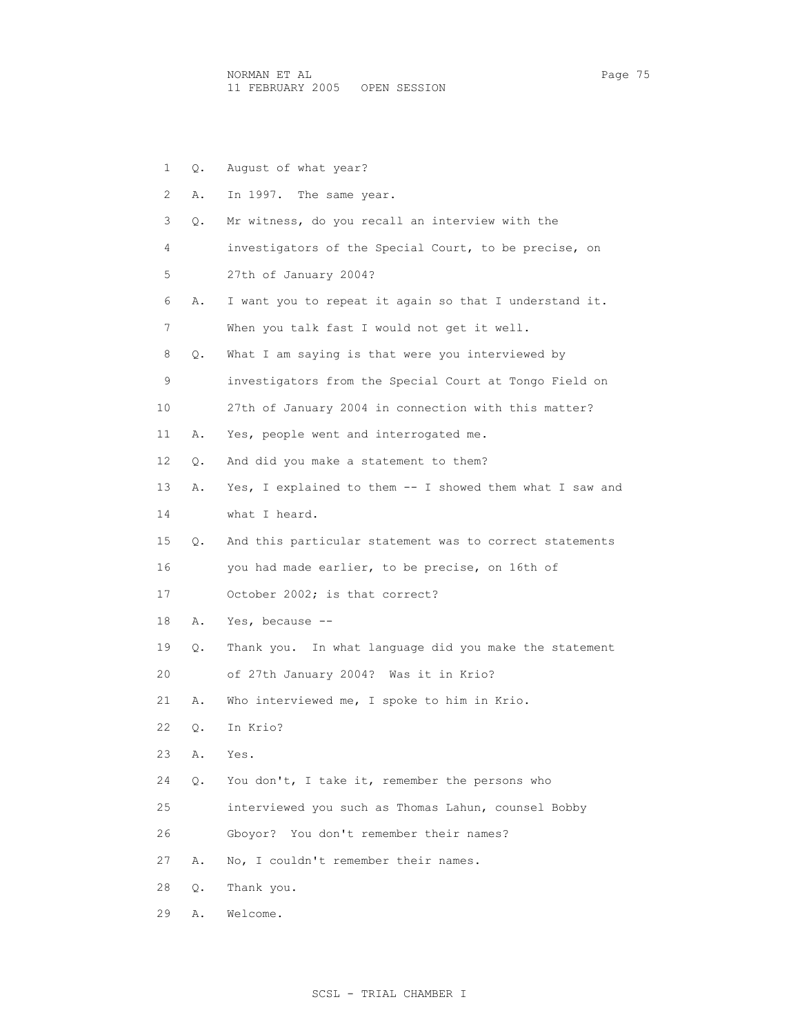1 Q. August of what year? 2 A. In 1997. The same year. 3 Q. Mr witness, do you recall an interview with the 4 investigators of the Special Court, to be precise, on 5 27th of January 2004? 6 A. I want you to repeat it again so that I understand it. 7 When you talk fast I would not get it well. 8 Q. What I am saying is that were you interviewed by 9 investigators from the Special Court at Tongo Field on 10 27th of January 2004 in connection with this matter? 11 A. Yes, people went and interrogated me. 12 Q. And did you make a statement to them? 13 A. Yes, I explained to them -- I showed them what I saw and 14 what I heard. 15 Q. And this particular statement was to correct statements 16 you had made earlier, to be precise, on 16th of 17 October 2002; is that correct? 18 A. Yes, because -- 19 Q. Thank you. In what language did you make the statement 20 of 27th January 2004? Was it in Krio? 21 A. Who interviewed me, I spoke to him in Krio. 22 Q. In Krio? 23 A. Yes. 24 Q. You don't, I take it, remember the persons who 25 interviewed you such as Thomas Lahun, counsel Bobby 26 Gboyor? You don't remember their names? 27 A. No, I couldn't remember their names. 28 Q. Thank you.

29 A. Welcome.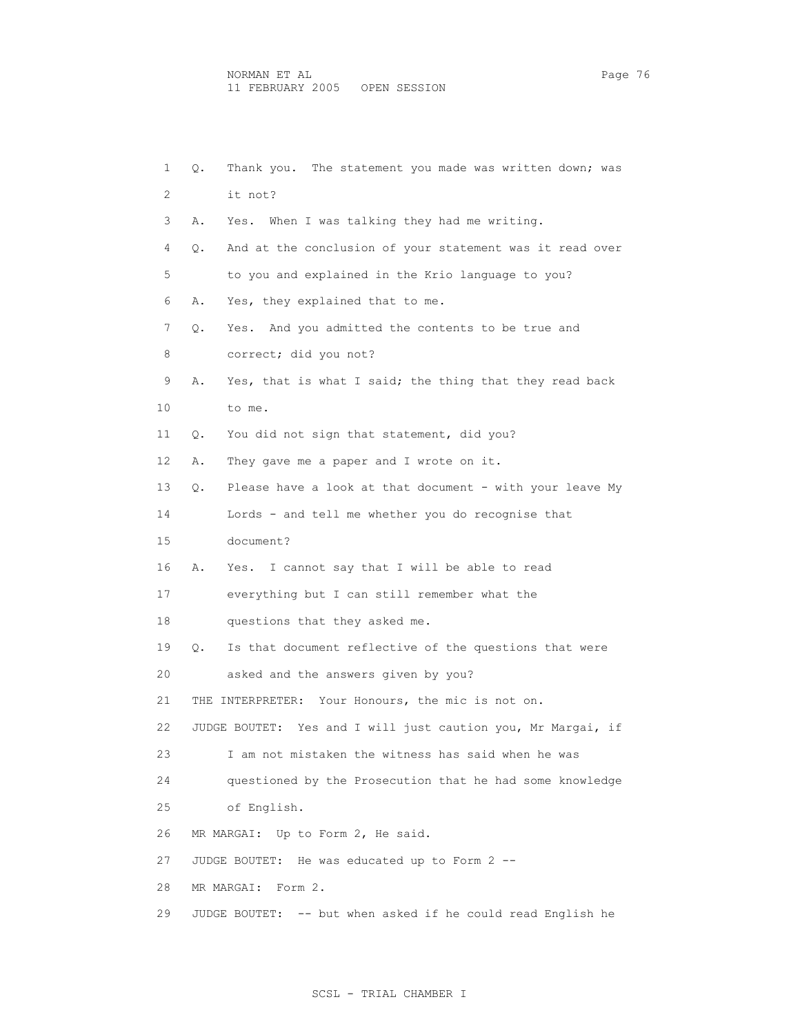| 1  | Q. | Thank you. The statement you made was written down; was         |
|----|----|-----------------------------------------------------------------|
| 2  |    | it not?                                                         |
| 3  | Α. | Yes. When I was talking they had me writing.                    |
| 4  | Q. | And at the conclusion of your statement was it read over        |
| 5  |    | to you and explained in the Krio language to you?               |
| 6  | Α. | Yes, they explained that to me.                                 |
| 7  | Q. | Yes. And you admitted the contents to be true and               |
| 8  |    | correct; did you not?                                           |
| 9  | Α. | Yes, that is what I said; the thing that they read back         |
| 10 |    | to me.                                                          |
| 11 | Q. | You did not sign that statement, did you?                       |
| 12 | Α. | They gave me a paper and I wrote on it.                         |
| 13 | Q. | Please have a look at that document - with your leave My        |
| 14 |    | Lords - and tell me whether you do recognise that               |
| 15 |    | document?                                                       |
| 16 | Α. | Yes. I cannot say that I will be able to read                   |
| 17 |    | everything but I can still remember what the                    |
| 18 |    | questions that they asked me.                                   |
| 19 | Q. | Is that document reflective of the questions that were          |
| 20 |    | asked and the answers given by you?                             |
| 21 |    | THE INTERPRETER: Your Honours, the mic is not on.               |
| 22 |    | Yes and I will just caution you, Mr Margai, if<br>JUDGE BOUTET: |
| 23 |    | I am not mistaken the witness has said when he was              |
| 24 |    | questioned by the Prosecution that he had some knowledge        |
| 25 |    | of English.                                                     |
| 26 |    | MR MARGAI: Up to Form 2, He said.                               |
| 27 |    | JUDGE BOUTET: He was educated up to Form 2 --                   |
| 28 |    | MR MARGAI:<br>Form 2.                                           |
| 29 |    | JUDGE BOUTET: -- but when asked if he could read English he     |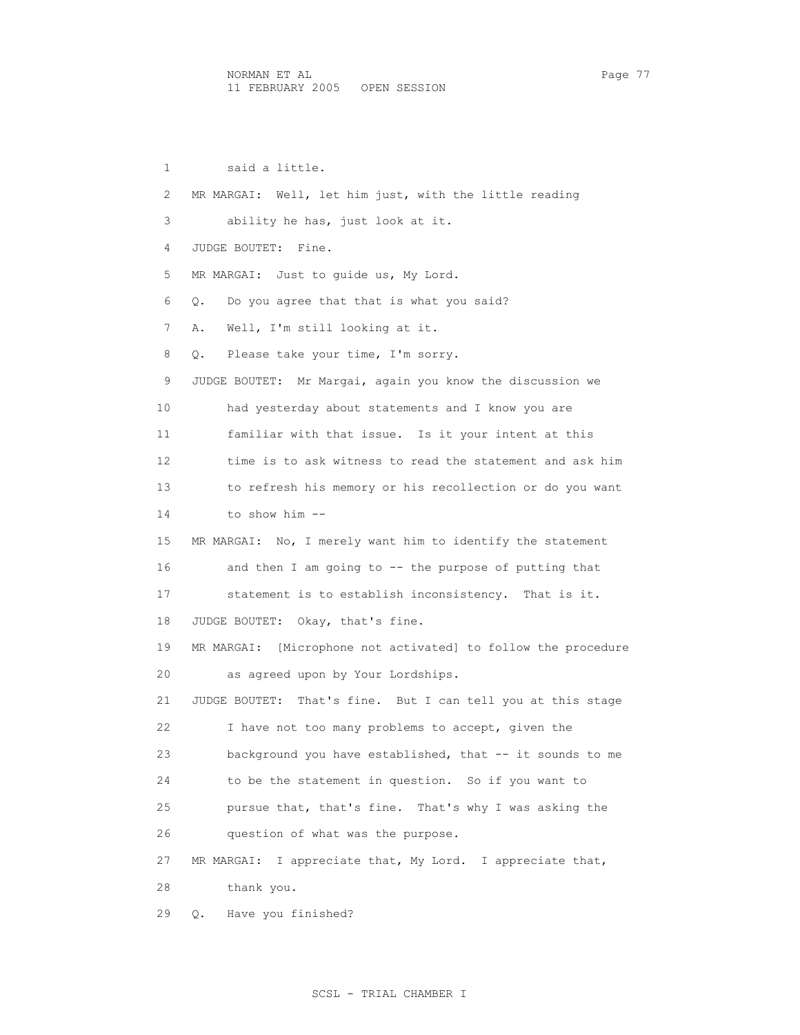1 said a little. 2 MR MARGAI: Well, let him just, with the little reading 3 ability he has, just look at it. 4 JUDGE BOUTET: Fine. 5 MR MARGAI: Just to guide us, My Lord. 6 Q. Do you agree that that is what you said? 7 A. Well, I'm still looking at it. 8 Q. Please take your time, I'm sorry. 9 JUDGE BOUTET: Mr Margai, again you know the discussion we 10 had yesterday about statements and I know you are 11 familiar with that issue. Is it your intent at this 12 time is to ask witness to read the statement and ask him 13 to refresh his memory or his recollection or do you want 14 to show him -- 15 MR MARGAI: No, I merely want him to identify the statement 16 and then I am going to -- the purpose of putting that 17 statement is to establish inconsistency. That is it. 18 JUDGE BOUTET: Okay, that's fine. 19 MR MARGAI: [Microphone not activated] to follow the procedure 20 as agreed upon by Your Lordships. 21 JUDGE BOUTET: That's fine. But I can tell you at this stage 22 I have not too many problems to accept, given the 23 background you have established, that -- it sounds to me 24 to be the statement in question. So if you want to 25 pursue that, that's fine. That's why I was asking the 26 question of what was the purpose. 27 MR MARGAI: I appreciate that, My Lord. I appreciate that, 28 thank you. 29 Q. Have you finished?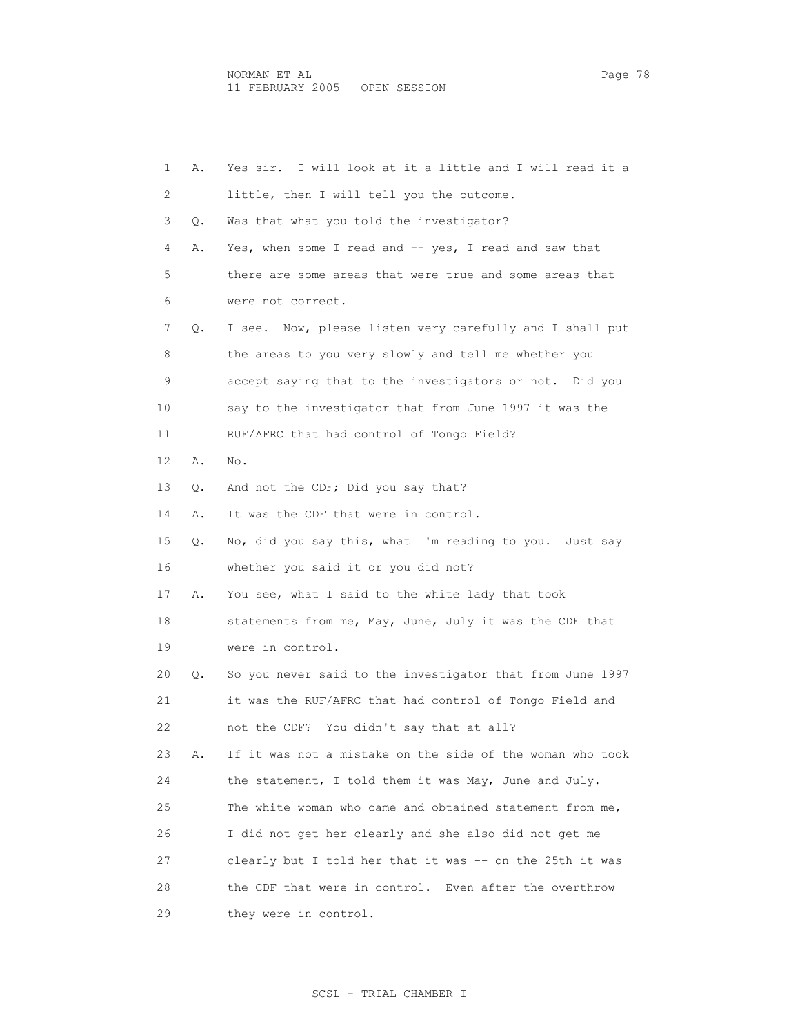1 A. Yes sir. I will look at it a little and I will read it a 2 little, then I will tell you the outcome. 3 Q. Was that what you told the investigator? 4 A. Yes, when some I read and -- yes, I read and saw that 5 there are some areas that were true and some areas that 6 were not correct. 7 Q. I see. Now, please listen very carefully and I shall put 8 the areas to you very slowly and tell me whether you 9 accept saying that to the investigators or not. Did you 10 say to the investigator that from June 1997 it was the 11 RUF/AFRC that had control of Tongo Field? 12 A. No. 13 Q. And not the CDF; Did you say that? 14 A. It was the CDF that were in control. 15 Q. No, did you say this, what I'm reading to you. Just say 16 whether you said it or you did not? 17 A. You see, what I said to the white lady that took 18 statements from me, May, June, July it was the CDF that 19 were in control. 20 Q. So you never said to the investigator that from June 1997 21 it was the RUF/AFRC that had control of Tongo Field and 22 not the CDF? You didn't say that at all? 23 A. If it was not a mistake on the side of the woman who took 24 the statement, I told them it was May, June and July. 25 The white woman who came and obtained statement from me, 26 I did not get her clearly and she also did not get me 27 clearly but I told her that it was -- on the 25th it was 28 the CDF that were in control. Even after the overthrow 29 they were in control.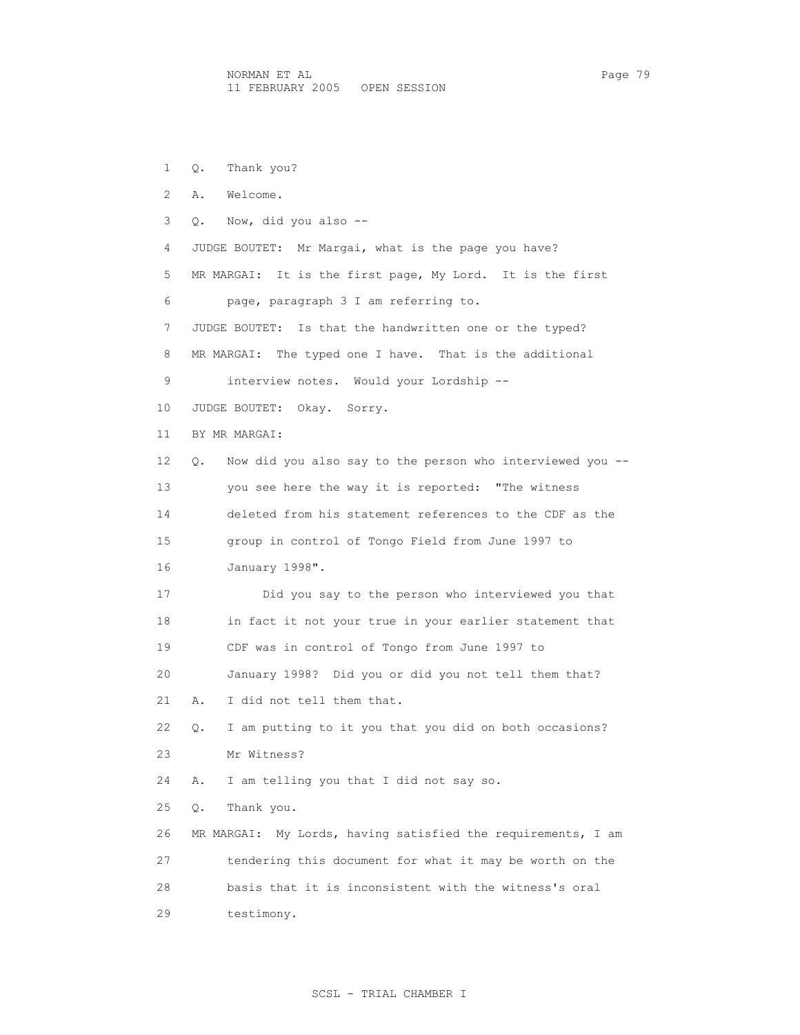1 Q. Thank you? 2 A. Welcome. 3 Q. Now, did you also -- 4 JUDGE BOUTET: Mr Margai, what is the page you have? 5 MR MARGAI: It is the first page, My Lord. It is the first 6 page, paragraph 3 I am referring to. 7 JUDGE BOUTET: Is that the handwritten one or the typed? 8 MR MARGAI: The typed one I have. That is the additional 9 interview notes. Would your Lordship -- 10 JUDGE BOUTET: Okay. Sorry. 11 BY MR MARGAI: 12 Q. Now did you also say to the person who interviewed you -- 13 you see here the way it is reported: "The witness 14 deleted from his statement references to the CDF as the 15 group in control of Tongo Field from June 1997 to 16 January 1998". 17 Did you say to the person who interviewed you that 18 in fact it not your true in your earlier statement that 19 CDF was in control of Tongo from June 1997 to 20 January 1998? Did you or did you not tell them that? 21 A. I did not tell them that. 22 Q. I am putting to it you that you did on both occasions? 23 Mr Witness? 24 A. I am telling you that I did not say so. 25 Q. Thank you. 26 MR MARGAI: My Lords, having satisfied the requirements, I am 27 tendering this document for what it may be worth on the 28 basis that it is inconsistent with the witness's oral 29 testimony.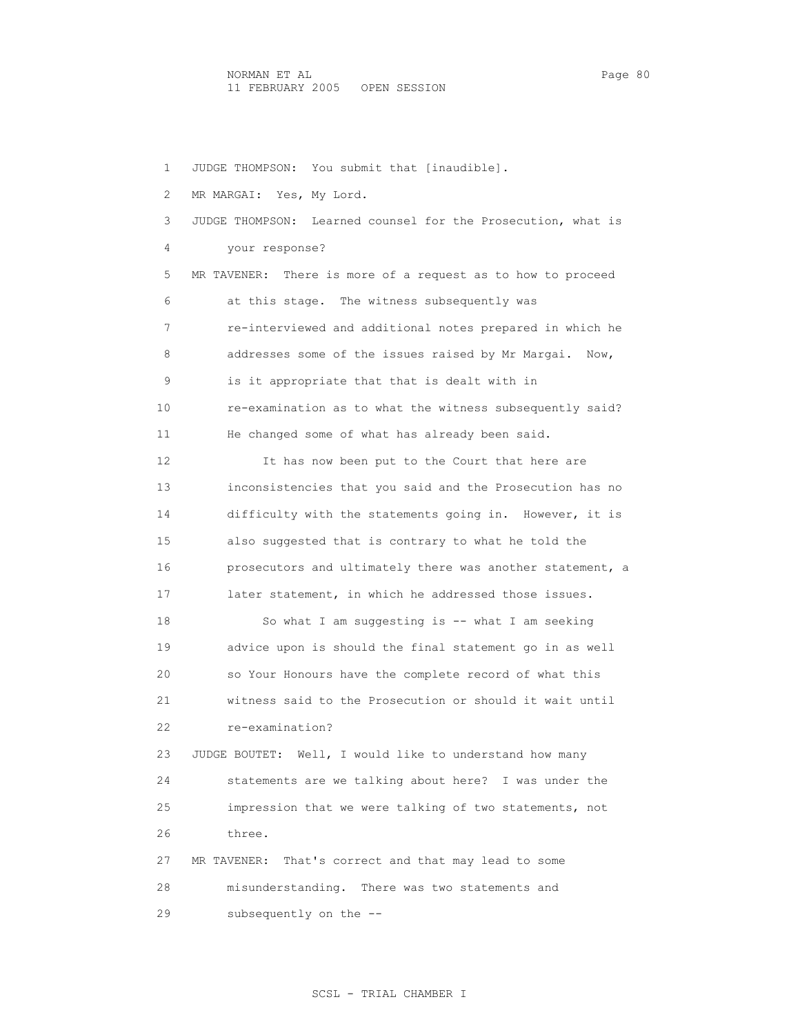1 JUDGE THOMPSON: You submit that [inaudible]. 2 MR MARGAI: Yes, My Lord. 3 JUDGE THOMPSON: Learned counsel for the Prosecution, what is 4 your response? 5 MR TAVENER: There is more of a request as to how to proceed 6 at this stage. The witness subsequently was 7 re-interviewed and additional notes prepared in which he 8 addresses some of the issues raised by Mr Margai. Now, 9 is it appropriate that that is dealt with in 10 re-examination as to what the witness subsequently said? 11 He changed some of what has already been said. 12 It has now been put to the Court that here are 13 inconsistencies that you said and the Prosecution has no 14 difficulty with the statements going in. However, it is 15 also suggested that is contrary to what he told the 16 prosecutors and ultimately there was another statement, a 17 later statement, in which he addressed those issues. 18 So what I am suggesting is -- what I am seeking 19 advice upon is should the final statement go in as well 20 so Your Honours have the complete record of what this 21 witness said to the Prosecution or should it wait until 22 re-examination? 23 JUDGE BOUTET: Well, I would like to understand how many 24 statements are we talking about here? I was under the 25 impression that we were talking of two statements, not 26 three. 27 MR TAVENER: That's correct and that may lead to some 28 misunderstanding. There was two statements and 29 subsequently on the --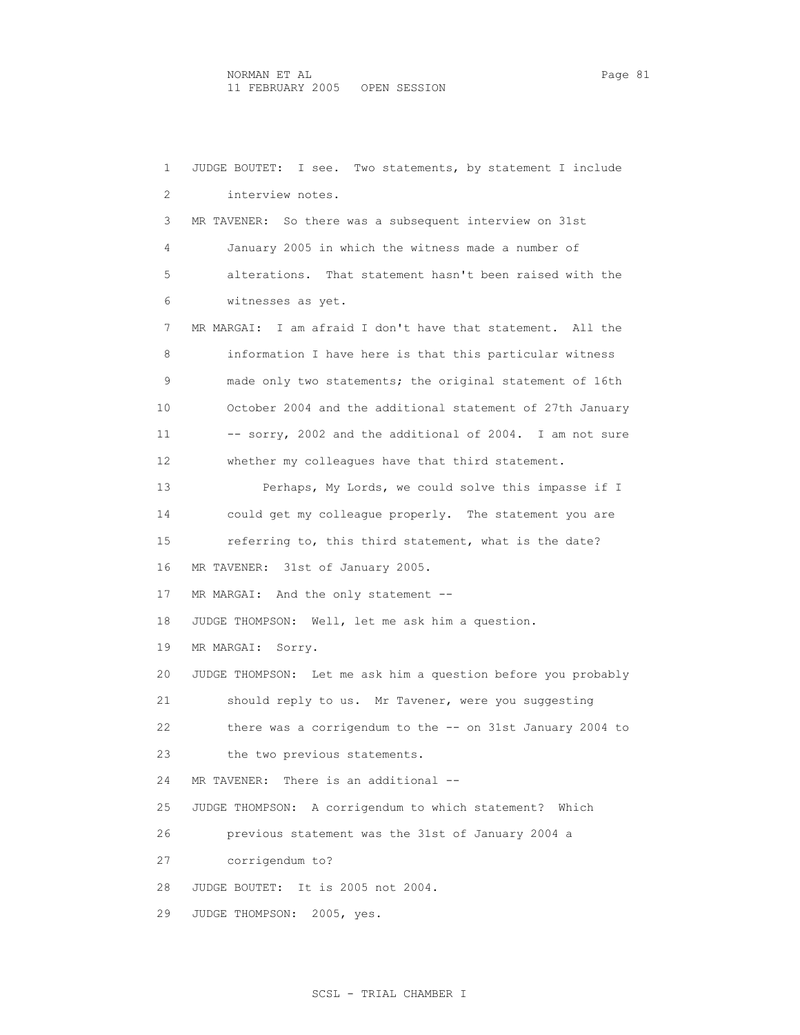1 JUDGE BOUTET: I see. Two statements, by statement I include 2 interview notes. 3 MR TAVENER: So there was a subsequent interview on 31st 4 January 2005 in which the witness made a number of 5 alterations. That statement hasn't been raised with the 6 witnesses as yet. 7 MR MARGAI: I am afraid I don't have that statement. All the 8 information I have here is that this particular witness 9 made only two statements; the original statement of 16th 10 October 2004 and the additional statement of 27th January 11 -- sorry, 2002 and the additional of 2004. I am not sure 12 whether my colleagues have that third statement. 13 Perhaps, My Lords, we could solve this impasse if I 14 could get my colleague properly. The statement you are 15 referring to, this third statement, what is the date? 16 MR TAVENER: 31st of January 2005. 17 MR MARGAI: And the only statement -- 18 JUDGE THOMPSON: Well, let me ask him a question. 19 MR MARGAI: Sorry. 20 JUDGE THOMPSON: Let me ask him a question before you probably 21 should reply to us. Mr Tavener, were you suggesting 22 there was a corrigendum to the -- on 31st January 2004 to 23 the two previous statements. 24 MR TAVENER: There is an additional -- 25 JUDGE THOMPSON: A corrigendum to which statement? Which 26 previous statement was the 31st of January 2004 a 27 corrigendum to? 28 JUDGE BOUTET: It is 2005 not 2004. 29 JUDGE THOMPSON: 2005, yes.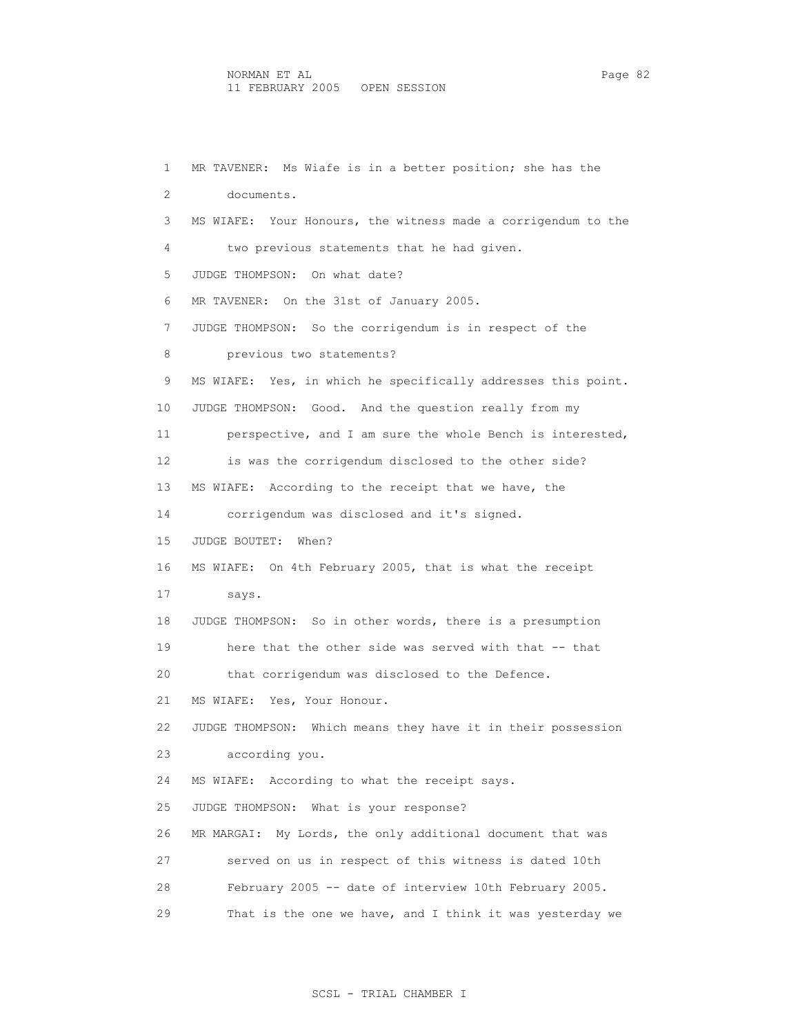1 MR TAVENER: Ms Wiafe is in a better position; she has the 2 documents. 3 MS WIAFE: Your Honours, the witness made a corrigendum to the 4 two previous statements that he had given. 5 JUDGE THOMPSON: On what date? 6 MR TAVENER: On the 31st of January 2005. 7 JUDGE THOMPSON: So the corrigendum is in respect of the 8 previous two statements? 9 MS WIAFE: Yes, in which he specifically addresses this point. 10 JUDGE THOMPSON: Good. And the question really from my 11 perspective, and I am sure the whole Bench is interested, 12 is was the corrigendum disclosed to the other side? 13 MS WIAFE: According to the receipt that we have, the 14 corrigendum was disclosed and it's signed. 15 JUDGE BOUTET: When? 16 MS WIAFE: On 4th February 2005, that is what the receipt 17 says. 18 JUDGE THOMPSON: So in other words, there is a presumption 19 here that the other side was served with that -- that 20 that corrigendum was disclosed to the Defence. 21 MS WIAFE: Yes, Your Honour. 22 JUDGE THOMPSON: Which means they have it in their possession 23 according you. 24 MS WIAFE: According to what the receipt says. 25 JUDGE THOMPSON: What is your response? 26 MR MARGAI: My Lords, the only additional document that was 27 served on us in respect of this witness is dated 10th 28 February 2005 -- date of interview 10th February 2005. 29 That is the one we have, and I think it was yesterday we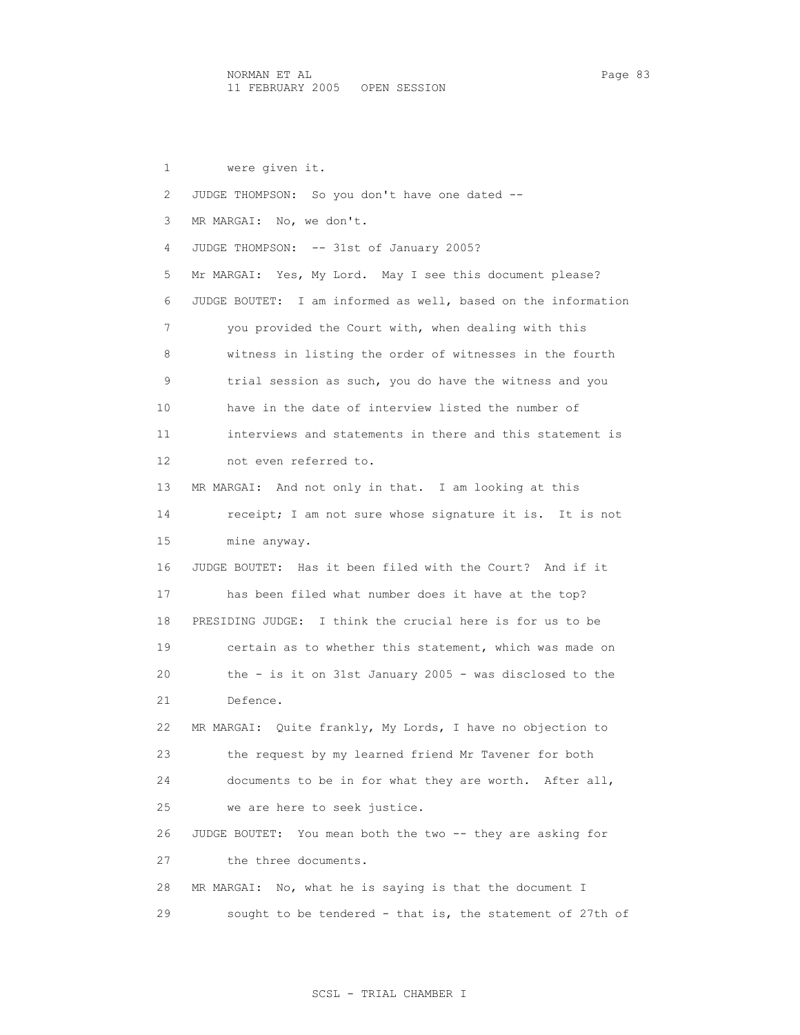1 were given it. 2 JUDGE THOMPSON: So you don't have one dated -- 3 MR MARGAI: No, we don't. 4 JUDGE THOMPSON: -- 31st of January 2005? 5 Mr MARGAI: Yes, My Lord. May I see this document please? 6 JUDGE BOUTET: I am informed as well, based on the information 7 you provided the Court with, when dealing with this 8 witness in listing the order of witnesses in the fourth 9 trial session as such, you do have the witness and you 10 have in the date of interview listed the number of 11 interviews and statements in there and this statement is 12 not even referred to. 13 MR MARGAI: And not only in that. I am looking at this 14 receipt; I am not sure whose signature it is. It is not 15 mine anyway. 16 JUDGE BOUTET: Has it been filed with the Court? And if it 17 has been filed what number does it have at the top? 18 PRESIDING JUDGE: I think the crucial here is for us to be 19 certain as to whether this statement, which was made on 20 the - is it on 31st January 2005 - was disclosed to the 21 Defence. 22 MR MARGAI: Quite frankly, My Lords, I have no objection to 23 the request by my learned friend Mr Tavener for both 24 documents to be in for what they are worth. After all, 25 we are here to seek justice. 26 JUDGE BOUTET: You mean both the two -- they are asking for 27 the three documents. 28 MR MARGAI: No, what he is saying is that the document I 29 sought to be tendered - that is, the statement of 27th of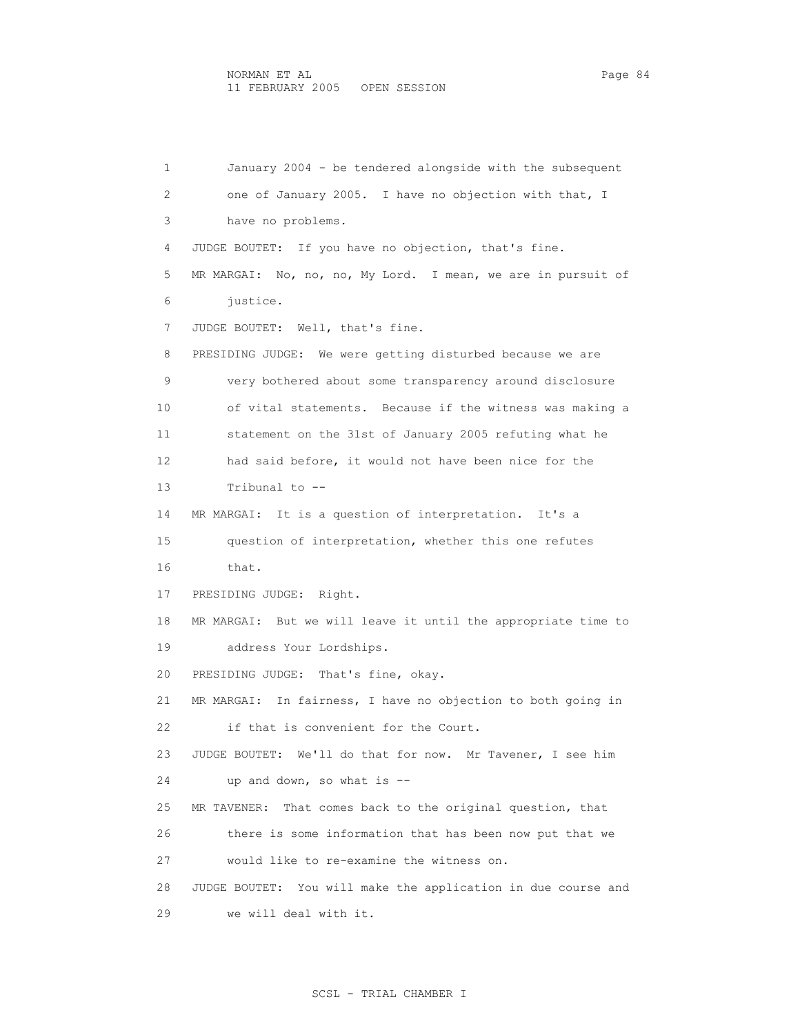1 January 2004 - be tendered alongside with the subsequent 2 one of January 2005. I have no objection with that, I 3 have no problems. 4 JUDGE BOUTET: If you have no objection, that's fine. 5 MR MARGAI: No, no, no, My Lord. I mean, we are in pursuit of 6 justice. 7 JUDGE BOUTET: Well, that's fine. 8 PRESIDING JUDGE: We were getting disturbed because we are 9 very bothered about some transparency around disclosure 10 of vital statements. Because if the witness was making a 11 statement on the 31st of January 2005 refuting what he 12 had said before, it would not have been nice for the 13 Tribunal to -- 14 MR MARGAI: It is a question of interpretation. It's a 15 question of interpretation, whether this one refutes 16 that. 17 PRESIDING JUDGE: Right. 18 MR MARGAI: But we will leave it until the appropriate time to 19 address Your Lordships. 20 PRESIDING JUDGE: That's fine, okay. 21 MR MARGAI: In fairness, I have no objection to both going in 22 if that is convenient for the Court. 23 JUDGE BOUTET: We'll do that for now. Mr Tavener, I see him 24 up and down, so what is -- 25 MR TAVENER: That comes back to the original question, that 26 there is some information that has been now put that we 27 would like to re-examine the witness on. 28 JUDGE BOUTET: You will make the application in due course and 29 we will deal with it.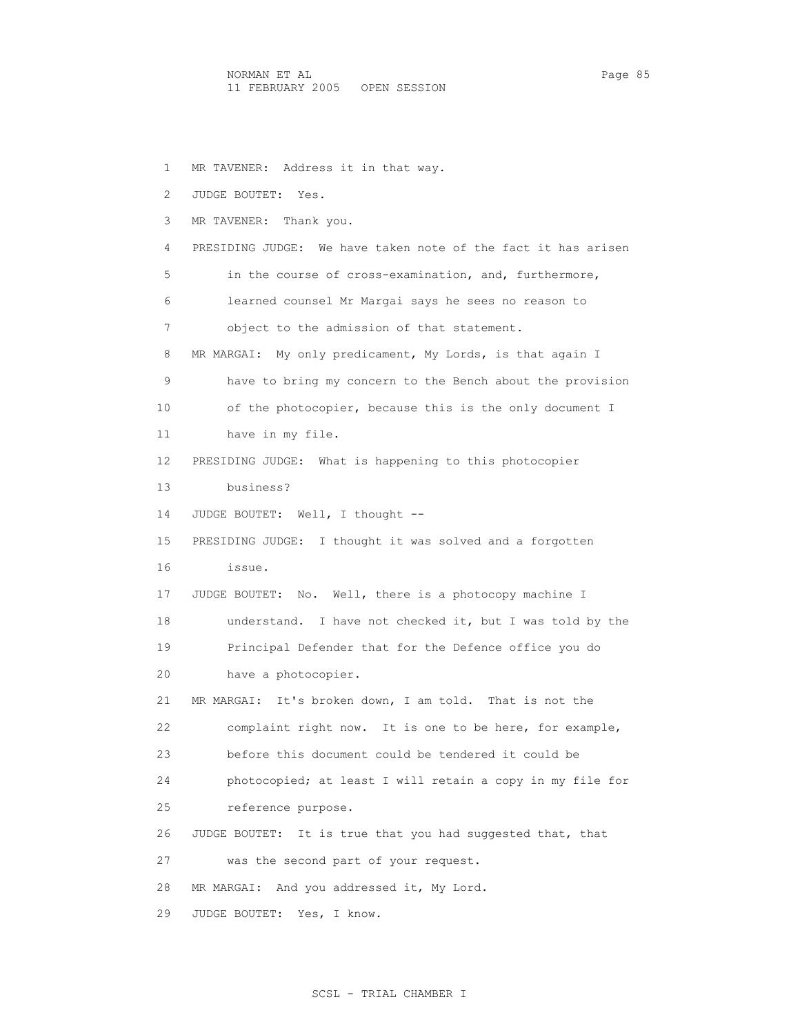1 MR TAVENER: Address it in that way. 2 JUDGE BOUTET: Yes. 3 MR TAVENER: Thank you. 4 PRESIDING JUDGE: We have taken note of the fact it has arisen 5 in the course of cross-examination, and, furthermore, 6 learned counsel Mr Margai says he sees no reason to 7 object to the admission of that statement. 8 MR MARGAI: My only predicament, My Lords, is that again I 9 have to bring my concern to the Bench about the provision 10 of the photocopier, because this is the only document I 11 have in my file. 12 PRESIDING JUDGE: What is happening to this photocopier 13 business? 14 JUDGE BOUTET: Well, I thought -- 15 PRESIDING JUDGE: I thought it was solved and a forgotten 16 issue. 17 JUDGE BOUTET: No. Well, there is a photocopy machine I 18 understand. I have not checked it, but I was told by the 19 Principal Defender that for the Defence office you do 20 have a photocopier. 21 MR MARGAI: It's broken down, I am told. That is not the 22 complaint right now. It is one to be here, for example, 23 before this document could be tendered it could be 24 photocopied; at least I will retain a copy in my file for 25 reference purpose. 26 JUDGE BOUTET: It is true that you had suggested that, that 27 was the second part of your request. 28 MR MARGAI: And you addressed it, My Lord. 29 JUDGE BOUTET: Yes, I know.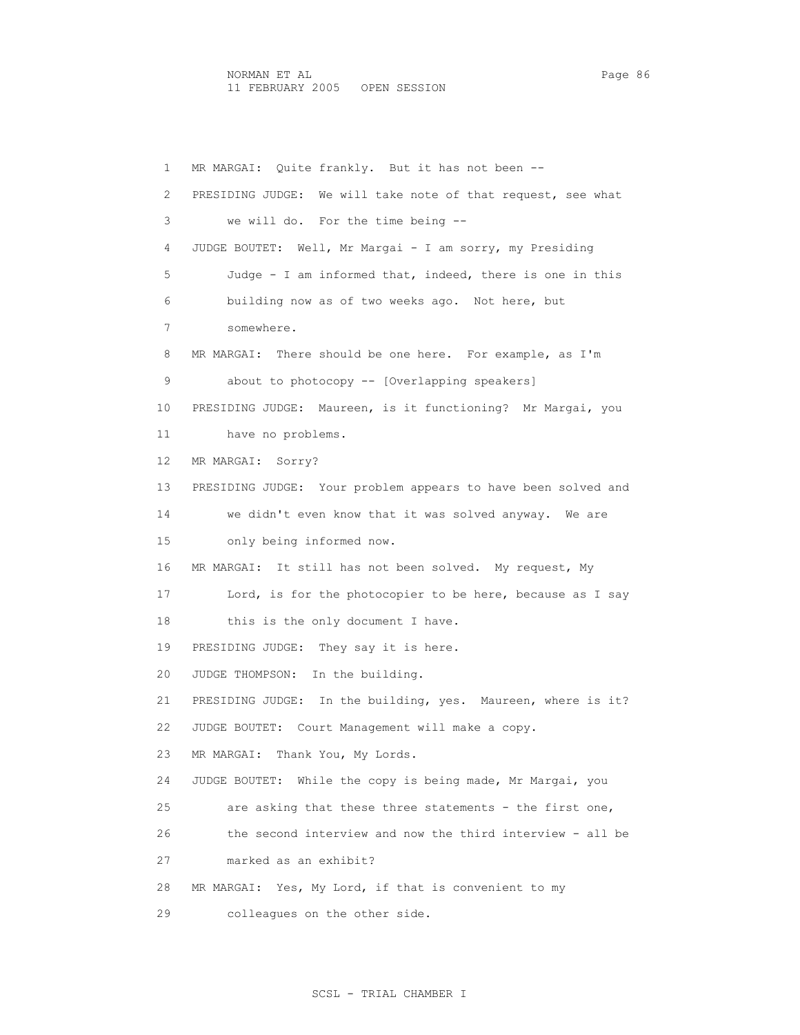1 MR MARGAI: Quite frankly. But it has not been -- 2 PRESIDING JUDGE: We will take note of that request, see what 3 we will do. For the time being -- 4 JUDGE BOUTET: Well, Mr Margai - I am sorry, my Presiding 5 Judge - I am informed that, indeed, there is one in this 6 building now as of two weeks ago. Not here, but 7 somewhere. 8 MR MARGAI: There should be one here. For example, as I'm 9 about to photocopy -- [Overlapping speakers] 10 PRESIDING JUDGE: Maureen, is it functioning? Mr Margai, you 11 have no problems. 12 MR MARGAI: Sorry? 13 PRESIDING JUDGE: Your problem appears to have been solved and 14 we didn't even know that it was solved anyway. We are 15 only being informed now. 16 MR MARGAI: It still has not been solved. My request, My 17 Lord, is for the photocopier to be here, because as I say 18 this is the only document I have. 19 PRESIDING JUDGE: They say it is here. 20 JUDGE THOMPSON: In the building. 21 PRESIDING JUDGE: In the building, yes. Maureen, where is it? 22 JUDGE BOUTET: Court Management will make a copy. 23 MR MARGAI: Thank You, My Lords. 24 JUDGE BOUTET: While the copy is being made, Mr Margai, you 25 are asking that these three statements - the first one, 26 the second interview and now the third interview - all be 27 marked as an exhibit? 28 MR MARGAI: Yes, My Lord, if that is convenient to my 29 colleagues on the other side.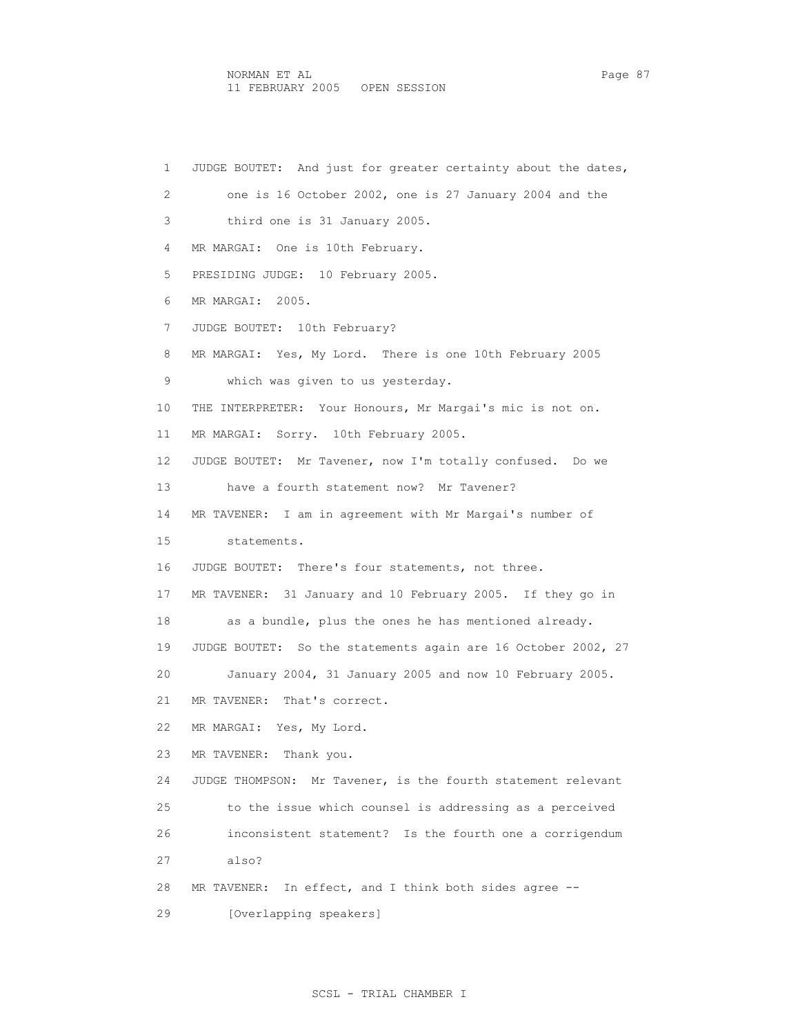1 JUDGE BOUTET: And just for greater certainty about the dates, 2 one is 16 October 2002, one is 27 January 2004 and the 3 third one is 31 January 2005. 4 MR MARGAI: One is 10th February. 5 PRESIDING JUDGE: 10 February 2005. 6 MR MARGAI: 2005. 7 JUDGE BOUTET: 10th February? 8 MR MARGAI: Yes, My Lord. There is one 10th February 2005 9 which was given to us yesterday. 10 THE INTERPRETER: Your Honours, Mr Margai's mic is not on. 11 MR MARGAI: Sorry. 10th February 2005. 12 JUDGE BOUTET: Mr Tavener, now I'm totally confused. Do we 13 have a fourth statement now? Mr Tavener? 14 MR TAVENER: I am in agreement with Mr Margai's number of 15 statements. 16 JUDGE BOUTET: There's four statements, not three. 17 MR TAVENER: 31 January and 10 February 2005. If they go in 18 as a bundle, plus the ones he has mentioned already. 19 JUDGE BOUTET: So the statements again are 16 October 2002, 27 20 January 2004, 31 January 2005 and now 10 February 2005. 21 MR TAVENER: That's correct. 22 MR MARGAI: Yes, My Lord. 23 MR TAVENER: Thank you. 24 JUDGE THOMPSON: Mr Tavener, is the fourth statement relevant 25 to the issue which counsel is addressing as a perceived 26 inconsistent statement? Is the fourth one a corrigendum 27 also? 28 MR TAVENER: In effect, and I think both sides agree -- 29 [Overlapping speakers]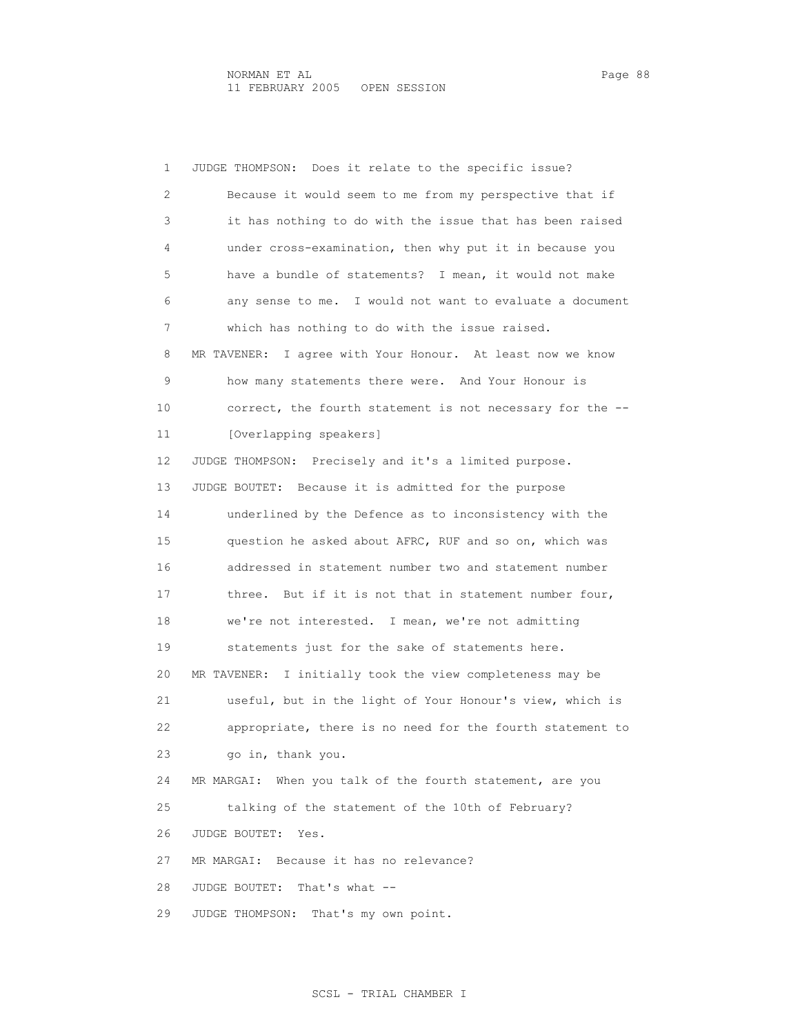1 JUDGE THOMPSON: Does it relate to the specific issue? 2 Because it would seem to me from my perspective that if 3 it has nothing to do with the issue that has been raised 4 under cross-examination, then why put it in because you 5 have a bundle of statements? I mean, it would not make 6 any sense to me. I would not want to evaluate a document 7 which has nothing to do with the issue raised. 8 MR TAVENER: I agree with Your Honour. At least now we know 9 how many statements there were. And Your Honour is 10 correct, the fourth statement is not necessary for the -- 11 [Overlapping speakers] 12 JUDGE THOMPSON: Precisely and it's a limited purpose. 13 JUDGE BOUTET: Because it is admitted for the purpose 14 underlined by the Defence as to inconsistency with the 15 question he asked about AFRC, RUF and so on, which was 16 addressed in statement number two and statement number 17 three. But if it is not that in statement number four, 18 we're not interested. I mean, we're not admitting 19 statements just for the sake of statements here. 20 MR TAVENER: I initially took the view completeness may be 21 useful, but in the light of Your Honour's view, which is 22 appropriate, there is no need for the fourth statement to 23 go in, thank you. 24 MR MARGAI: When you talk of the fourth statement, are you 25 talking of the statement of the 10th of February? 26 JUDGE BOUTET: Yes. 27 MR MARGAI: Because it has no relevance? 28 JUDGE BOUTET: That's what -- 29 JUDGE THOMPSON: That's my own point.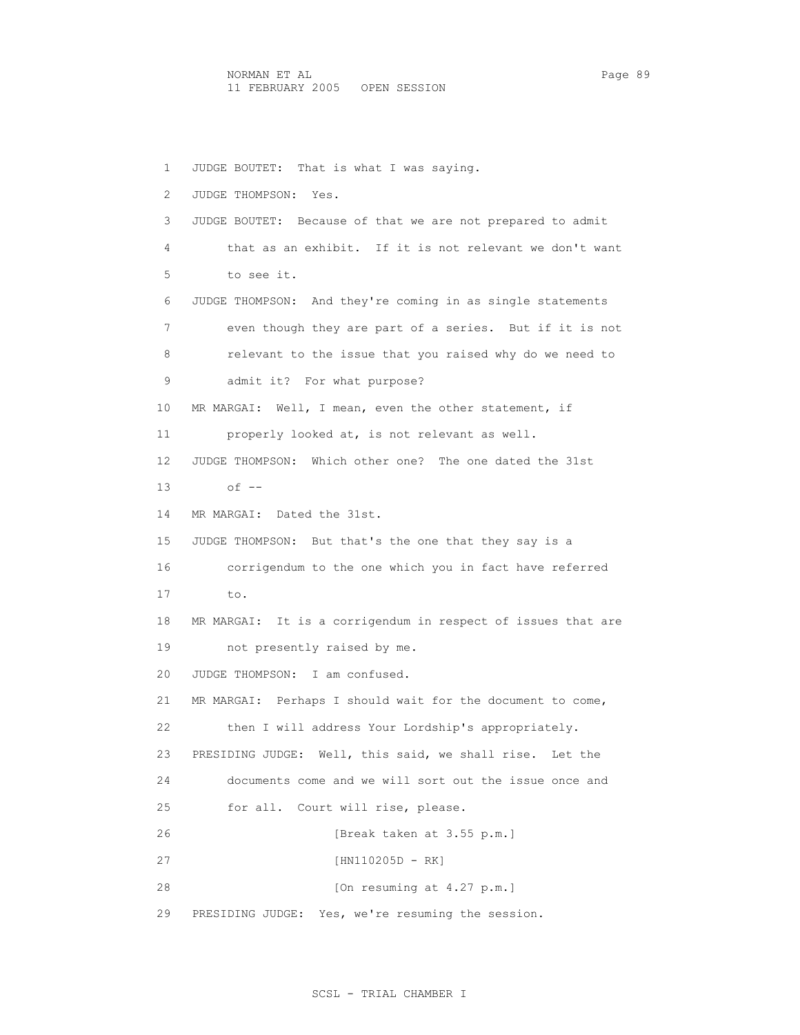1 JUDGE BOUTET: That is what I was saying. 2 JUDGE THOMPSON: Yes. 3 JUDGE BOUTET: Because of that we are not prepared to admit 4 that as an exhibit. If it is not relevant we don't want 5 to see it. 6 JUDGE THOMPSON: And they're coming in as single statements 7 even though they are part of a series. But if it is not 8 relevant to the issue that you raised why do we need to 9 admit it? For what purpose? 10 MR MARGAI: Well, I mean, even the other statement, if 11 properly looked at, is not relevant as well. 12 JUDGE THOMPSON: Which other one? The one dated the 31st 13 of -- 14 MR MARGAI: Dated the 31st. 15 JUDGE THOMPSON: But that's the one that they say is a 16 corrigendum to the one which you in fact have referred 17 to. 18 MR MARGAI: It is a corrigendum in respect of issues that are 19 not presently raised by me. 20 JUDGE THOMPSON: I am confused. 21 MR MARGAI: Perhaps I should wait for the document to come, 22 then I will address Your Lordship's appropriately. 23 PRESIDING JUDGE: Well, this said, we shall rise. Let the 24 documents come and we will sort out the issue once and 25 for all. Court will rise, please. 26 [Break taken at 3.55 p.m.] 27 [HN110205D - RK] 28 [On resuming at 4.27 p.m.] 29 PRESIDING JUDGE: Yes, we're resuming the session.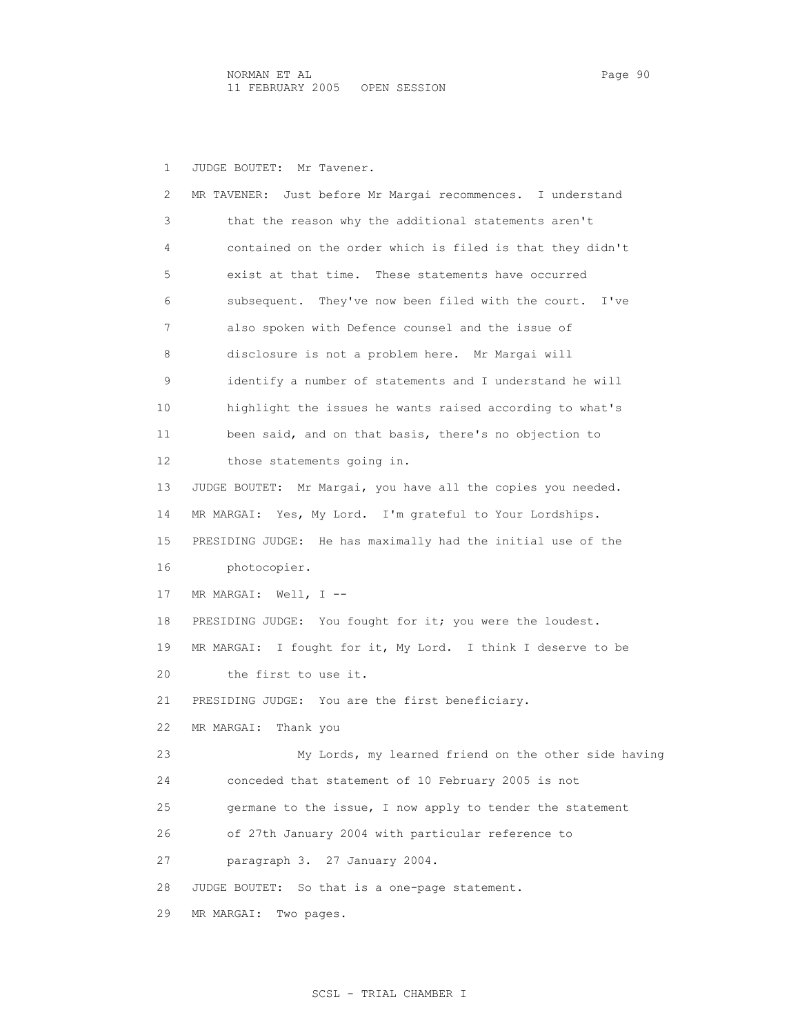2 MR TAVENER: Just before Mr Margai recommences. I understand

1 JUDGE BOUTET: Mr Tavener.

 3 that the reason why the additional statements aren't 4 contained on the order which is filed is that they didn't 5 exist at that time. These statements have occurred 6 subsequent. They've now been filed with the court. I've 7 also spoken with Defence counsel and the issue of 8 disclosure is not a problem here. Mr Margai will 9 identify a number of statements and I understand he will 10 highlight the issues he wants raised according to what's 11 been said, and on that basis, there's no objection to 12 those statements going in. 13 JUDGE BOUTET: Mr Margai, you have all the copies you needed. 14 MR MARGAI: Yes, My Lord. I'm grateful to Your Lordships. 15 PRESIDING JUDGE: He has maximally had the initial use of the 16 photocopier. 17 MR MARGAI: Well, I --18 PRESIDING JUDGE: You fought for it; you were the loudest. 19 MR MARGAI: I fought for it, My Lord. I think I deserve to be 20 the first to use it. 21 PRESIDING JUDGE: You are the first beneficiary. 22 MR MARGAI: Thank you 23 My Lords, my learned friend on the other side having 24 conceded that statement of 10 February 2005 is not 25 germane to the issue, I now apply to tender the statement 26 of 27th January 2004 with particular reference to 27 paragraph 3. 27 January 2004. 28 JUDGE BOUTET: So that is a one-page statement. 29 MR MARGAI: Two pages.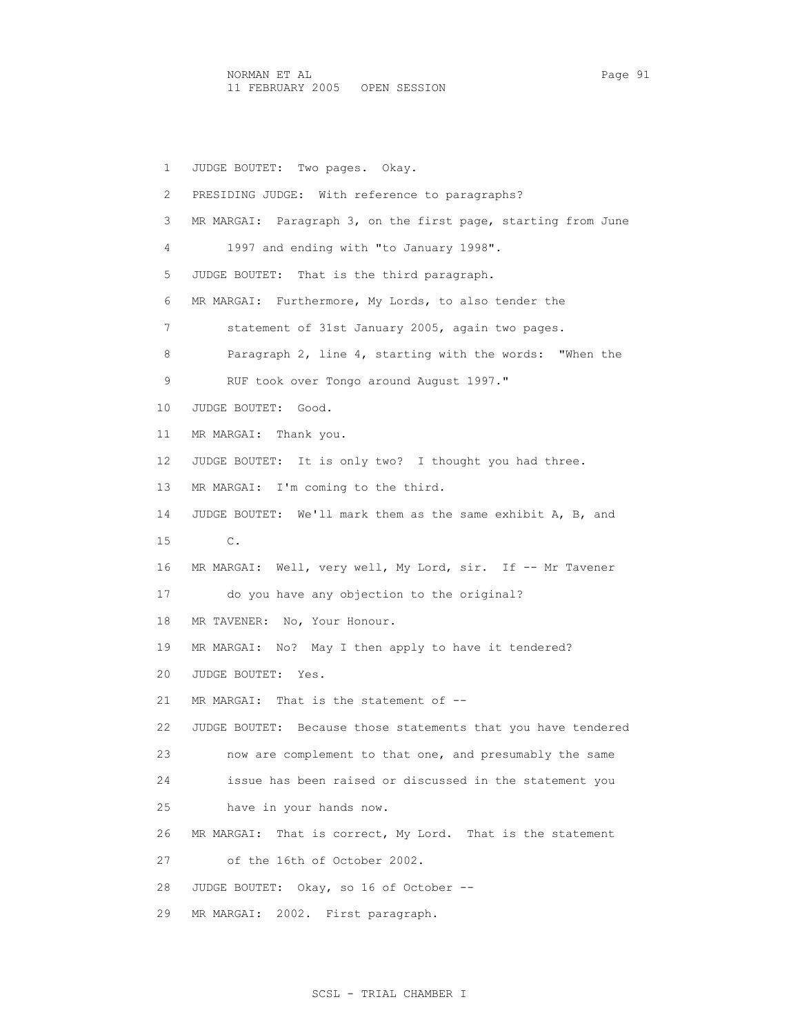1 JUDGE BOUTET: Two pages. Okay. 2 PRESIDING JUDGE: With reference to paragraphs? 3 MR MARGAI: Paragraph 3, on the first page, starting from June 4 1997 and ending with "to January 1998". 5 JUDGE BOUTET: That is the third paragraph. 6 MR MARGAI: Furthermore, My Lords, to also tender the 7 statement of 31st January 2005, again two pages. 8 Paragraph 2, line 4, starting with the words: "When the 9 RUF took over Tongo around August 1997." 10 JUDGE BOUTET: Good. 11 MR MARGAI: Thank you. 12 JUDGE BOUTET: It is only two? I thought you had three. 13 MR MARGAI: I'm coming to the third. 14 JUDGE BOUTET: We'll mark them as the same exhibit A, B, and 15 C. 16 MR MARGAI: Well, very well, My Lord, sir. If -- Mr Tavener 17 do you have any objection to the original? 18 MR TAVENER: No, Your Honour. 19 MR MARGAI: No? May I then apply to have it tendered? 20 JUDGE BOUTET: Yes. 21 MR MARGAI: That is the statement of -- 22 JUDGE BOUTET: Because those statements that you have tendered 23 now are complement to that one, and presumably the same 24 issue has been raised or discussed in the statement you 25 have in your hands now. 26 MR MARGAI: That is correct, My Lord. That is the statement 27 of the 16th of October 2002. 28 JUDGE BOUTET: Okay, so 16 of October -- 29 MR MARGAI: 2002. First paragraph.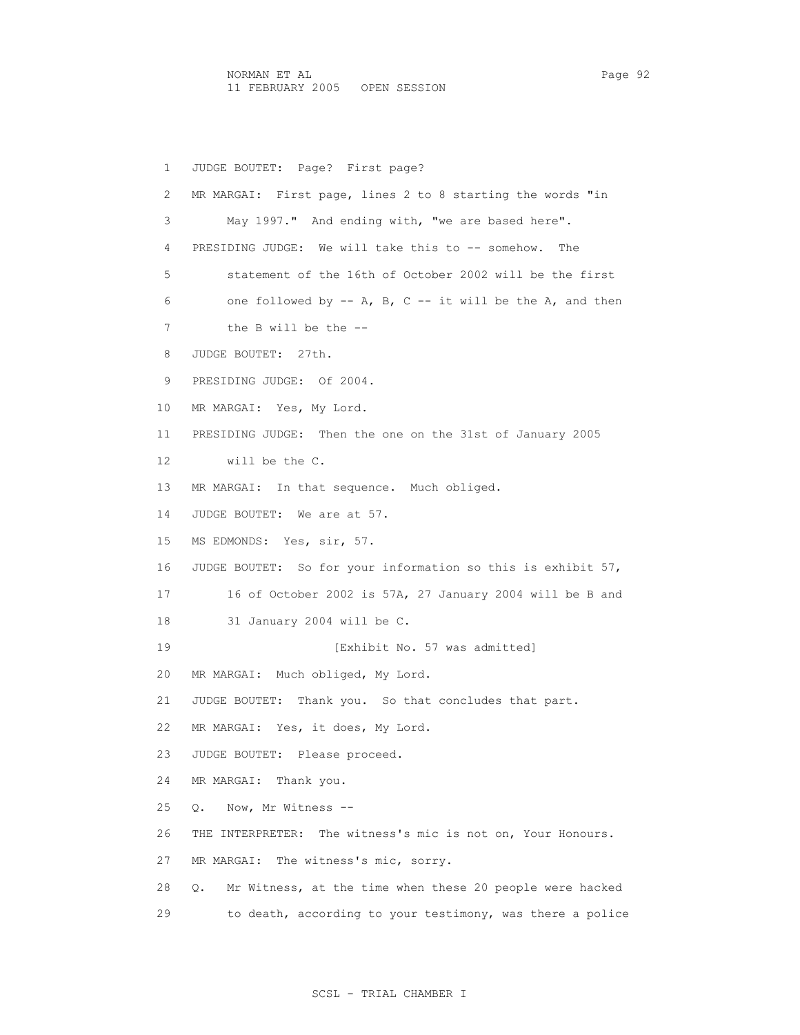1 JUDGE BOUTET: Page? First page? 2 MR MARGAI: First page, lines 2 to 8 starting the words "in 3 May 1997." And ending with, "we are based here". 4 PRESIDING JUDGE: We will take this to -- somehow. The 5 statement of the 16th of October 2002 will be the first 6 one followed by -- A, B, C -- it will be the A, and then 7 the B will be the -- 8 JUDGE BOUTET: 27th. 9 PRESIDING JUDGE: Of 2004. 10 MR MARGAI: Yes, My Lord. 11 PRESIDING JUDGE: Then the one on the 31st of January 2005 12 will be the C. 13 MR MARGAI: In that sequence. Much obliged. 14 JUDGE BOUTET: We are at 57. 15 MS EDMONDS: Yes, sir, 57. 16 JUDGE BOUTET: So for your information so this is exhibit 57, 17 16 of October 2002 is 57A, 27 January 2004 will be B and 18 31 January 2004 will be C. 19 **Interval [Exhibit No. 57 was admitted]**  20 MR MARGAI: Much obliged, My Lord. 21 JUDGE BOUTET: Thank you. So that concludes that part. 22 MR MARGAI: Yes, it does, My Lord. 23 JUDGE BOUTET: Please proceed. 24 MR MARGAI: Thank you. 25 Q. Now, Mr Witness -- 26 THE INTERPRETER: The witness's mic is not on, Your Honours. 27 MR MARGAI: The witness's mic, sorry. 28 Q. Mr Witness, at the time when these 20 people were hacked 29 to death, according to your testimony, was there a police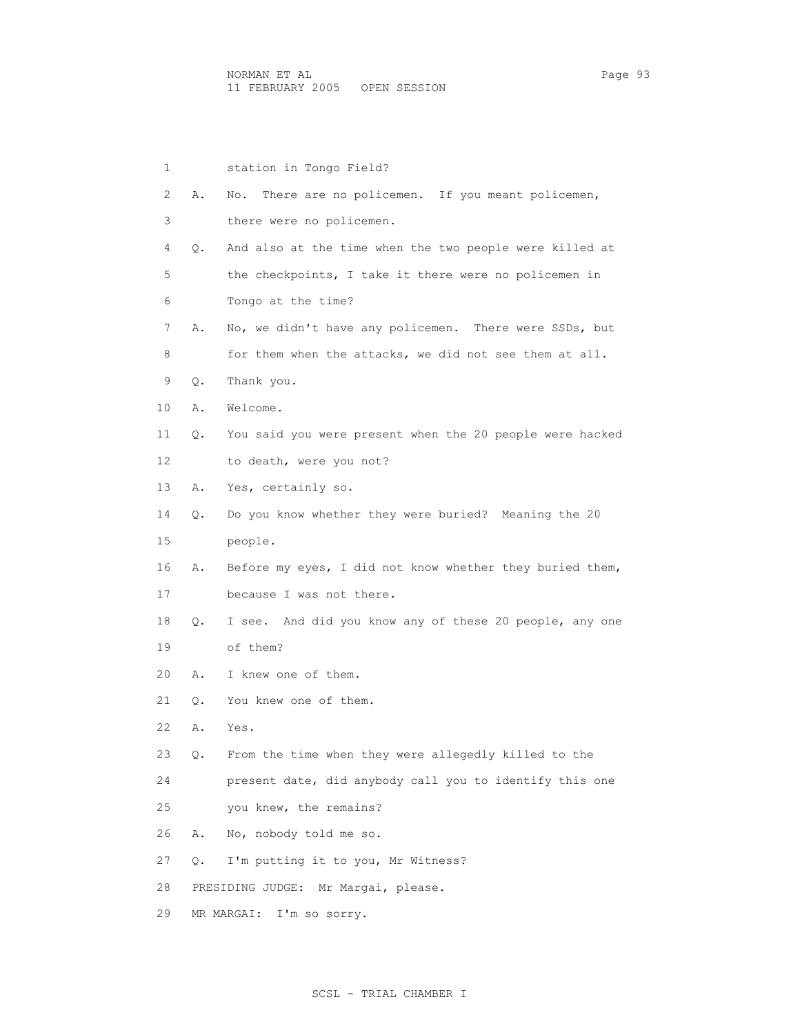| $\mathbf{1}$ |    | station in Tongo Field?                                  |
|--------------|----|----------------------------------------------------------|
| 2            | Α. | There are no policemen. If you meant policemen,<br>No.   |
| 3            |    | there were no policemen.                                 |
| 4            | Q. | And also at the time when the two people were killed at  |
| 5            |    | the checkpoints, I take it there were no policemen in    |
| 6            |    | Tongo at the time?                                       |
| 7            | Α. | No, we didn't have any policemen. There were SSDs, but   |
| 8            |    | for them when the attacks, we did not see them at all.   |
| 9            | Q. | Thank you.                                               |
| 10           | Α. | Welcome.                                                 |
| 11           | Q. | You said you were present when the 20 people were hacked |
| 12           |    | to death, were you not?                                  |
| 13           | Α. | Yes, certainly so.                                       |
| 14           | Q. | Do you know whether they were buried? Meaning the 20     |
| 15           |    | people.                                                  |
| 16           | Α. | Before my eyes, I did not know whether they buried them, |
| 17           |    | because I was not there.                                 |
| 18           | Q. | I see. And did you know any of these 20 people, any one  |
| 19           |    | of them?                                                 |
| 20           | Α. | I knew one of them.                                      |
| 21           | Q. | You knew one of them.                                    |
| 22           | Α. | Yes.                                                     |
| 23           | Q. | From the time when they were allegedly killed to the     |
| 24           |    | present date, did anybody call you to identify this one  |
| 25           |    | you knew, the remains?                                   |
| 26           | Α. | No, nobody told me so.                                   |
| 27           | О. | I'm putting it to you, Mr Witness?                       |
| 28           |    | PRESIDING JUDGE:<br>Mr Margai, please.                   |
| 29           |    | MR MARGAI: I'm so sorry.                                 |
|              |    |                                                          |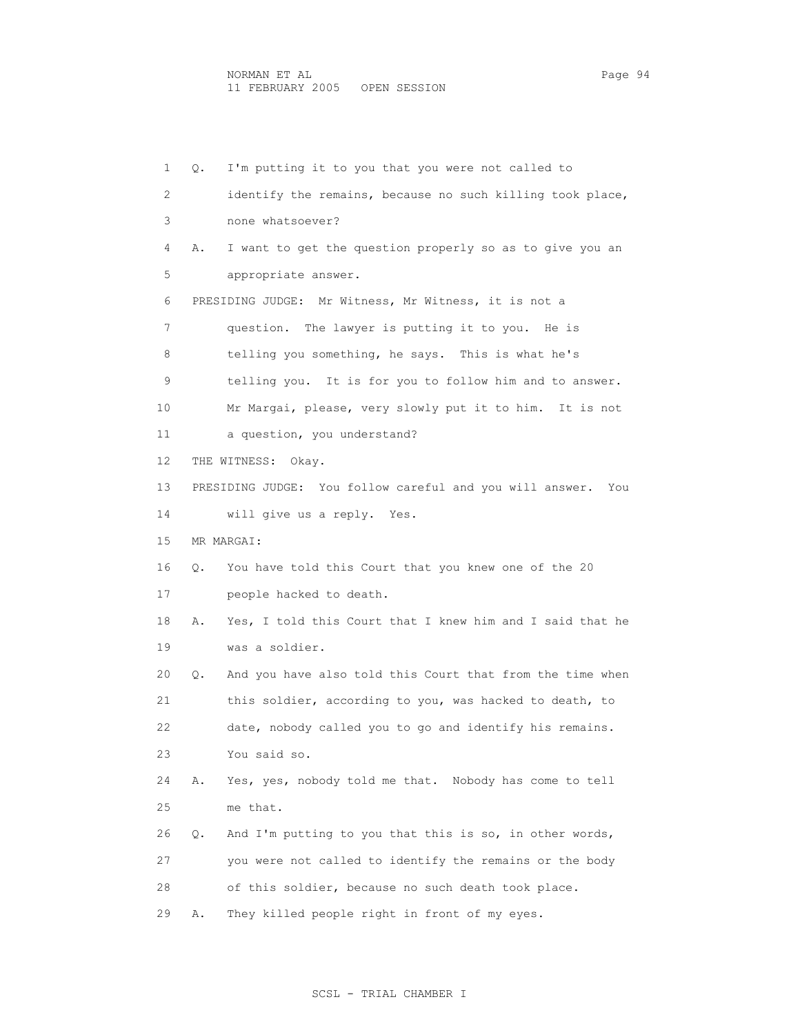1 Q. I'm putting it to you that you were not called to 2 identify the remains, because no such killing took place, 3 none whatsoever? 4 A. I want to get the question properly so as to give you an 5 appropriate answer. 6 PRESIDING JUDGE: Mr Witness, Mr Witness, it is not a 7 question. The lawyer is putting it to you. He is 8 telling you something, he says. This is what he's 9 telling you. It is for you to follow him and to answer. 10 Mr Margai, please, very slowly put it to him. It is not 11 a question, you understand? 12 THE WITNESS: Okay. 13 PRESIDING JUDGE: You follow careful and you will answer. You 14 will give us a reply. Yes. 15 MR MARGAI: 16 Q. You have told this Court that you knew one of the 20 17 people hacked to death. 18 A. Yes, I told this Court that I knew him and I said that he 19 was a soldier. 20 Q. And you have also told this Court that from the time when 21 this soldier, according to you, was hacked to death, to 22 date, nobody called you to go and identify his remains. 23 You said so. 24 A. Yes, yes, nobody told me that. Nobody has come to tell 25 me that. 26 Q. And I'm putting to you that this is so, in other words, 27 you were not called to identify the remains or the body 28 of this soldier, because no such death took place. 29 A. They killed people right in front of my eyes.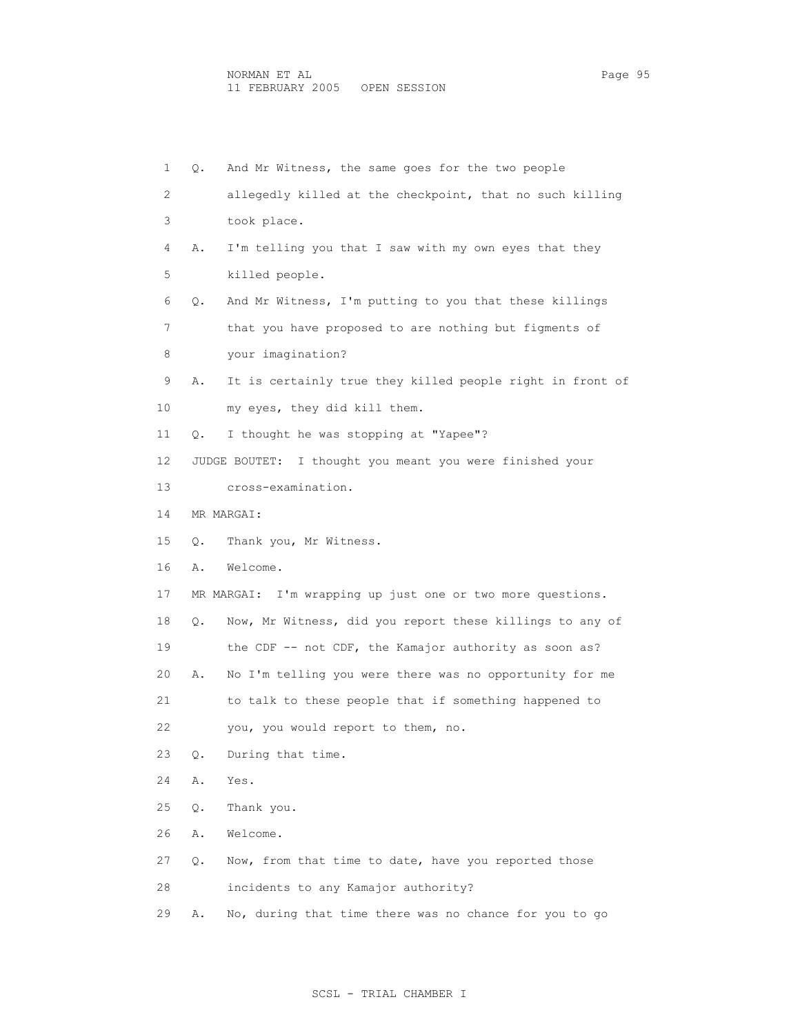| 1  | Q. | And Mr Witness, the same goes for the two people           |
|----|----|------------------------------------------------------------|
| 2  |    | allegedly killed at the checkpoint, that no such killing   |
| 3  |    | took place.                                                |
| 4  | Α. | I'm telling you that I saw with my own eyes that they      |
| 5  |    | killed people.                                             |
| 6  | Q. | And Mr Witness, I'm putting to you that these killings     |
| 7  |    | that you have proposed to are nothing but figments of      |
| 8  |    | your imagination?                                          |
| 9  | Α. | It is certainly true they killed people right in front of  |
| 10 |    | my eyes, they did kill them.                               |
| 11 | Q. | I thought he was stopping at "Yapee"?                      |
| 12 |    | JUDGE BOUTET: I thought you meant you were finished your   |
| 13 |    | cross-examination.                                         |
| 14 |    | MR MARGAI:                                                 |
| 15 | О. | Thank you, Mr Witness.                                     |
| 16 | Α. | Welcome.                                                   |
| 17 |    | MR MARGAI: I'm wrapping up just one or two more questions. |
| 18 | Q. | Now, Mr Witness, did you report these killings to any of   |
| 19 |    | the CDF -- not CDF, the Kamajor authority as soon as?      |
| 20 | Α. | No I'm telling you were there was no opportunity for me    |
| 21 |    | to talk to these people that if something happened to      |
| 22 |    | you, you would report to them, no.                         |
| 23 | Q. | During that time.                                          |
| 24 | Α. | Yes.                                                       |
| 25 | Q. | Thank you.                                                 |
| 26 | Α. | Welcome.                                                   |
| 27 | О. | Now, from that time to date, have you reported those       |
| 28 |    | incidents to any Kamajor authority?                        |
| 29 | Α. | No, during that time there was no chance for you to go     |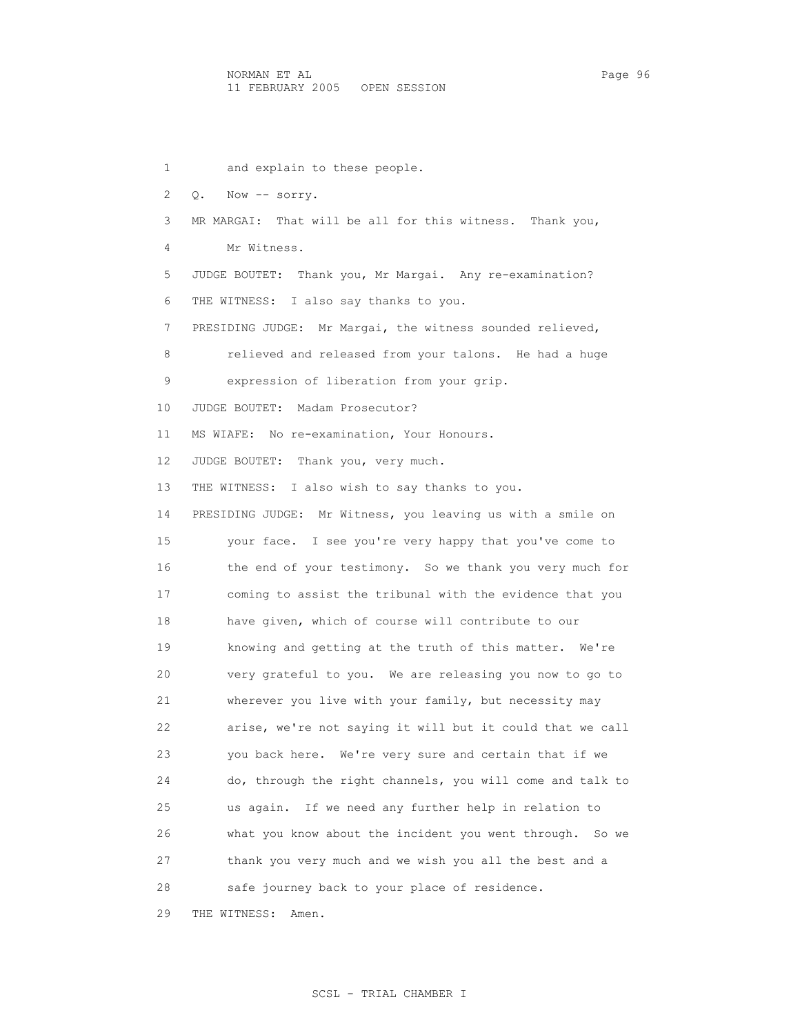1 and explain to these people. 2 Q. Now -- sorry. 3 MR MARGAI: That will be all for this witness. Thank you, 4 Mr Witness. 5 JUDGE BOUTET: Thank you, Mr Margai. Any re-examination? 6 THE WITNESS: I also say thanks to you. 7 PRESIDING JUDGE: Mr Margai, the witness sounded relieved, 8 relieved and released from your talons. He had a huge 9 expression of liberation from your grip. 10 JUDGE BOUTET: Madam Prosecutor? 11 MS WIAFE: No re-examination, Your Honours. 12 JUDGE BOUTET: Thank you, very much. 13 THE WITNESS: I also wish to say thanks to you. 14 PRESIDING JUDGE: Mr Witness, you leaving us with a smile on 15 your face. I see you're very happy that you've come to 16 the end of your testimony. So we thank you very much for 17 coming to assist the tribunal with the evidence that you 18 have given, which of course will contribute to our 19 knowing and getting at the truth of this matter. We're 20 very grateful to you. We are releasing you now to go to 21 wherever you live with your family, but necessity may 22 arise, we're not saying it will but it could that we call 23 you back here. We're very sure and certain that if we 24 do, through the right channels, you will come and talk to 25 us again. If we need any further help in relation to 26 what you know about the incident you went through. So we 27 thank you very much and we wish you all the best and a 28 safe journey back to your place of residence.

29 THE WITNESS: Amen.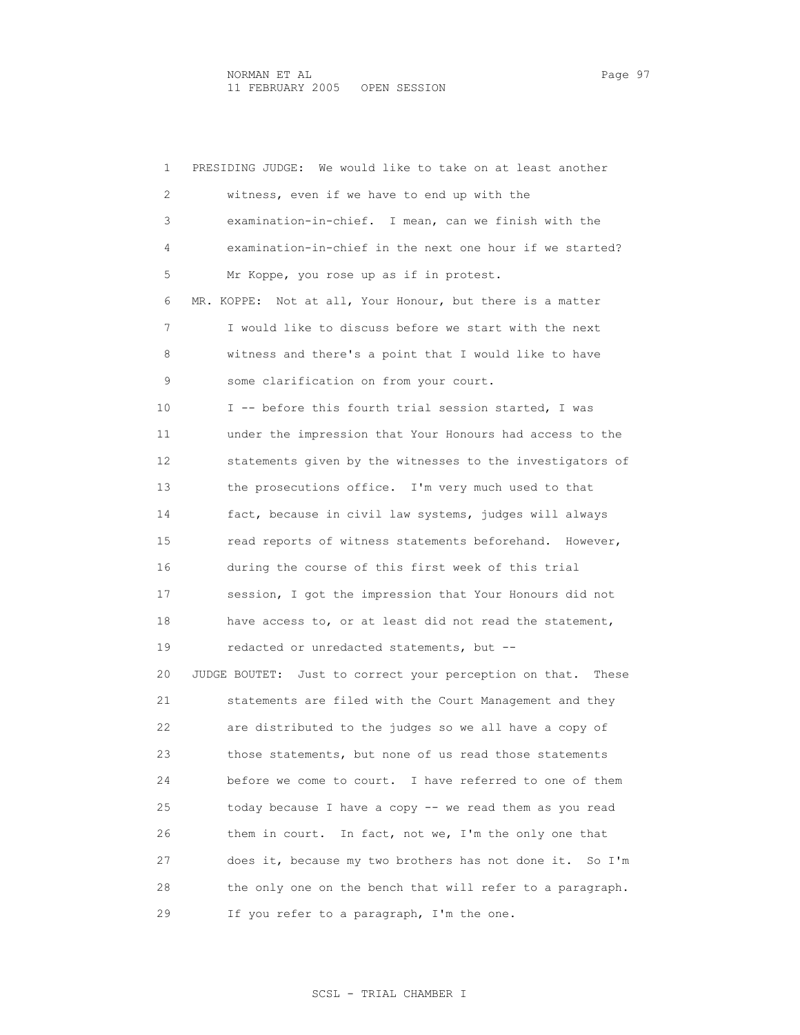1 PRESIDING JUDGE: We would like to take on at least another 2 witness, even if we have to end up with the 3 examination-in-chief. I mean, can we finish with the 4 examination-in-chief in the next one hour if we started? 5 Mr Koppe, you rose up as if in protest. 6 MR. KOPPE: Not at all, Your Honour, but there is a matter 7 I would like to discuss before we start with the next 8 witness and there's a point that I would like to have 9 some clarification on from your court. 10 I -- before this fourth trial session started, I was 11 under the impression that Your Honours had access to the 12 statements given by the witnesses to the investigators of 13 the prosecutions office. I'm very much used to that 14 fact, because in civil law systems, judges will always 15 read reports of witness statements beforehand. However, 16 during the course of this first week of this trial 17 session, I got the impression that Your Honours did not 18 have access to, or at least did not read the statement, 19 redacted or unredacted statements, but -- 20 JUDGE BOUTET: Just to correct your perception on that. These 21 statements are filed with the Court Management and they 22 are distributed to the judges so we all have a copy of 23 those statements, but none of us read those statements 24 before we come to court. I have referred to one of them 25 today because I have a copy -- we read them as you read 26 them in court. In fact, not we, I'm the only one that 27 does it, because my two brothers has not done it. So I'm 28 the only one on the bench that will refer to a paragraph. 29 If you refer to a paragraph, I'm the one.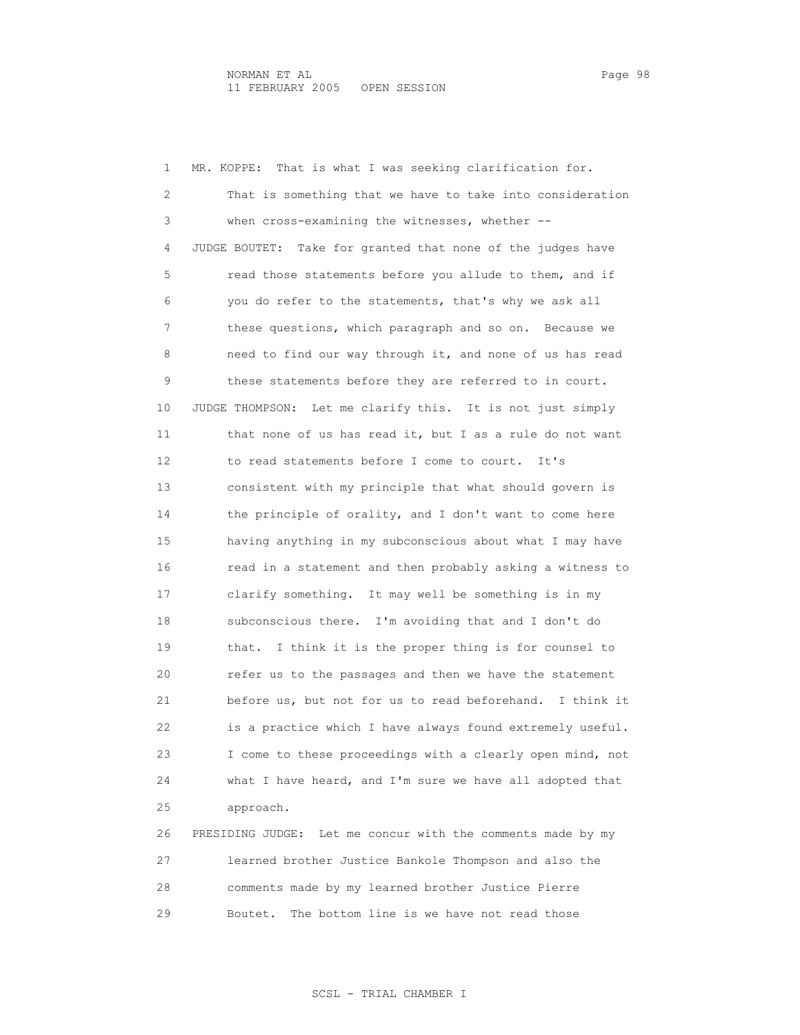1 MR. KOPPE: That is what I was seeking clarification for. 2 That is something that we have to take into consideration 3 when cross-examining the witnesses, whether -- 4 JUDGE BOUTET: Take for granted that none of the judges have 5 read those statements before you allude to them, and if 6 you do refer to the statements, that's why we ask all 7 these questions, which paragraph and so on. Because we 8 need to find our way through it, and none of us has read 9 these statements before they are referred to in court. 10 JUDGE THOMPSON: Let me clarify this. It is not just simply 11 that none of us has read it, but I as a rule do not want 12 to read statements before I come to court. It's 13 consistent with my principle that what should govern is 14 the principle of orality, and I don't want to come here 15 having anything in my subconscious about what I may have 16 read in a statement and then probably asking a witness to 17 clarify something. It may well be something is in my 18 subconscious there. I'm avoiding that and I don't do 19 that. I think it is the proper thing is for counsel to 20 refer us to the passages and then we have the statement 21 before us, but not for us to read beforehand. I think it 22 is a practice which I have always found extremely useful. 23 I come to these proceedings with a clearly open mind, not 24 what I have heard, and I'm sure we have all adopted that 25 approach. 26 PRESIDING JUDGE: Let me concur with the comments made by my 27 learned brother Justice Bankole Thompson and also the 28 comments made by my learned brother Justice Pierre

29 Boutet. The bottom line is we have not read those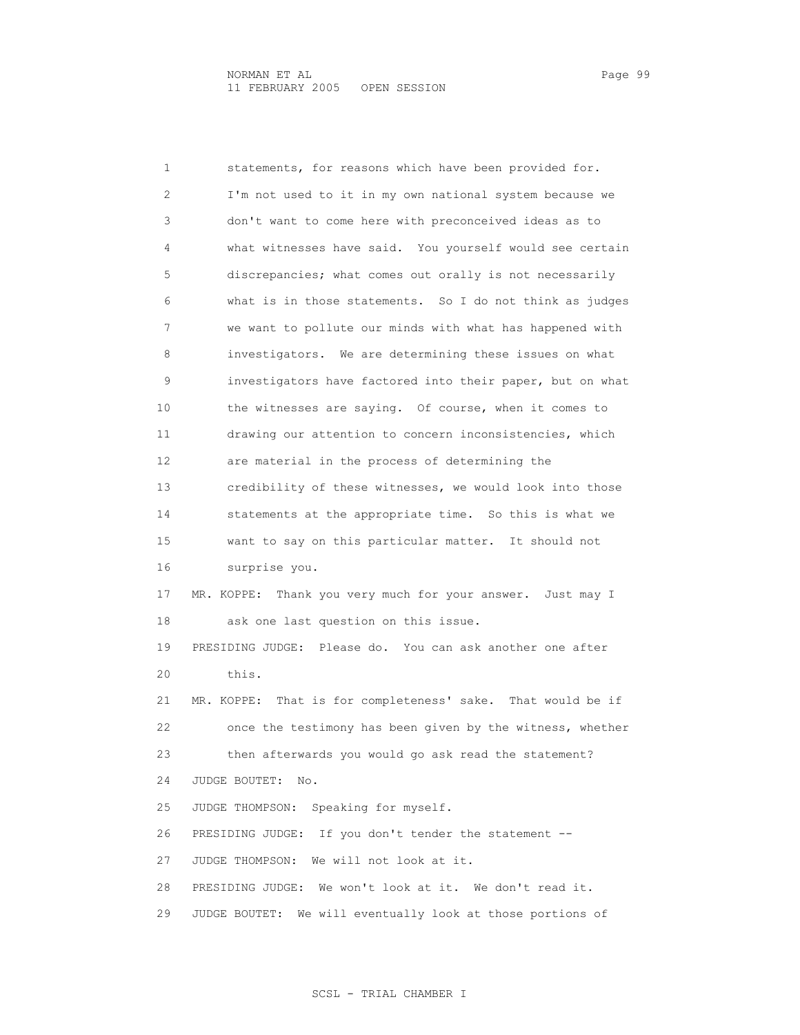1 statements, for reasons which have been provided for. 2 I'm not used to it in my own national system because we 3 don't want to come here with preconceived ideas as to 4 what witnesses have said. You yourself would see certain 5 discrepancies; what comes out orally is not necessarily 6 what is in those statements. So I do not think as judges 7 we want to pollute our minds with what has happened with 8 investigators. We are determining these issues on what 9 investigators have factored into their paper, but on what 10 the witnesses are saying. Of course, when it comes to 11 drawing our attention to concern inconsistencies, which 12 are material in the process of determining the 13 credibility of these witnesses, we would look into those 14 statements at the appropriate time. So this is what we 15 want to say on this particular matter. It should not 16 surprise you. 17 MR. KOPPE: Thank you very much for your answer. Just may I 18 ask one last question on this issue. 19 PRESIDING JUDGE: Please do. You can ask another one after 20 this. 21 MR. KOPPE: That is for completeness' sake. That would be if 22 once the testimony has been given by the witness, whether 23 then afterwards you would go ask read the statement? 24 JUDGE BOUTET: No. 25 JUDGE THOMPSON: Speaking for myself. 26 PRESIDING JUDGE: If you don't tender the statement -- 27 JUDGE THOMPSON: We will not look at it. 28 PRESIDING JUDGE: We won't look at it. We don't read it. 29 JUDGE BOUTET: We will eventually look at those portions of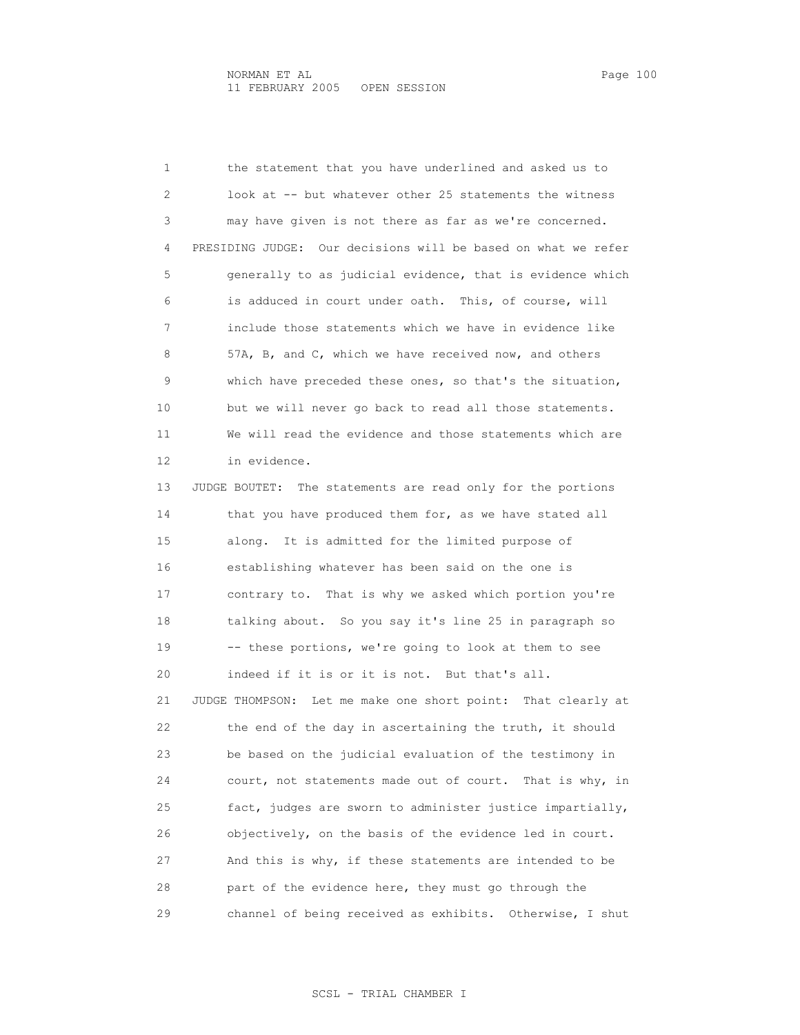1 the statement that you have underlined and asked us to 2 look at -- but whatever other 25 statements the witness 3 may have given is not there as far as we're concerned. 4 PRESIDING JUDGE: Our decisions will be based on what we refer 5 generally to as judicial evidence, that is evidence which 6 is adduced in court under oath. This, of course, will 7 include those statements which we have in evidence like 8 57A, B, and C, which we have received now, and others 9 which have preceded these ones, so that's the situation, 10 but we will never go back to read all those statements. 11 We will read the evidence and those statements which are 12 in evidence. 13 JUDGE BOUTET: The statements are read only for the portions 14 that you have produced them for, as we have stated all 15 along. It is admitted for the limited purpose of 16 establishing whatever has been said on the one is 17 contrary to. That is why we asked which portion you're 18 talking about. So you say it's line 25 in paragraph so 19 -- these portions, we're going to look at them to see 20 indeed if it is or it is not. But that's all. 21 JUDGE THOMPSON: Let me make one short point: That clearly at 22 the end of the day in ascertaining the truth, it should 23 be based on the judicial evaluation of the testimony in 24 court, not statements made out of court. That is why, in 25 fact, judges are sworn to administer justice impartially, 26 objectively, on the basis of the evidence led in court. 27 And this is why, if these statements are intended to be 28 part of the evidence here, they must go through the 29 channel of being received as exhibits. Otherwise, I shut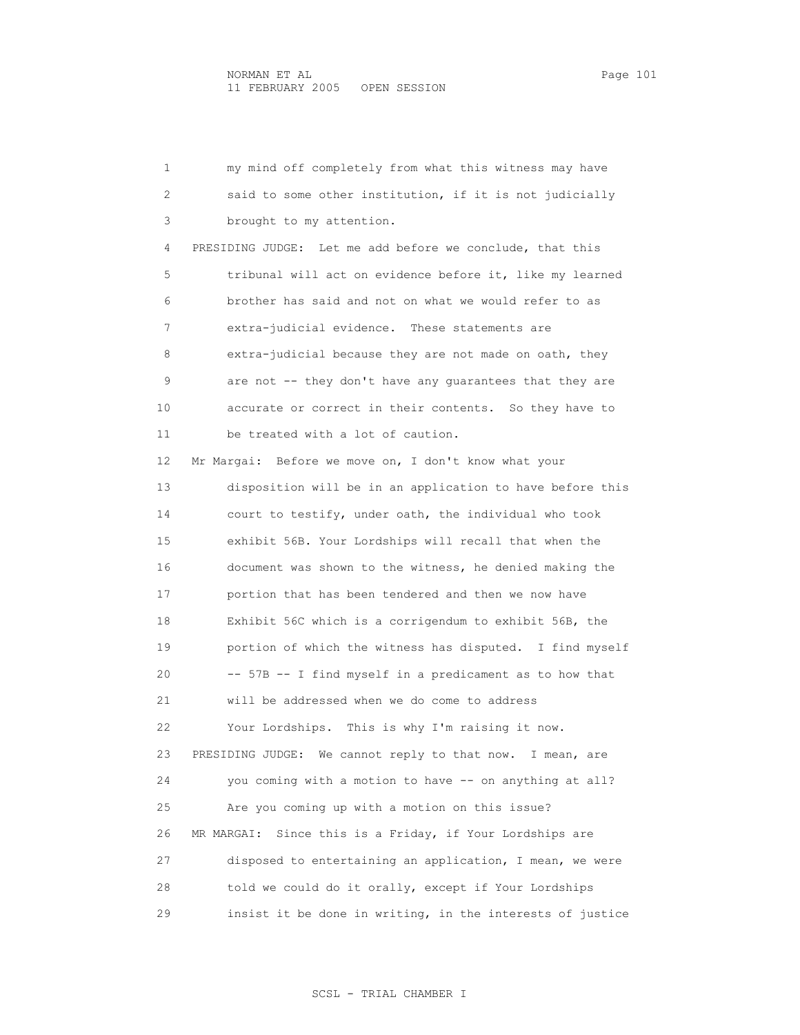1 my mind off completely from what this witness may have 2 said to some other institution, if it is not judicially 3 brought to my attention. 4 PRESIDING JUDGE: Let me add before we conclude, that this 5 tribunal will act on evidence before it, like my learned 6 brother has said and not on what we would refer to as 7 extra-judicial evidence. These statements are 8 extra-judicial because they are not made on oath, they 9 are not -- they don't have any guarantees that they are 10 accurate or correct in their contents. So they have to 11 be treated with a lot of caution. 12 Mr Margai: Before we move on, I don't know what your 13 disposition will be in an application to have before this 14 court to testify, under oath, the individual who took 15 exhibit 56B. Your Lordships will recall that when the 16 document was shown to the witness, he denied making the 17 portion that has been tendered and then we now have 18 Exhibit 56C which is a corrigendum to exhibit 56B, the 19 portion of which the witness has disputed. I find myself 20 -- 57B -- I find myself in a predicament as to how that 21 will be addressed when we do come to address 22 Your Lordships. This is why I'm raising it now. 23 PRESIDING JUDGE: We cannot reply to that now. I mean, are 24 you coming with a motion to have -- on anything at all? 25 Are you coming up with a motion on this issue? 26 MR MARGAI: Since this is a Friday, if Your Lordships are 27 disposed to entertaining an application, I mean, we were 28 told we could do it orally, except if Your Lordships 29 insist it be done in writing, in the interests of justice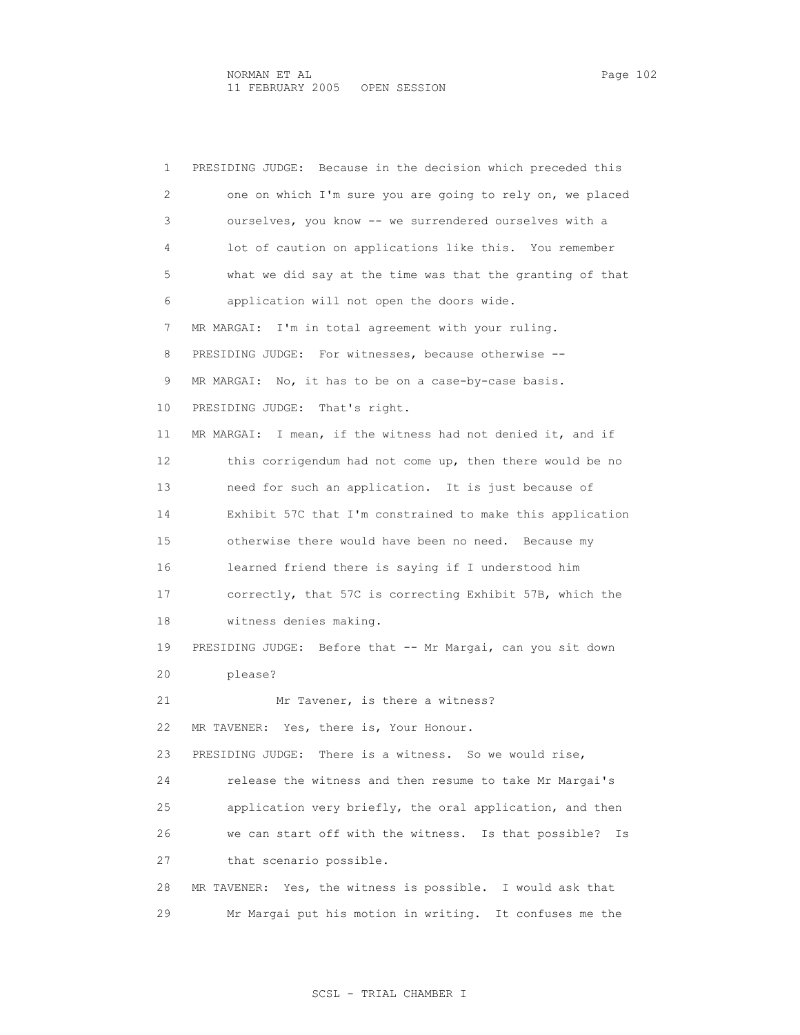1 PRESIDING JUDGE: Because in the decision which preceded this

 2 one on which I'm sure you are going to rely on, we placed 3 ourselves, you know -- we surrendered ourselves with a 4 lot of caution on applications like this. You remember 5 what we did say at the time was that the granting of that 6 application will not open the doors wide. 7 MR MARGAI: I'm in total agreement with your ruling. 8 PRESIDING JUDGE: For witnesses, because otherwise -- 9 MR MARGAI: No, it has to be on a case-by-case basis. 10 PRESIDING JUDGE: That's right. 11 MR MARGAI: I mean, if the witness had not denied it, and if 12 this corrigendum had not come up, then there would be no 13 need for such an application. It is just because of 14 Exhibit 57C that I'm constrained to make this application 15 otherwise there would have been no need. Because my 16 learned friend there is saying if I understood him 17 correctly, that 57C is correcting Exhibit 57B, which the 18 witness denies making. 19 PRESIDING JUDGE: Before that -- Mr Margai, can you sit down 20 please? 21 Mr Tavener, is there a witness? 22 MR TAVENER: Yes, there is, Your Honour. 23 PRESIDING JUDGE: There is a witness. So we would rise, 24 release the witness and then resume to take Mr Margai's 25 application very briefly, the oral application, and then 26 we can start off with the witness. Is that possible? Is 27 that scenario possible. 28 MR TAVENER: Yes, the witness is possible. I would ask that

29 Mr Margai put his motion in writing. It confuses me the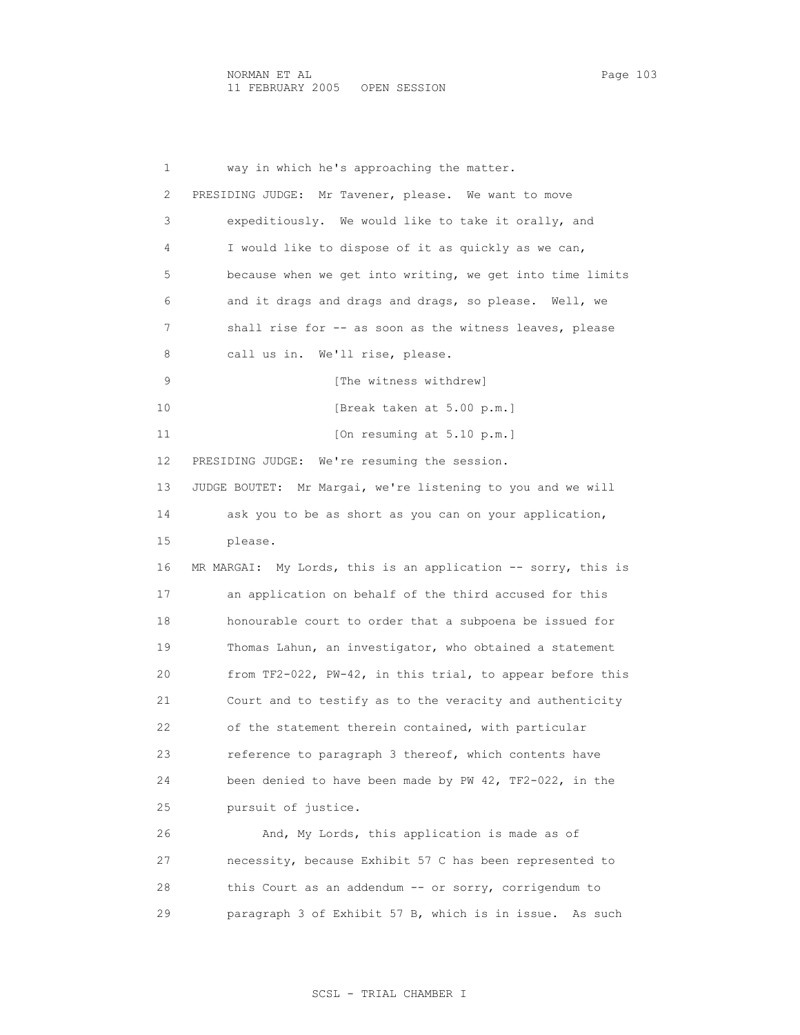1 way in which he's approaching the matter. 2 PRESIDING JUDGE: Mr Tavener, please. We want to move 3 expeditiously. We would like to take it orally, and 4 I would like to dispose of it as quickly as we can, 5 because when we get into writing, we get into time limits 6 and it drags and drags and drags, so please. Well, we 7 shall rise for -- as soon as the witness leaves, please 8 call us in. We'll rise, please. 9 [The witness withdrew] 10 **[Break taken at 5.00 p.m.]** 11 [On resuming at 5.10 p.m.] 12 PRESIDING JUDGE: We're resuming the session. 13 JUDGE BOUTET: Mr Margai, we're listening to you and we will 14 ask you to be as short as you can on your application, 15 please. 16 MR MARGAI: My Lords, this is an application -- sorry, this is 17 an application on behalf of the third accused for this 18 honourable court to order that a subpoena be issued for 19 Thomas Lahun, an investigator, who obtained a statement 20 from TF2-022, PW-42, in this trial, to appear before this 21 Court and to testify as to the veracity and authenticity 22 of the statement therein contained, with particular 23 reference to paragraph 3 thereof, which contents have 24 been denied to have been made by PW 42, TF2-022, in the 25 pursuit of justice. 26 And, My Lords, this application is made as of 27 necessity, because Exhibit 57 C has been represented to 28 this Court as an addendum -- or sorry, corrigendum to 29 paragraph 3 of Exhibit 57 B, which is in issue. As such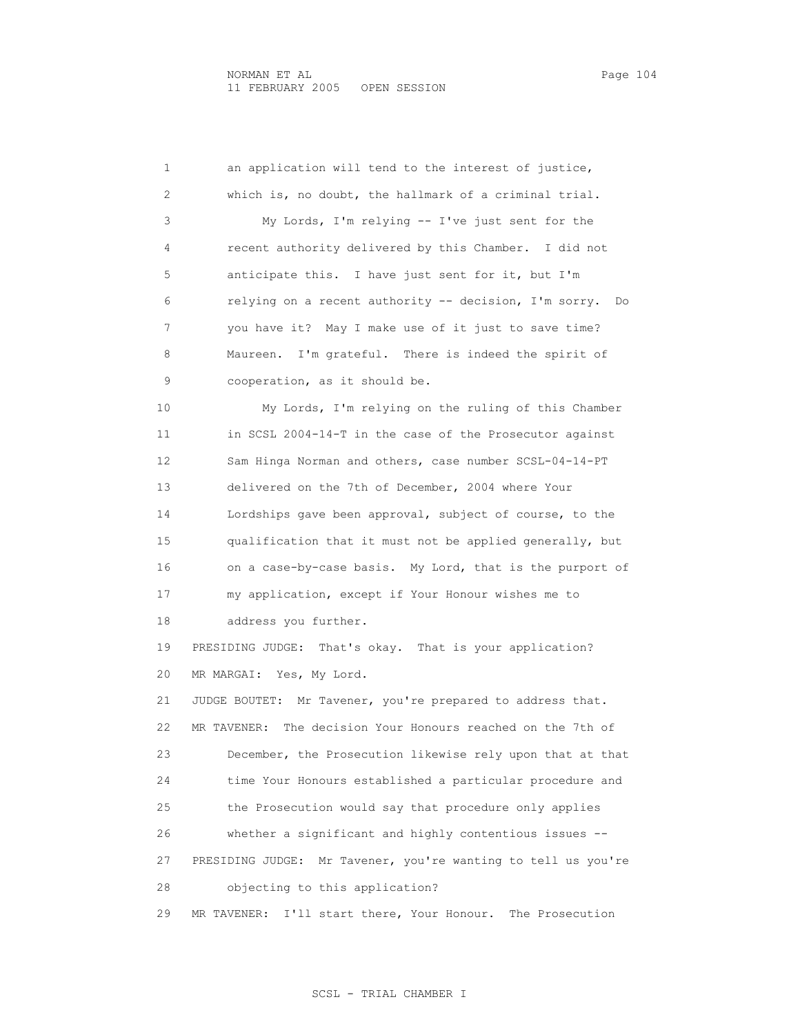1 an application will tend to the interest of justice, 2 which is, no doubt, the hallmark of a criminal trial. 3 My Lords, I'm relying -- I've just sent for the 4 recent authority delivered by this Chamber. I did not 5 anticipate this. I have just sent for it, but I'm 6 relying on a recent authority -- decision, I'm sorry. Do 7 you have it? May I make use of it just to save time? 8 Maureen. I'm grateful. There is indeed the spirit of 9 cooperation, as it should be. 10 My Lords, I'm relying on the ruling of this Chamber 11 in SCSL 2004-14-T in the case of the Prosecutor against 12 Sam Hinga Norman and others, case number SCSL-04-14-PT 13 delivered on the 7th of December, 2004 where Your 14 Lordships gave been approval, subject of course, to the 15 qualification that it must not be applied generally, but 16 on a case-by-case basis. My Lord, that is the purport of 17 my application, except if Your Honour wishes me to 18 address you further. 19 PRESIDING JUDGE: That's okay. That is your application? 20 MR MARGAI: Yes, My Lord. 21 JUDGE BOUTET: Mr Tavener, you're prepared to address that. 22 MR TAVENER: The decision Your Honours reached on the 7th of 23 December, the Prosecution likewise rely upon that at that 24 time Your Honours established a particular procedure and 25 the Prosecution would say that procedure only applies 26 whether a significant and highly contentious issues -- 27 PRESIDING JUDGE: Mr Tavener, you're wanting to tell us you're 28 objecting to this application? 29 MR TAVENER: I'll start there, Your Honour. The Prosecution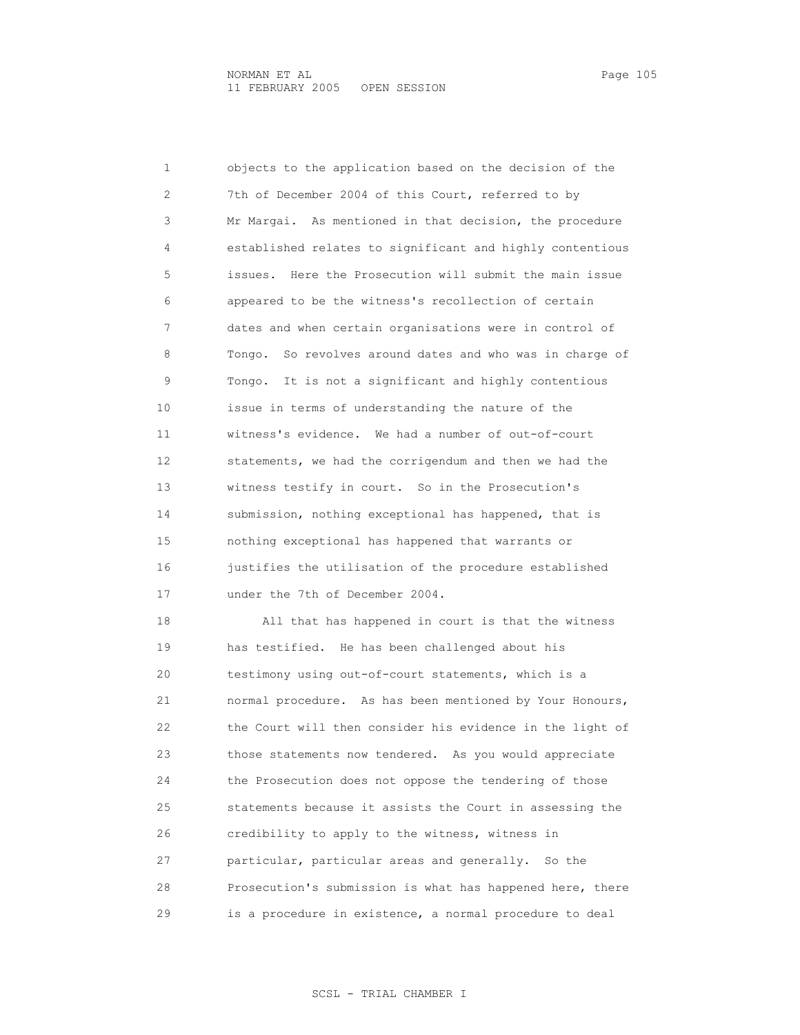1 objects to the application based on the decision of the 2 7th of December 2004 of this Court, referred to by 3 Mr Margai. As mentioned in that decision, the procedure 4 established relates to significant and highly contentious 5 issues. Here the Prosecution will submit the main issue 6 appeared to be the witness's recollection of certain 7 dates and when certain organisations were in control of 8 Tongo. So revolves around dates and who was in charge of 9 Tongo. It is not a significant and highly contentious 10 issue in terms of understanding the nature of the 11 witness's evidence. We had a number of out-of-court 12 statements, we had the corrigendum and then we had the 13 witness testify in court. So in the Prosecution's 14 submission, nothing exceptional has happened, that is 15 nothing exceptional has happened that warrants or 16 justifies the utilisation of the procedure established 17 under the 7th of December 2004. 18 All that has happened in court is that the witness 19 has testified. He has been challenged about his 20 testimony using out-of-court statements, which is a 21 normal procedure. As has been mentioned by Your Honours,

 22 the Court will then consider his evidence in the light of 23 those statements now tendered. As you would appreciate 24 the Prosecution does not oppose the tendering of those 25 statements because it assists the Court in assessing the 26 credibility to apply to the witness, witness in 27 particular, particular areas and generally. So the 28 Prosecution's submission is what has happened here, there 29 is a procedure in existence, a normal procedure to deal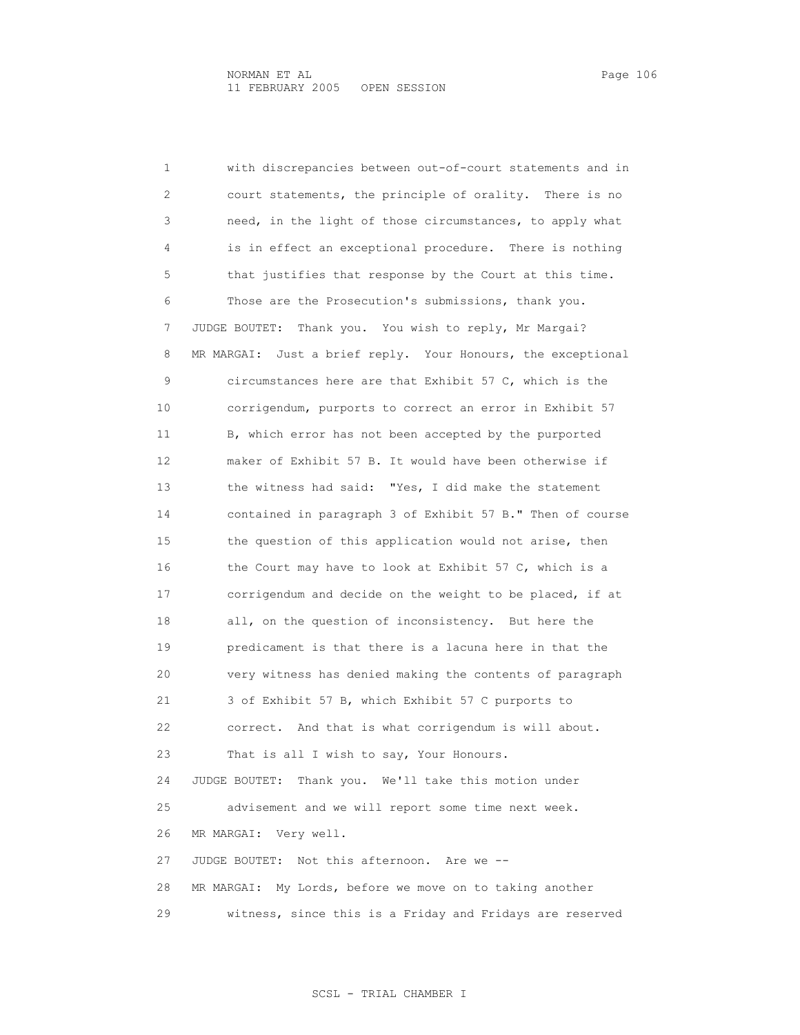1 with discrepancies between out-of-court statements and in 2 court statements, the principle of orality. There is no 3 need, in the light of those circumstances, to apply what 4 is in effect an exceptional procedure. There is nothing 5 that justifies that response by the Court at this time. 6 Those are the Prosecution's submissions, thank you. 7 JUDGE BOUTET: Thank you. You wish to reply, Mr Margai? 8 MR MARGAI: Just a brief reply. Your Honours, the exceptional 9 circumstances here are that Exhibit 57 C, which is the 10 corrigendum, purports to correct an error in Exhibit 57 11 B, which error has not been accepted by the purported 12 maker of Exhibit 57 B. It would have been otherwise if 13 the witness had said: "Yes, I did make the statement 14 contained in paragraph 3 of Exhibit 57 B." Then of course 15 the question of this application would not arise, then 16 the Court may have to look at Exhibit 57 C, which is a 17 corrigendum and decide on the weight to be placed, if at 18 all, on the question of inconsistency. But here the 19 predicament is that there is a lacuna here in that the 20 very witness has denied making the contents of paragraph 21 3 of Exhibit 57 B, which Exhibit 57 C purports to 22 correct. And that is what corrigendum is will about. 23 That is all I wish to say, Your Honours. 24 JUDGE BOUTET: Thank you. We'll take this motion under 25 advisement and we will report some time next week. 26 MR MARGAI: Very well. 27 JUDGE BOUTET: Not this afternoon. Are we -- 28 MR MARGAI: My Lords, before we move on to taking another 29 witness, since this is a Friday and Fridays are reserved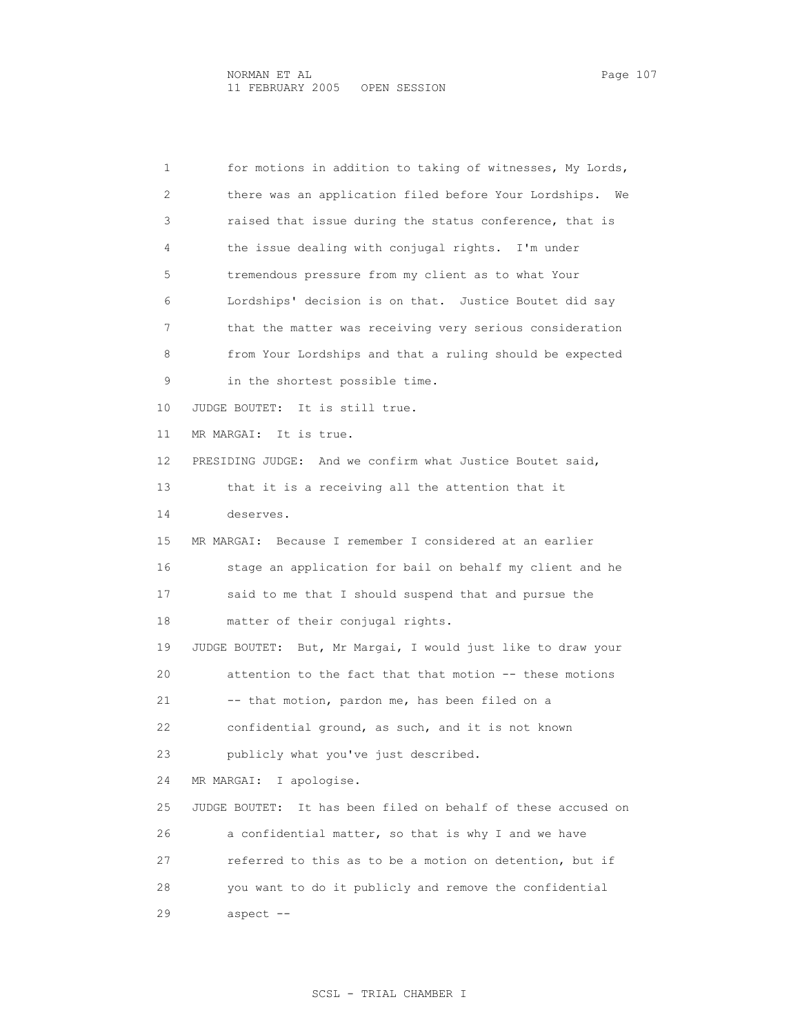1 for motions in addition to taking of witnesses, My Lords, 2 there was an application filed before Your Lordships. We 3 raised that issue during the status conference, that is 4 the issue dealing with conjugal rights. I'm under 5 tremendous pressure from my client as to what Your 6 Lordships' decision is on that. Justice Boutet did say 7 that the matter was receiving very serious consideration 8 from Your Lordships and that a ruling should be expected 9 in the shortest possible time. 10 JUDGE BOUTET: It is still true. 11 MR MARGAI: It is true. 12 PRESIDING JUDGE: And we confirm what Justice Boutet said, 13 that it is a receiving all the attention that it 14 deserves. 15 MR MARGAI: Because I remember I considered at an earlier 16 stage an application for bail on behalf my client and he 17 said to me that I should suspend that and pursue the 18 matter of their conjugal rights. 19 JUDGE BOUTET: But, Mr Margai, I would just like to draw your 20 attention to the fact that that motion -- these motions 21 -- that motion, pardon me, has been filed on a 22 confidential ground, as such, and it is not known 23 publicly what you've just described. 24 MR MARGAI: I apologise. 25 JUDGE BOUTET: It has been filed on behalf of these accused on 26 a confidential matter, so that is why I and we have 27 referred to this as to be a motion on detention, but if 28 you want to do it publicly and remove the confidential 29 aspect --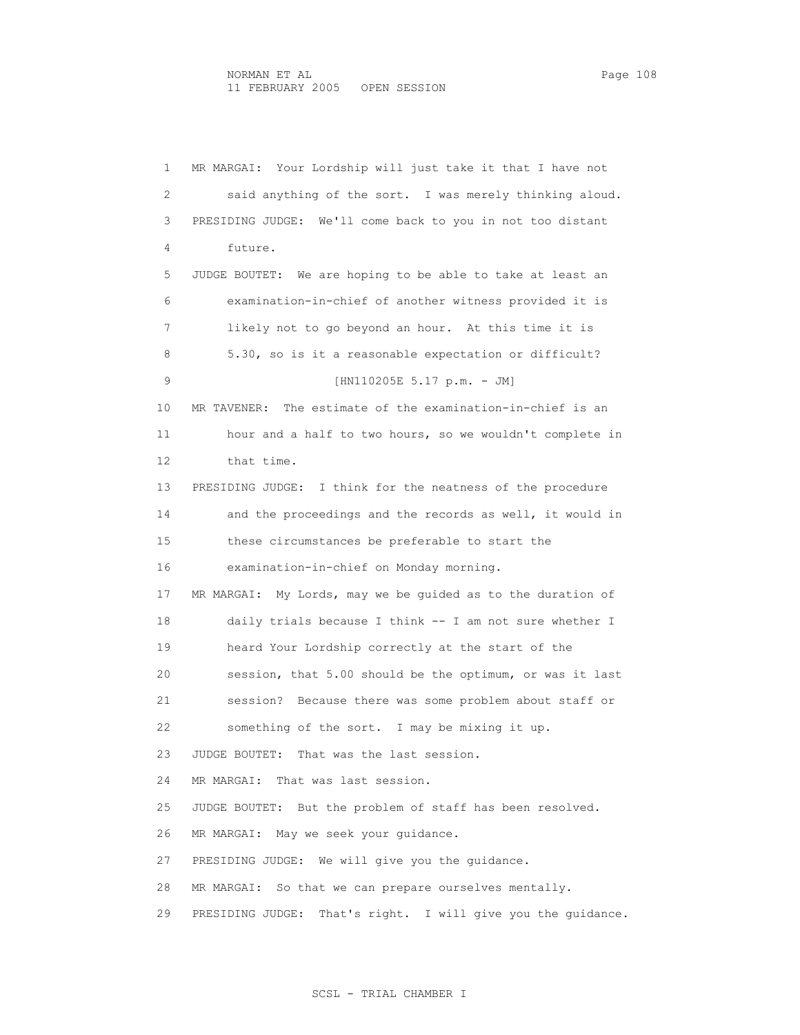4 future.

 1 MR MARGAI: Your Lordship will just take it that I have not 2 said anything of the sort. I was merely thinking aloud. 3 PRESIDING JUDGE: We'll come back to you in not too distant

 5 JUDGE BOUTET: We are hoping to be able to take at least an 6 examination-in-chief of another witness provided it is 7 likely not to go beyond an hour. At this time it is 8 5.30, so is it a reasonable expectation or difficult? 9 [HN110205E 5.17 p.m. - JM] 10 MR TAVENER: The estimate of the examination-in-chief is an 11 hour and a half to two hours, so we wouldn't complete in 12 that time. 13 PRESIDING JUDGE: I think for the neatness of the procedure 14 and the proceedings and the records as well, it would in 15 these circumstances be preferable to start the 16 examination-in-chief on Monday morning. 17 MR MARGAI: My Lords, may we be guided as to the duration of 18 daily trials because I think -- I am not sure whether I 19 heard Your Lordship correctly at the start of the 20 session, that 5.00 should be the optimum, or was it last 21 session? Because there was some problem about staff or 22 something of the sort. I may be mixing it up. 23 JUDGE BOUTET: That was the last session. 24 MR MARGAI: That was last session. 25 JUDGE BOUTET: But the problem of staff has been resolved. 26 MR MARGAI: May we seek your guidance. 27 PRESIDING JUDGE: We will give you the guidance. 28 MR MARGAI: So that we can prepare ourselves mentally. 29 PRESIDING JUDGE: That's right. I will give you the guidance.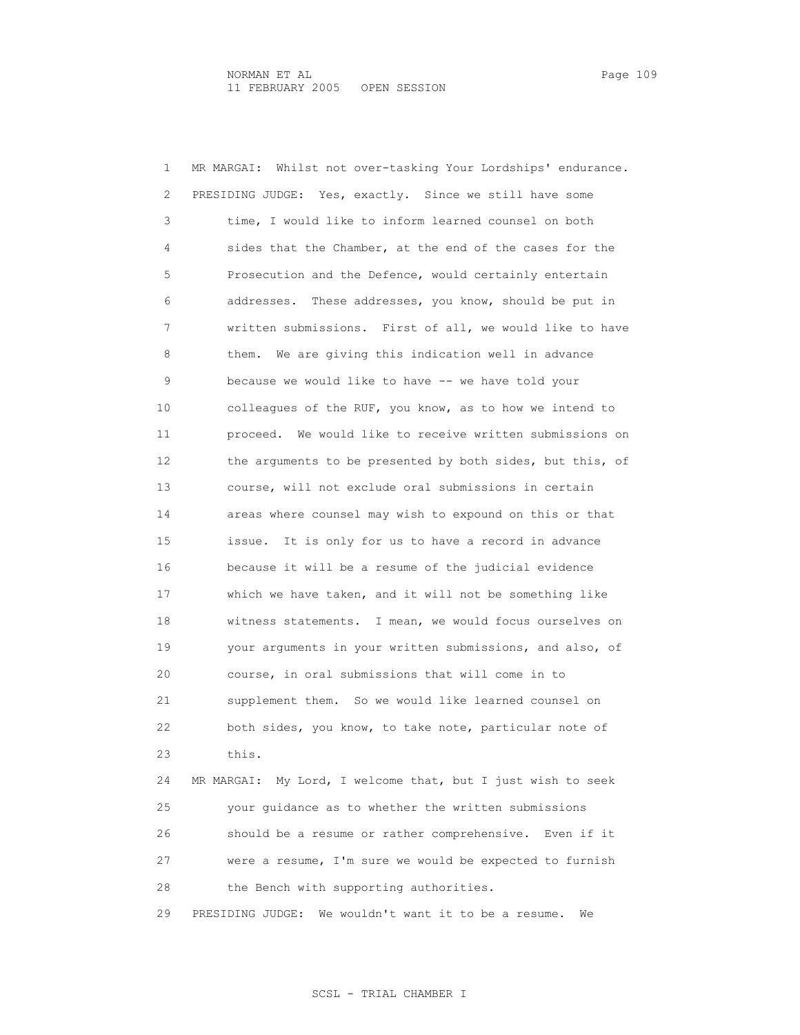1 MR MARGAI: Whilst not over-tasking Your Lordships' endurance. 2 PRESIDING JUDGE: Yes, exactly. Since we still have some 3 time, I would like to inform learned counsel on both 4 sides that the Chamber, at the end of the cases for the 5 Prosecution and the Defence, would certainly entertain 6 addresses. These addresses, you know, should be put in 7 written submissions. First of all, we would like to have 8 them. We are giving this indication well in advance 9 because we would like to have -- we have told your 10 colleagues of the RUF, you know, as to how we intend to 11 proceed. We would like to receive written submissions on 12 the arguments to be presented by both sides, but this, of 13 course, will not exclude oral submissions in certain 14 areas where counsel may wish to expound on this or that 15 issue. It is only for us to have a record in advance 16 because it will be a resume of the judicial evidence 17 which we have taken, and it will not be something like 18 witness statements. I mean, we would focus ourselves on 19 your arguments in your written submissions, and also, of 20 course, in oral submissions that will come in to 21 supplement them. So we would like learned counsel on 22 both sides, you know, to take note, particular note of 23 this. 24 MR MARGAI: My Lord, I welcome that, but I just wish to seek 25 your guidance as to whether the written submissions 26 should be a resume or rather comprehensive. Even if it 27 were a resume, I'm sure we would be expected to furnish

28 the Bench with supporting authorities.

29 PRESIDING JUDGE: We wouldn't want it to be a resume. We

## SCSL - TRIAL CHAMBER I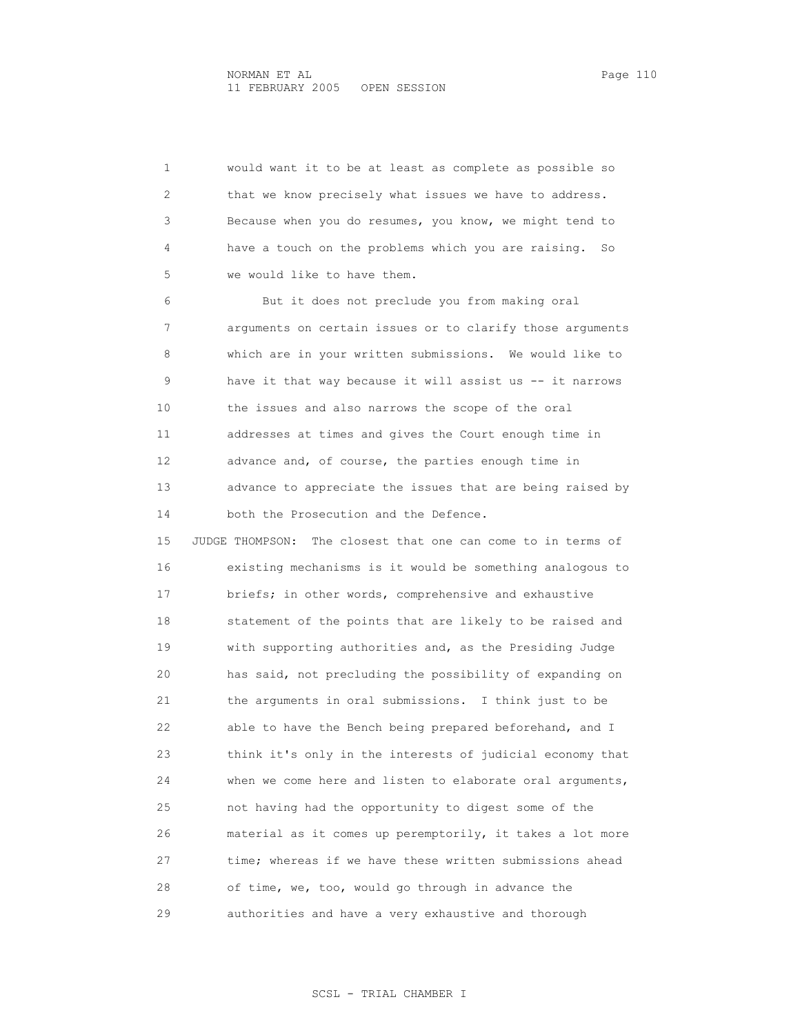1 would want it to be at least as complete as possible so 2 that we know precisely what issues we have to address. 3 Because when you do resumes, you know, we might tend to 4 have a touch on the problems which you are raising. So 5 we would like to have them. 6 But it does not preclude you from making oral 7 arguments on certain issues or to clarify those arguments 8 which are in your written submissions. We would like to 9 have it that way because it will assist us -- it narrows 10 the issues and also narrows the scope of the oral 11 addresses at times and gives the Court enough time in 12 advance and, of course, the parties enough time in 13 advance to appreciate the issues that are being raised by 14 both the Prosecution and the Defence. 15 JUDGE THOMPSON: The closest that one can come to in terms of 16 existing mechanisms is it would be something analogous to 17 briefs; in other words, comprehensive and exhaustive 18 statement of the points that are likely to be raised and 19 with supporting authorities and, as the Presiding Judge 20 has said, not precluding the possibility of expanding on 21 the arguments in oral submissions. I think just to be 22 able to have the Bench being prepared beforehand, and I 23 think it's only in the interests of judicial economy that 24 when we come here and listen to elaborate oral arguments, 25 not having had the opportunity to digest some of the 26 material as it comes up peremptorily, it takes a lot more 27 time; whereas if we have these written submissions ahead 28 of time, we, too, would go through in advance the 29 authorities and have a very exhaustive and thorough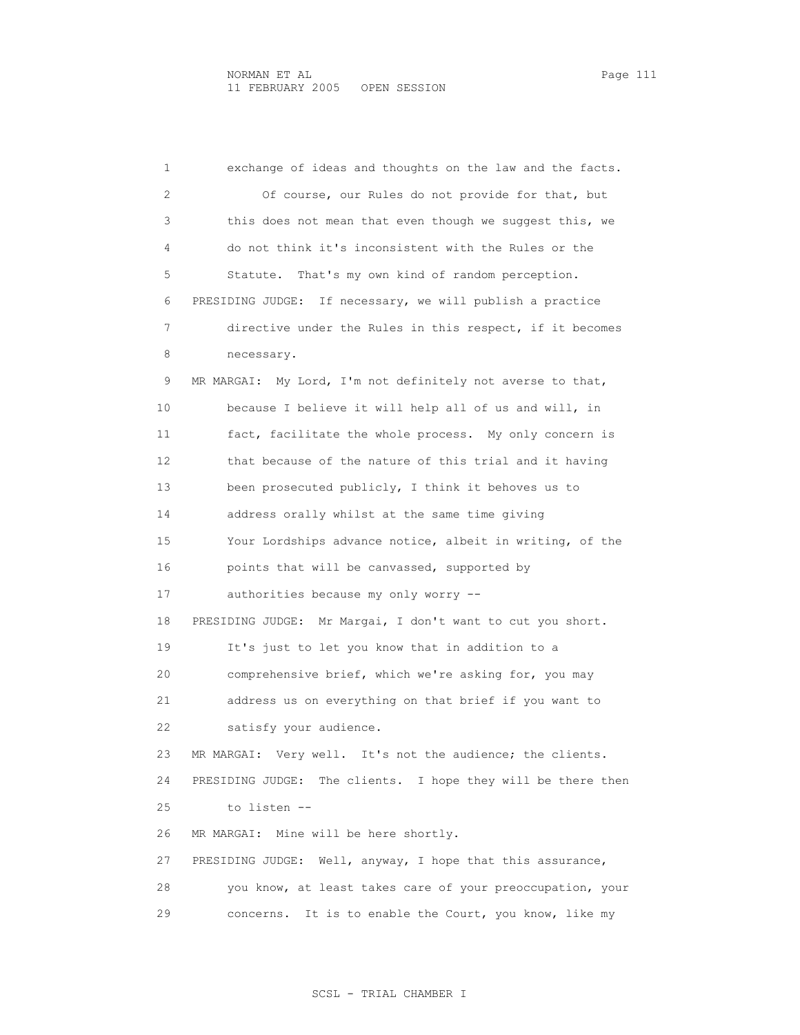1 exchange of ideas and thoughts on the law and the facts. 2 Of course, our Rules do not provide for that, but 3 this does not mean that even though we suggest this, we 4 do not think it's inconsistent with the Rules or the 5 Statute. That's my own kind of random perception. 6 PRESIDING JUDGE: If necessary, we will publish a practice 7 directive under the Rules in this respect, if it becomes 8 necessary. 9 MR MARGAI: My Lord, I'm not definitely not averse to that, 10 because I believe it will help all of us and will, in 11 fact, facilitate the whole process. My only concern is 12 that because of the nature of this trial and it having 13 been prosecuted publicly, I think it behoves us to 14 address orally whilst at the same time giving 15 Your Lordships advance notice, albeit in writing, of the 16 points that will be canvassed, supported by 17 authorities because my only worry -- 18 PRESIDING JUDGE: Mr Margai, I don't want to cut you short. 19 It's just to let you know that in addition to a 20 comprehensive brief, which we're asking for, you may 21 address us on everything on that brief if you want to 22 satisfy your audience. 23 MR MARGAI: Very well. It's not the audience; the clients. 24 PRESIDING JUDGE: The clients. I hope they will be there then 25 to listen -- 26 MR MARGAI: Mine will be here shortly. 27 PRESIDING JUDGE: Well, anyway, I hope that this assurance, 28 you know, at least takes care of your preoccupation, your 29 concerns. It is to enable the Court, you know, like my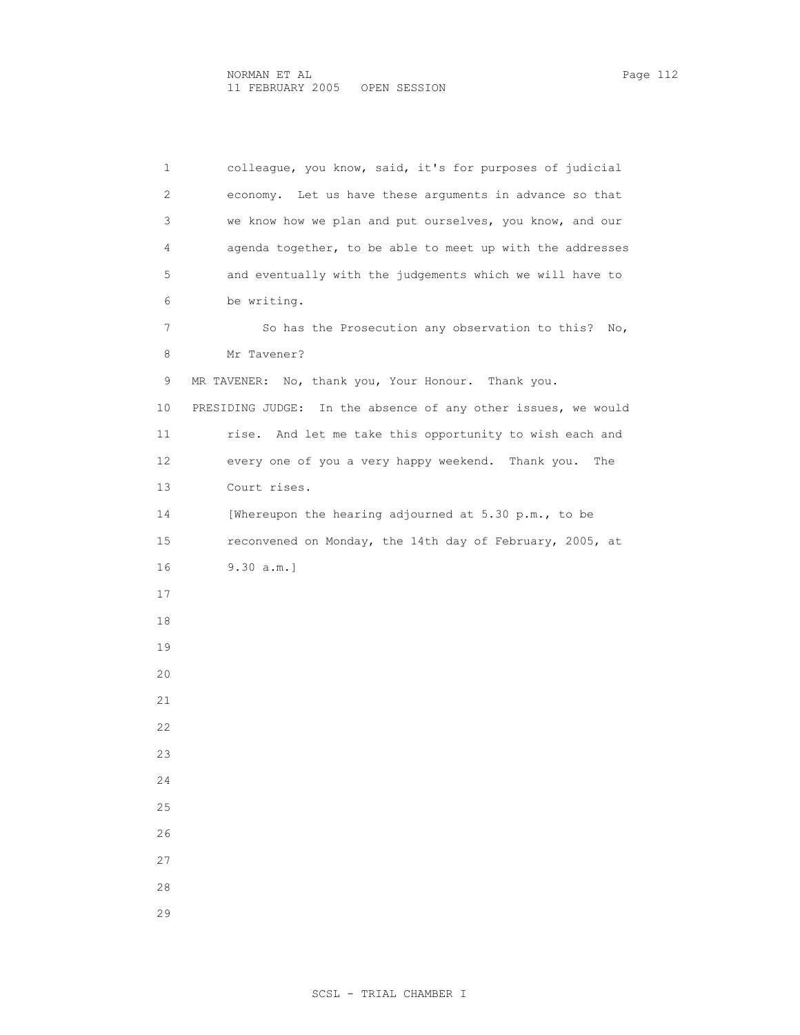1 colleague, you know, said, it's for purposes of judicial 2 economy. Let us have these arguments in advance so that 3 we know how we plan and put ourselves, you know, and our 4 agenda together, to be able to meet up with the addresses 5 and eventually with the judgements which we will have to 6 be writing. 7 So has the Prosecution any observation to this? No, 8 Mr Tavener? 9 MR TAVENER: No, thank you, Your Honour. Thank you. 10 PRESIDING JUDGE: In the absence of any other issues, we would 11 rise. And let me take this opportunity to wish each and 12 every one of you a very happy weekend. Thank you. The 13 Court rises. 14 [Whereupon the hearing adjourned at 5.30 p.m., to be 15 reconvened on Monday, the 14th day of February, 2005, at 16 9.30 a.m.] 17 18 19 20 21 22 23 24 25 26 27 28

29